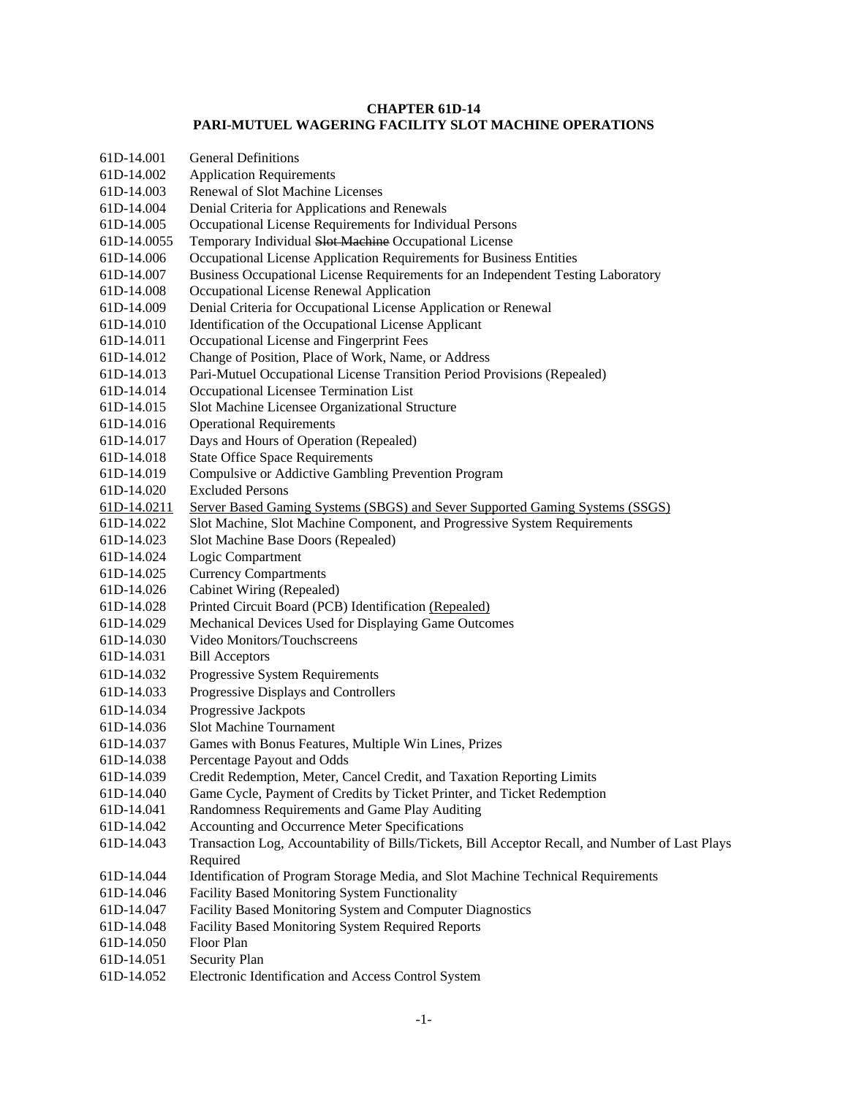# **CHAPTER 61D-14 PARI-MUTUEL WAGERING FACILITY SLOT MACHINE OPERATIONS**

| 61D-14.001  | <b>General Definitions</b>                                                                       |
|-------------|--------------------------------------------------------------------------------------------------|
| 61D-14.002  | <b>Application Requirements</b>                                                                  |
| 61D-14.003  | Renewal of Slot Machine Licenses                                                                 |
| 61D-14.004  | Denial Criteria for Applications and Renewals                                                    |
| 61D-14.005  | Occupational License Requirements for Individual Persons                                         |
|             |                                                                                                  |
| 61D-14.0055 | Temporary Individual Slot Machine Occupational License                                           |
| 61D-14.006  | Occupational License Application Requirements for Business Entities                              |
| 61D-14.007  | Business Occupational License Requirements for an Independent Testing Laboratory                 |
| 61D-14.008  | Occupational License Renewal Application                                                         |
| 61D-14.009  | Denial Criteria for Occupational License Application or Renewal                                  |
| 61D-14.010  | Identification of the Occupational License Applicant                                             |
| 61D-14.011  | Occupational License and Fingerprint Fees                                                        |
| 61D-14.012  | Change of Position, Place of Work, Name, or Address                                              |
| 61D-14.013  | Pari-Mutuel Occupational License Transition Period Provisions (Repealed)                         |
| 61D-14.014  | Occupational Licensee Termination List                                                           |
| 61D-14.015  | Slot Machine Licensee Organizational Structure                                                   |
| 61D-14.016  | <b>Operational Requirements</b>                                                                  |
| 61D-14.017  | Days and Hours of Operation (Repealed)                                                           |
| 61D-14.018  | <b>State Office Space Requirements</b>                                                           |
| 61D-14.019  | Compulsive or Addictive Gambling Prevention Program                                              |
| 61D-14.020  | <b>Excluded Persons</b>                                                                          |
| 61D-14.0211 | Server Based Gaming Systems (SBGS) and Sever Supported Gaming Systems (SSGS)                     |
| 61D-14.022  | Slot Machine, Slot Machine Component, and Progressive System Requirements                        |
| 61D-14.023  | Slot Machine Base Doors (Repealed)                                                               |
| 61D-14.024  | Logic Compartment                                                                                |
| 61D-14.025  | <b>Currency Compartments</b>                                                                     |
| 61D-14.026  | Cabinet Wiring (Repealed)                                                                        |
| 61D-14.028  | Printed Circuit Board (PCB) Identification (Repealed)                                            |
| 61D-14.029  | Mechanical Devices Used for Displaying Game Outcomes                                             |
| 61D-14.030  | Video Monitors/Touchscreens                                                                      |
| 61D-14.031  | <b>Bill Acceptors</b>                                                                            |
| 61D-14.032  | Progressive System Requirements                                                                  |
| 61D-14.033  | Progressive Displays and Controllers                                                             |
| 61D-14.034  | Progressive Jackpots                                                                             |
| 61D-14.036  | <b>Slot Machine Tournament</b>                                                                   |
|             |                                                                                                  |
| 61D-14.037  | Games with Bonus Features, Multiple Win Lines, Prizes                                            |
| 61D-14.038  | Percentage Payout and Odds                                                                       |
| 61D-14.039  | Credit Redemption, Meter, Cancel Credit, and Taxation Reporting Limits                           |
| 61D-14.040  | Game Cycle, Payment of Credits by Ticket Printer, and Ticket Redemption                          |
| 61D-14.041  | Randomness Requirements and Game Play Auditing                                                   |
| 61D-14.042  | Accounting and Occurrence Meter Specifications                                                   |
| 61D-14.043  | Transaction Log, Accountability of Bills/Tickets, Bill Acceptor Recall, and Number of Last Plays |
|             | Required                                                                                         |
| 61D-14.044  | Identification of Program Storage Media, and Slot Machine Technical Requirements                 |
| 61D-14.046  | Facility Based Monitoring System Functionality                                                   |
| 61D-14.047  | Facility Based Monitoring System and Computer Diagnostics                                        |
| 61D-14.048  | Facility Based Monitoring System Required Reports                                                |
| 61D-14.050  | Floor Plan                                                                                       |
| 61D-14.051  | Security Plan                                                                                    |
| 61D-14.052  | Electronic Identification and Access Control System                                              |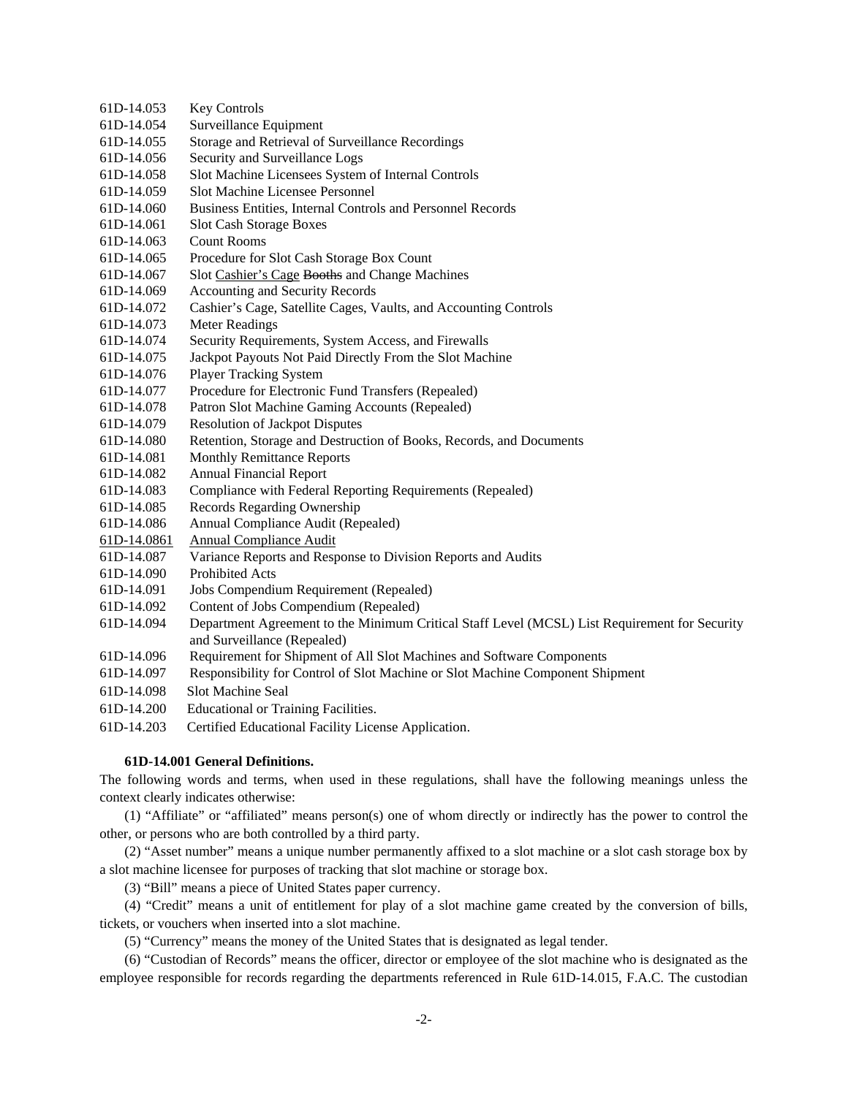- 61D-14.053 Key Controls 61D-14.054 Surveillance Equipment 61D-14.055 Storage and Retrieval of Surveillance Recordings 61D-14.056 Security and Surveillance Logs 61D-14.058 Slot Machine Licensees System of Internal Controls 61D-14.059 Slot Machine Licensee Personnel 61D-14.060 Business Entities, Internal Controls and Personnel Records 61D-14.061 Slot Cash Storage Boxes 61D-14.063 Count Rooms 61D-14.065 Procedure for Slot Cash Storage Box Count 61D-14.067 Slot Cashier's Cage Booths and Change Machines 61D-14.069 Accounting and Security Records 61D-14.072 Cashier's Cage, Satellite Cages, Vaults, and Accounting Controls 61D-14.073 Meter Readings 61D-14.074 Security Requirements, System Access, and Firewalls 61D-14.075 Jackpot Payouts Not Paid Directly From the Slot Machine 61D-14.076 Player Tracking System 61D-14.077 Procedure for Electronic Fund Transfers (Repealed) 61D-14.078 Patron Slot Machine Gaming Accounts (Repealed) 61D-14.079 Resolution of Jackpot Disputes 61D-14.080 Retention, Storage and Destruction of Books, Records, and Documents 61D-14.081 Monthly Remittance Reports 61D-14.082 Annual Financial Report 61D-14.083 Compliance with Federal Reporting Requirements (Repealed) 61D-14.085 Records Regarding Ownership 61D-14.086 Annual Compliance Audit (Repealed) 61D-14.0861 Annual Compliance Audit 61D-14.087 Variance Reports and Response to Division Reports and Audits 61D-14.090 Prohibited Acts 61D-14.091 Jobs Compendium Requirement (Repealed) 61D-14.092 Content of Jobs Compendium (Repealed) 61D-14.094 Department Agreement to the Minimum Critical Staff Level (MCSL) List Requirement for Security and Surveillance (Repealed) 61D-14.096 Requirement for Shipment of All Slot Machines and Software Components 61D-14.097 Responsibility for Control of Slot Machine or Slot Machine Component Shipment 61D-14.098 Slot Machine Seal
- 
- 61D-14.200 Educational or Training Facilities.
- 61D-14.203 Certified Educational Facility License Application.

# **61D-14.001 General Definitions.**

The following words and terms, when used in these regulations, shall have the following meanings unless the context clearly indicates otherwise:

(1) "Affiliate" or "affiliated" means person(s) one of whom directly or indirectly has the power to control the other, or persons who are both controlled by a third party.

(2) "Asset number" means a unique number permanently affixed to a slot machine or a slot cash storage box by a slot machine licensee for purposes of tracking that slot machine or storage box.

(3) "Bill" means a piece of United States paper currency.

(4) "Credit" means a unit of entitlement for play of a slot machine game created by the conversion of bills, tickets, or vouchers when inserted into a slot machine.

(5) "Currency" means the money of the United States that is designated as legal tender.

(6) "Custodian of Records" means the officer, director or employee of the slot machine who is designated as the employee responsible for records regarding the departments referenced in Rule 61D-14.015, F.A.C. The custodian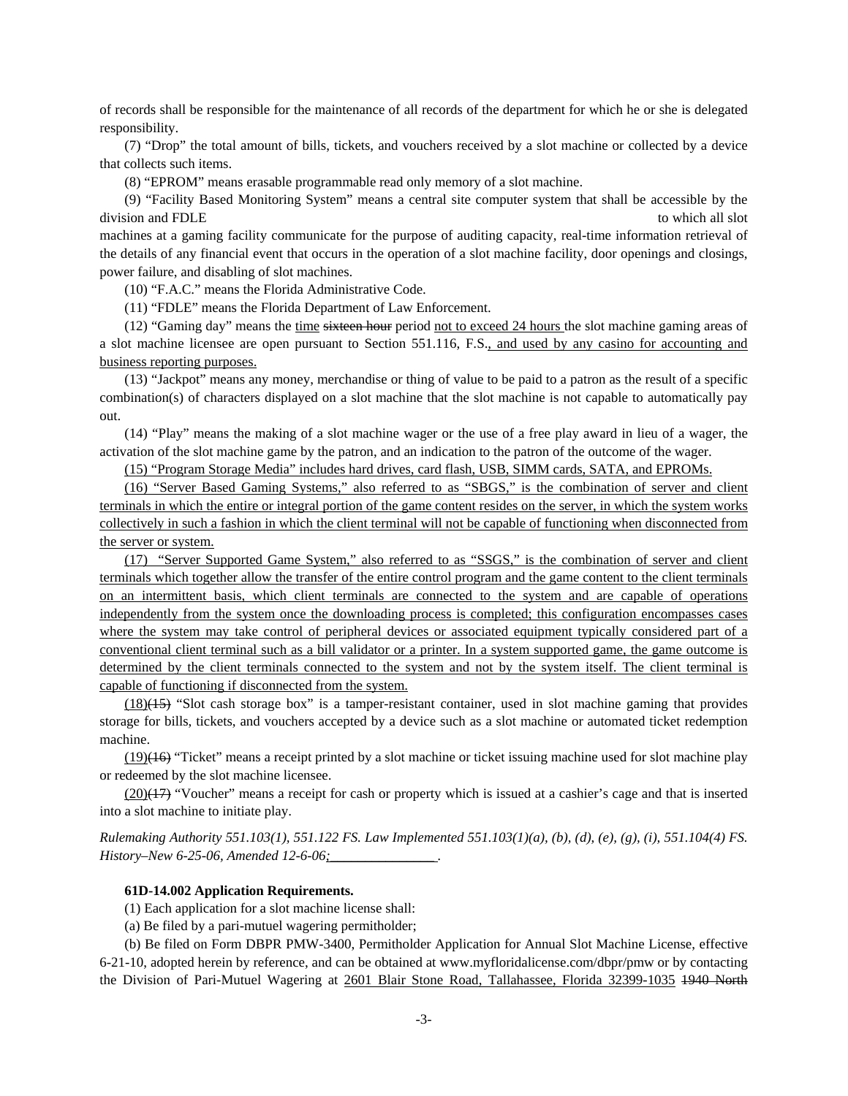of records shall be responsible for the maintenance of all records of the department for which he or she is delegated responsibility.

(7) "Drop" the total amount of bills, tickets, and vouchers received by a slot machine or collected by a device that collects such items.

(8) "EPROM" means erasable programmable read only memory of a slot machine.

(9) "Facility Based Monitoring System" means a central site computer system that shall be accessible by the division and FDLE to which all slot to which all slot

machines at a gaming facility communicate for the purpose of auditing capacity, real-time information retrieval of the details of any financial event that occurs in the operation of a slot machine facility, door openings and closings, power failure, and disabling of slot machines.

(10) "F.A.C." means the Florida Administrative Code.

(11) "FDLE" means the Florida Department of Law Enforcement.

(12) "Gaming day" means the time sixteen hour period not to exceed 24 hours the slot machine gaming areas of a slot machine licensee are open pursuant to Section 551.116, F.S., and used by any casino for accounting and business reporting purposes.

(13) "Jackpot" means any money, merchandise or thing of value to be paid to a patron as the result of a specific combination(s) of characters displayed on a slot machine that the slot machine is not capable to automatically pay out.

(14) "Play" means the making of a slot machine wager or the use of a free play award in lieu of a wager, the activation of the slot machine game by the patron, and an indication to the patron of the outcome of the wager.

(15) "Program Storage Media" includes hard drives, card flash, USB, SIMM cards, SATA, and EPROMs.

(16) "Server Based Gaming Systems," also referred to as "SBGS," is the combination of server and client terminals in which the entire or integral portion of the game content resides on the server, in which the system works collectively in such a fashion in which the client terminal will not be capable of functioning when disconnected from the server or system.

(17) "Server Supported Game System," also referred to as "SSGS," is the combination of server and client terminals which together allow the transfer of the entire control program and the game content to the client terminals on an intermittent basis, which client terminals are connected to the system and are capable of operations independently from the system once the downloading process is completed; this configuration encompasses cases where the system may take control of peripheral devices or associated equipment typically considered part of a conventional client terminal such as a bill validator or a printer. In a system supported game, the game outcome is determined by the client terminals connected to the system and not by the system itself. The client terminal is capable of functioning if disconnected from the system.

(18)(15) "Slot cash storage box" is a tamper-resistant container, used in slot machine gaming that provides storage for bills, tickets, and vouchers accepted by a device such as a slot machine or automated ticket redemption machine.

 $(19)(16)$  "Ticket" means a receipt printed by a slot machine or ticket issuing machine used for slot machine play or redeemed by the slot machine licensee.

 $(20)(17)$  "Voucher" means a receipt for cash or property which is issued at a cashier's cage and that is inserted into a slot machine to initiate play.

*Rulemaking Authority 551.103(1), 551.122 FS. Law Implemented 551.103(1)(a), (b), (d), (e), (g), (i), 551.104(4) FS. History–New 6-25-06, Amended 12-6-06;* 

# **61D-14.002 Application Requirements.**

(1) Each application for a slot machine license shall:

(a) Be filed by a pari-mutuel wagering permitholder;

(b) Be filed on Form DBPR PMW-3400, Permitholder Application for Annual Slot Machine License, effective 6-21-10, adopted herein by reference, and can be obtained at www.myfloridalicense.com/dbpr/pmw or by contacting the Division of Pari-Mutuel Wagering at 2601 Blair Stone Road, Tallahassee, Florida 32399-1035 1940 North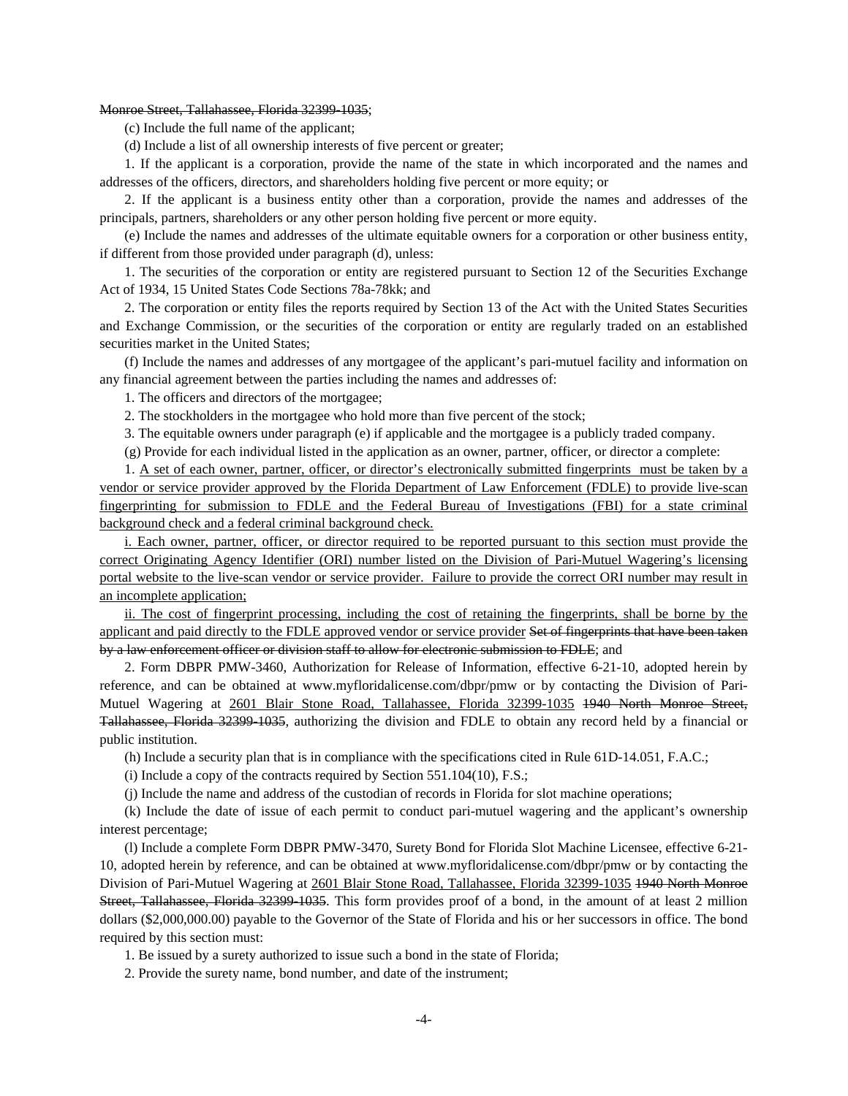#### Monroe Street, Tallahassee, Florida 32399-1035;

(c) Include the full name of the applicant;

(d) Include a list of all ownership interests of five percent or greater;

1. If the applicant is a corporation, provide the name of the state in which incorporated and the names and addresses of the officers, directors, and shareholders holding five percent or more equity; or

2. If the applicant is a business entity other than a corporation, provide the names and addresses of the principals, partners, shareholders or any other person holding five percent or more equity.

(e) Include the names and addresses of the ultimate equitable owners for a corporation or other business entity, if different from those provided under paragraph (d), unless:

1. The securities of the corporation or entity are registered pursuant to Section 12 of the Securities Exchange Act of 1934, 15 United States Code Sections 78a-78kk; and

2. The corporation or entity files the reports required by Section 13 of the Act with the United States Securities and Exchange Commission, or the securities of the corporation or entity are regularly traded on an established securities market in the United States;

(f) Include the names and addresses of any mortgagee of the applicant's pari-mutuel facility and information on any financial agreement between the parties including the names and addresses of:

1. The officers and directors of the mortgagee;

2. The stockholders in the mortgagee who hold more than five percent of the stock;

3. The equitable owners under paragraph (e) if applicable and the mortgagee is a publicly traded company.

(g) Provide for each individual listed in the application as an owner, partner, officer, or director a complete:

1. A set of each owner, partner, officer, or director's electronically submitted fingerprints must be taken by a vendor or service provider approved by the Florida Department of Law Enforcement (FDLE) to provide live-scan fingerprinting for submission to FDLE and the Federal Bureau of Investigations (FBI) for a state criminal background check and a federal criminal background check.

i. Each owner, partner, officer, or director required to be reported pursuant to this section must provide the correct Originating Agency Identifier (ORI) number listed on the Division of Pari-Mutuel Wagering's licensing portal website to the live-scan vendor or service provider. Failure to provide the correct ORI number may result in an incomplete application;

ii. The cost of fingerprint processing, including the cost of retaining the fingerprints, shall be borne by the applicant and paid directly to the FDLE approved vendor or service provider Set of fingerprints that have been taken by a law enforcement officer or division staff to allow for electronic submission to FDLE; and

2. Form DBPR PMW-3460, Authorization for Release of Information, effective 6-21-10, adopted herein by reference, and can be obtained at www.myfloridalicense.com/dbpr/pmw or by contacting the Division of Pari-Mutuel Wagering at 2601 Blair Stone Road, Tallahassee, Florida 32399-1035 1940 North Monroe Street, Tallahassee, Florida 32399-1035, authorizing the division and FDLE to obtain any record held by a financial or public institution.

(h) Include a security plan that is in compliance with the specifications cited in Rule 61D-14.051, F.A.C.;

(i) Include a copy of the contracts required by Section 551.104(10), F.S.;

(j) Include the name and address of the custodian of records in Florida for slot machine operations;

(k) Include the date of issue of each permit to conduct pari-mutuel wagering and the applicant's ownership interest percentage;

(l) Include a complete Form DBPR PMW-3470, Surety Bond for Florida Slot Machine Licensee, effective 6-21- 10, adopted herein by reference, and can be obtained at www.myfloridalicense.com/dbpr/pmw or by contacting the Division of Pari-Mutuel Wagering at 2601 Blair Stone Road, Tallahassee, Florida 32399-1035 1940 North Monroe Street, Tallahassee, Florida 32399-1035. This form provides proof of a bond, in the amount of at least 2 million dollars (\$2,000,000.00) payable to the Governor of the State of Florida and his or her successors in office. The bond required by this section must:

1. Be issued by a surety authorized to issue such a bond in the state of Florida;

2. Provide the surety name, bond number, and date of the instrument;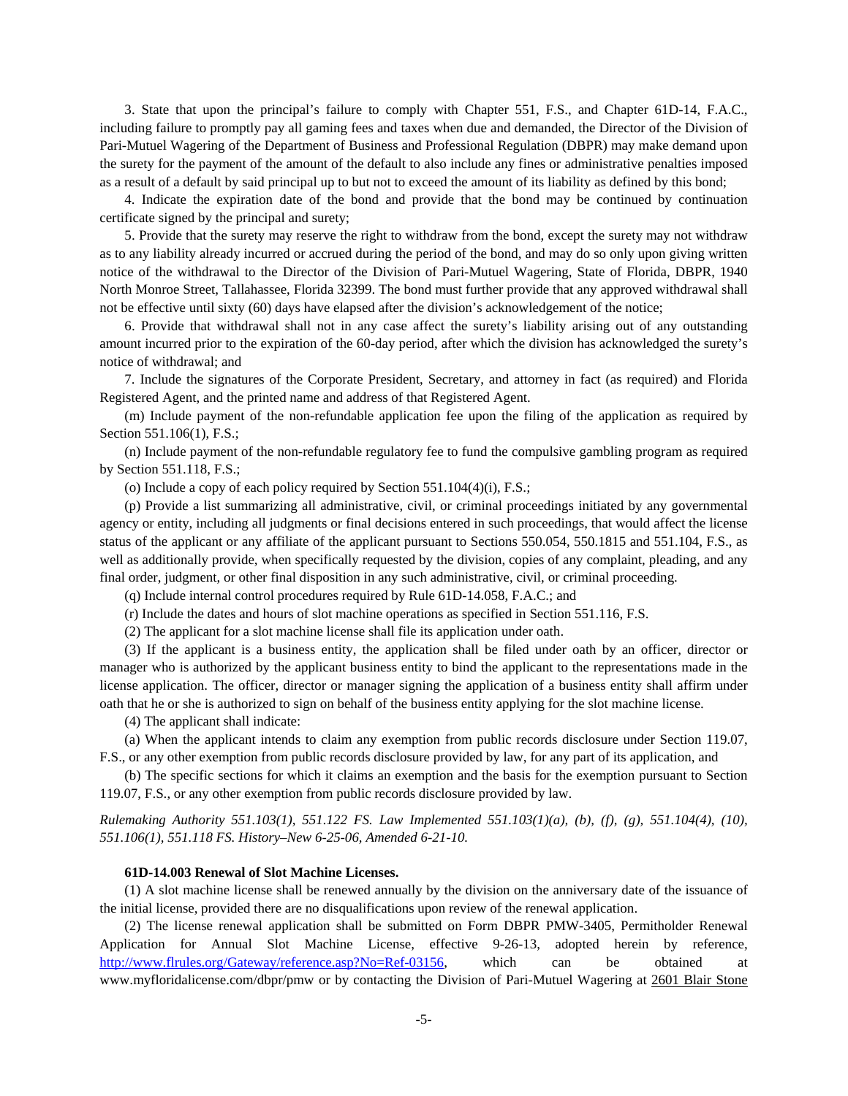3. State that upon the principal's failure to comply with Chapter 551, F.S., and Chapter 61D-14, F.A.C., including failure to promptly pay all gaming fees and taxes when due and demanded, the Director of the Division of Pari-Mutuel Wagering of the Department of Business and Professional Regulation (DBPR) may make demand upon the surety for the payment of the amount of the default to also include any fines or administrative penalties imposed as a result of a default by said principal up to but not to exceed the amount of its liability as defined by this bond;

4. Indicate the expiration date of the bond and provide that the bond may be continued by continuation certificate signed by the principal and surety;

5. Provide that the surety may reserve the right to withdraw from the bond, except the surety may not withdraw as to any liability already incurred or accrued during the period of the bond, and may do so only upon giving written notice of the withdrawal to the Director of the Division of Pari-Mutuel Wagering, State of Florida, DBPR, 1940 North Monroe Street, Tallahassee, Florida 32399. The bond must further provide that any approved withdrawal shall not be effective until sixty (60) days have elapsed after the division's acknowledgement of the notice;

6. Provide that withdrawal shall not in any case affect the surety's liability arising out of any outstanding amount incurred prior to the expiration of the 60-day period, after which the division has acknowledged the surety's notice of withdrawal; and

7. Include the signatures of the Corporate President, Secretary, and attorney in fact (as required) and Florida Registered Agent, and the printed name and address of that Registered Agent.

(m) Include payment of the non-refundable application fee upon the filing of the application as required by Section 551.106(1), F.S.;

(n) Include payment of the non-refundable regulatory fee to fund the compulsive gambling program as required by Section 551.118, F.S.;

(o) Include a copy of each policy required by Section 551.104(4)(i), F.S.;

(p) Provide a list summarizing all administrative, civil, or criminal proceedings initiated by any governmental agency or entity, including all judgments or final decisions entered in such proceedings, that would affect the license status of the applicant or any affiliate of the applicant pursuant to Sections 550.054, 550.1815 and 551.104, F.S., as well as additionally provide, when specifically requested by the division, copies of any complaint, pleading, and any final order, judgment, or other final disposition in any such administrative, civil, or criminal proceeding.

(q) Include internal control procedures required by Rule 61D-14.058, F.A.C.; and

(r) Include the dates and hours of slot machine operations as specified in Section 551.116, F.S.

(2) The applicant for a slot machine license shall file its application under oath.

(3) If the applicant is a business entity, the application shall be filed under oath by an officer, director or manager who is authorized by the applicant business entity to bind the applicant to the representations made in the license application. The officer, director or manager signing the application of a business entity shall affirm under oath that he or she is authorized to sign on behalf of the business entity applying for the slot machine license.

(4) The applicant shall indicate:

(a) When the applicant intends to claim any exemption from public records disclosure under Section 119.07, F.S., or any other exemption from public records disclosure provided by law, for any part of its application, and

(b) The specific sections for which it claims an exemption and the basis for the exemption pursuant to Section 119.07, F.S., or any other exemption from public records disclosure provided by law.

*Rulemaking Authority 551.103(1), 551.122 FS. Law Implemented 551.103(1)(a), (b), (f), (g), 551.104(4), (10), 551.106(1), 551.118 FS. History–New 6-25-06, Amended 6-21-10.*

#### **61D-14.003 Renewal of Slot Machine Licenses.**

(1) A slot machine license shall be renewed annually by the division on the anniversary date of the issuance of the initial license, provided there are no disqualifications upon review of the renewal application.

(2) The license renewal application shall be submitted on Form DBPR PMW-3405, Permitholder Renewal Application for Annual Slot Machine License, effective 9-26-13, adopted herein by reference, http://www.flrules.org/Gateway/reference.asp?No=Ref-03156, which can be obtained at www.myfloridalicense.com/dbpr/pmw or by contacting the Division of Pari-Mutuel Wagering at 2601 Blair Stone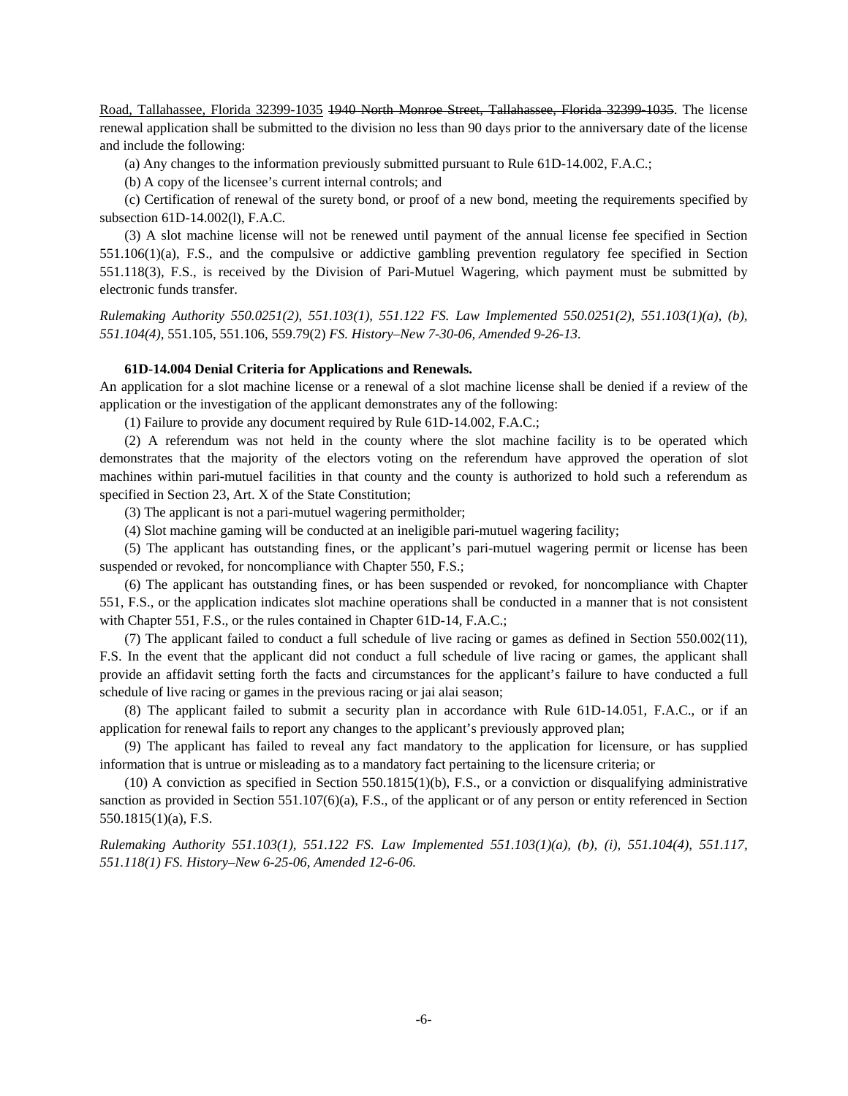Road, Tallahassee, Florida 32399-1035 1940 North Monroe Street, Tallahassee, Florida 32399-1035. The license renewal application shall be submitted to the division no less than 90 days prior to the anniversary date of the license and include the following:

(a) Any changes to the information previously submitted pursuant to Rule 61D-14.002, F.A.C.;

(b) A copy of the licensee's current internal controls; and

(c) Certification of renewal of the surety bond, or proof of a new bond, meeting the requirements specified by subsection 61D-14.002(l), F.A.C.

(3) A slot machine license will not be renewed until payment of the annual license fee specified in Section 551.106(1)(a), F.S., and the compulsive or addictive gambling prevention regulatory fee specified in Section 551.118(3), F.S., is received by the Division of Pari-Mutuel Wagering, which payment must be submitted by electronic funds transfer.

*Rulemaking Authority 550.0251(2), 551.103(1), 551.122 FS. Law Implemented 550.0251(2), 551.103(1)(a), (b), 551.104(4),* 551.105, 551.106, 559.79(2) *FS. History–New 7-30-06, Amended 9-26-13.* 

### **61D-14.004 Denial Criteria for Applications and Renewals.**

An application for a slot machine license or a renewal of a slot machine license shall be denied if a review of the application or the investigation of the applicant demonstrates any of the following:

(1) Failure to provide any document required by Rule 61D-14.002, F.A.C.;

(2) A referendum was not held in the county where the slot machine facility is to be operated which demonstrates that the majority of the electors voting on the referendum have approved the operation of slot machines within pari-mutuel facilities in that county and the county is authorized to hold such a referendum as specified in Section 23, Art. X of the State Constitution;

(3) The applicant is not a pari-mutuel wagering permitholder;

(4) Slot machine gaming will be conducted at an ineligible pari-mutuel wagering facility;

(5) The applicant has outstanding fines, or the applicant's pari-mutuel wagering permit or license has been suspended or revoked, for noncompliance with Chapter 550, F.S.;

(6) The applicant has outstanding fines, or has been suspended or revoked, for noncompliance with Chapter 551, F.S., or the application indicates slot machine operations shall be conducted in a manner that is not consistent with Chapter 551, F.S., or the rules contained in Chapter 61D-14, F.A.C.;

(7) The applicant failed to conduct a full schedule of live racing or games as defined in Section 550.002(11), F.S. In the event that the applicant did not conduct a full schedule of live racing or games, the applicant shall provide an affidavit setting forth the facts and circumstances for the applicant's failure to have conducted a full schedule of live racing or games in the previous racing or jai alai season;

(8) The applicant failed to submit a security plan in accordance with Rule 61D-14.051, F.A.C., or if an application for renewal fails to report any changes to the applicant's previously approved plan;

(9) The applicant has failed to reveal any fact mandatory to the application for licensure, or has supplied information that is untrue or misleading as to a mandatory fact pertaining to the licensure criteria; or

(10) A conviction as specified in Section 550.1815(1)(b), F.S., or a conviction or disqualifying administrative sanction as provided in Section 551.107(6)(a), F.S., of the applicant or of any person or entity referenced in Section 550.1815(1)(a), F.S.

*Rulemaking Authority 551.103(1), 551.122 FS. Law Implemented 551.103(1)(a), (b), (i), 551.104(4), 551.117, 551.118(1) FS. History–New 6-25-06, Amended 12-6-06.*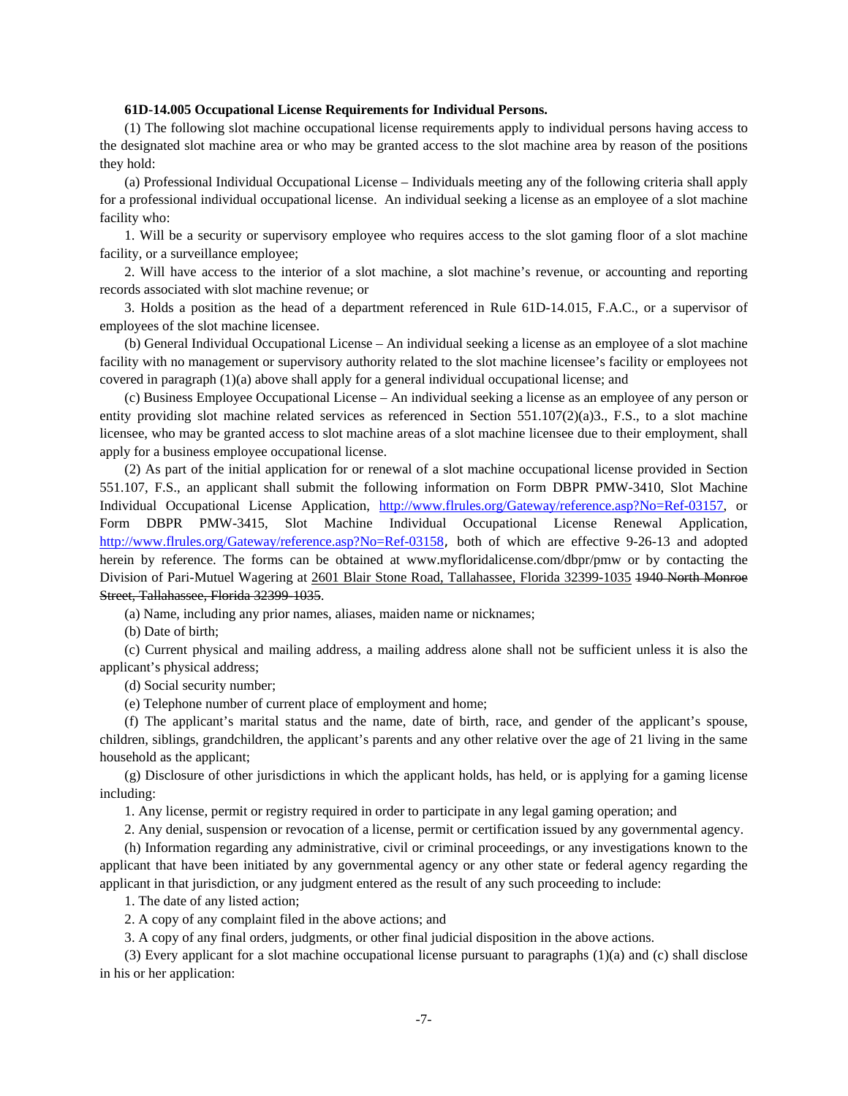### **61D-14.005 Occupational License Requirements for Individual Persons.**

(1) The following slot machine occupational license requirements apply to individual persons having access to the designated slot machine area or who may be granted access to the slot machine area by reason of the positions they hold:

(a) Professional Individual Occupational License – Individuals meeting any of the following criteria shall apply for a professional individual occupational license. An individual seeking a license as an employee of a slot machine facility who:

1. Will be a security or supervisory employee who requires access to the slot gaming floor of a slot machine facility, or a surveillance employee;

2. Will have access to the interior of a slot machine, a slot machine's revenue, or accounting and reporting records associated with slot machine revenue; or

3. Holds a position as the head of a department referenced in Rule 61D-14.015, F.A.C., or a supervisor of employees of the slot machine licensee.

(b) General Individual Occupational License – An individual seeking a license as an employee of a slot machine facility with no management or supervisory authority related to the slot machine licensee's facility or employees not covered in paragraph (1)(a) above shall apply for a general individual occupational license; and

(c) Business Employee Occupational License – An individual seeking a license as an employee of any person or entity providing slot machine related services as referenced in Section 551.107 $(2)(a)3$ ., F.S., to a slot machine licensee, who may be granted access to slot machine areas of a slot machine licensee due to their employment, shall apply for a business employee occupational license.

(2) As part of the initial application for or renewal of a slot machine occupational license provided in Section 551.107, F.S., an applicant shall submit the following information on Form DBPR PMW-3410, Slot Machine Individual Occupational License Application, http://www.flrules.org/Gateway/reference.asp?No=Ref-03157, or Form DBPR PMW-3415, Slot Machine Individual Occupational License Renewal Application, http://www.flrules.org/Gateway/reference.asp?No=Ref-03158, both of which are effective 9-26-13 and adopted herein by reference. The forms can be obtained at www.myfloridalicense.com/dbpr/pmw or by contacting the Division of Pari-Mutuel Wagering at 2601 Blair Stone Road, Tallahassee, Florida 32399-1035 1940 North Monroe Street, Tallahassee, Florida 32399-1035.

(a) Name, including any prior names, aliases, maiden name or nicknames;

(b) Date of birth;

(c) Current physical and mailing address, a mailing address alone shall not be sufficient unless it is also the applicant's physical address;

(d) Social security number;

(e) Telephone number of current place of employment and home;

(f) The applicant's marital status and the name, date of birth, race, and gender of the applicant's spouse, children, siblings, grandchildren, the applicant's parents and any other relative over the age of 21 living in the same household as the applicant;

(g) Disclosure of other jurisdictions in which the applicant holds, has held, or is applying for a gaming license including:

1. Any license, permit or registry required in order to participate in any legal gaming operation; and

2. Any denial, suspension or revocation of a license, permit or certification issued by any governmental agency.

(h) Information regarding any administrative, civil or criminal proceedings, or any investigations known to the applicant that have been initiated by any governmental agency or any other state or federal agency regarding the applicant in that jurisdiction, or any judgment entered as the result of any such proceeding to include:

1. The date of any listed action;

2. A copy of any complaint filed in the above actions; and

3. A copy of any final orders, judgments, or other final judicial disposition in the above actions.

(3) Every applicant for a slot machine occupational license pursuant to paragraphs (1)(a) and (c) shall disclose in his or her application: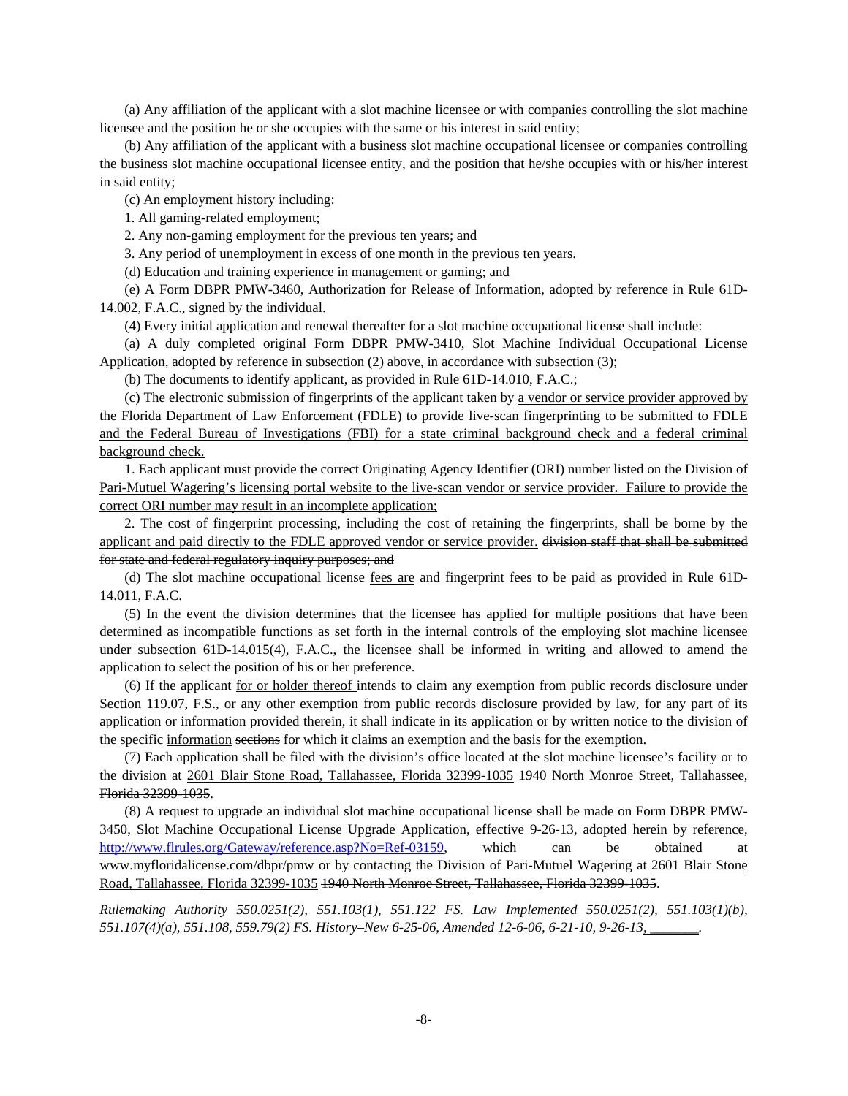(a) Any affiliation of the applicant with a slot machine licensee or with companies controlling the slot machine licensee and the position he or she occupies with the same or his interest in said entity;

(b) Any affiliation of the applicant with a business slot machine occupational licensee or companies controlling the business slot machine occupational licensee entity, and the position that he/she occupies with or his/her interest in said entity;

(c) An employment history including:

1. All gaming-related employment;

2. Any non-gaming employment for the previous ten years; and

3. Any period of unemployment in excess of one month in the previous ten years.

(d) Education and training experience in management or gaming; and

(e) A Form DBPR PMW-3460, Authorization for Release of Information, adopted by reference in Rule 61D-14.002, F.A.C., signed by the individual.

(4) Every initial application and renewal thereafter for a slot machine occupational license shall include:

(a) A duly completed original Form DBPR PMW-3410, Slot Machine Individual Occupational License Application, adopted by reference in subsection (2) above, in accordance with subsection (3);

(b) The documents to identify applicant, as provided in Rule 61D-14.010, F.A.C.;

(c) The electronic submission of fingerprints of the applicant taken by a vendor or service provider approved by the Florida Department of Law Enforcement (FDLE) to provide live-scan fingerprinting to be submitted to FDLE and the Federal Bureau of Investigations (FBI) for a state criminal background check and a federal criminal background check.

1. Each applicant must provide the correct Originating Agency Identifier (ORI) number listed on the Division of Pari-Mutuel Wagering's licensing portal website to the live-scan vendor or service provider. Failure to provide the correct ORI number may result in an incomplete application;

2. The cost of fingerprint processing, including the cost of retaining the fingerprints, shall be borne by the applicant and paid directly to the FDLE approved vendor or service provider. division staff that shall be submitted for state and federal regulatory inquiry purposes; and

(d) The slot machine occupational license fees are and fingerprint fees to be paid as provided in Rule 61D-14.011, F.A.C.

(5) In the event the division determines that the licensee has applied for multiple positions that have been determined as incompatible functions as set forth in the internal controls of the employing slot machine licensee under subsection 61D-14.015(4), F.A.C., the licensee shall be informed in writing and allowed to amend the application to select the position of his or her preference.

(6) If the applicant for or holder thereof intends to claim any exemption from public records disclosure under Section 119.07, F.S., or any other exemption from public records disclosure provided by law, for any part of its application or information provided therein, it shall indicate in its application or by written notice to the division of the specific information sections for which it claims an exemption and the basis for the exemption.

(7) Each application shall be filed with the division's office located at the slot machine licensee's facility or to the division at 2601 Blair Stone Road, Tallahassee, Florida 32399-1035 1940 North Monroe Street, Tallahassee, Florida 32399-1035.

(8) A request to upgrade an individual slot machine occupational license shall be made on Form DBPR PMW-3450, Slot Machine Occupational License Upgrade Application, effective 9-26-13, adopted herein by reference, http://www.flrules.org/Gateway/reference.asp?No=Ref-03159, which can be obtained at www.myfloridalicense.com/dbpr/pmw or by contacting the Division of Pari-Mutuel Wagering at 2601 Blair Stone Road, Tallahassee, Florida 32399-1035 1940 North Monroe Street, Tallahassee, Florida 32399-1035.

*Rulemaking Authority 550.0251(2), 551.103(1), 551.122 FS. Law Implemented 550.0251(2), 551.103(1)(b), 551.107(4)(a), 551.108, 559.79(2) FS. History–New 6-25-06, Amended 12-6-06, 6-21-10, 9-26-13, \_\_\_\_\_\_\_.*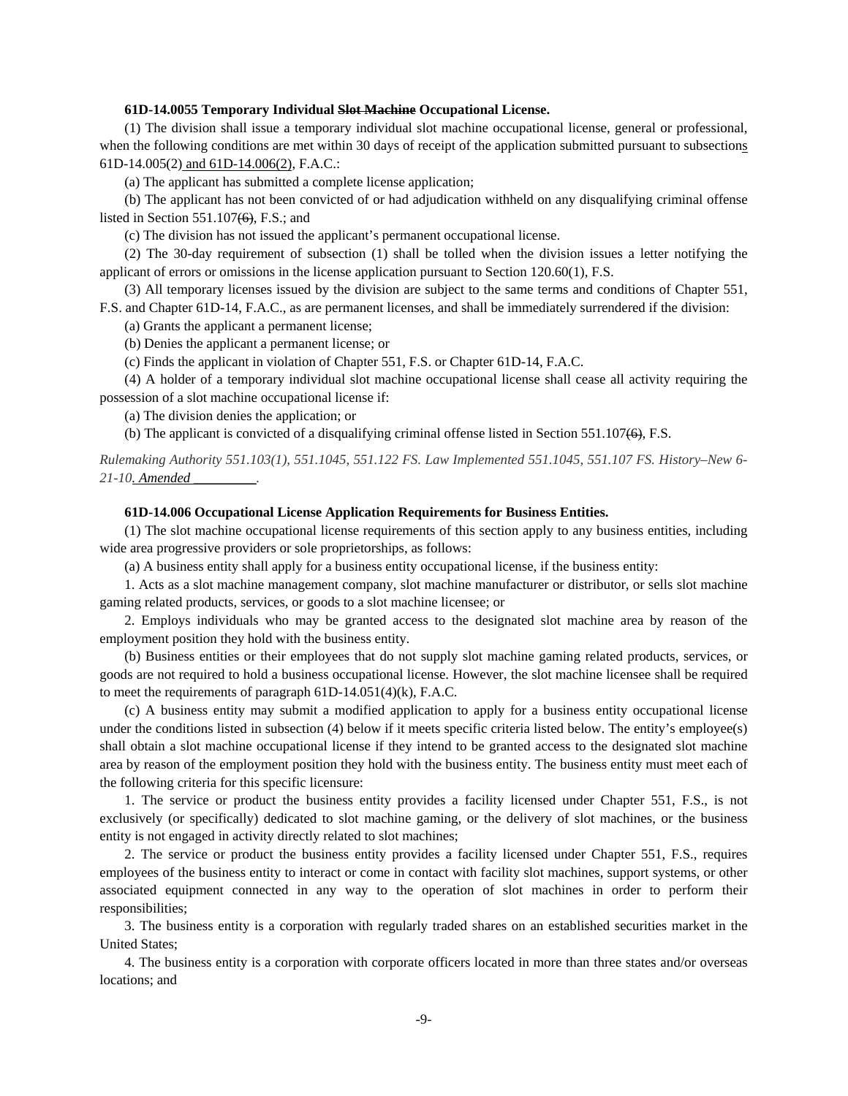## **61D-14.0055 Temporary Individual Slot Machine Occupational License.**

(1) The division shall issue a temporary individual slot machine occupational license, general or professional, when the following conditions are met within 30 days of receipt of the application submitted pursuant to subsections 61D-14.005(2) and 61D-14.006(2), F.A.C.:

(a) The applicant has submitted a complete license application;

(b) The applicant has not been convicted of or had adjudication withheld on any disqualifying criminal offense listed in Section 551.107(6), F.S.; and

(c) The division has not issued the applicant's permanent occupational license.

(2) The 30-day requirement of subsection (1) shall be tolled when the division issues a letter notifying the applicant of errors or omissions in the license application pursuant to Section 120.60(1), F.S.

(3) All temporary licenses issued by the division are subject to the same terms and conditions of Chapter 551, F.S. and Chapter 61D-14, F.A.C., as are permanent licenses, and shall be immediately surrendered if the division:

(a) Grants the applicant a permanent license;

(b) Denies the applicant a permanent license; or

(c) Finds the applicant in violation of Chapter 551, F.S. or Chapter 61D-14, F.A.C.

(4) A holder of a temporary individual slot machine occupational license shall cease all activity requiring the possession of a slot machine occupational license if:

(a) The division denies the application; or

(b) The applicant is convicted of a disqualifying criminal offense listed in Section 551.107(6), F.S.

*Rulemaking Authority 551.103(1), 551.1045, 551.122 FS. Law Implemented 551.1045, 551.107 FS. History–New 6- 21-10. Amended \_\_\_\_\_\_\_\_\_.* 

### **61D-14.006 Occupational License Application Requirements for Business Entities.**

(1) The slot machine occupational license requirements of this section apply to any business entities, including wide area progressive providers or sole proprietorships, as follows:

(a) A business entity shall apply for a business entity occupational license, if the business entity:

1. Acts as a slot machine management company, slot machine manufacturer or distributor, or sells slot machine gaming related products, services, or goods to a slot machine licensee; or

2. Employs individuals who may be granted access to the designated slot machine area by reason of the employment position they hold with the business entity.

(b) Business entities or their employees that do not supply slot machine gaming related products, services, or goods are not required to hold a business occupational license. However, the slot machine licensee shall be required to meet the requirements of paragraph 61D-14.051(4)(k), F.A.C.

(c) A business entity may submit a modified application to apply for a business entity occupational license under the conditions listed in subsection (4) below if it meets specific criteria listed below. The entity's employee(s) shall obtain a slot machine occupational license if they intend to be granted access to the designated slot machine area by reason of the employment position they hold with the business entity. The business entity must meet each of the following criteria for this specific licensure:

1. The service or product the business entity provides a facility licensed under Chapter 551, F.S., is not exclusively (or specifically) dedicated to slot machine gaming, or the delivery of slot machines, or the business entity is not engaged in activity directly related to slot machines;

2. The service or product the business entity provides a facility licensed under Chapter 551, F.S., requires employees of the business entity to interact or come in contact with facility slot machines, support systems, or other associated equipment connected in any way to the operation of slot machines in order to perform their responsibilities;

3. The business entity is a corporation with regularly traded shares on an established securities market in the United States;

4. The business entity is a corporation with corporate officers located in more than three states and/or overseas locations; and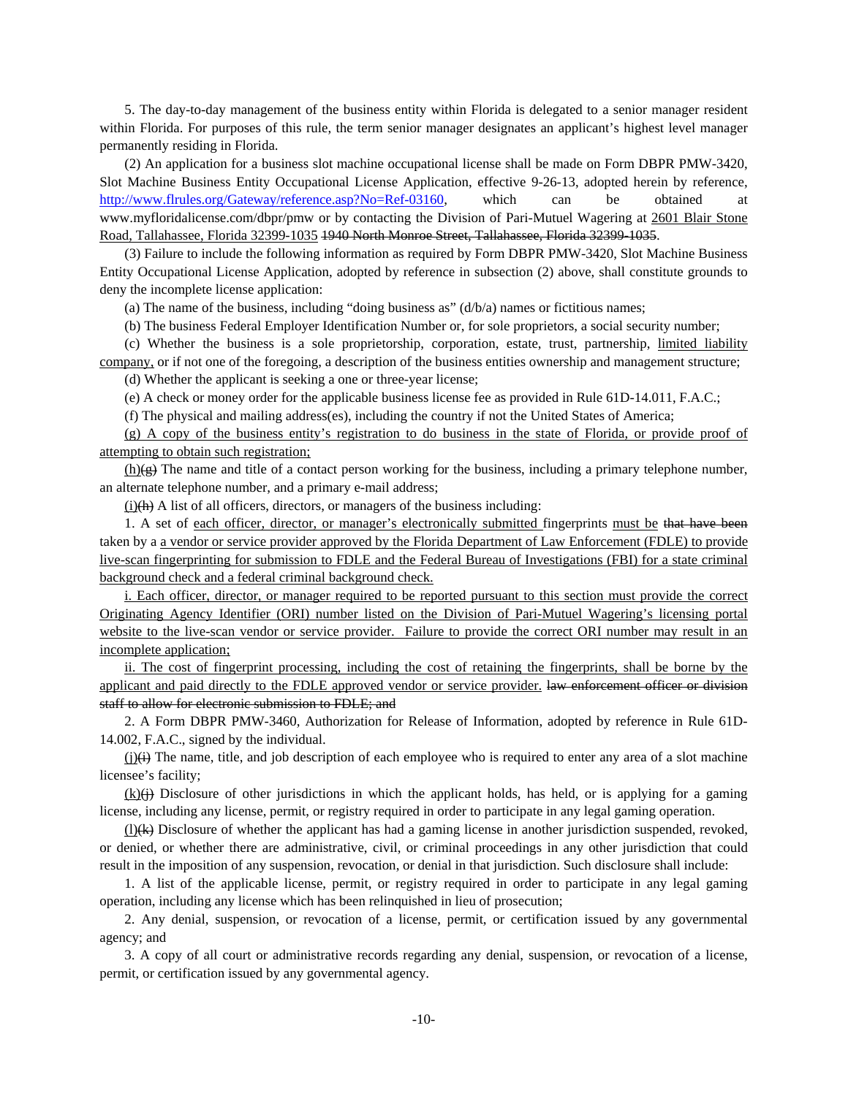5. The day-to-day management of the business entity within Florida is delegated to a senior manager resident within Florida. For purposes of this rule, the term senior manager designates an applicant's highest level manager permanently residing in Florida.

(2) An application for a business slot machine occupational license shall be made on Form DBPR PMW-3420, Slot Machine Business Entity Occupational License Application, effective 9-26-13, adopted herein by reference, http://www.flrules.org/Gateway/reference.asp?No=Ref-03160, which can be obtained at www.myfloridalicense.com/dbpr/pmw or by contacting the Division of Pari-Mutuel Wagering at 2601 Blair Stone Road, Tallahassee, Florida 32399-1035 1940 North Monroe Street, Tallahassee, Florida 32399-1035.

(3) Failure to include the following information as required by Form DBPR PMW-3420, Slot Machine Business Entity Occupational License Application, adopted by reference in subsection (2) above, shall constitute grounds to deny the incomplete license application:

(a) The name of the business, including "doing business as"  $(d/b/a)$  names or fictitious names;

(b) The business Federal Employer Identification Number or, for sole proprietors, a social security number;

(c) Whether the business is a sole proprietorship, corporation, estate, trust, partnership, limited liability company, or if not one of the foregoing, a description of the business entities ownership and management structure;

(d) Whether the applicant is seeking a one or three-year license;

(e) A check or money order for the applicable business license fee as provided in Rule 61D-14.011, F.A.C.;

(f) The physical and mailing address(es), including the country if not the United States of America;

(g) A copy of the business entity's registration to do business in the state of Florida, or provide proof of attempting to obtain such registration;

 $(h)(g)$  The name and title of a contact person working for the business, including a primary telephone number, an alternate telephone number, and a primary e-mail address;

 $(i)$ (h) A list of all officers, directors, or managers of the business including:

1. A set of each officer, director, or manager's electronically submitted fingerprints must be that have been taken by a a vendor or service provider approved by the Florida Department of Law Enforcement (FDLE) to provide live-scan fingerprinting for submission to FDLE and the Federal Bureau of Investigations (FBI) for a state criminal background check and a federal criminal background check.

i. Each officer, director, or manager required to be reported pursuant to this section must provide the correct Originating Agency Identifier (ORI) number listed on the Division of Pari-Mutuel Wagering's licensing portal website to the live-scan vendor or service provider. Failure to provide the correct ORI number may result in an incomplete application;

ii. The cost of fingerprint processing, including the cost of retaining the fingerprints, shall be borne by the applicant and paid directly to the FDLE approved vendor or service provider. law enforcement officer or division staff to allow for electronic submission to FDLE; and

2. A Form DBPR PMW-3460, Authorization for Release of Information, adopted by reference in Rule 61D-14.002, F.A.C., signed by the individual.

 $(j)(i)$  The name, title, and job description of each employee who is required to enter any area of a slot machine licensee's facility;

 $(k)$  Disclosure of other jurisdictions in which the applicant holds, has held, or is applying for a gaming license, including any license, permit, or registry required in order to participate in any legal gaming operation.

(l)(k) Disclosure of whether the applicant has had a gaming license in another jurisdiction suspended, revoked, or denied, or whether there are administrative, civil, or criminal proceedings in any other jurisdiction that could result in the imposition of any suspension, revocation, or denial in that jurisdiction. Such disclosure shall include:

1. A list of the applicable license, permit, or registry required in order to participate in any legal gaming operation, including any license which has been relinquished in lieu of prosecution;

2. Any denial, suspension, or revocation of a license, permit, or certification issued by any governmental agency; and

3. A copy of all court or administrative records regarding any denial, suspension, or revocation of a license, permit, or certification issued by any governmental agency.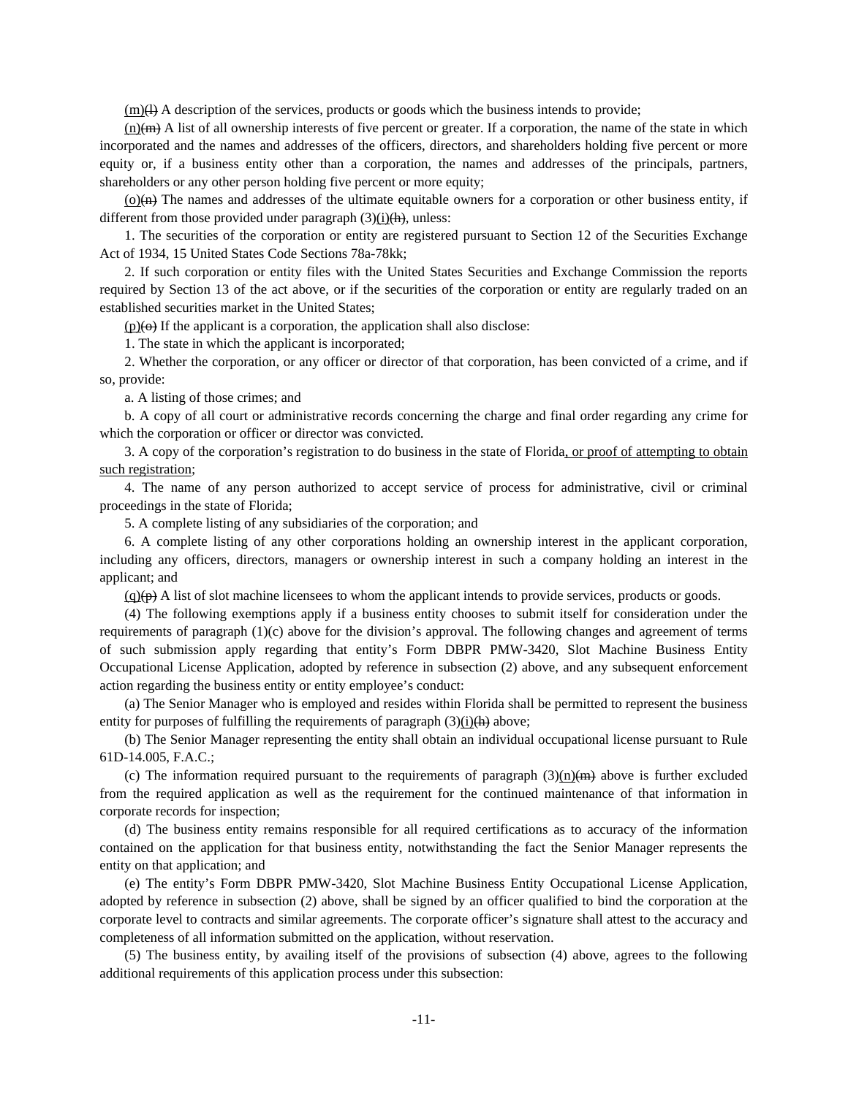$(m)(H)$  A description of the services, products or goods which the business intends to provide;

 $(n)(m)$  A list of all ownership interests of five percent or greater. If a corporation, the name of the state in which incorporated and the names and addresses of the officers, directors, and shareholders holding five percent or more equity or, if a business entity other than a corporation, the names and addresses of the principals, partners, shareholders or any other person holding five percent or more equity;

 $(o)$ ( $\theta$ ) The names and addresses of the ultimate equitable owners for a corporation or other business entity, if different from those provided under paragraph  $(3)$ (i)(h), unless:

1. The securities of the corporation or entity are registered pursuant to Section 12 of the Securities Exchange Act of 1934, 15 United States Code Sections 78a-78kk;

2. If such corporation or entity files with the United States Securities and Exchange Commission the reports required by Section 13 of the act above, or if the securities of the corporation or entity are regularly traded on an established securities market in the United States;

 $(p)(\theta)$  If the applicant is a corporation, the application shall also disclose:

1. The state in which the applicant is incorporated;

2. Whether the corporation, or any officer or director of that corporation, has been convicted of a crime, and if so, provide:

a. A listing of those crimes; and

b. A copy of all court or administrative records concerning the charge and final order regarding any crime for which the corporation or officer or director was convicted.

3. A copy of the corporation's registration to do business in the state of Florida, or proof of attempting to obtain such registration;

4. The name of any person authorized to accept service of process for administrative, civil or criminal proceedings in the state of Florida;

5. A complete listing of any subsidiaries of the corporation; and

6. A complete listing of any other corporations holding an ownership interest in the applicant corporation, including any officers, directors, managers or ownership interest in such a company holding an interest in the applicant; and

 $(q)(p)$  A list of slot machine licensees to whom the applicant intends to provide services, products or goods.

(4) The following exemptions apply if a business entity chooses to submit itself for consideration under the requirements of paragraph (1)(c) above for the division's approval. The following changes and agreement of terms of such submission apply regarding that entity's Form DBPR PMW-3420, Slot Machine Business Entity Occupational License Application, adopted by reference in subsection (2) above, and any subsequent enforcement action regarding the business entity or entity employee's conduct:

(a) The Senior Manager who is employed and resides within Florida shall be permitted to represent the business entity for purposes of fulfilling the requirements of paragraph  $(3)$ (i)(h) above;

(b) The Senior Manager representing the entity shall obtain an individual occupational license pursuant to Rule 61D-14.005, F.A.C.;

(c) The information required pursuant to the requirements of paragraph  $(3)(n)(m)$  above is further excluded from the required application as well as the requirement for the continued maintenance of that information in corporate records for inspection;

(d) The business entity remains responsible for all required certifications as to accuracy of the information contained on the application for that business entity, notwithstanding the fact the Senior Manager represents the entity on that application; and

(e) The entity's Form DBPR PMW-3420, Slot Machine Business Entity Occupational License Application, adopted by reference in subsection (2) above, shall be signed by an officer qualified to bind the corporation at the corporate level to contracts and similar agreements. The corporate officer's signature shall attest to the accuracy and completeness of all information submitted on the application, without reservation.

(5) The business entity, by availing itself of the provisions of subsection (4) above, agrees to the following additional requirements of this application process under this subsection: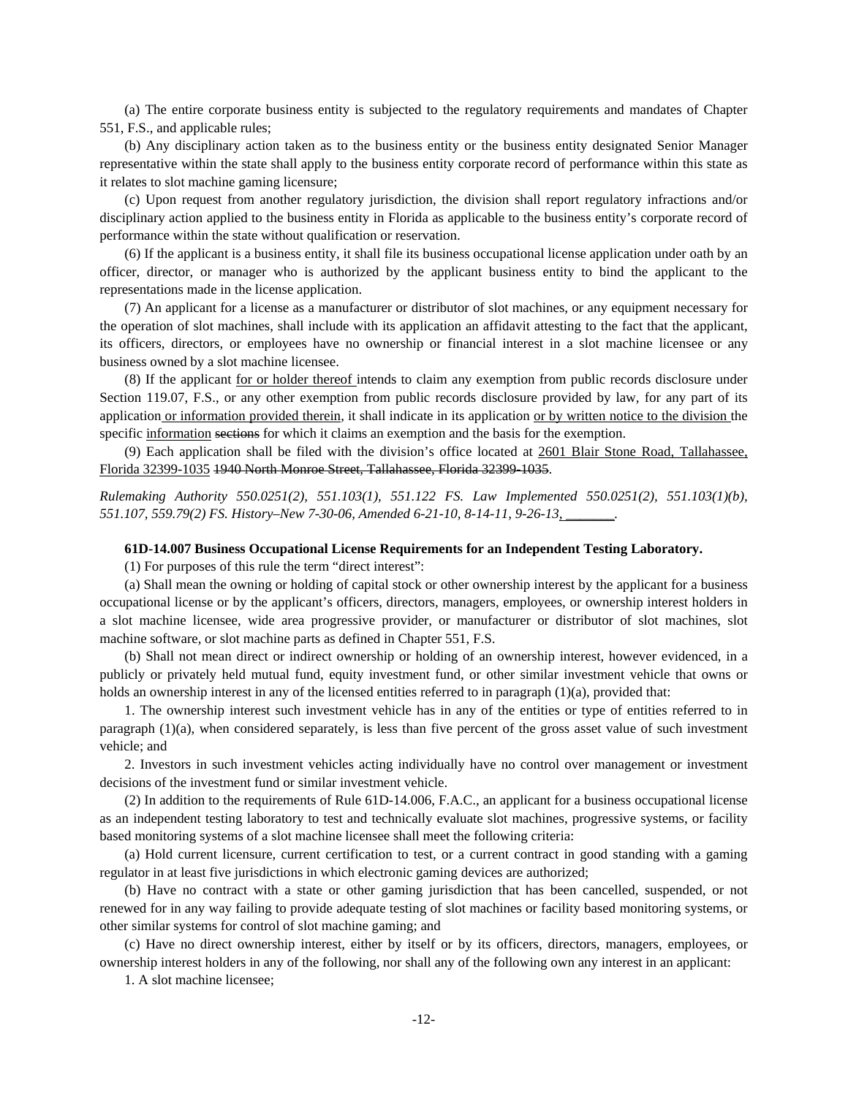(a) The entire corporate business entity is subjected to the regulatory requirements and mandates of Chapter 551, F.S., and applicable rules;

(b) Any disciplinary action taken as to the business entity or the business entity designated Senior Manager representative within the state shall apply to the business entity corporate record of performance within this state as it relates to slot machine gaming licensure;

(c) Upon request from another regulatory jurisdiction, the division shall report regulatory infractions and/or disciplinary action applied to the business entity in Florida as applicable to the business entity's corporate record of performance within the state without qualification or reservation.

(6) If the applicant is a business entity, it shall file its business occupational license application under oath by an officer, director, or manager who is authorized by the applicant business entity to bind the applicant to the representations made in the license application.

(7) An applicant for a license as a manufacturer or distributor of slot machines, or any equipment necessary for the operation of slot machines, shall include with its application an affidavit attesting to the fact that the applicant, its officers, directors, or employees have no ownership or financial interest in a slot machine licensee or any business owned by a slot machine licensee.

(8) If the applicant for or holder thereof intends to claim any exemption from public records disclosure under Section 119.07, F.S., or any other exemption from public records disclosure provided by law, for any part of its application or information provided therein, it shall indicate in its application or by written notice to the division the specific information sections for which it claims an exemption and the basis for the exemption.

(9) Each application shall be filed with the division's office located at 2601 Blair Stone Road, Tallahassee, Florida 32399-1035 1940 North Monroe Street, Tallahassee, Florida 32399-1035.

*Rulemaking Authority 550.0251(2), 551.103(1), 551.122 FS. Law Implemented 550.0251(2), 551.103(1)(b), 551.107, 559.79(2) FS. History–New 7-30-06, Amended 6-21-10, 8-14-11, 9-26-13, \_\_\_\_\_\_\_.* 

# **61D-14.007 Business Occupational License Requirements for an Independent Testing Laboratory.**

(1) For purposes of this rule the term "direct interest":

(a) Shall mean the owning or holding of capital stock or other ownership interest by the applicant for a business occupational license or by the applicant's officers, directors, managers, employees, or ownership interest holders in a slot machine licensee, wide area progressive provider, or manufacturer or distributor of slot machines, slot machine software, or slot machine parts as defined in Chapter 551, F.S.

(b) Shall not mean direct or indirect ownership or holding of an ownership interest, however evidenced, in a publicly or privately held mutual fund, equity investment fund, or other similar investment vehicle that owns or holds an ownership interest in any of the licensed entities referred to in paragraph (1)(a), provided that:

1. The ownership interest such investment vehicle has in any of the entities or type of entities referred to in paragraph (1)(a), when considered separately, is less than five percent of the gross asset value of such investment vehicle; and

2. Investors in such investment vehicles acting individually have no control over management or investment decisions of the investment fund or similar investment vehicle.

(2) In addition to the requirements of Rule 61D-14.006, F.A.C., an applicant for a business occupational license as an independent testing laboratory to test and technically evaluate slot machines, progressive systems, or facility based monitoring systems of a slot machine licensee shall meet the following criteria:

(a) Hold current licensure, current certification to test, or a current contract in good standing with a gaming regulator in at least five jurisdictions in which electronic gaming devices are authorized;

(b) Have no contract with a state or other gaming jurisdiction that has been cancelled, suspended, or not renewed for in any way failing to provide adequate testing of slot machines or facility based monitoring systems, or other similar systems for control of slot machine gaming; and

(c) Have no direct ownership interest, either by itself or by its officers, directors, managers, employees, or ownership interest holders in any of the following, nor shall any of the following own any interest in an applicant:

1. A slot machine licensee;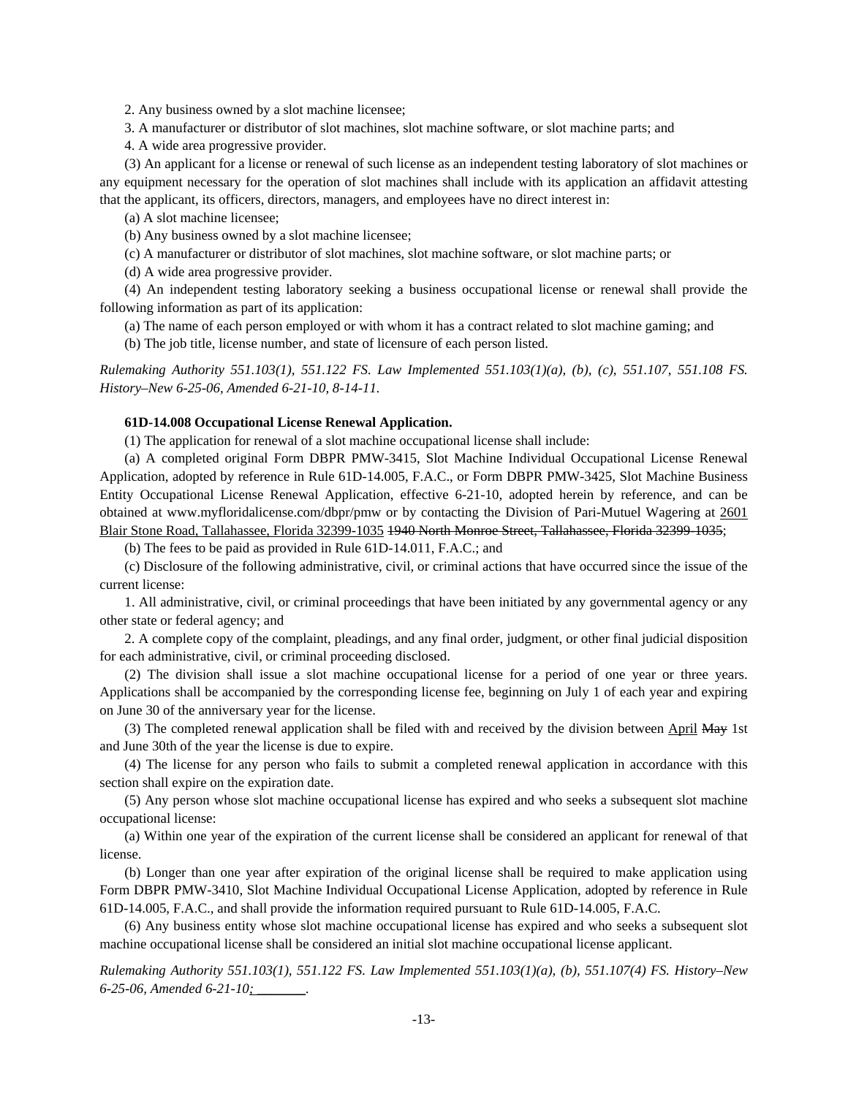2. Any business owned by a slot machine licensee;

3. A manufacturer or distributor of slot machines, slot machine software, or slot machine parts; and

4. A wide area progressive provider.

(3) An applicant for a license or renewal of such license as an independent testing laboratory of slot machines or any equipment necessary for the operation of slot machines shall include with its application an affidavit attesting that the applicant, its officers, directors, managers, and employees have no direct interest in:

(a) A slot machine licensee;

(b) Any business owned by a slot machine licensee;

(c) A manufacturer or distributor of slot machines, slot machine software, or slot machine parts; or

(d) A wide area progressive provider.

(4) An independent testing laboratory seeking a business occupational license or renewal shall provide the following information as part of its application:

(a) The name of each person employed or with whom it has a contract related to slot machine gaming; and

(b) The job title, license number, and state of licensure of each person listed.

*Rulemaking Authority 551.103(1), 551.122 FS. Law Implemented 551.103(1)(a), (b), (c), 551.107, 551.108 FS. History–New 6-25-06, Amended 6-21-10, 8-14-11.*

## **61D-14.008 Occupational License Renewal Application.**

(1) The application for renewal of a slot machine occupational license shall include:

(a) A completed original Form DBPR PMW-3415, Slot Machine Individual Occupational License Renewal Application, adopted by reference in Rule 61D-14.005, F.A.C., or Form DBPR PMW-3425, Slot Machine Business Entity Occupational License Renewal Application, effective 6-21-10, adopted herein by reference, and can be obtained at www.myfloridalicense.com/dbpr/pmw or by contacting the Division of Pari-Mutuel Wagering at 2601 Blair Stone Road, Tallahassee, Florida 32399-1035 1940 North Monroe Street, Tallahassee, Florida 32399-1035;

(b) The fees to be paid as provided in Rule 61D-14.011, F.A.C.; and

(c) Disclosure of the following administrative, civil, or criminal actions that have occurred since the issue of the current license:

1. All administrative, civil, or criminal proceedings that have been initiated by any governmental agency or any other state or federal agency; and

2. A complete copy of the complaint, pleadings, and any final order, judgment, or other final judicial disposition for each administrative, civil, or criminal proceeding disclosed.

(2) The division shall issue a slot machine occupational license for a period of one year or three years. Applications shall be accompanied by the corresponding license fee, beginning on July 1 of each year and expiring on June 30 of the anniversary year for the license.

(3) The completed renewal application shall be filed with and received by the division between April May 1st and June 30th of the year the license is due to expire.

(4) The license for any person who fails to submit a completed renewal application in accordance with this section shall expire on the expiration date.

(5) Any person whose slot machine occupational license has expired and who seeks a subsequent slot machine occupational license:

(a) Within one year of the expiration of the current license shall be considered an applicant for renewal of that license.

(b) Longer than one year after expiration of the original license shall be required to make application using Form DBPR PMW-3410, Slot Machine Individual Occupational License Application, adopted by reference in Rule 61D-14.005, F.A.C., and shall provide the information required pursuant to Rule 61D-14.005, F.A.C.

(6) Any business entity whose slot machine occupational license has expired and who seeks a subsequent slot machine occupational license shall be considered an initial slot machine occupational license applicant.

*Rulemaking Authority 551.103(1), 551.122 FS. Law Implemented 551.103(1)(a), (b), 551.107(4) FS. History–New 6-25-06, Amended 6-21-10; \_\_\_\_\_\_\_.*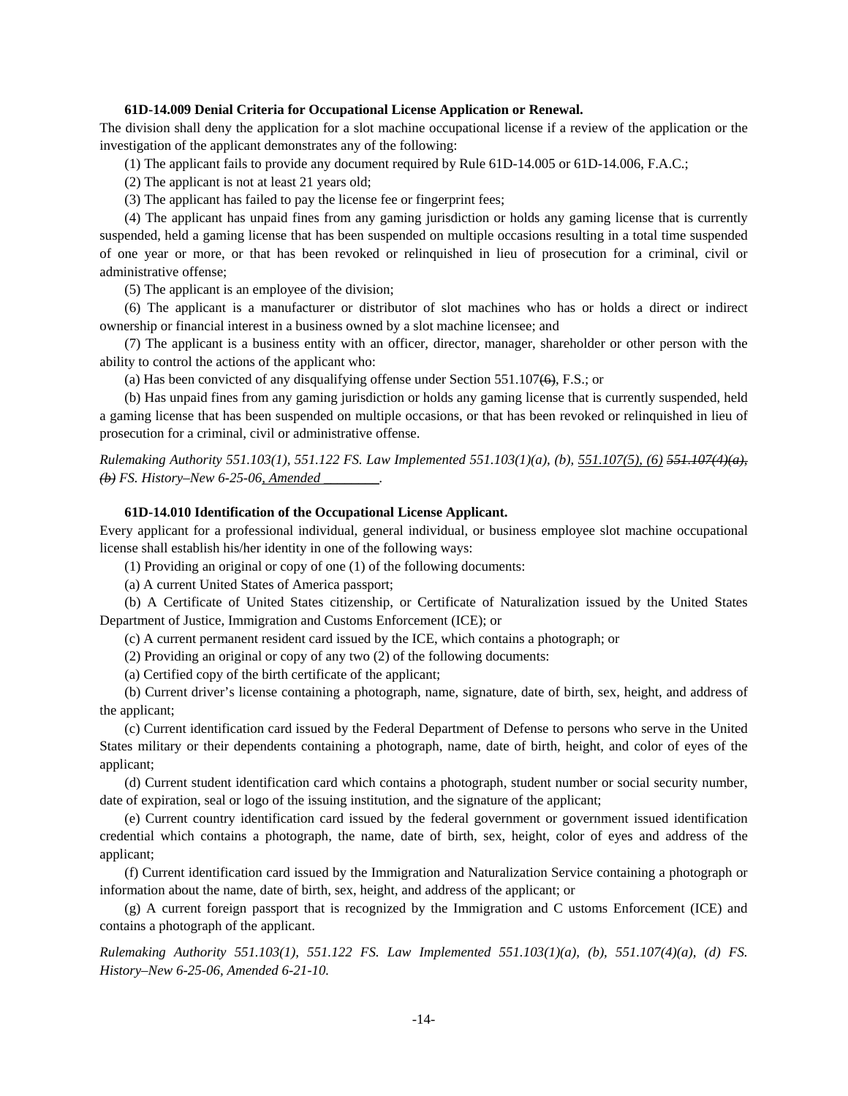# **61D-14.009 Denial Criteria for Occupational License Application or Renewal.**

The division shall deny the application for a slot machine occupational license if a review of the application or the investigation of the applicant demonstrates any of the following:

(1) The applicant fails to provide any document required by Rule 61D-14.005 or 61D-14.006, F.A.C.;

(2) The applicant is not at least 21 years old;

(3) The applicant has failed to pay the license fee or fingerprint fees;

(4) The applicant has unpaid fines from any gaming jurisdiction or holds any gaming license that is currently suspended, held a gaming license that has been suspended on multiple occasions resulting in a total time suspended of one year or more, or that has been revoked or relinquished in lieu of prosecution for a criminal, civil or administrative offense;

(5) The applicant is an employee of the division;

(6) The applicant is a manufacturer or distributor of slot machines who has or holds a direct or indirect ownership or financial interest in a business owned by a slot machine licensee; and

(7) The applicant is a business entity with an officer, director, manager, shareholder or other person with the ability to control the actions of the applicant who:

(a) Has been convicted of any disqualifying offense under Section  $551.107(6)$ , F.S.; or

(b) Has unpaid fines from any gaming jurisdiction or holds any gaming license that is currently suspended, held a gaming license that has been suspended on multiple occasions, or that has been revoked or relinquished in lieu of prosecution for a criminal, civil or administrative offense.

*Rulemaking Authority 551.103(1), 551.122 FS. Law Implemented 551.103(1)(a), (b), 551.107(5), (6) 551.107(4)(a), (b) FS. History–New 6-25-06, Amended \_\_\_\_\_\_\_\_.* 

# **61D-14.010 Identification of the Occupational License Applicant.**

Every applicant for a professional individual, general individual, or business employee slot machine occupational license shall establish his/her identity in one of the following ways:

(1) Providing an original or copy of one (1) of the following documents:

(a) A current United States of America passport;

(b) A Certificate of United States citizenship, or Certificate of Naturalization issued by the United States Department of Justice, Immigration and Customs Enforcement (ICE); or

(c) A current permanent resident card issued by the ICE, which contains a photograph; or

(2) Providing an original or copy of any two (2) of the following documents:

(a) Certified copy of the birth certificate of the applicant;

(b) Current driver's license containing a photograph, name, signature, date of birth, sex, height, and address of the applicant;

(c) Current identification card issued by the Federal Department of Defense to persons who serve in the United States military or their dependents containing a photograph, name, date of birth, height, and color of eyes of the applicant;

(d) Current student identification card which contains a photograph, student number or social security number, date of expiration, seal or logo of the issuing institution, and the signature of the applicant;

(e) Current country identification card issued by the federal government or government issued identification credential which contains a photograph, the name, date of birth, sex, height, color of eyes and address of the applicant;

(f) Current identification card issued by the Immigration and Naturalization Service containing a photograph or information about the name, date of birth, sex, height, and address of the applicant; or

(g) A current foreign passport that is recognized by the Immigration and C ustoms Enforcement (ICE) and contains a photograph of the applicant.

*Rulemaking Authority 551.103(1), 551.122 FS. Law Implemented 551.103(1)(a), (b), 551.107(4)(a), (d) FS. History–New 6-25-06, Amended 6-21-10.*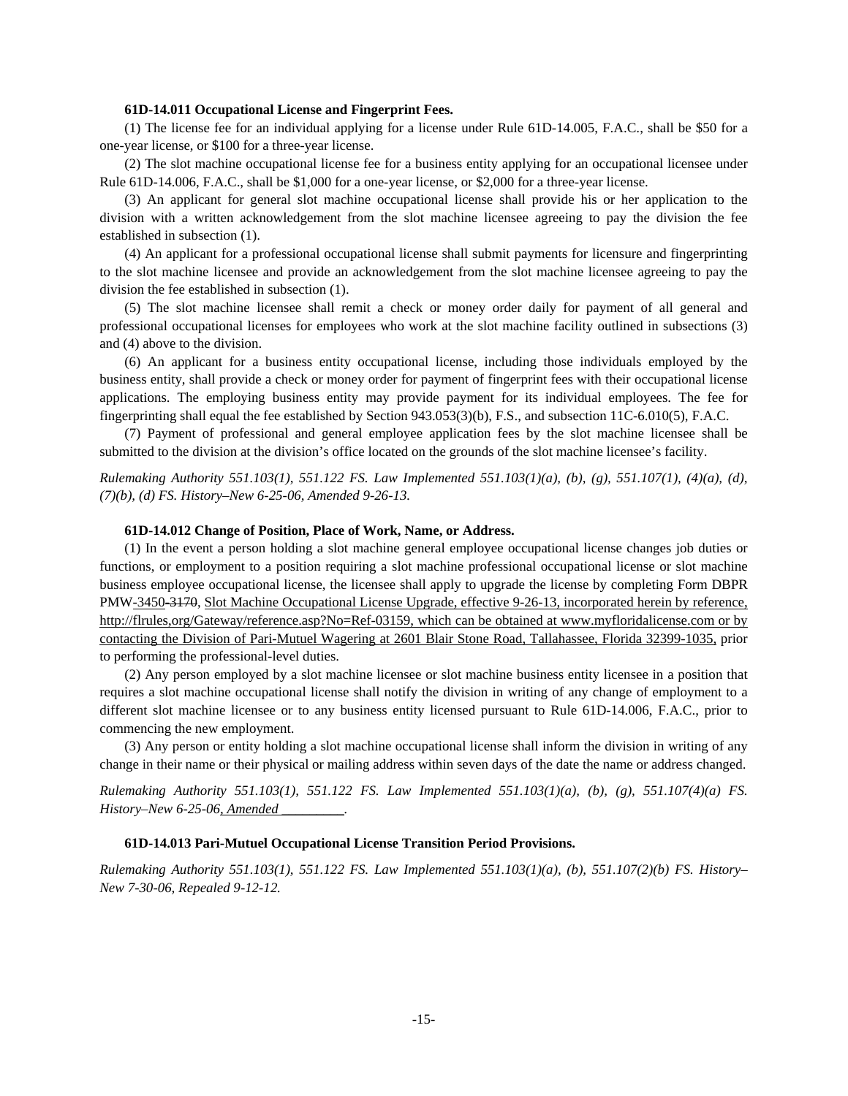# **61D-14.011 Occupational License and Fingerprint Fees.**

(1) The license fee for an individual applying for a license under Rule 61D-14.005, F.A.C., shall be \$50 for a one-year license, or \$100 for a three-year license.

(2) The slot machine occupational license fee for a business entity applying for an occupational licensee under Rule 61D-14.006, F.A.C., shall be \$1,000 for a one-year license, or \$2,000 for a three-year license.

(3) An applicant for general slot machine occupational license shall provide his or her application to the division with a written acknowledgement from the slot machine licensee agreeing to pay the division the fee established in subsection (1).

(4) An applicant for a professional occupational license shall submit payments for licensure and fingerprinting to the slot machine licensee and provide an acknowledgement from the slot machine licensee agreeing to pay the division the fee established in subsection (1).

(5) The slot machine licensee shall remit a check or money order daily for payment of all general and professional occupational licenses for employees who work at the slot machine facility outlined in subsections (3) and (4) above to the division.

(6) An applicant for a business entity occupational license, including those individuals employed by the business entity, shall provide a check or money order for payment of fingerprint fees with their occupational license applications. The employing business entity may provide payment for its individual employees. The fee for fingerprinting shall equal the fee established by Section 943.053(3)(b), F.S., and subsection 11C-6.010(5), F.A.C.

(7) Payment of professional and general employee application fees by the slot machine licensee shall be submitted to the division at the division's office located on the grounds of the slot machine licensee's facility.

*Rulemaking Authority 551.103(1), 551.122 FS. Law Implemented 551.103(1)(a), (b), (g), 551.107(1), (4)(a), (d), (7)(b), (d) FS. History–New 6-25-06, Amended 9-26-13.* 

# **61D-14.012 Change of Position, Place of Work, Name, or Address.**

(1) In the event a person holding a slot machine general employee occupational license changes job duties or functions, or employment to a position requiring a slot machine professional occupational license or slot machine business employee occupational license, the licensee shall apply to upgrade the license by completing Form DBPR PMW-3450-3170, Slot Machine Occupational License Upgrade, effective 9-26-13, incorporated herein by reference, http://flrules,org/Gateway/reference.asp?No=Ref-03159, which can be obtained at www.myfloridalicense.com or by contacting the Division of Pari-Mutuel Wagering at 2601 Blair Stone Road, Tallahassee, Florida 32399-1035, prior to performing the professional-level duties.

(2) Any person employed by a slot machine licensee or slot machine business entity licensee in a position that requires a slot machine occupational license shall notify the division in writing of any change of employment to a different slot machine licensee or to any business entity licensed pursuant to Rule 61D-14.006, F.A.C., prior to commencing the new employment.

(3) Any person or entity holding a slot machine occupational license shall inform the division in writing of any change in their name or their physical or mailing address within seven days of the date the name or address changed.

*Rulemaking Authority 551.103(1), 551.122 FS. Law Implemented 551.103(1)(a), (b), (g), 551.107(4)(a) FS. History–New 6-25-06, Amended \_\_\_\_\_\_\_\_\_.* 

# **61D-14.013 Pari-Mutuel Occupational License Transition Period Provisions.**

*Rulemaking Authority 551.103(1), 551.122 FS. Law Implemented 551.103(1)(a), (b), 551.107(2)(b) FS. History– New 7-30-06, Repealed 9-12-12.*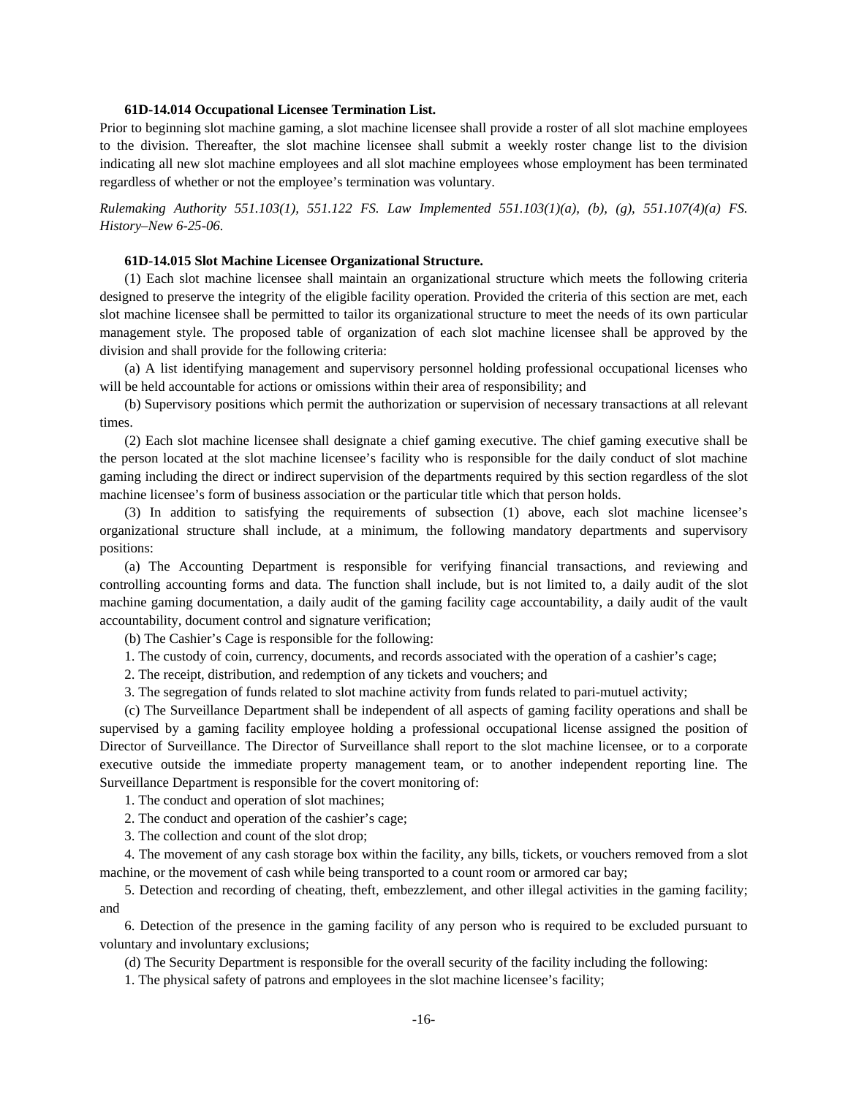## **61D-14.014 Occupational Licensee Termination List.**

Prior to beginning slot machine gaming, a slot machine licensee shall provide a roster of all slot machine employees to the division. Thereafter, the slot machine licensee shall submit a weekly roster change list to the division indicating all new slot machine employees and all slot machine employees whose employment has been terminated regardless of whether or not the employee's termination was voluntary.

*Rulemaking Authority 551.103(1), 551.122 FS. Law Implemented 551.103(1)(a), (b), (g), 551.107(4)(a) FS. History–New 6-25-06.* 

### **61D-14.015 Slot Machine Licensee Organizational Structure.**

(1) Each slot machine licensee shall maintain an organizational structure which meets the following criteria designed to preserve the integrity of the eligible facility operation. Provided the criteria of this section are met, each slot machine licensee shall be permitted to tailor its organizational structure to meet the needs of its own particular management style. The proposed table of organization of each slot machine licensee shall be approved by the division and shall provide for the following criteria:

(a) A list identifying management and supervisory personnel holding professional occupational licenses who will be held accountable for actions or omissions within their area of responsibility; and

(b) Supervisory positions which permit the authorization or supervision of necessary transactions at all relevant times.

(2) Each slot machine licensee shall designate a chief gaming executive. The chief gaming executive shall be the person located at the slot machine licensee's facility who is responsible for the daily conduct of slot machine gaming including the direct or indirect supervision of the departments required by this section regardless of the slot machine licensee's form of business association or the particular title which that person holds.

(3) In addition to satisfying the requirements of subsection (1) above, each slot machine licensee's organizational structure shall include, at a minimum, the following mandatory departments and supervisory positions:

(a) The Accounting Department is responsible for verifying financial transactions, and reviewing and controlling accounting forms and data. The function shall include, but is not limited to, a daily audit of the slot machine gaming documentation, a daily audit of the gaming facility cage accountability, a daily audit of the vault accountability, document control and signature verification;

(b) The Cashier's Cage is responsible for the following:

1. The custody of coin, currency, documents, and records associated with the operation of a cashier's cage;

2. The receipt, distribution, and redemption of any tickets and vouchers; and

3. The segregation of funds related to slot machine activity from funds related to pari-mutuel activity;

(c) The Surveillance Department shall be independent of all aspects of gaming facility operations and shall be supervised by a gaming facility employee holding a professional occupational license assigned the position of Director of Surveillance. The Director of Surveillance shall report to the slot machine licensee, or to a corporate executive outside the immediate property management team, or to another independent reporting line. The Surveillance Department is responsible for the covert monitoring of:

1. The conduct and operation of slot machines;

2. The conduct and operation of the cashier's cage;

3. The collection and count of the slot drop;

4. The movement of any cash storage box within the facility, any bills, tickets, or vouchers removed from a slot machine, or the movement of cash while being transported to a count room or armored car bay;

5. Detection and recording of cheating, theft, embezzlement, and other illegal activities in the gaming facility; and

6. Detection of the presence in the gaming facility of any person who is required to be excluded pursuant to voluntary and involuntary exclusions;

(d) The Security Department is responsible for the overall security of the facility including the following:

1. The physical safety of patrons and employees in the slot machine licensee's facility;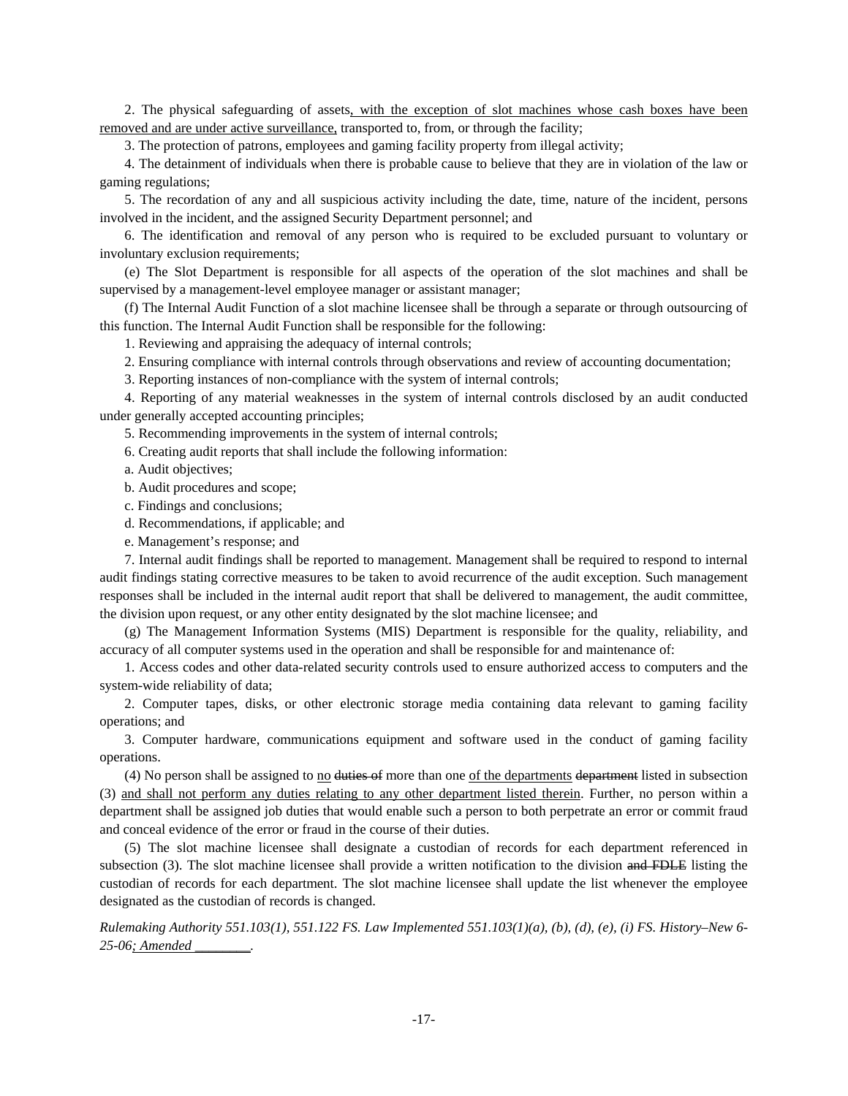2. The physical safeguarding of assets, with the exception of slot machines whose cash boxes have been removed and are under active surveillance, transported to, from, or through the facility;

3. The protection of patrons, employees and gaming facility property from illegal activity;

4. The detainment of individuals when there is probable cause to believe that they are in violation of the law or gaming regulations;

5. The recordation of any and all suspicious activity including the date, time, nature of the incident, persons involved in the incident, and the assigned Security Department personnel; and

6. The identification and removal of any person who is required to be excluded pursuant to voluntary or involuntary exclusion requirements;

(e) The Slot Department is responsible for all aspects of the operation of the slot machines and shall be supervised by a management-level employee manager or assistant manager;

(f) The Internal Audit Function of a slot machine licensee shall be through a separate or through outsourcing of this function. The Internal Audit Function shall be responsible for the following:

1. Reviewing and appraising the adequacy of internal controls;

2. Ensuring compliance with internal controls through observations and review of accounting documentation;

3. Reporting instances of non-compliance with the system of internal controls;

4. Reporting of any material weaknesses in the system of internal controls disclosed by an audit conducted under generally accepted accounting principles;

5. Recommending improvements in the system of internal controls;

6. Creating audit reports that shall include the following information:

a. Audit objectives;

b. Audit procedures and scope;

c. Findings and conclusions;

d. Recommendations, if applicable; and

e. Management's response; and

7. Internal audit findings shall be reported to management. Management shall be required to respond to internal audit findings stating corrective measures to be taken to avoid recurrence of the audit exception. Such management responses shall be included in the internal audit report that shall be delivered to management, the audit committee, the division upon request, or any other entity designated by the slot machine licensee; and

(g) The Management Information Systems (MIS) Department is responsible for the quality, reliability, and accuracy of all computer systems used in the operation and shall be responsible for and maintenance of:

1. Access codes and other data-related security controls used to ensure authorized access to computers and the system-wide reliability of data;

2. Computer tapes, disks, or other electronic storage media containing data relevant to gaming facility operations; and

3. Computer hardware, communications equipment and software used in the conduct of gaming facility operations.

(4) No person shall be assigned to  $\underline{no}$  duties of more than one of the departments department listed in subsection (3) and shall not perform any duties relating to any other department listed therein. Further, no person within a department shall be assigned job duties that would enable such a person to both perpetrate an error or commit fraud and conceal evidence of the error or fraud in the course of their duties.

(5) The slot machine licensee shall designate a custodian of records for each department referenced in subsection (3). The slot machine licensee shall provide a written notification to the division and FDLE listing the custodian of records for each department. The slot machine licensee shall update the list whenever the employee designated as the custodian of records is changed.

*Rulemaking Authority 551.103(1), 551.122 FS. Law Implemented 551.103(1)(a), (b), (d), (e), (i) FS. History–New 6- 25-06; Amended \_\_\_\_\_\_\_\_.*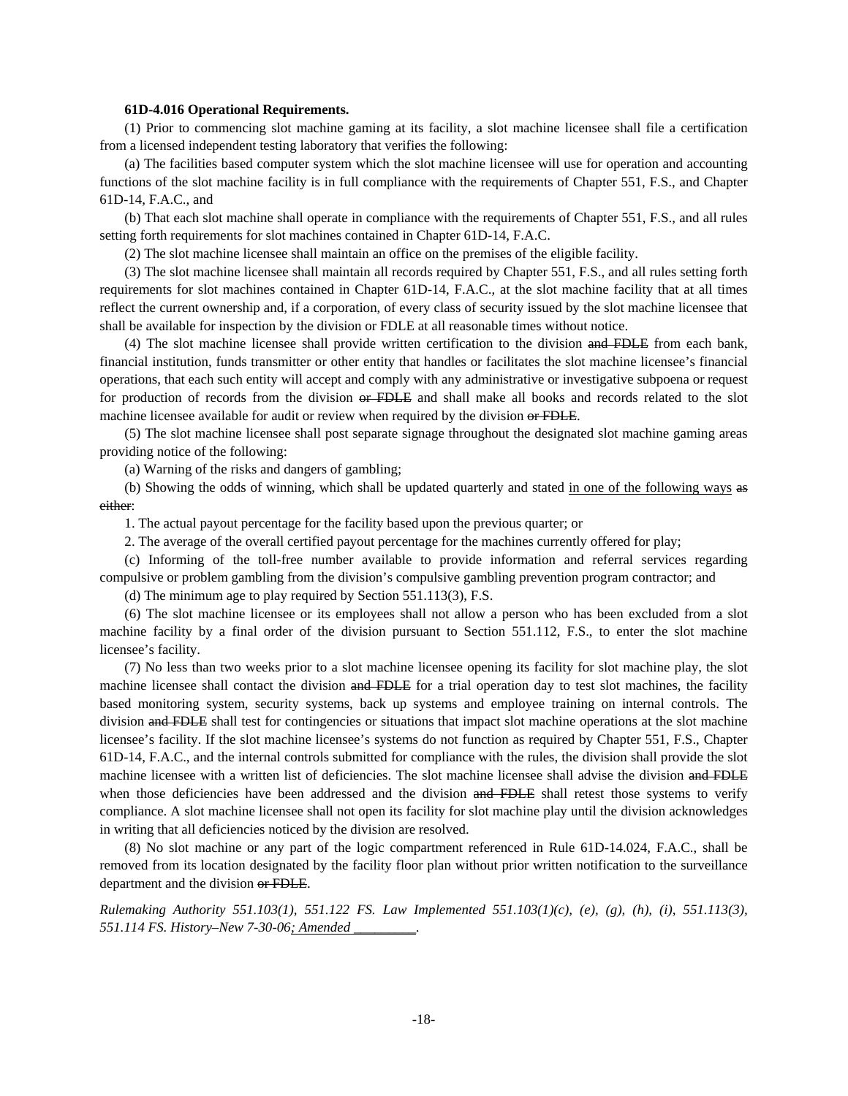# **61D-4.016 Operational Requirements.**

(1) Prior to commencing slot machine gaming at its facility, a slot machine licensee shall file a certification from a licensed independent testing laboratory that verifies the following:

(a) The facilities based computer system which the slot machine licensee will use for operation and accounting functions of the slot machine facility is in full compliance with the requirements of Chapter 551, F.S., and Chapter 61D-14, F.A.C., and

(b) That each slot machine shall operate in compliance with the requirements of Chapter 551, F.S., and all rules setting forth requirements for slot machines contained in Chapter 61D-14, F.A.C.

(2) The slot machine licensee shall maintain an office on the premises of the eligible facility.

(3) The slot machine licensee shall maintain all records required by Chapter 551, F.S., and all rules setting forth requirements for slot machines contained in Chapter 61D-14, F.A.C., at the slot machine facility that at all times reflect the current ownership and, if a corporation, of every class of security issued by the slot machine licensee that shall be available for inspection by the division or FDLE at all reasonable times without notice.

(4) The slot machine licensee shall provide written certification to the division and FDLE from each bank, financial institution, funds transmitter or other entity that handles or facilitates the slot machine licensee's financial operations, that each such entity will accept and comply with any administrative or investigative subpoena or request for production of records from the division or FDLE and shall make all books and records related to the slot machine licensee available for audit or review when required by the division or FDLE.

(5) The slot machine licensee shall post separate signage throughout the designated slot machine gaming areas providing notice of the following:

(a) Warning of the risks and dangers of gambling;

(b) Showing the odds of winning, which shall be updated quarterly and stated in one of the following ways as either:

1. The actual payout percentage for the facility based upon the previous quarter; or

2. The average of the overall certified payout percentage for the machines currently offered for play;

(c) Informing of the toll-free number available to provide information and referral services regarding compulsive or problem gambling from the division's compulsive gambling prevention program contractor; and

(d) The minimum age to play required by Section 551.113(3), F.S.

(6) The slot machine licensee or its employees shall not allow a person who has been excluded from a slot machine facility by a final order of the division pursuant to Section 551.112, F.S., to enter the slot machine licensee's facility.

(7) No less than two weeks prior to a slot machine licensee opening its facility for slot machine play, the slot machine licensee shall contact the division and FDLE for a trial operation day to test slot machines, the facility based monitoring system, security systems, back up systems and employee training on internal controls. The division and FDLE shall test for contingencies or situations that impact slot machine operations at the slot machine licensee's facility. If the slot machine licensee's systems do not function as required by Chapter 551, F.S., Chapter 61D-14, F.A.C., and the internal controls submitted for compliance with the rules, the division shall provide the slot machine licensee with a written list of deficiencies. The slot machine licensee shall advise the division and FDLE when those deficiencies have been addressed and the division and FDLE shall retest those systems to verify compliance. A slot machine licensee shall not open its facility for slot machine play until the division acknowledges in writing that all deficiencies noticed by the division are resolved.

(8) No slot machine or any part of the logic compartment referenced in Rule 61D-14.024, F.A.C., shall be removed from its location designated by the facility floor plan without prior written notification to the surveillance department and the division or FDLE.

*Rulemaking Authority 551.103(1), 551.122 FS. Law Implemented 551.103(1)(c), (e), (g), (h), (i), 551.113(3), 551.114 FS. History–New 7-30-06; Amended \_\_\_\_\_\_\_\_\_.*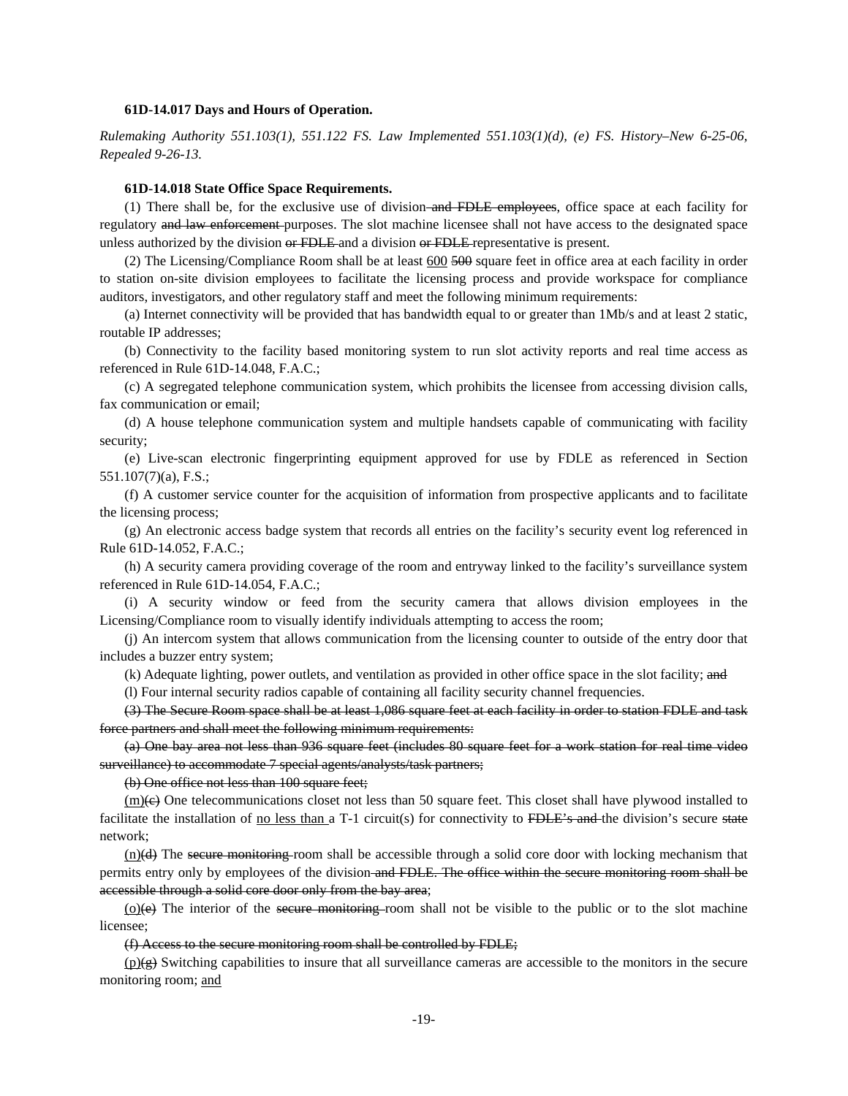### **61D-14.017 Days and Hours of Operation.**

*Rulemaking Authority 551.103(1), 551.122 FS. Law Implemented 551.103(1)(d), (e) FS. History–New 6-25-06, Repealed 9-26-13.* 

### **61D-14.018 State Office Space Requirements.**

(1) There shall be, for the exclusive use of division–and FDLE employees, office space at each facility for regulatory and law enforcement purposes. The slot machine licensee shall not have access to the designated space unless authorized by the division or FDLE and a division or FDLE representative is present.

(2) The Licensing/Compliance Room shall be at least 600 500 square feet in office area at each facility in order to station on-site division employees to facilitate the licensing process and provide workspace for compliance auditors, investigators, and other regulatory staff and meet the following minimum requirements:

(a) Internet connectivity will be provided that has bandwidth equal to or greater than 1Mb/s and at least 2 static, routable IP addresses;

(b) Connectivity to the facility based monitoring system to run slot activity reports and real time access as referenced in Rule 61D-14.048, F.A.C.;

(c) A segregated telephone communication system, which prohibits the licensee from accessing division calls, fax communication or email;

(d) A house telephone communication system and multiple handsets capable of communicating with facility security;

(e) Live-scan electronic fingerprinting equipment approved for use by FDLE as referenced in Section 551.107(7)(a), F.S.;

(f) A customer service counter for the acquisition of information from prospective applicants and to facilitate the licensing process;

(g) An electronic access badge system that records all entries on the facility's security event log referenced in Rule 61D-14.052, F.A.C.;

(h) A security camera providing coverage of the room and entryway linked to the facility's surveillance system referenced in Rule 61D-14.054, F.A.C.;

(i) A security window or feed from the security camera that allows division employees in the Licensing/Compliance room to visually identify individuals attempting to access the room;

(j) An intercom system that allows communication from the licensing counter to outside of the entry door that includes a buzzer entry system;

(k) Adequate lighting, power outlets, and ventilation as provided in other office space in the slot facility; and

(l) Four internal security radios capable of containing all facility security channel frequencies.

(3) The Secure Room space shall be at least 1,086 square feet at each facility in order to station FDLE and task force partners and shall meet the following minimum requirements:

(a) One bay area not less than 936 square feet (includes 80 square feet for a work station for real time video surveillance) to accommodate 7 special agents/analysts/task partners;

(b) One office not less than 100 square feet;

 $(m)$ (e) One telecommunications closet not less than 50 square feet. This closet shall have plywood installed to facilitate the installation of <u>no less than a</u> T-1 circuit(s) for connectivity to FDLE's and the division's secure state network;

 $(n)(d)$  The secure monitoring room shall be accessible through a solid core door with locking mechanism that permits entry only by employees of the division and FDLE. The office within the secure monitoring room shall be accessible through a solid core door only from the bay area;

 $(o)(e)$  The interior of the secure monitoring room shall not be visible to the public or to the slot machine licensee;

(f) Access to the secure monitoring room shall be controlled by FDLE;

 $(p)(g)$  Switching capabilities to insure that all surveillance cameras are accessible to the monitors in the secure monitoring room; and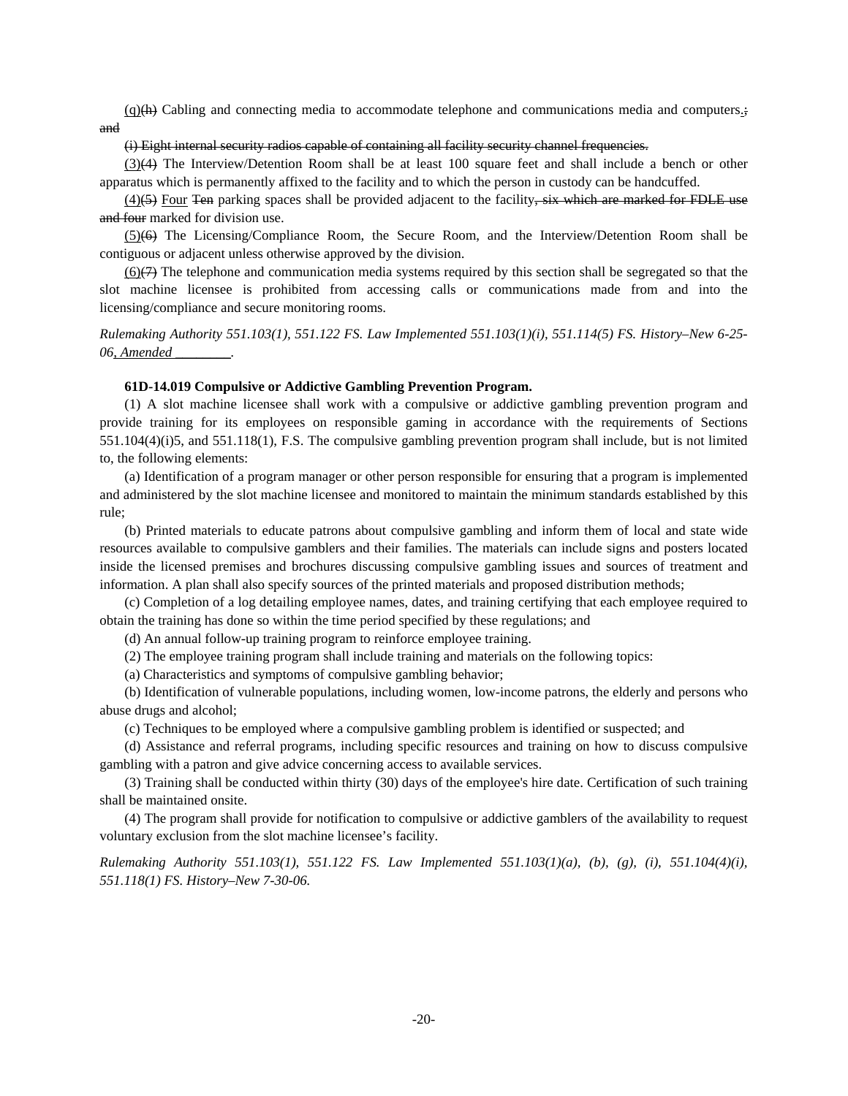$(q)$ (h) Cabling and connecting media to accommodate telephone and communications media and computers.; and

# (i) Eight internal security radios capable of containing all facility security channel frequencies.

(3)(4) The Interview/Detention Room shall be at least 100 square feet and shall include a bench or other apparatus which is permanently affixed to the facility and to which the person in custody can be handcuffed.

 $(4)$ (5) Four Ten parking spaces shall be provided adjacent to the facility, six which are marked for FDLE use and four marked for division use.

(5)(6) The Licensing/Compliance Room, the Secure Room, and the Interview/Detention Room shall be contiguous or adjacent unless otherwise approved by the division.

 $(6)$ (7) The telephone and communication media systems required by this section shall be segregated so that the slot machine licensee is prohibited from accessing calls or communications made from and into the licensing/compliance and secure monitoring rooms.

*Rulemaking Authority 551.103(1), 551.122 FS. Law Implemented 551.103(1)(i), 551.114(5) FS. History–New 6-25- 06, Amended \_\_\_\_\_\_\_\_.* 

### **61D-14.019 Compulsive or Addictive Gambling Prevention Program.**

(1) A slot machine licensee shall work with a compulsive or addictive gambling prevention program and provide training for its employees on responsible gaming in accordance with the requirements of Sections 551.104(4)(i)5, and 551.118(1), F.S. The compulsive gambling prevention program shall include, but is not limited to, the following elements:

(a) Identification of a program manager or other person responsible for ensuring that a program is implemented and administered by the slot machine licensee and monitored to maintain the minimum standards established by this rule;

(b) Printed materials to educate patrons about compulsive gambling and inform them of local and state wide resources available to compulsive gamblers and their families. The materials can include signs and posters located inside the licensed premises and brochures discussing compulsive gambling issues and sources of treatment and information. A plan shall also specify sources of the printed materials and proposed distribution methods;

(c) Completion of a log detailing employee names, dates, and training certifying that each employee required to obtain the training has done so within the time period specified by these regulations; and

(d) An annual follow-up training program to reinforce employee training.

(2) The employee training program shall include training and materials on the following topics:

(a) Characteristics and symptoms of compulsive gambling behavior;

(b) Identification of vulnerable populations, including women, low-income patrons, the elderly and persons who abuse drugs and alcohol;

(c) Techniques to be employed where a compulsive gambling problem is identified or suspected; and

(d) Assistance and referral programs, including specific resources and training on how to discuss compulsive gambling with a patron and give advice concerning access to available services.

(3) Training shall be conducted within thirty (30) days of the employee's hire date. Certification of such training shall be maintained onsite.

(4) The program shall provide for notification to compulsive or addictive gamblers of the availability to request voluntary exclusion from the slot machine licensee's facility.

*Rulemaking Authority 551.103(1), 551.122 FS. Law Implemented 551.103(1)(a), (b), (g), (i), 551.104(4)(i), 551.118(1) FS. History–New 7-30-06.*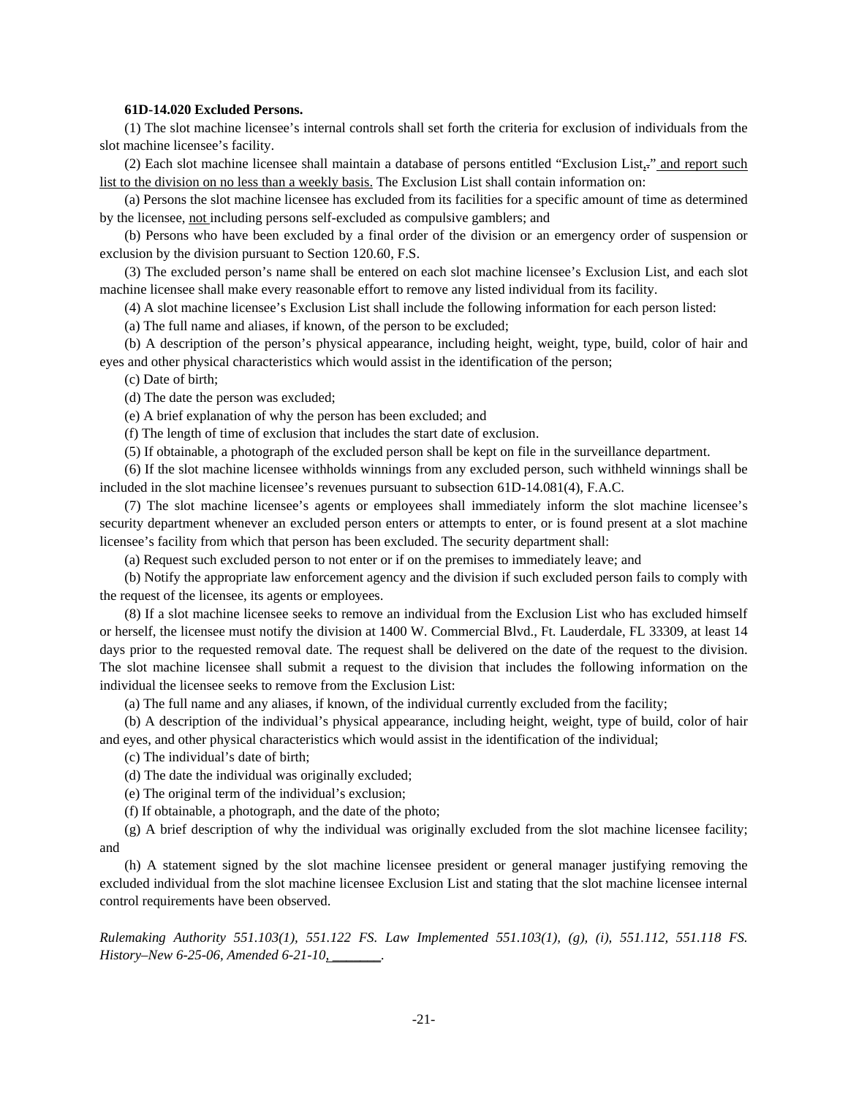### **61D-14.020 Excluded Persons.**

(1) The slot machine licensee's internal controls shall set forth the criteria for exclusion of individuals from the slot machine licensee's facility.

(2) Each slot machine licensee shall maintain a database of persons entitled "Exclusion List,." and report such list to the division on no less than a weekly basis. The Exclusion List shall contain information on:

(a) Persons the slot machine licensee has excluded from its facilities for a specific amount of time as determined by the licensee, not including persons self-excluded as compulsive gamblers; and

(b) Persons who have been excluded by a final order of the division or an emergency order of suspension or exclusion by the division pursuant to Section 120.60, F.S.

(3) The excluded person's name shall be entered on each slot machine licensee's Exclusion List, and each slot machine licensee shall make every reasonable effort to remove any listed individual from its facility.

(4) A slot machine licensee's Exclusion List shall include the following information for each person listed:

(a) The full name and aliases, if known, of the person to be excluded;

(b) A description of the person's physical appearance, including height, weight, type, build, color of hair and eyes and other physical characteristics which would assist in the identification of the person;

(c) Date of birth;

(d) The date the person was excluded;

(e) A brief explanation of why the person has been excluded; and

(f) The length of time of exclusion that includes the start date of exclusion.

(5) If obtainable, a photograph of the excluded person shall be kept on file in the surveillance department.

(6) If the slot machine licensee withholds winnings from any excluded person, such withheld winnings shall be included in the slot machine licensee's revenues pursuant to subsection 61D-14.081(4), F.A.C.

(7) The slot machine licensee's agents or employees shall immediately inform the slot machine licensee's security department whenever an excluded person enters or attempts to enter, or is found present at a slot machine licensee's facility from which that person has been excluded. The security department shall:

(a) Request such excluded person to not enter or if on the premises to immediately leave; and

(b) Notify the appropriate law enforcement agency and the division if such excluded person fails to comply with the request of the licensee, its agents or employees.

(8) If a slot machine licensee seeks to remove an individual from the Exclusion List who has excluded himself or herself, the licensee must notify the division at 1400 W. Commercial Blvd., Ft. Lauderdale, FL 33309, at least 14 days prior to the requested removal date. The request shall be delivered on the date of the request to the division. The slot machine licensee shall submit a request to the division that includes the following information on the individual the licensee seeks to remove from the Exclusion List:

(a) The full name and any aliases, if known, of the individual currently excluded from the facility;

(b) A description of the individual's physical appearance, including height, weight, type of build, color of hair and eyes, and other physical characteristics which would assist in the identification of the individual;

(c) The individual's date of birth;

(d) The date the individual was originally excluded;

(e) The original term of the individual's exclusion;

(f) If obtainable, a photograph, and the date of the photo;

(g) A brief description of why the individual was originally excluded from the slot machine licensee facility; and

(h) A statement signed by the slot machine licensee president or general manager justifying removing the excluded individual from the slot machine licensee Exclusion List and stating that the slot machine licensee internal control requirements have been observed.

*Rulemaking Authority 551.103(1), 551.122 FS. Law Implemented 551.103(1), (g), (i), 551.112, 551.118 FS. History–New 6-25-06, Amended 6-21-10, \_\_\_\_\_\_\_.*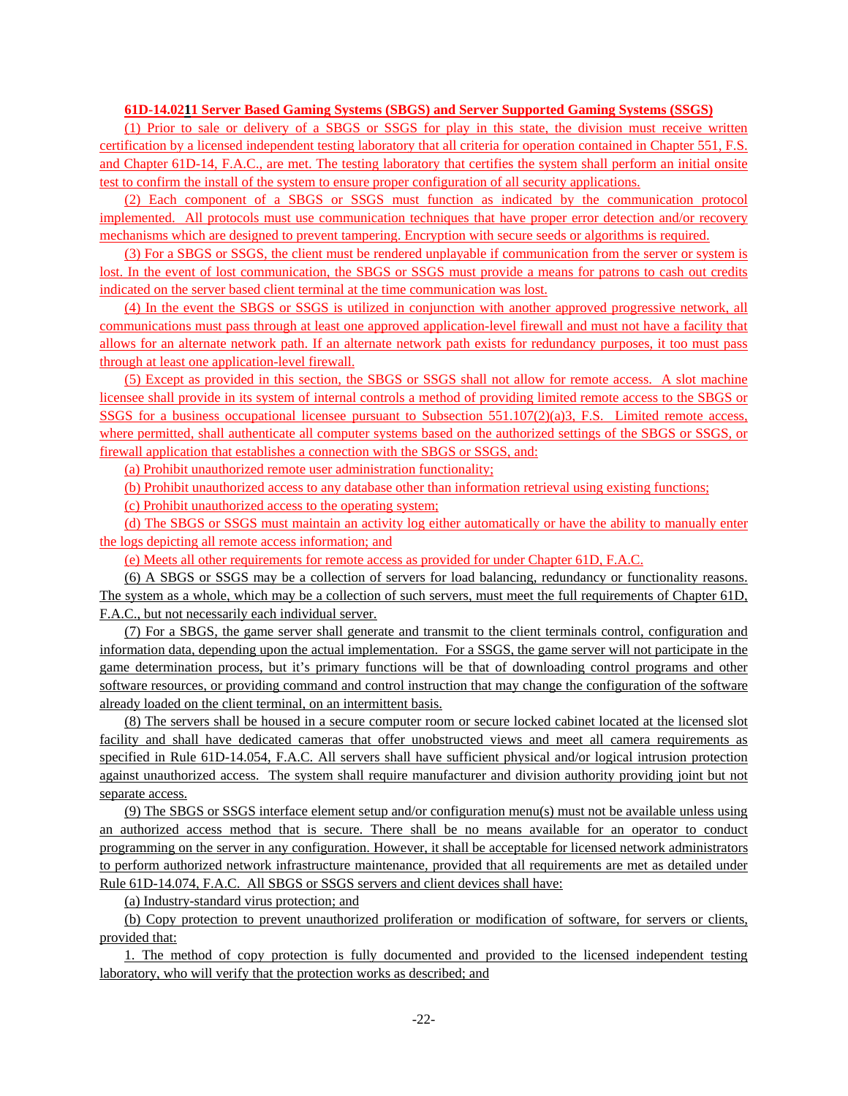# **61D-14.0211 Server Based Gaming Systems (SBGS) and Server Supported Gaming Systems (SSGS)**

(1) Prior to sale or delivery of a SBGS or SSGS for play in this state, the division must receive written certification by a licensed independent testing laboratory that all criteria for operation contained in Chapter 551, F.S. and Chapter 61D-14, F.A.C., are met. The testing laboratory that certifies the system shall perform an initial onsite test to confirm the install of the system to ensure proper configuration of all security applications.

(2) Each component of a SBGS or SSGS must function as indicated by the communication protocol implemented. All protocols must use communication techniques that have proper error detection and/or recovery mechanisms which are designed to prevent tampering. Encryption with secure seeds or algorithms is required.

(3) For a SBGS or SSGS, the client must be rendered unplayable if communication from the server or system is lost. In the event of lost communication, the SBGS or SSGS must provide a means for patrons to cash out credits indicated on the server based client terminal at the time communication was lost.

(4) In the event the SBGS or SSGS is utilized in conjunction with another approved progressive network, all communications must pass through at least one approved application-level firewall and must not have a facility that allows for an alternate network path. If an alternate network path exists for redundancy purposes, it too must pass through at least one application-level firewall.

(5) Except as provided in this section, the SBGS or SSGS shall not allow for remote access. A slot machine licensee shall provide in its system of internal controls a method of providing limited remote access to the SBGS or SSGS for a business occupational licensee pursuant to Subsection 551.107(2)(a)3, F.S. Limited remote access, where permitted, shall authenticate all computer systems based on the authorized settings of the SBGS or SSGS, or firewall application that establishes a connection with the SBGS or SSGS, and:

(a) Prohibit unauthorized remote user administration functionality;

(b) Prohibit unauthorized access to any database other than information retrieval using existing functions;

(c) Prohibit unauthorized access to the operating system;

(d) The SBGS or SSGS must maintain an activity log either automatically or have the ability to manually enter the logs depicting all remote access information; and

(e) Meets all other requirements for remote access as provided for under Chapter 61D, F.A.C.

(6) A SBGS or SSGS may be a collection of servers for load balancing, redundancy or functionality reasons. The system as a whole, which may be a collection of such servers, must meet the full requirements of Chapter 61D, F.A.C., but not necessarily each individual server.

(7) For a SBGS, the game server shall generate and transmit to the client terminals control, configuration and information data, depending upon the actual implementation. For a SSGS, the game server will not participate in the game determination process, but it's primary functions will be that of downloading control programs and other software resources, or providing command and control instruction that may change the configuration of the software already loaded on the client terminal, on an intermittent basis.

(8) The servers shall be housed in a secure computer room or secure locked cabinet located at the licensed slot facility and shall have dedicated cameras that offer unobstructed views and meet all camera requirements as specified in Rule 61D-14.054, F.A.C. All servers shall have sufficient physical and/or logical intrusion protection against unauthorized access. The system shall require manufacturer and division authority providing joint but not separate access.

(9) The SBGS or SSGS interface element setup and/or configuration menu(s) must not be available unless using an authorized access method that is secure. There shall be no means available for an operator to conduct programming on the server in any configuration. However, it shall be acceptable for licensed network administrators to perform authorized network infrastructure maintenance, provided that all requirements are met as detailed under Rule 61D-14.074, F.A.C. All SBGS or SSGS servers and client devices shall have:

(a) Industry-standard virus protection; and

(b) Copy protection to prevent unauthorized proliferation or modification of software, for servers or clients, provided that:

1. The method of copy protection is fully documented and provided to the licensed independent testing laboratory, who will verify that the protection works as described; and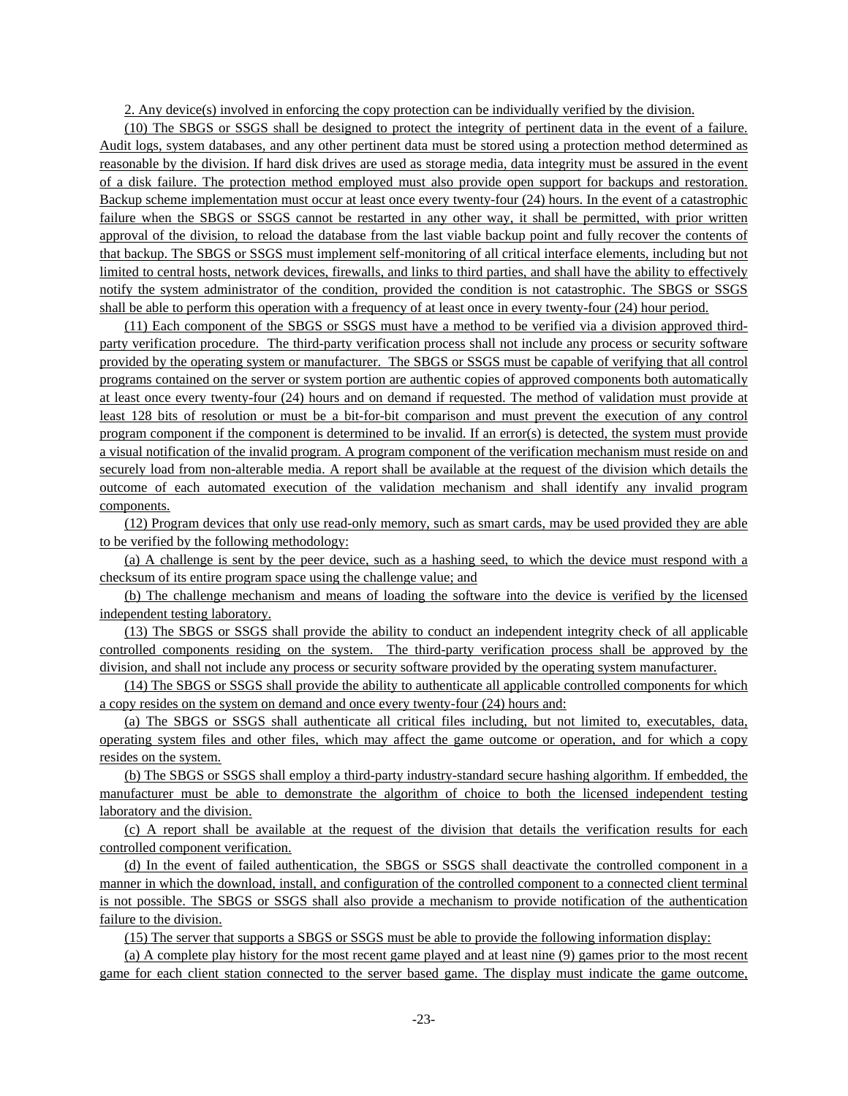2. Any device(s) involved in enforcing the copy protection can be individually verified by the division.

(10) The SBGS or SSGS shall be designed to protect the integrity of pertinent data in the event of a failure. Audit logs, system databases, and any other pertinent data must be stored using a protection method determined as reasonable by the division. If hard disk drives are used as storage media, data integrity must be assured in the event of a disk failure. The protection method employed must also provide open support for backups and restoration. Backup scheme implementation must occur at least once every twenty-four (24) hours. In the event of a catastrophic failure when the SBGS or SSGS cannot be restarted in any other way, it shall be permitted, with prior written approval of the division, to reload the database from the last viable backup point and fully recover the contents of that backup. The SBGS or SSGS must implement self-monitoring of all critical interface elements, including but not limited to central hosts, network devices, firewalls, and links to third parties, and shall have the ability to effectively notify the system administrator of the condition, provided the condition is not catastrophic. The SBGS or SSGS shall be able to perform this operation with a frequency of at least once in every twenty-four (24) hour period.

(11) Each component of the SBGS or SSGS must have a method to be verified via a division approved thirdparty verification procedure. The third-party verification process shall not include any process or security software provided by the operating system or manufacturer. The SBGS or SSGS must be capable of verifying that all control programs contained on the server or system portion are authentic copies of approved components both automatically at least once every twenty-four (24) hours and on demand if requested. The method of validation must provide at least 128 bits of resolution or must be a bit-for-bit comparison and must prevent the execution of any control program component if the component is determined to be invalid. If an error(s) is detected, the system must provide a visual notification of the invalid program. A program component of the verification mechanism must reside on and securely load from non-alterable media. A report shall be available at the request of the division which details the outcome of each automated execution of the validation mechanism and shall identify any invalid program components.

(12) Program devices that only use read-only memory, such as smart cards, may be used provided they are able to be verified by the following methodology:

(a) A challenge is sent by the peer device, such as a hashing seed, to which the device must respond with a checksum of its entire program space using the challenge value; and

(b) The challenge mechanism and means of loading the software into the device is verified by the licensed independent testing laboratory.

(13) The SBGS or SSGS shall provide the ability to conduct an independent integrity check of all applicable controlled components residing on the system. The third-party verification process shall be approved by the division, and shall not include any process or security software provided by the operating system manufacturer.

(14) The SBGS or SSGS shall provide the ability to authenticate all applicable controlled components for which a copy resides on the system on demand and once every twenty-four (24) hours and:

(a) The SBGS or SSGS shall authenticate all critical files including, but not limited to, executables, data, operating system files and other files, which may affect the game outcome or operation, and for which a copy resides on the system.

(b) The SBGS or SSGS shall employ a third-party industry-standard secure hashing algorithm. If embedded, the manufacturer must be able to demonstrate the algorithm of choice to both the licensed independent testing laboratory and the division.

(c) A report shall be available at the request of the division that details the verification results for each controlled component verification.

(d) In the event of failed authentication, the SBGS or SSGS shall deactivate the controlled component in a manner in which the download, install, and configuration of the controlled component to a connected client terminal is not possible. The SBGS or SSGS shall also provide a mechanism to provide notification of the authentication failure to the division.

(15) The server that supports a SBGS or SSGS must be able to provide the following information display:

(a) A complete play history for the most recent game played and at least nine (9) games prior to the most recent game for each client station connected to the server based game. The display must indicate the game outcome,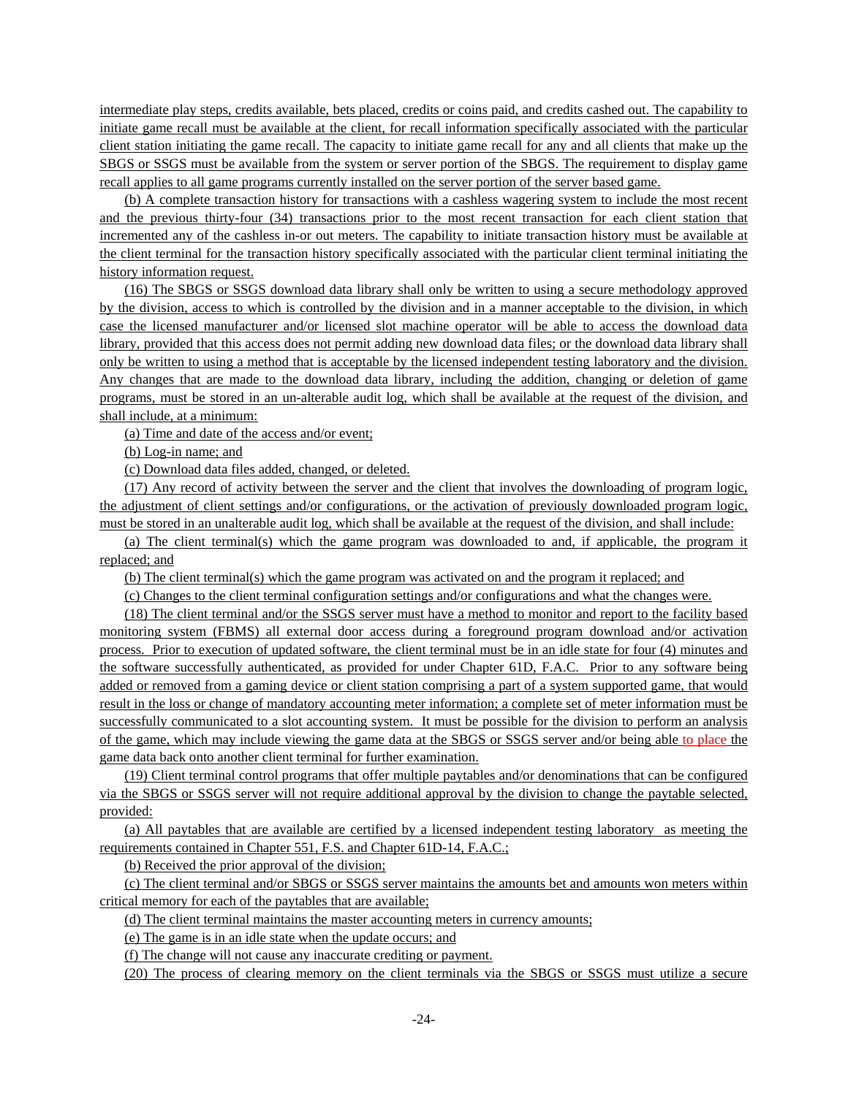intermediate play steps, credits available, bets placed, credits or coins paid, and credits cashed out. The capability to initiate game recall must be available at the client, for recall information specifically associated with the particular client station initiating the game recall. The capacity to initiate game recall for any and all clients that make up the SBGS or SSGS must be available from the system or server portion of the SBGS. The requirement to display game recall applies to all game programs currently installed on the server portion of the server based game.

(b) A complete transaction history for transactions with a cashless wagering system to include the most recent and the previous thirty-four (34) transactions prior to the most recent transaction for each client station that incremented any of the cashless in-or out meters. The capability to initiate transaction history must be available at the client terminal for the transaction history specifically associated with the particular client terminal initiating the history information request.

(16) The SBGS or SSGS download data library shall only be written to using a secure methodology approved by the division, access to which is controlled by the division and in a manner acceptable to the division, in which case the licensed manufacturer and/or licensed slot machine operator will be able to access the download data library, provided that this access does not permit adding new download data files; or the download data library shall only be written to using a method that is acceptable by the licensed independent testing laboratory and the division. Any changes that are made to the download data library, including the addition, changing or deletion of game programs, must be stored in an un-alterable audit log, which shall be available at the request of the division, and shall include, at a minimum:

(a) Time and date of the access and/or event;

(b) Log-in name; and

(c) Download data files added, changed, or deleted.

(17) Any record of activity between the server and the client that involves the downloading of program logic, the adjustment of client settings and/or configurations, or the activation of previously downloaded program logic, must be stored in an unalterable audit log, which shall be available at the request of the division, and shall include:

(a) The client terminal(s) which the game program was downloaded to and, if applicable, the program it replaced; and

(b) The client terminal(s) which the game program was activated on and the program it replaced; and

(c) Changes to the client terminal configuration settings and/or configurations and what the changes were.

(18) The client terminal and/or the SSGS server must have a method to monitor and report to the facility based monitoring system (FBMS) all external door access during a foreground program download and/or activation process. Prior to execution of updated software, the client terminal must be in an idle state for four (4) minutes and the software successfully authenticated, as provided for under Chapter 61D, F.A.C. Prior to any software being added or removed from a gaming device or client station comprising a part of a system supported game, that would result in the loss or change of mandatory accounting meter information; a complete set of meter information must be successfully communicated to a slot accounting system. It must be possible for the division to perform an analysis of the game, which may include viewing the game data at the SBGS or SSGS server and/or being able to place the game data back onto another client terminal for further examination.

(19) Client terminal control programs that offer multiple paytables and/or denominations that can be configured via the SBGS or SSGS server will not require additional approval by the division to change the paytable selected, provided:

(a) All paytables that are available are certified by a licensed independent testing laboratory as meeting the requirements contained in Chapter 551, F.S. and Chapter 61D-14, F.A.C.;

(b) Received the prior approval of the division;

(c) The client terminal and/or SBGS or SSGS server maintains the amounts bet and amounts won meters within critical memory for each of the paytables that are available;

(d) The client terminal maintains the master accounting meters in currency amounts;

(e) The game is in an idle state when the update occurs; and

(f) The change will not cause any inaccurate crediting or payment.

(20) The process of clearing memory on the client terminals via the SBGS or SSGS must utilize a secure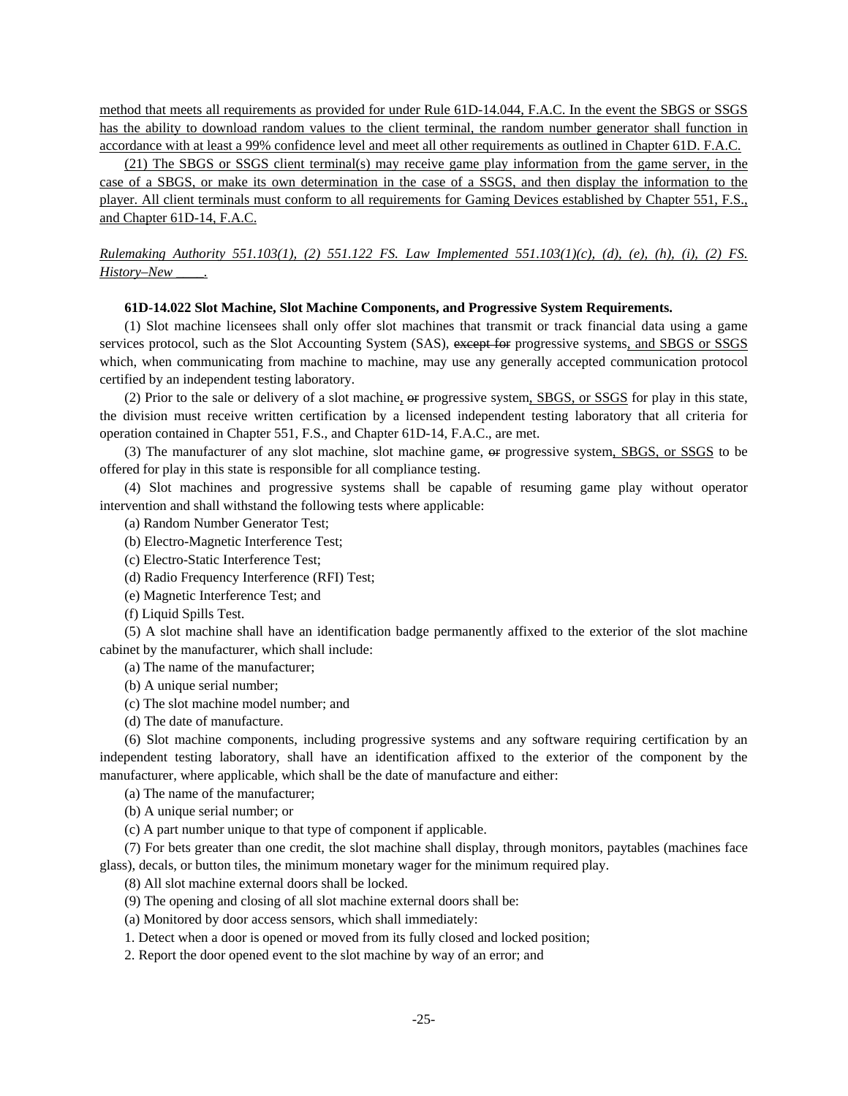method that meets all requirements as provided for under Rule 61D-14.044, F.A.C. In the event the SBGS or SSGS has the ability to download random values to the client terminal, the random number generator shall function in accordance with at least a 99% confidence level and meet all other requirements as outlined in Chapter 61D. F.A.C.

(21) The SBGS or SSGS client terminal(s) may receive game play information from the game server, in the case of a SBGS, or make its own determination in the case of a SSGS, and then display the information to the player. All client terminals must conform to all requirements for Gaming Devices established by Chapter 551, F.S., and Chapter 61D-14, F.A.C.

*Rulemaking Authority 551.103(1), (2) 551.122 FS. Law Implemented 551.103(1)(c), (d), (e), (h), (i), (2) FS. History–New \_\_\_\_.*

# **61D-14.022 Slot Machine, Slot Machine Components, and Progressive System Requirements.**

(1) Slot machine licensees shall only offer slot machines that transmit or track financial data using a game services protocol, such as the Slot Accounting System (SAS), except for progressive systems, and SBGS or SSGS which, when communicating from machine to machine, may use any generally accepted communication protocol certified by an independent testing laboratory.

(2) Prior to the sale or delivery of a slot machine,  $\Theta$  progressive system, SBGS, or SSGS for play in this state, the division must receive written certification by a licensed independent testing laboratory that all criteria for operation contained in Chapter 551, F.S., and Chapter 61D-14, F.A.C., are met.

(3) The manufacturer of any slot machine, slot machine game, or progressive system, SBGS, or SSGS to be offered for play in this state is responsible for all compliance testing.

(4) Slot machines and progressive systems shall be capable of resuming game play without operator intervention and shall withstand the following tests where applicable:

(a) Random Number Generator Test;

- (b) Electro-Magnetic Interference Test;
- (c) Electro-Static Interference Test;
- (d) Radio Frequency Interference (RFI) Test;
- (e) Magnetic Interference Test; and
- (f) Liquid Spills Test.

(5) A slot machine shall have an identification badge permanently affixed to the exterior of the slot machine cabinet by the manufacturer, which shall include:

(a) The name of the manufacturer;

- (b) A unique serial number;
- (c) The slot machine model number; and

(d) The date of manufacture.

(6) Slot machine components, including progressive systems and any software requiring certification by an independent testing laboratory, shall have an identification affixed to the exterior of the component by the manufacturer, where applicable, which shall be the date of manufacture and either:

(a) The name of the manufacturer;

(b) A unique serial number; or

(c) A part number unique to that type of component if applicable.

(7) For bets greater than one credit, the slot machine shall display, through monitors, paytables (machines face glass), decals, or button tiles, the minimum monetary wager for the minimum required play.

(8) All slot machine external doors shall be locked.

(9) The opening and closing of all slot machine external doors shall be:

(a) Monitored by door access sensors, which shall immediately:

1. Detect when a door is opened or moved from its fully closed and locked position;

2. Report the door opened event to the slot machine by way of an error; and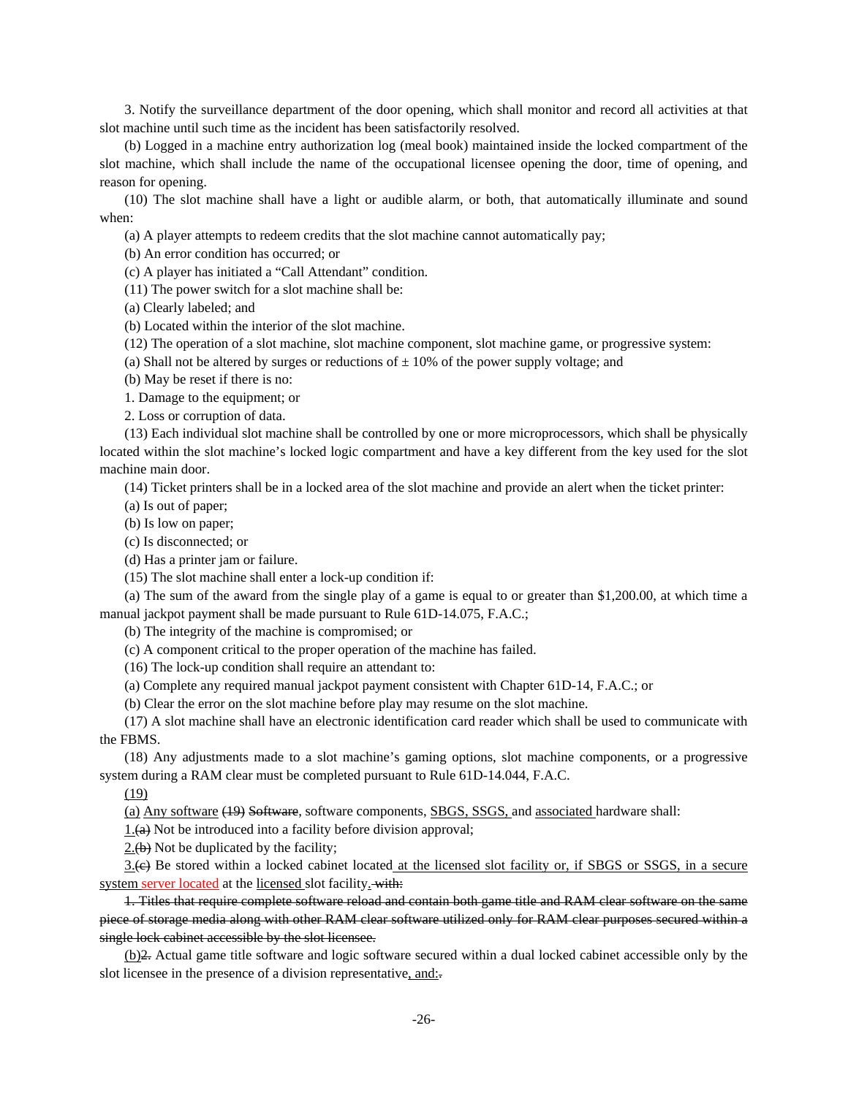3. Notify the surveillance department of the door opening, which shall monitor and record all activities at that slot machine until such time as the incident has been satisfactorily resolved.

(b) Logged in a machine entry authorization log (meal book) maintained inside the locked compartment of the slot machine, which shall include the name of the occupational licensee opening the door, time of opening, and reason for opening.

(10) The slot machine shall have a light or audible alarm, or both, that automatically illuminate and sound when:

(a) A player attempts to redeem credits that the slot machine cannot automatically pay;

(b) An error condition has occurred; or

(c) A player has initiated a "Call Attendant" condition.

(11) The power switch for a slot machine shall be:

(a) Clearly labeled; and

(b) Located within the interior of the slot machine.

(12) The operation of a slot machine, slot machine component, slot machine game, or progressive system:

(a) Shall not be altered by surges or reductions of  $\pm$  10% of the power supply voltage; and

(b) May be reset if there is no:

1. Damage to the equipment; or

2. Loss or corruption of data.

(13) Each individual slot machine shall be controlled by one or more microprocessors, which shall be physically located within the slot machine's locked logic compartment and have a key different from the key used for the slot machine main door.

(14) Ticket printers shall be in a locked area of the slot machine and provide an alert when the ticket printer:

(a) Is out of paper;

(b) Is low on paper;

(c) Is disconnected; or

(d) Has a printer jam or failure.

(15) The slot machine shall enter a lock-up condition if:

(a) The sum of the award from the single play of a game is equal to or greater than \$1,200.00, at which time a manual jackpot payment shall be made pursuant to Rule 61D-14.075, F.A.C.;

(b) The integrity of the machine is compromised; or

(c) A component critical to the proper operation of the machine has failed.

(16) The lock-up condition shall require an attendant to:

(a) Complete any required manual jackpot payment consistent with Chapter 61D-14, F.A.C.; or

(b) Clear the error on the slot machine before play may resume on the slot machine.

(17) A slot machine shall have an electronic identification card reader which shall be used to communicate with the FBMS.

(18) Any adjustments made to a slot machine's gaming options, slot machine components, or a progressive system during a RAM clear must be completed pursuant to Rule 61D-14.044, F.A.C.

(19)

(a) Any software (19) Software, software components, SBGS, SSGS, and associated hardware shall:

 $1.$ (a) Not be introduced into a facility before division approval;

 $2.$ (b) Not be duplicated by the facility;

3.(c) Be stored within a locked cabinet located at the licensed slot facility or, if SBGS or SSGS, in a secure system server located at the licensed slot facility. with:

1. Titles that require complete software reload and contain both game title and RAM clear software on the same piece of storage media along with other RAM clear software utilized only for RAM clear purposes secured within a single lock cabinet accessible by the slot licensee.

(b)2. Actual game title software and logic software secured within a dual locked cabinet accessible only by the slot licensee in the presence of a division representative, and:.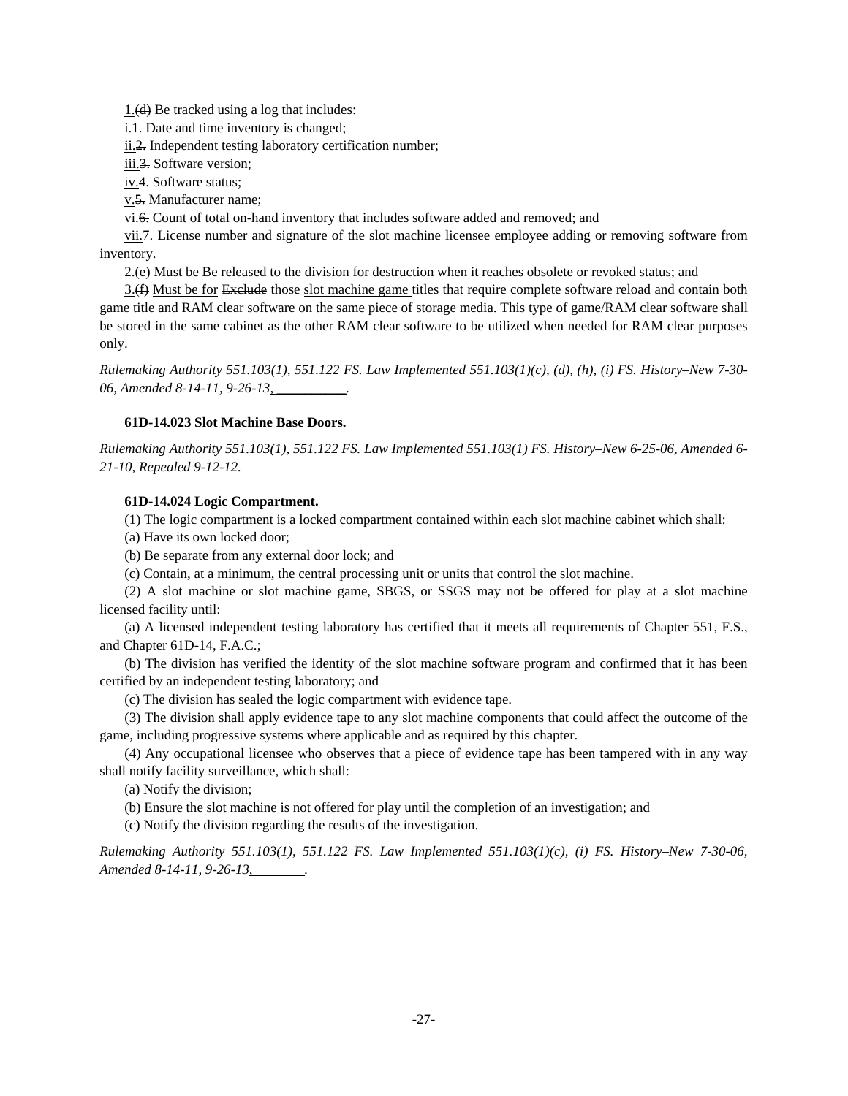1.(d) Be tracked using a log that includes:

i.<sup>4</sup>. Date and time inventory is changed;

ii.2. Independent testing laboratory certification number;

iii.3. Software version;

iv.4. Software status;

v.5. Manufacturer name;

vi.6. Count of total on-hand inventory that includes software added and removed; and

vii.<sup>7</sup>. License number and signature of the slot machine licensee employee adding or removing software from inventory.

 $2(e)$  Must be Be released to the division for destruction when it reaches obsolete or revoked status; and

3.(4) Must be for Exclude those slot machine game titles that require complete software reload and contain both game title and RAM clear software on the same piece of storage media. This type of game/RAM clear software shall be stored in the same cabinet as the other RAM clear software to be utilized when needed for RAM clear purposes only.

*Rulemaking Authority 551.103(1), 551.122 FS. Law Implemented 551.103(1)(c), (d), (h), (i) FS. History–New 7-30- 06, Amended 8-14-11, 9-26-13, \_\_\_\_\_\_\_\_\_\_.* 

# **61D-14.023 Slot Machine Base Doors.**

*Rulemaking Authority 551.103(1), 551.122 FS. Law Implemented 551.103(1) FS. History–New 6-25-06, Amended 6- 21-10, Repealed 9-12-12.*

# **61D-14.024 Logic Compartment.**

(1) The logic compartment is a locked compartment contained within each slot machine cabinet which shall:

(a) Have its own locked door;

(b) Be separate from any external door lock; and

(c) Contain, at a minimum, the central processing unit or units that control the slot machine.

(2) A slot machine or slot machine game, SBGS, or SSGS may not be offered for play at a slot machine licensed facility until:

(a) A licensed independent testing laboratory has certified that it meets all requirements of Chapter 551, F.S., and Chapter 61D-14, F.A.C.;

(b) The division has verified the identity of the slot machine software program and confirmed that it has been certified by an independent testing laboratory; and

(c) The division has sealed the logic compartment with evidence tape.

(3) The division shall apply evidence tape to any slot machine components that could affect the outcome of the game, including progressive systems where applicable and as required by this chapter.

(4) Any occupational licensee who observes that a piece of evidence tape has been tampered with in any way shall notify facility surveillance, which shall:

(a) Notify the division;

(b) Ensure the slot machine is not offered for play until the completion of an investigation; and

(c) Notify the division regarding the results of the investigation.

*Rulemaking Authority 551.103(1), 551.122 FS. Law Implemented 551.103(1)(c), (i) FS. History–New 7-30-06, Amended 8-14-11, 9-26-13, \_\_\_\_\_\_\_.*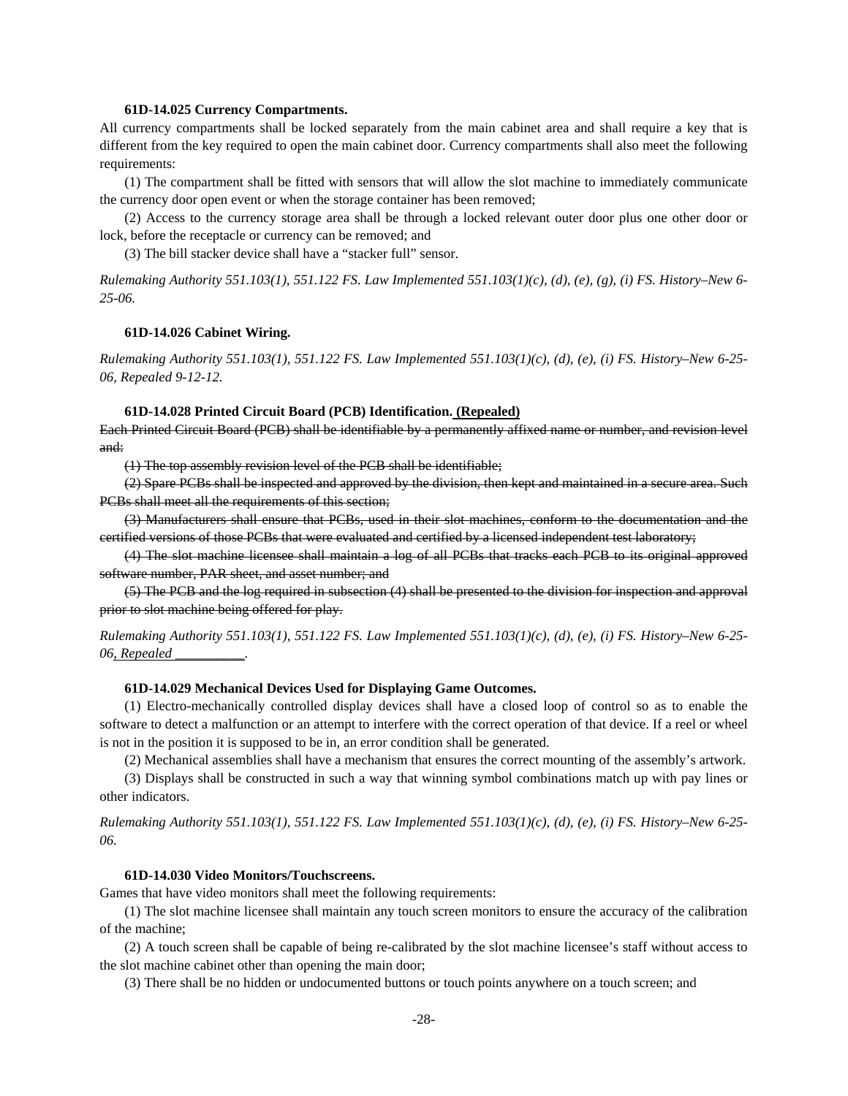## **61D-14.025 Currency Compartments.**

All currency compartments shall be locked separately from the main cabinet area and shall require a key that is different from the key required to open the main cabinet door. Currency compartments shall also meet the following requirements:

(1) The compartment shall be fitted with sensors that will allow the slot machine to immediately communicate the currency door open event or when the storage container has been removed;

(2) Access to the currency storage area shall be through a locked relevant outer door plus one other door or lock, before the receptacle or currency can be removed; and

(3) The bill stacker device shall have a "stacker full" sensor.

*Rulemaking Authority 551.103(1), 551.122 FS. Law Implemented 551.103(1)(c), (d), (e), (g), (i) FS. History–New 6- 25-06.* 

## **61D-14.026 Cabinet Wiring.**

*Rulemaking Authority 551.103(1), 551.122 FS. Law Implemented 551.103(1)(c), (d), (e), (i) FS. History–New 6-25- 06, Repealed 9-12-12.* 

# **61D-14.028 Printed Circuit Board (PCB) Identification. (Repealed)**

Each Printed Circuit Board (PCB) shall be identifiable by a permanently affixed name or number, and revision level and:

(1) The top assembly revision level of the PCB shall be identifiable;

(2) Spare PCBs shall be inspected and approved by the division, then kept and maintained in a secure area. Such PCBs shall meet all the requirements of this section;

(3) Manufacturers shall ensure that PCBs, used in their slot machines, conform to the documentation and the certified versions of those PCBs that were evaluated and certified by a licensed independent test laboratory;

(4) The slot machine licensee shall maintain a log of all PCBs that tracks each PCB to its original approved software number, PAR sheet, and asset number; and

(5) The PCB and the log required in subsection (4) shall be presented to the division for inspection and approval prior to slot machine being offered for play.

*Rulemaking Authority 551.103(1), 551.122 FS. Law Implemented 551.103(1)(c), (d), (e), (i) FS. History–New 6-25- 06, Repealed \_\_\_\_\_\_\_\_\_\_.* 

#### **61D-14.029 Mechanical Devices Used for Displaying Game Outcomes.**

(1) Electro-mechanically controlled display devices shall have a closed loop of control so as to enable the software to detect a malfunction or an attempt to interfere with the correct operation of that device. If a reel or wheel is not in the position it is supposed to be in, an error condition shall be generated.

(2) Mechanical assemblies shall have a mechanism that ensures the correct mounting of the assembly's artwork.

(3) Displays shall be constructed in such a way that winning symbol combinations match up with pay lines or other indicators.

*Rulemaking Authority 551.103(1), 551.122 FS. Law Implemented 551.103(1)(c), (d), (e), (i) FS. History–New 6-25- 06.* 

# **61D-14.030 Video Monitors/Touchscreens.**

Games that have video monitors shall meet the following requirements:

(1) The slot machine licensee shall maintain any touch screen monitors to ensure the accuracy of the calibration of the machine;

(2) A touch screen shall be capable of being re-calibrated by the slot machine licensee's staff without access to the slot machine cabinet other than opening the main door;

(3) There shall be no hidden or undocumented buttons or touch points anywhere on a touch screen; and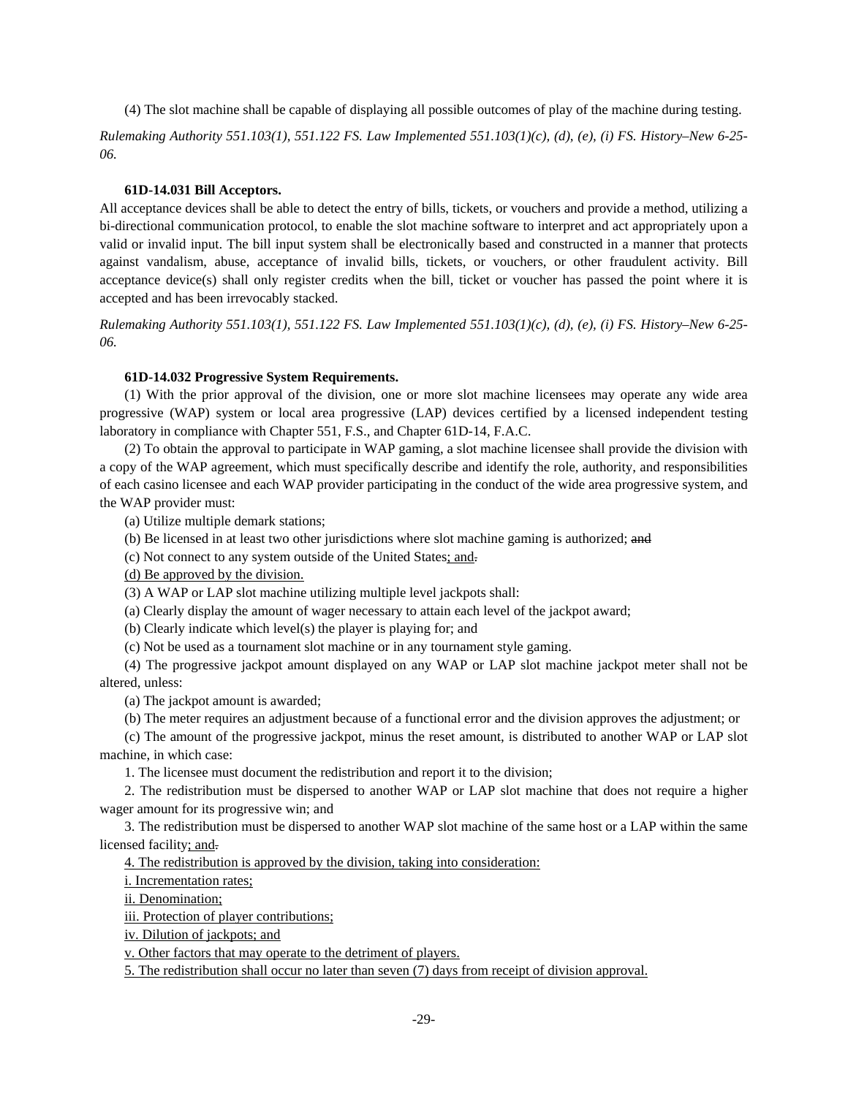(4) The slot machine shall be capable of displaying all possible outcomes of play of the machine during testing.

*Rulemaking Authority 551.103(1), 551.122 FS. Law Implemented 551.103(1)(c), (d), (e), (i) FS. History–New 6-25- 06.* 

# **61D-14.031 Bill Acceptors.**

All acceptance devices shall be able to detect the entry of bills, tickets, or vouchers and provide a method, utilizing a bi-directional communication protocol, to enable the slot machine software to interpret and act appropriately upon a valid or invalid input. The bill input system shall be electronically based and constructed in a manner that protects against vandalism, abuse, acceptance of invalid bills, tickets, or vouchers, or other fraudulent activity. Bill acceptance device(s) shall only register credits when the bill, ticket or voucher has passed the point where it is accepted and has been irrevocably stacked.

*Rulemaking Authority 551.103(1), 551.122 FS. Law Implemented 551.103(1)(c), (d), (e), (i) FS. History–New 6-25- 06.* 

## **61D-14.032 Progressive System Requirements.**

(1) With the prior approval of the division, one or more slot machine licensees may operate any wide area progressive (WAP) system or local area progressive (LAP) devices certified by a licensed independent testing laboratory in compliance with Chapter 551, F.S., and Chapter 61D-14, F.A.C.

(2) To obtain the approval to participate in WAP gaming, a slot machine licensee shall provide the division with a copy of the WAP agreement, which must specifically describe and identify the role, authority, and responsibilities of each casino licensee and each WAP provider participating in the conduct of the wide area progressive system, and the WAP provider must:

(a) Utilize multiple demark stations;

(b) Be licensed in at least two other jurisdictions where slot machine gaming is authorized; and

(c) Not connect to any system outside of the United States; and.

(d) Be approved by the division.

(3) A WAP or LAP slot machine utilizing multiple level jackpots shall:

(a) Clearly display the amount of wager necessary to attain each level of the jackpot award;

(b) Clearly indicate which level(s) the player is playing for; and

(c) Not be used as a tournament slot machine or in any tournament style gaming.

(4) The progressive jackpot amount displayed on any WAP or LAP slot machine jackpot meter shall not be altered, unless:

(a) The jackpot amount is awarded;

(b) The meter requires an adjustment because of a functional error and the division approves the adjustment; or

(c) The amount of the progressive jackpot, minus the reset amount, is distributed to another WAP or LAP slot machine, in which case:

1. The licensee must document the redistribution and report it to the division;

2. The redistribution must be dispersed to another WAP or LAP slot machine that does not require a higher wager amount for its progressive win; and

3. The redistribution must be dispersed to another WAP slot machine of the same host or a LAP within the same licensed facility; and.

4. The redistribution is approved by the division, taking into consideration:

i. Incrementation rates;

ii. Denomination;

iii. Protection of player contributions;

iv. Dilution of jackpots; and

v. Other factors that may operate to the detriment of players.

5. The redistribution shall occur no later than seven (7) days from receipt of division approval.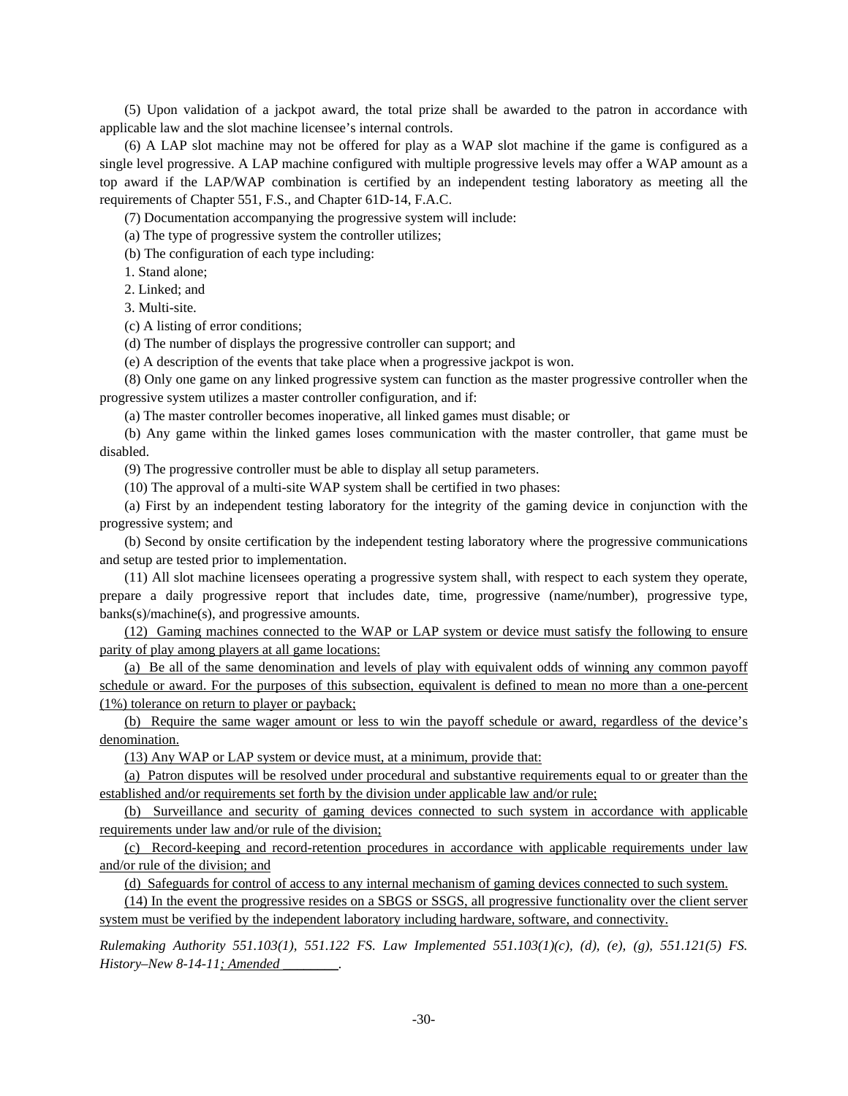(5) Upon validation of a jackpot award, the total prize shall be awarded to the patron in accordance with applicable law and the slot machine licensee's internal controls.

(6) A LAP slot machine may not be offered for play as a WAP slot machine if the game is configured as a single level progressive. A LAP machine configured with multiple progressive levels may offer a WAP amount as a top award if the LAP/WAP combination is certified by an independent testing laboratory as meeting all the requirements of Chapter 551, F.S., and Chapter 61D-14, F.A.C.

(7) Documentation accompanying the progressive system will include:

(a) The type of progressive system the controller utilizes;

(b) The configuration of each type including:

1. Stand alone;

2. Linked; and

3. Multi-site.

(c) A listing of error conditions;

(d) The number of displays the progressive controller can support; and

(e) A description of the events that take place when a progressive jackpot is won.

(8) Only one game on any linked progressive system can function as the master progressive controller when the progressive system utilizes a master controller configuration, and if:

(a) The master controller becomes inoperative, all linked games must disable; or

(b) Any game within the linked games loses communication with the master controller, that game must be disabled.

(9) The progressive controller must be able to display all setup parameters.

(10) The approval of a multi-site WAP system shall be certified in two phases:

(a) First by an independent testing laboratory for the integrity of the gaming device in conjunction with the progressive system; and

(b) Second by onsite certification by the independent testing laboratory where the progressive communications and setup are tested prior to implementation.

(11) All slot machine licensees operating a progressive system shall, with respect to each system they operate, prepare a daily progressive report that includes date, time, progressive (name/number), progressive type, banks(s)/machine(s), and progressive amounts.

(12) Gaming machines connected to the WAP or LAP system or device must satisfy the following to ensure parity of play among players at all game locations:

(a) Be all of the same denomination and levels of play with equivalent odds of winning any common payoff schedule or award. For the purposes of this subsection, equivalent is defined to mean no more than a one-percent (1%) tolerance on return to player or payback;

(b) Require the same wager amount or less to win the payoff schedule or award, regardless of the device's denomination.

(13) Any WAP or LAP system or device must, at a minimum, provide that:

(a) Patron disputes will be resolved under procedural and substantive requirements equal to or greater than the established and/or requirements set forth by the division under applicable law and/or rule;

(b) Surveillance and security of gaming devices connected to such system in accordance with applicable requirements under law and/or rule of the division;

(c) Record-keeping and record-retention procedures in accordance with applicable requirements under law and/or rule of the division; and

(d) Safeguards for control of access to any internal mechanism of gaming devices connected to such system.

(14) In the event the progressive resides on a SBGS or SSGS, all progressive functionality over the client server system must be verified by the independent laboratory including hardware, software, and connectivity.

*Rulemaking Authority 551.103(1), 551.122 FS. Law Implemented 551.103(1)(c), (d), (e), (g), 551.121(5) FS. History–New 8-14-11; Amended \_\_\_\_\_\_\_\_.*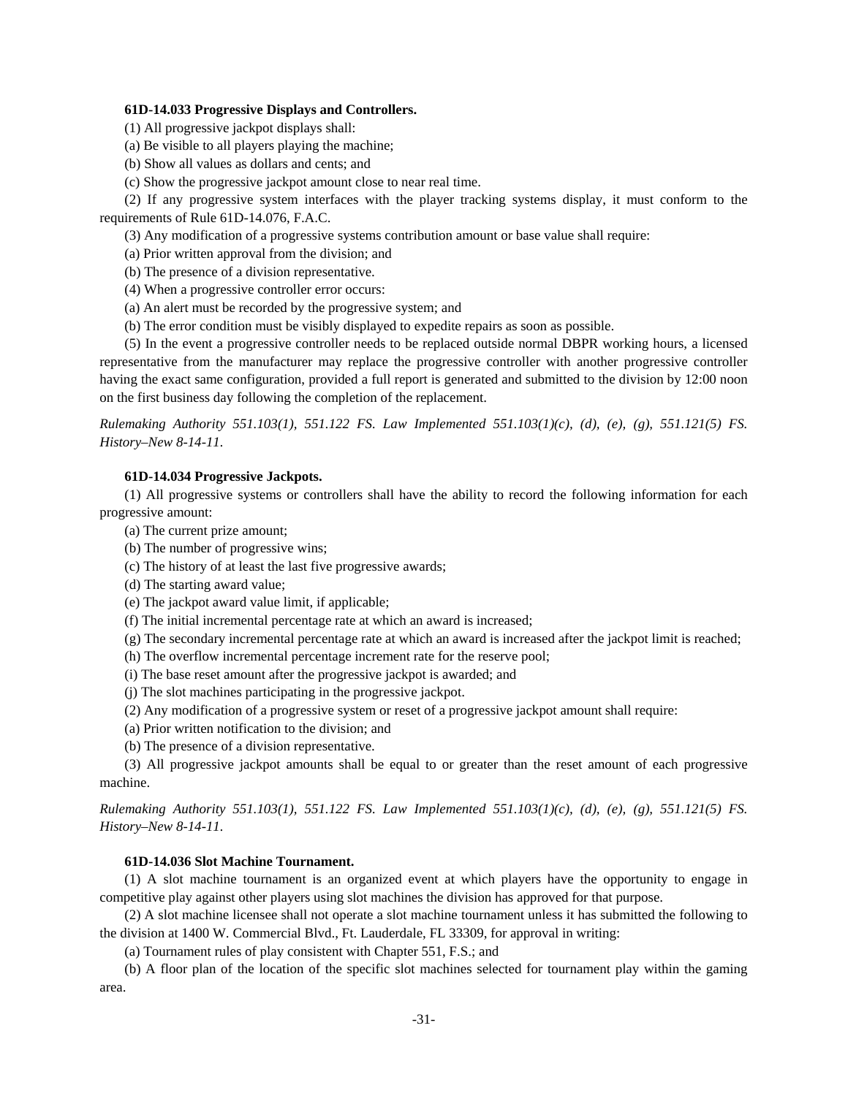# **61D-14.033 Progressive Displays and Controllers.**

- (1) All progressive jackpot displays shall:
- (a) Be visible to all players playing the machine;
- (b) Show all values as dollars and cents; and
- (c) Show the progressive jackpot amount close to near real time.

(2) If any progressive system interfaces with the player tracking systems display, it must conform to the requirements of Rule 61D-14.076, F.A.C.

(3) Any modification of a progressive systems contribution amount or base value shall require:

(a) Prior written approval from the division; and

(b) The presence of a division representative.

- (4) When a progressive controller error occurs:
- (a) An alert must be recorded by the progressive system; and
- (b) The error condition must be visibly displayed to expedite repairs as soon as possible.

(5) In the event a progressive controller needs to be replaced outside normal DBPR working hours, a licensed representative from the manufacturer may replace the progressive controller with another progressive controller having the exact same configuration, provided a full report is generated and submitted to the division by 12:00 noon on the first business day following the completion of the replacement.

*Rulemaking Authority 551.103(1), 551.122 FS. Law Implemented 551.103(1)(c), (d), (e), (g), 551.121(5) FS. History–New 8-14-11.* 

## **61D-14.034 Progressive Jackpots.**

(1) All progressive systems or controllers shall have the ability to record the following information for each progressive amount:

- (a) The current prize amount;
- (b) The number of progressive wins;
- (c) The history of at least the last five progressive awards;
- (d) The starting award value;
- (e) The jackpot award value limit, if applicable;
- (f) The initial incremental percentage rate at which an award is increased;
- (g) The secondary incremental percentage rate at which an award is increased after the jackpot limit is reached;
- (h) The overflow incremental percentage increment rate for the reserve pool;
- (i) The base reset amount after the progressive jackpot is awarded; and
- (j) The slot machines participating in the progressive jackpot.
- (2) Any modification of a progressive system or reset of a progressive jackpot amount shall require:
- (a) Prior written notification to the division; and
- (b) The presence of a division representative.

(3) All progressive jackpot amounts shall be equal to or greater than the reset amount of each progressive machine.

*Rulemaking Authority 551.103(1), 551.122 FS. Law Implemented 551.103(1)(c), (d), (e), (g), 551.121(5) FS. History–New 8-14-11.* 

# **61D-14.036 Slot Machine Tournament.**

(1) A slot machine tournament is an organized event at which players have the opportunity to engage in competitive play against other players using slot machines the division has approved for that purpose.

(2) A slot machine licensee shall not operate a slot machine tournament unless it has submitted the following to the division at 1400 W. Commercial Blvd., Ft. Lauderdale, FL 33309, for approval in writing:

(a) Tournament rules of play consistent with Chapter 551, F.S.; and

(b) A floor plan of the location of the specific slot machines selected for tournament play within the gaming area.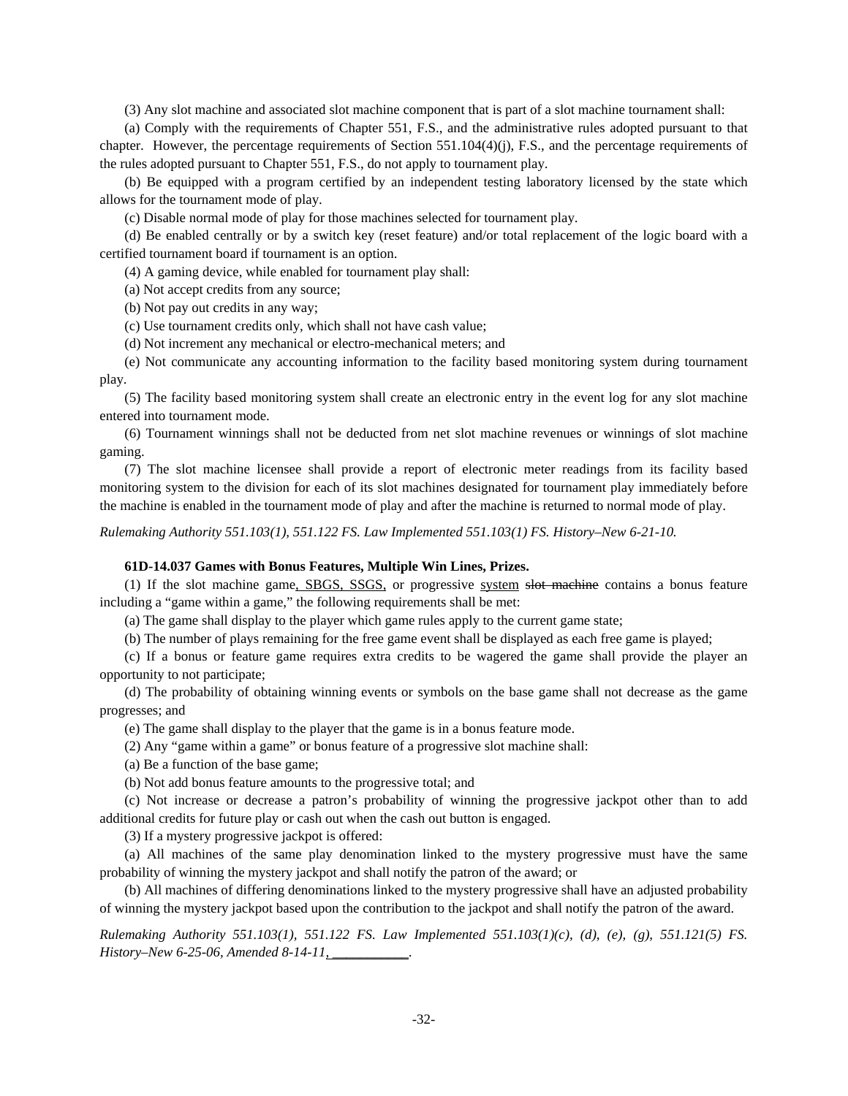(3) Any slot machine and associated slot machine component that is part of a slot machine tournament shall:

(a) Comply with the requirements of Chapter 551, F.S., and the administrative rules adopted pursuant to that chapter. However, the percentage requirements of Section 551.104(4)(j), F.S., and the percentage requirements of the rules adopted pursuant to Chapter 551, F.S., do not apply to tournament play.

(b) Be equipped with a program certified by an independent testing laboratory licensed by the state which allows for the tournament mode of play.

(c) Disable normal mode of play for those machines selected for tournament play.

(d) Be enabled centrally or by a switch key (reset feature) and/or total replacement of the logic board with a certified tournament board if tournament is an option.

(4) A gaming device, while enabled for tournament play shall:

(a) Not accept credits from any source;

(b) Not pay out credits in any way;

(c) Use tournament credits only, which shall not have cash value;

(d) Not increment any mechanical or electro-mechanical meters; and

(e) Not communicate any accounting information to the facility based monitoring system during tournament play.

(5) The facility based monitoring system shall create an electronic entry in the event log for any slot machine entered into tournament mode.

(6) Tournament winnings shall not be deducted from net slot machine revenues or winnings of slot machine gaming.

(7) The slot machine licensee shall provide a report of electronic meter readings from its facility based monitoring system to the division for each of its slot machines designated for tournament play immediately before the machine is enabled in the tournament mode of play and after the machine is returned to normal mode of play.

*Rulemaking Authority 551.103(1), 551.122 FS. Law Implemented 551.103(1) FS. History–New 6-21-10.* 

## **61D-14.037 Games with Bonus Features, Multiple Win Lines, Prizes.**

(1) If the slot machine game, SBGS, SSGS, or progressive system slot machine contains a bonus feature including a "game within a game," the following requirements shall be met:

(a) The game shall display to the player which game rules apply to the current game state;

(b) The number of plays remaining for the free game event shall be displayed as each free game is played;

(c) If a bonus or feature game requires extra credits to be wagered the game shall provide the player an opportunity to not participate;

(d) The probability of obtaining winning events or symbols on the base game shall not decrease as the game progresses; and

(e) The game shall display to the player that the game is in a bonus feature mode.

(2) Any "game within a game" or bonus feature of a progressive slot machine shall:

(a) Be a function of the base game;

(b) Not add bonus feature amounts to the progressive total; and

(c) Not increase or decrease a patron's probability of winning the progressive jackpot other than to add additional credits for future play or cash out when the cash out button is engaged.

(3) If a mystery progressive jackpot is offered:

(a) All machines of the same play denomination linked to the mystery progressive must have the same probability of winning the mystery jackpot and shall notify the patron of the award; or

(b) All machines of differing denominations linked to the mystery progressive shall have an adjusted probability of winning the mystery jackpot based upon the contribution to the jackpot and shall notify the patron of the award.

*Rulemaking Authority 551.103(1), 551.122 FS. Law Implemented 551.103(1)(c), (d), (e), (g), 551.121(5) FS. History–New 6-25-06, Amended 8-14-11, \_\_\_\_\_\_\_\_\_\_\_.*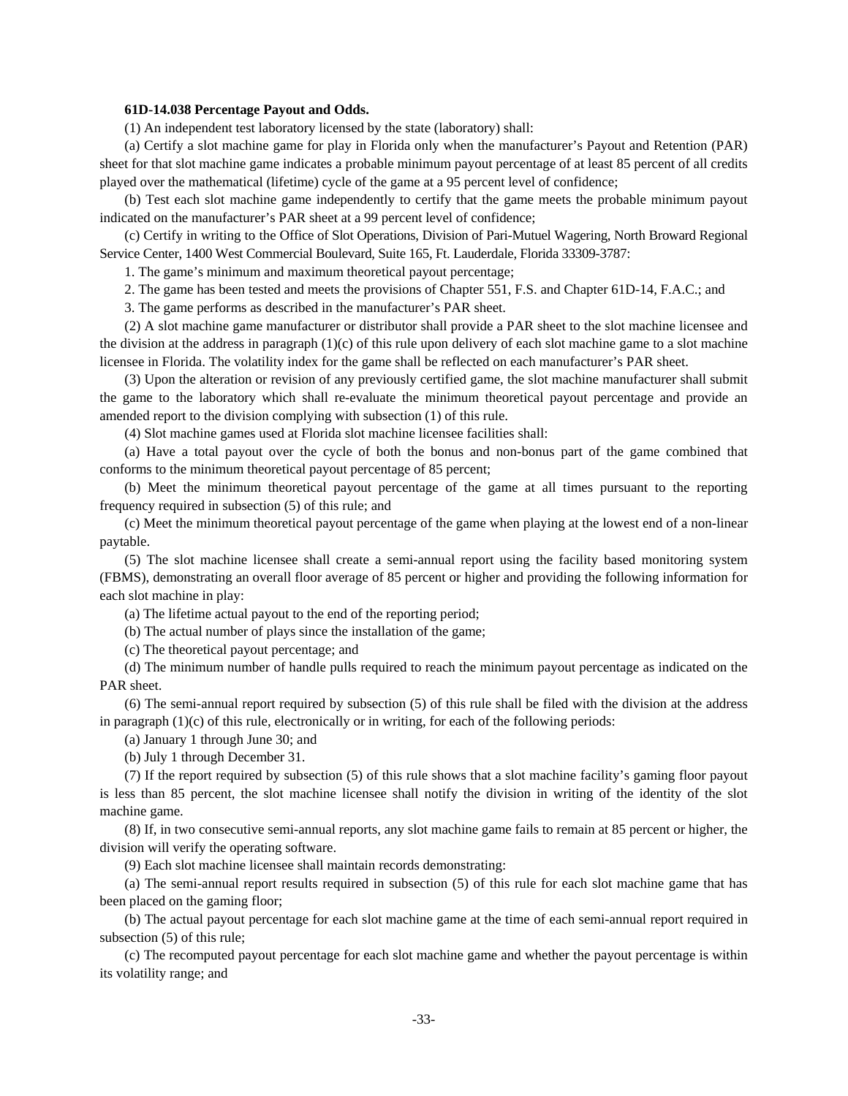### **61D-14.038 Percentage Payout and Odds.**

(1) An independent test laboratory licensed by the state (laboratory) shall:

(a) Certify a slot machine game for play in Florida only when the manufacturer's Payout and Retention (PAR) sheet for that slot machine game indicates a probable minimum payout percentage of at least 85 percent of all credits played over the mathematical (lifetime) cycle of the game at a 95 percent level of confidence;

(b) Test each slot machine game independently to certify that the game meets the probable minimum payout indicated on the manufacturer's PAR sheet at a 99 percent level of confidence;

(c) Certify in writing to the Office of Slot Operations, Division of Pari-Mutuel Wagering, North Broward Regional Service Center, 1400 West Commercial Boulevard, Suite 165, Ft. Lauderdale, Florida 33309-3787:

1. The game's minimum and maximum theoretical payout percentage;

2. The game has been tested and meets the provisions of Chapter 551, F.S. and Chapter 61D-14, F.A.C.; and

3. The game performs as described in the manufacturer's PAR sheet.

(2) A slot machine game manufacturer or distributor shall provide a PAR sheet to the slot machine licensee and the division at the address in paragraph  $(1)(c)$  of this rule upon delivery of each slot machine game to a slot machine licensee in Florida. The volatility index for the game shall be reflected on each manufacturer's PAR sheet.

(3) Upon the alteration or revision of any previously certified game, the slot machine manufacturer shall submit the game to the laboratory which shall re-evaluate the minimum theoretical payout percentage and provide an amended report to the division complying with subsection (1) of this rule.

(4) Slot machine games used at Florida slot machine licensee facilities shall:

(a) Have a total payout over the cycle of both the bonus and non-bonus part of the game combined that conforms to the minimum theoretical payout percentage of 85 percent;

(b) Meet the minimum theoretical payout percentage of the game at all times pursuant to the reporting frequency required in subsection (5) of this rule; and

(c) Meet the minimum theoretical payout percentage of the game when playing at the lowest end of a non-linear paytable.

(5) The slot machine licensee shall create a semi-annual report using the facility based monitoring system (FBMS), demonstrating an overall floor average of 85 percent or higher and providing the following information for each slot machine in play:

(a) The lifetime actual payout to the end of the reporting period;

(b) The actual number of plays since the installation of the game;

(c) The theoretical payout percentage; and

(d) The minimum number of handle pulls required to reach the minimum payout percentage as indicated on the PAR sheet.

(6) The semi-annual report required by subsection (5) of this rule shall be filed with the division at the address in paragraph  $(1)(c)$  of this rule, electronically or in writing, for each of the following periods:

(a) January 1 through June 30; and

(b) July 1 through December 31.

(7) If the report required by subsection (5) of this rule shows that a slot machine facility's gaming floor payout is less than 85 percent, the slot machine licensee shall notify the division in writing of the identity of the slot machine game.

(8) If, in two consecutive semi-annual reports, any slot machine game fails to remain at 85 percent or higher, the division will verify the operating software.

(9) Each slot machine licensee shall maintain records demonstrating:

(a) The semi-annual report results required in subsection (5) of this rule for each slot machine game that has been placed on the gaming floor;

(b) The actual payout percentage for each slot machine game at the time of each semi-annual report required in subsection (5) of this rule;

(c) The recomputed payout percentage for each slot machine game and whether the payout percentage is within its volatility range; and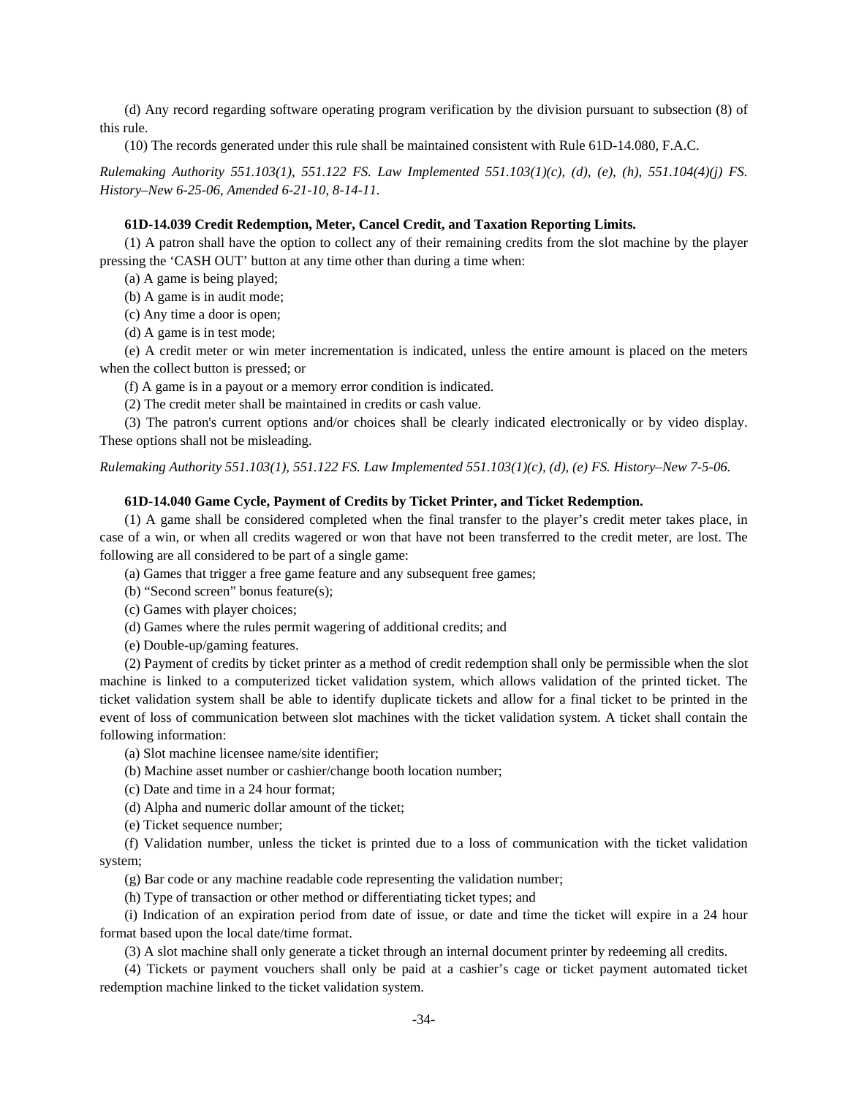(d) Any record regarding software operating program verification by the division pursuant to subsection (8) of this rule.

(10) The records generated under this rule shall be maintained consistent with Rule 61D-14.080, F.A.C.

*Rulemaking Authority 551.103(1), 551.122 FS. Law Implemented 551.103(1)(c), (d), (e), (h), 551.104(4)(j) FS. History–New 6-25-06, Amended 6-21-10, 8-14-11.*

# **61D-14.039 Credit Redemption, Meter, Cancel Credit, and Taxation Reporting Limits.**

(1) A patron shall have the option to collect any of their remaining credits from the slot machine by the player pressing the 'CASH OUT' button at any time other than during a time when:

(a) A game is being played;

(b) A game is in audit mode;

(c) Any time a door is open;

(d) A game is in test mode;

(e) A credit meter or win meter incrementation is indicated, unless the entire amount is placed on the meters when the collect button is pressed; or

(f) A game is in a payout or a memory error condition is indicated.

(2) The credit meter shall be maintained in credits or cash value.

(3) The patron's current options and/or choices shall be clearly indicated electronically or by video display. These options shall not be misleading.

*Rulemaking Authority 551.103(1), 551.122 FS. Law Implemented 551.103(1)(c), (d), (e) FS. History–New 7-5-06.* 

# **61D-14.040 Game Cycle, Payment of Credits by Ticket Printer, and Ticket Redemption.**

(1) A game shall be considered completed when the final transfer to the player's credit meter takes place, in case of a win, or when all credits wagered or won that have not been transferred to the credit meter, are lost. The following are all considered to be part of a single game:

(a) Games that trigger a free game feature and any subsequent free games;

(b) "Second screen" bonus feature(s);

- (c) Games with player choices;
- (d) Games where the rules permit wagering of additional credits; and
- (e) Double-up/gaming features.

(2) Payment of credits by ticket printer as a method of credit redemption shall only be permissible when the slot machine is linked to a computerized ticket validation system, which allows validation of the printed ticket. The ticket validation system shall be able to identify duplicate tickets and allow for a final ticket to be printed in the event of loss of communication between slot machines with the ticket validation system. A ticket shall contain the following information:

(a) Slot machine licensee name/site identifier;

(b) Machine asset number or cashier/change booth location number;

(c) Date and time in a 24 hour format;

(d) Alpha and numeric dollar amount of the ticket;

(e) Ticket sequence number;

(f) Validation number, unless the ticket is printed due to a loss of communication with the ticket validation system;

(g) Bar code or any machine readable code representing the validation number;

(h) Type of transaction or other method or differentiating ticket types; and

(i) Indication of an expiration period from date of issue, or date and time the ticket will expire in a 24 hour format based upon the local date/time format.

(3) A slot machine shall only generate a ticket through an internal document printer by redeeming all credits.

(4) Tickets or payment vouchers shall only be paid at a cashier's cage or ticket payment automated ticket redemption machine linked to the ticket validation system.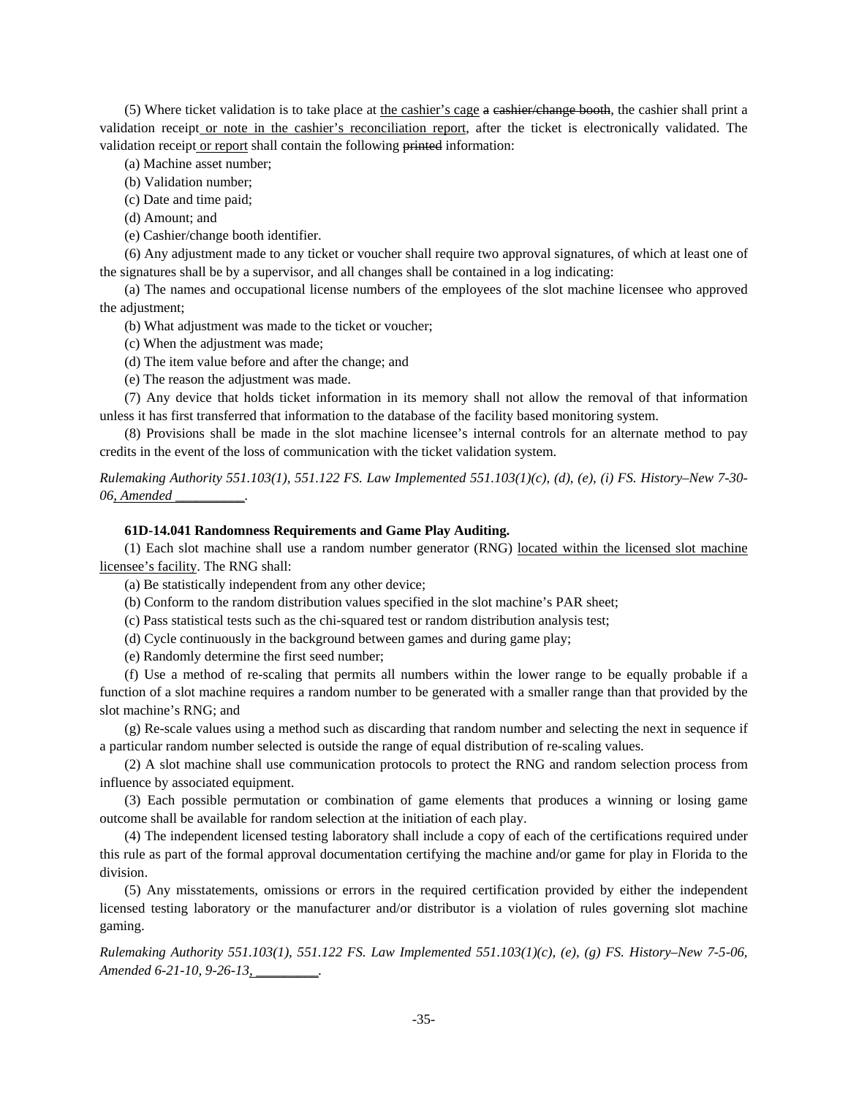(5) Where ticket validation is to take place at the cashier's cage a cashier/change booth, the cashier shall print a validation receipt or note in the cashier's reconciliation report, after the ticket is electronically validated. The validation receipt or report shall contain the following printed information:

(a) Machine asset number;

(b) Validation number;

(c) Date and time paid;

(d) Amount; and

(e) Cashier/change booth identifier.

(6) Any adjustment made to any ticket or voucher shall require two approval signatures, of which at least one of the signatures shall be by a supervisor, and all changes shall be contained in a log indicating:

(a) The names and occupational license numbers of the employees of the slot machine licensee who approved the adjustment;

(b) What adjustment was made to the ticket or voucher;

(c) When the adjustment was made;

- (d) The item value before and after the change; and
- (e) The reason the adjustment was made.

(7) Any device that holds ticket information in its memory shall not allow the removal of that information unless it has first transferred that information to the database of the facility based monitoring system.

(8) Provisions shall be made in the slot machine licensee's internal controls for an alternate method to pay credits in the event of the loss of communication with the ticket validation system.

*Rulemaking Authority 551.103(1), 551.122 FS. Law Implemented 551.103(1)(c), (d), (e), (i) FS. History–New 7-30- 06, Amended \_\_\_\_\_\_\_\_\_\_.* 

# **61D-14.041 Randomness Requirements and Game Play Auditing.**

(1) Each slot machine shall use a random number generator (RNG) located within the licensed slot machine licensee's facility. The RNG shall:

(a) Be statistically independent from any other device;

(b) Conform to the random distribution values specified in the slot machine's PAR sheet;

(c) Pass statistical tests such as the chi-squared test or random distribution analysis test;

(d) Cycle continuously in the background between games and during game play;

(e) Randomly determine the first seed number;

(f) Use a method of re-scaling that permits all numbers within the lower range to be equally probable if a function of a slot machine requires a random number to be generated with a smaller range than that provided by the slot machine's RNG; and

(g) Re-scale values using a method such as discarding that random number and selecting the next in sequence if a particular random number selected is outside the range of equal distribution of re-scaling values.

(2) A slot machine shall use communication protocols to protect the RNG and random selection process from influence by associated equipment.

(3) Each possible permutation or combination of game elements that produces a winning or losing game outcome shall be available for random selection at the initiation of each play.

(4) The independent licensed testing laboratory shall include a copy of each of the certifications required under this rule as part of the formal approval documentation certifying the machine and/or game for play in Florida to the division.

(5) Any misstatements, omissions or errors in the required certification provided by either the independent licensed testing laboratory or the manufacturer and/or distributor is a violation of rules governing slot machine gaming.

*Rulemaking Authority 551.103(1), 551.122 FS. Law Implemented 551.103(1)(c), (e), (g) FS. History–New 7-5-06, Amended 6-21-10, 9-26-13, \_\_\_\_\_\_\_\_\_.*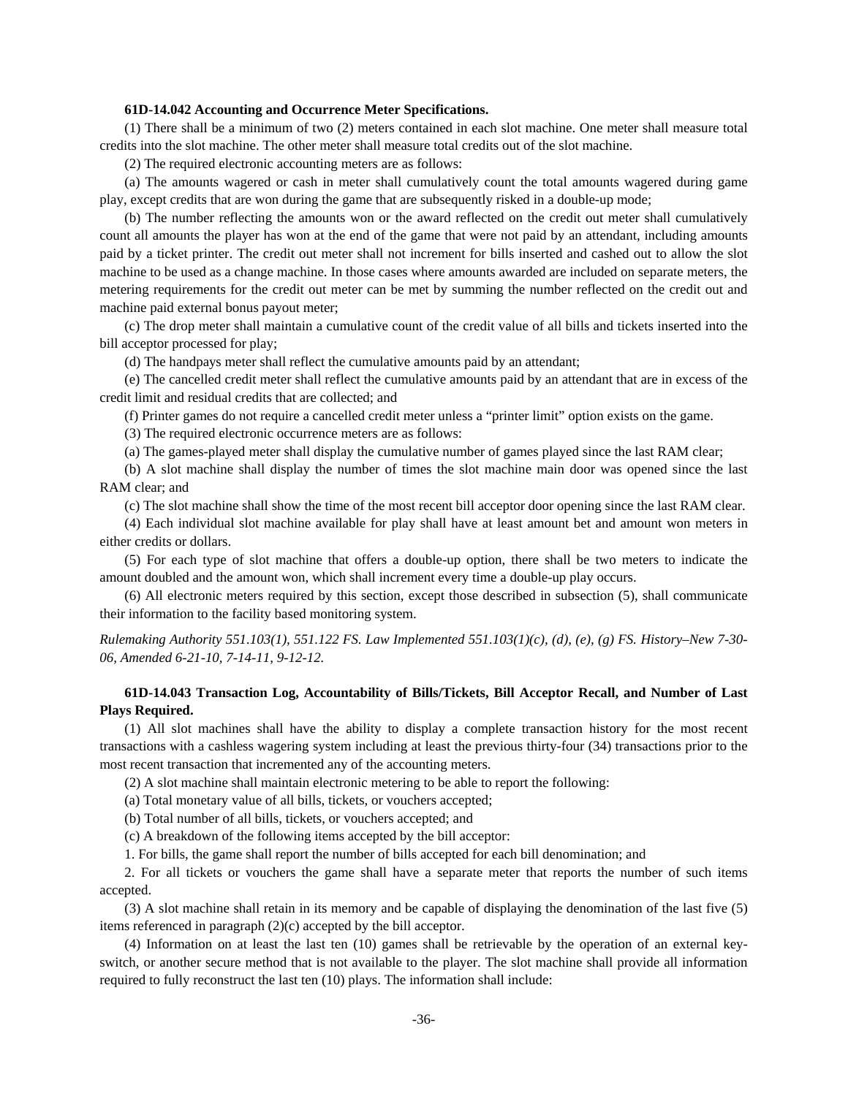# **61D-14.042 Accounting and Occurrence Meter Specifications.**

(1) There shall be a minimum of two (2) meters contained in each slot machine. One meter shall measure total credits into the slot machine. The other meter shall measure total credits out of the slot machine.

(2) The required electronic accounting meters are as follows:

(a) The amounts wagered or cash in meter shall cumulatively count the total amounts wagered during game play, except credits that are won during the game that are subsequently risked in a double-up mode;

(b) The number reflecting the amounts won or the award reflected on the credit out meter shall cumulatively count all amounts the player has won at the end of the game that were not paid by an attendant, including amounts paid by a ticket printer. The credit out meter shall not increment for bills inserted and cashed out to allow the slot machine to be used as a change machine. In those cases where amounts awarded are included on separate meters, the metering requirements for the credit out meter can be met by summing the number reflected on the credit out and machine paid external bonus payout meter;

(c) The drop meter shall maintain a cumulative count of the credit value of all bills and tickets inserted into the bill acceptor processed for play;

(d) The handpays meter shall reflect the cumulative amounts paid by an attendant;

(e) The cancelled credit meter shall reflect the cumulative amounts paid by an attendant that are in excess of the credit limit and residual credits that are collected; and

(f) Printer games do not require a cancelled credit meter unless a "printer limit" option exists on the game.

(3) The required electronic occurrence meters are as follows:

(a) The games-played meter shall display the cumulative number of games played since the last RAM clear;

(b) A slot machine shall display the number of times the slot machine main door was opened since the last RAM clear; and

(c) The slot machine shall show the time of the most recent bill acceptor door opening since the last RAM clear.

(4) Each individual slot machine available for play shall have at least amount bet and amount won meters in either credits or dollars.

(5) For each type of slot machine that offers a double-up option, there shall be two meters to indicate the amount doubled and the amount won, which shall increment every time a double-up play occurs.

(6) All electronic meters required by this section, except those described in subsection (5), shall communicate their information to the facility based monitoring system.

*Rulemaking Authority 551.103(1), 551.122 FS. Law Implemented 551.103(1)(c), (d), (e), (g) FS. History–New 7-30- 06, Amended 6-21-10, 7-14-11, 9-12-12.*

# **61D-14.043 Transaction Log, Accountability of Bills/Tickets, Bill Acceptor Recall, and Number of Last Plays Required.**

(1) All slot machines shall have the ability to display a complete transaction history for the most recent transactions with a cashless wagering system including at least the previous thirty-four (34) transactions prior to the most recent transaction that incremented any of the accounting meters.

(2) A slot machine shall maintain electronic metering to be able to report the following:

(a) Total monetary value of all bills, tickets, or vouchers accepted;

(b) Total number of all bills, tickets, or vouchers accepted; and

(c) A breakdown of the following items accepted by the bill acceptor:

1. For bills, the game shall report the number of bills accepted for each bill denomination; and

2. For all tickets or vouchers the game shall have a separate meter that reports the number of such items accepted.

(3) A slot machine shall retain in its memory and be capable of displaying the denomination of the last five (5) items referenced in paragraph (2)(c) accepted by the bill acceptor.

(4) Information on at least the last ten (10) games shall be retrievable by the operation of an external keyswitch, or another secure method that is not available to the player. The slot machine shall provide all information required to fully reconstruct the last ten (10) plays. The information shall include: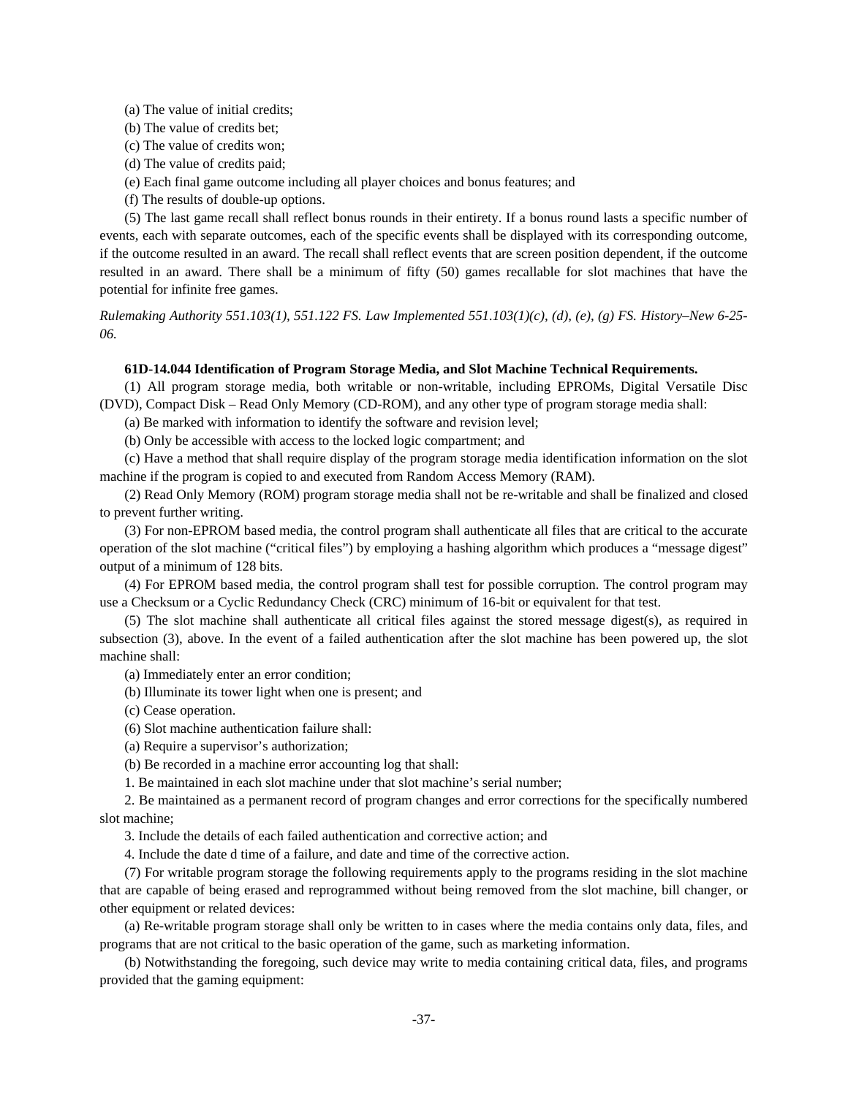- (a) The value of initial credits;
- (b) The value of credits bet;
- (c) The value of credits won;
- (d) The value of credits paid;
- (e) Each final game outcome including all player choices and bonus features; and
- (f) The results of double-up options.

(5) The last game recall shall reflect bonus rounds in their entirety. If a bonus round lasts a specific number of events, each with separate outcomes, each of the specific events shall be displayed with its corresponding outcome, if the outcome resulted in an award. The recall shall reflect events that are screen position dependent, if the outcome resulted in an award. There shall be a minimum of fifty (50) games recallable for slot machines that have the potential for infinite free games.

*Rulemaking Authority 551.103(1), 551.122 FS. Law Implemented 551.103(1)(c), (d), (e), (g) FS. History–New 6-25- 06.* 

### **61D-14.044 Identification of Program Storage Media, and Slot Machine Technical Requirements.**

(1) All program storage media, both writable or non-writable, including EPROMs, Digital Versatile Disc (DVD), Compact Disk – Read Only Memory (CD-ROM), and any other type of program storage media shall:

(a) Be marked with information to identify the software and revision level;

(b) Only be accessible with access to the locked logic compartment; and

(c) Have a method that shall require display of the program storage media identification information on the slot machine if the program is copied to and executed from Random Access Memory (RAM).

(2) Read Only Memory (ROM) program storage media shall not be re-writable and shall be finalized and closed to prevent further writing.

(3) For non-EPROM based media, the control program shall authenticate all files that are critical to the accurate operation of the slot machine ("critical files") by employing a hashing algorithm which produces a "message digest" output of a minimum of 128 bits.

(4) For EPROM based media, the control program shall test for possible corruption. The control program may use a Checksum or a Cyclic Redundancy Check (CRC) minimum of 16-bit or equivalent for that test.

(5) The slot machine shall authenticate all critical files against the stored message digest(s), as required in subsection (3), above. In the event of a failed authentication after the slot machine has been powered up, the slot machine shall:

(a) Immediately enter an error condition;

(b) Illuminate its tower light when one is present; and

(c) Cease operation.

- (6) Slot machine authentication failure shall:
- (a) Require a supervisor's authorization;

(b) Be recorded in a machine error accounting log that shall:

1. Be maintained in each slot machine under that slot machine's serial number;

2. Be maintained as a permanent record of program changes and error corrections for the specifically numbered slot machine;

3. Include the details of each failed authentication and corrective action; and

4. Include the date d time of a failure, and date and time of the corrective action.

(7) For writable program storage the following requirements apply to the programs residing in the slot machine that are capable of being erased and reprogrammed without being removed from the slot machine, bill changer, or other equipment or related devices:

(a) Re-writable program storage shall only be written to in cases where the media contains only data, files, and programs that are not critical to the basic operation of the game, such as marketing information.

(b) Notwithstanding the foregoing, such device may write to media containing critical data, files, and programs provided that the gaming equipment: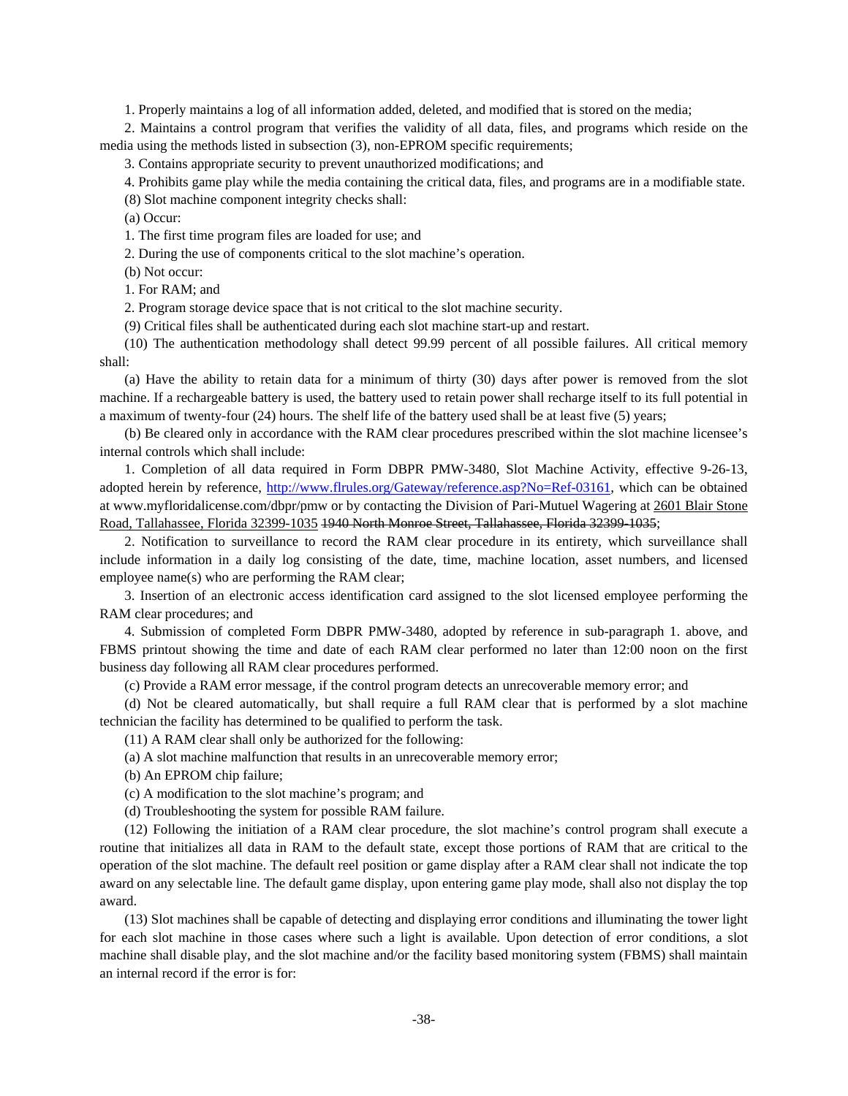1. Properly maintains a log of all information added, deleted, and modified that is stored on the media;

2. Maintains a control program that verifies the validity of all data, files, and programs which reside on the media using the methods listed in subsection (3), non-EPROM specific requirements;

3. Contains appropriate security to prevent unauthorized modifications; and

4. Prohibits game play while the media containing the critical data, files, and programs are in a modifiable state.

(8) Slot machine component integrity checks shall:

(a) Occur:

1. The first time program files are loaded for use; and

2. During the use of components critical to the slot machine's operation.

(b) Not occur:

1. For RAM; and

2. Program storage device space that is not critical to the slot machine security.

(9) Critical files shall be authenticated during each slot machine start-up and restart.

(10) The authentication methodology shall detect 99.99 percent of all possible failures. All critical memory shall:

(a) Have the ability to retain data for a minimum of thirty (30) days after power is removed from the slot machine. If a rechargeable battery is used, the battery used to retain power shall recharge itself to its full potential in a maximum of twenty-four (24) hours. The shelf life of the battery used shall be at least five (5) years;

(b) Be cleared only in accordance with the RAM clear procedures prescribed within the slot machine licensee's internal controls which shall include:

1. Completion of all data required in Form DBPR PMW-3480, Slot Machine Activity, effective 9-26-13, adopted herein by reference, http://www.flrules.org/Gateway/reference.asp?No=Ref-03161, which can be obtained at www.myfloridalicense.com/dbpr/pmw or by contacting the Division of Pari-Mutuel Wagering at 2601 Blair Stone Road, Tallahassee, Florida 32399-1035 1940 North Monroe Street, Tallahassee, Florida 32399-1035;

2. Notification to surveillance to record the RAM clear procedure in its entirety, which surveillance shall include information in a daily log consisting of the date, time, machine location, asset numbers, and licensed employee name(s) who are performing the RAM clear;

3. Insertion of an electronic access identification card assigned to the slot licensed employee performing the RAM clear procedures; and

4. Submission of completed Form DBPR PMW-3480, adopted by reference in sub-paragraph 1. above, and FBMS printout showing the time and date of each RAM clear performed no later than 12:00 noon on the first business day following all RAM clear procedures performed.

(c) Provide a RAM error message, if the control program detects an unrecoverable memory error; and

(d) Not be cleared automatically, but shall require a full RAM clear that is performed by a slot machine technician the facility has determined to be qualified to perform the task.

(11) A RAM clear shall only be authorized for the following:

(a) A slot machine malfunction that results in an unrecoverable memory error;

(b) An EPROM chip failure;

(c) A modification to the slot machine's program; and

(d) Troubleshooting the system for possible RAM failure.

(12) Following the initiation of a RAM clear procedure, the slot machine's control program shall execute a routine that initializes all data in RAM to the default state, except those portions of RAM that are critical to the operation of the slot machine. The default reel position or game display after a RAM clear shall not indicate the top award on any selectable line. The default game display, upon entering game play mode, shall also not display the top award.

(13) Slot machines shall be capable of detecting and displaying error conditions and illuminating the tower light for each slot machine in those cases where such a light is available. Upon detection of error conditions, a slot machine shall disable play, and the slot machine and/or the facility based monitoring system (FBMS) shall maintain an internal record if the error is for: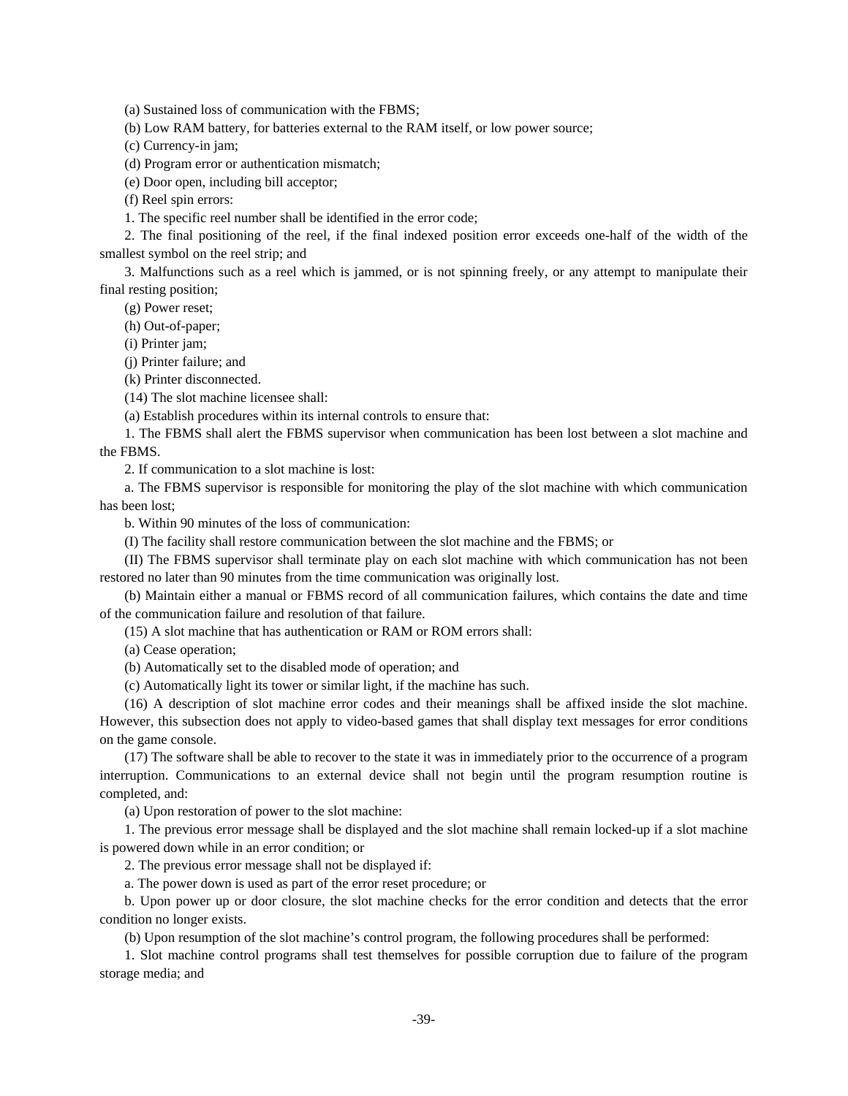(a) Sustained loss of communication with the FBMS;

(b) Low RAM battery, for batteries external to the RAM itself, or low power source;

(c) Currency-in jam;

(d) Program error or authentication mismatch;

(e) Door open, including bill acceptor;

(f) Reel spin errors:

1. The specific reel number shall be identified in the error code;

2. The final positioning of the reel, if the final indexed position error exceeds one-half of the width of the smallest symbol on the reel strip; and

3. Malfunctions such as a reel which is jammed, or is not spinning freely, or any attempt to manipulate their final resting position;

(g) Power reset;

(h) Out-of-paper;

(i) Printer jam;

(j) Printer failure; and

(k) Printer disconnected.

(14) The slot machine licensee shall:

(a) Establish procedures within its internal controls to ensure that:

1. The FBMS shall alert the FBMS supervisor when communication has been lost between a slot machine and the FBMS.

2. If communication to a slot machine is lost:

a. The FBMS supervisor is responsible for monitoring the play of the slot machine with which communication has been lost;

b. Within 90 minutes of the loss of communication:

(I) The facility shall restore communication between the slot machine and the FBMS; or

(II) The FBMS supervisor shall terminate play on each slot machine with which communication has not been restored no later than 90 minutes from the time communication was originally lost.

(b) Maintain either a manual or FBMS record of all communication failures, which contains the date and time of the communication failure and resolution of that failure.

(15) A slot machine that has authentication or RAM or ROM errors shall:

(a) Cease operation;

(b) Automatically set to the disabled mode of operation; and

(c) Automatically light its tower or similar light, if the machine has such.

(16) A description of slot machine error codes and their meanings shall be affixed inside the slot machine. However, this subsection does not apply to video-based games that shall display text messages for error conditions on the game console.

(17) The software shall be able to recover to the state it was in immediately prior to the occurrence of a program interruption. Communications to an external device shall not begin until the program resumption routine is completed, and:

(a) Upon restoration of power to the slot machine:

1. The previous error message shall be displayed and the slot machine shall remain locked-up if a slot machine is powered down while in an error condition; or

2. The previous error message shall not be displayed if:

a. The power down is used as part of the error reset procedure; or

b. Upon power up or door closure, the slot machine checks for the error condition and detects that the error condition no longer exists.

(b) Upon resumption of the slot machine's control program, the following procedures shall be performed:

1. Slot machine control programs shall test themselves for possible corruption due to failure of the program storage media; and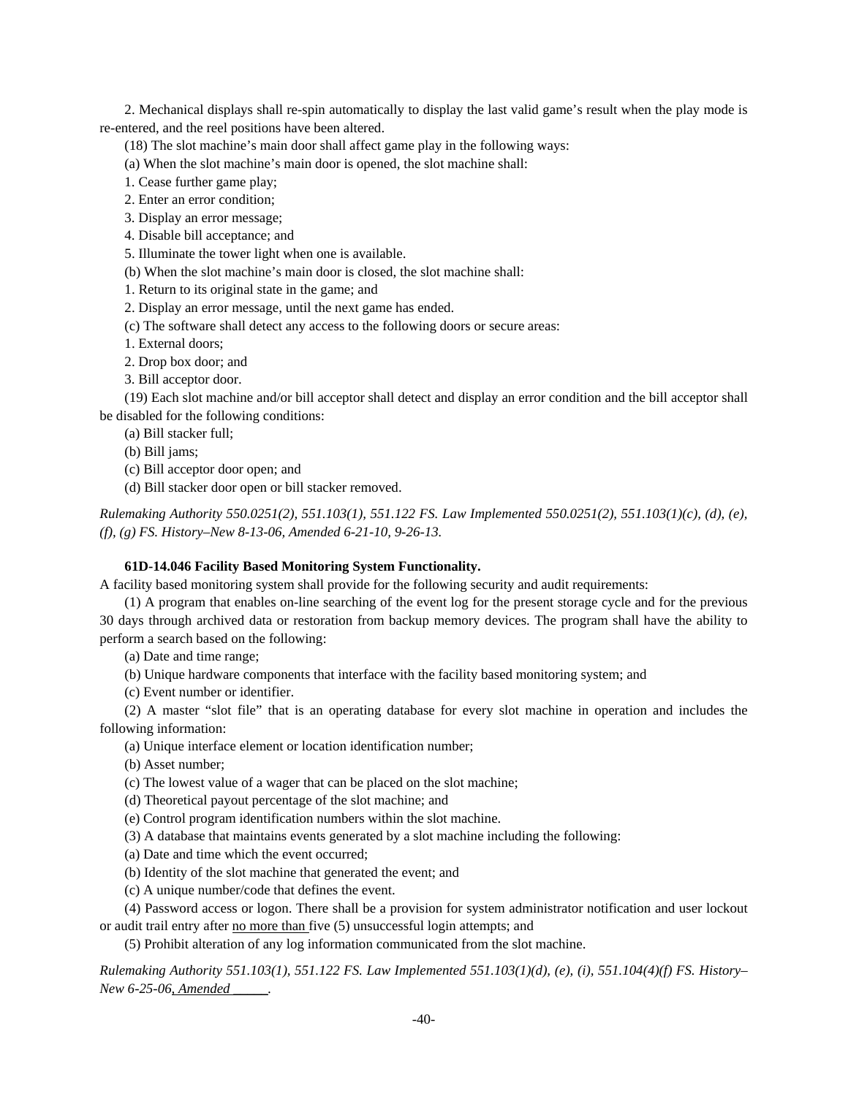2. Mechanical displays shall re-spin automatically to display the last valid game's result when the play mode is re-entered, and the reel positions have been altered.

(18) The slot machine's main door shall affect game play in the following ways:

(a) When the slot machine's main door is opened, the slot machine shall:

1. Cease further game play;

2. Enter an error condition;

3. Display an error message;

4. Disable bill acceptance; and

5. Illuminate the tower light when one is available.

(b) When the slot machine's main door is closed, the slot machine shall:

1. Return to its original state in the game; and

2. Display an error message, until the next game has ended.

(c) The software shall detect any access to the following doors or secure areas:

1. External doors;

2. Drop box door; and

3. Bill acceptor door.

(19) Each slot machine and/or bill acceptor shall detect and display an error condition and the bill acceptor shall be disabled for the following conditions:

(a) Bill stacker full;

(b) Bill jams;

(c) Bill acceptor door open; and

(d) Bill stacker door open or bill stacker removed.

*Rulemaking Authority 550.0251(2), 551.103(1), 551.122 FS. Law Implemented 550.0251(2), 551.103(1)(c), (d), (e), (f), (g) FS. History–New 8-13-06, Amended 6-21-10, 9-26-13.*

# **61D-14.046 Facility Based Monitoring System Functionality.**

A facility based monitoring system shall provide for the following security and audit requirements:

(1) A program that enables on-line searching of the event log for the present storage cycle and for the previous 30 days through archived data or restoration from backup memory devices. The program shall have the ability to perform a search based on the following:

(a) Date and time range;

(b) Unique hardware components that interface with the facility based monitoring system; and

(c) Event number or identifier.

(2) A master "slot file" that is an operating database for every slot machine in operation and includes the following information:

(a) Unique interface element or location identification number;

(b) Asset number;

(c) The lowest value of a wager that can be placed on the slot machine;

(d) Theoretical payout percentage of the slot machine; and

(e) Control program identification numbers within the slot machine.

(3) A database that maintains events generated by a slot machine including the following:

(a) Date and time which the event occurred;

(b) Identity of the slot machine that generated the event; and

(c) A unique number/code that defines the event.

(4) Password access or logon. There shall be a provision for system administrator notification and user lockout or audit trail entry after no more than five (5) unsuccessful login attempts; and

(5) Prohibit alteration of any log information communicated from the slot machine.

*Rulemaking Authority 551.103(1), 551.122 FS. Law Implemented 551.103(1)(d), (e), (i), 551.104(4)(f) FS. History– New 6-25-06, Amended \_\_\_\_\_.*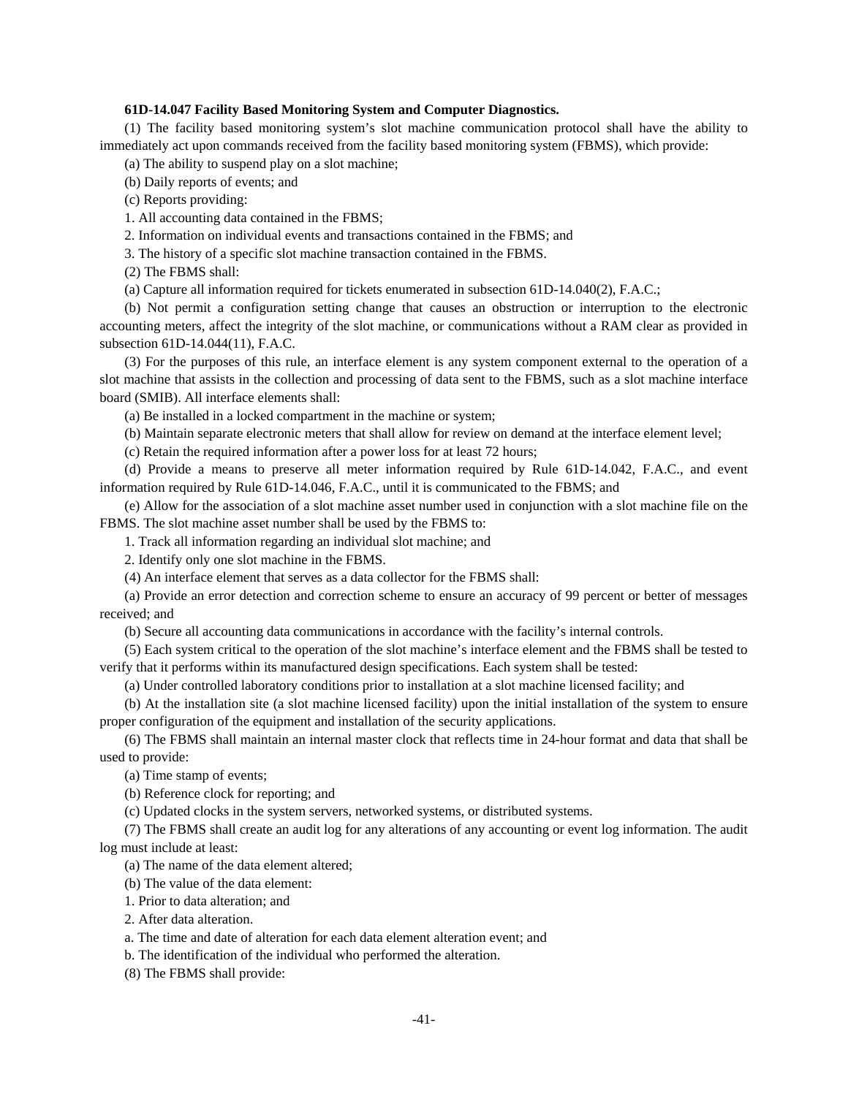### **61D-14.047 Facility Based Monitoring System and Computer Diagnostics.**

(1) The facility based monitoring system's slot machine communication protocol shall have the ability to immediately act upon commands received from the facility based monitoring system (FBMS), which provide:

(a) The ability to suspend play on a slot machine;

(b) Daily reports of events; and

(c) Reports providing:

1. All accounting data contained in the FBMS;

2. Information on individual events and transactions contained in the FBMS; and

3. The history of a specific slot machine transaction contained in the FBMS.

(2) The FBMS shall:

(a) Capture all information required for tickets enumerated in subsection 61D-14.040(2), F.A.C.;

(b) Not permit a configuration setting change that causes an obstruction or interruption to the electronic accounting meters, affect the integrity of the slot machine, or communications without a RAM clear as provided in subsection 61D-14.044(11), F.A.C.

(3) For the purposes of this rule, an interface element is any system component external to the operation of a slot machine that assists in the collection and processing of data sent to the FBMS, such as a slot machine interface board (SMIB). All interface elements shall:

(a) Be installed in a locked compartment in the machine or system;

(b) Maintain separate electronic meters that shall allow for review on demand at the interface element level;

(c) Retain the required information after a power loss for at least 72 hours;

(d) Provide a means to preserve all meter information required by Rule 61D-14.042, F.A.C., and event information required by Rule 61D-14.046, F.A.C., until it is communicated to the FBMS; and

(e) Allow for the association of a slot machine asset number used in conjunction with a slot machine file on the FBMS. The slot machine asset number shall be used by the FBMS to:

1. Track all information regarding an individual slot machine; and

2. Identify only one slot machine in the FBMS.

(4) An interface element that serves as a data collector for the FBMS shall:

(a) Provide an error detection and correction scheme to ensure an accuracy of 99 percent or better of messages received; and

(b) Secure all accounting data communications in accordance with the facility's internal controls.

(5) Each system critical to the operation of the slot machine's interface element and the FBMS shall be tested to verify that it performs within its manufactured design specifications. Each system shall be tested:

(a) Under controlled laboratory conditions prior to installation at a slot machine licensed facility; and

(b) At the installation site (a slot machine licensed facility) upon the initial installation of the system to ensure proper configuration of the equipment and installation of the security applications.

(6) The FBMS shall maintain an internal master clock that reflects time in 24-hour format and data that shall be used to provide:

(a) Time stamp of events;

(b) Reference clock for reporting; and

(c) Updated clocks in the system servers, networked systems, or distributed systems.

(7) The FBMS shall create an audit log for any alterations of any accounting or event log information. The audit log must include at least:

(a) The name of the data element altered;

(b) The value of the data element:

1. Prior to data alteration; and

2. After data alteration.

a. The time and date of alteration for each data element alteration event; and

b. The identification of the individual who performed the alteration.

(8) The FBMS shall provide: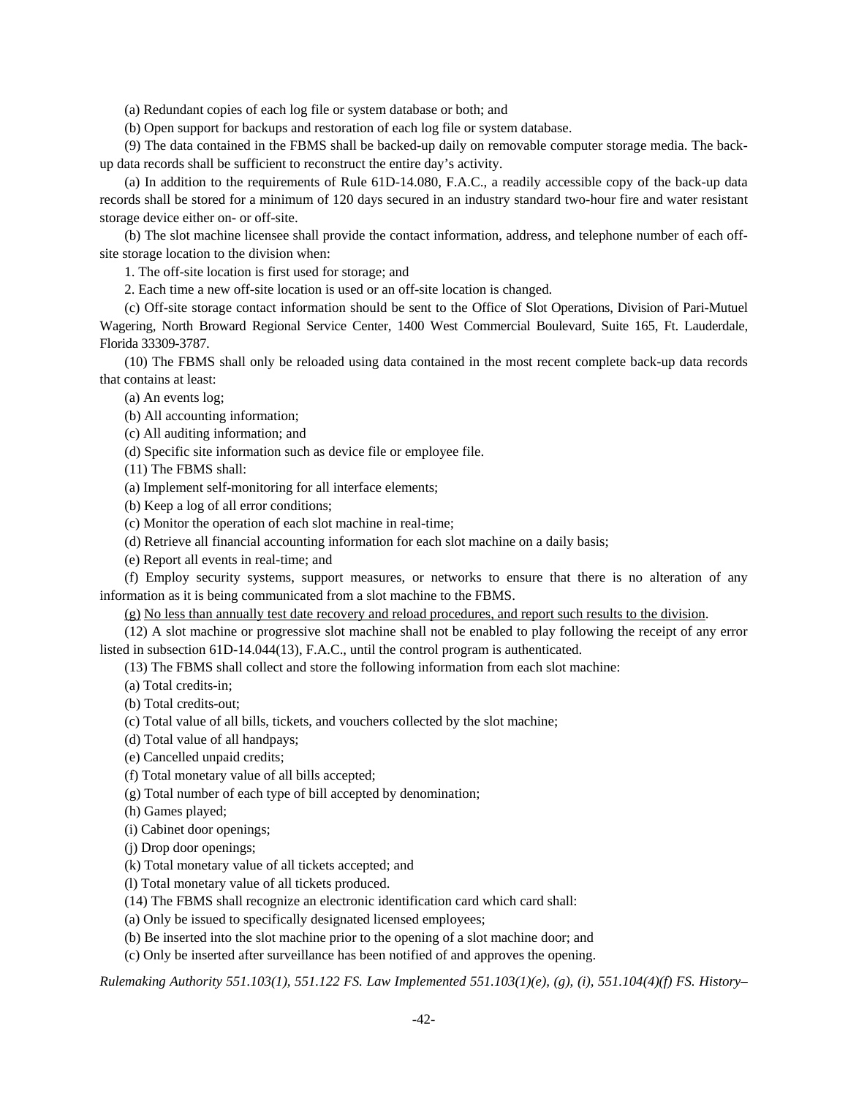(a) Redundant copies of each log file or system database or both; and

(b) Open support for backups and restoration of each log file or system database.

(9) The data contained in the FBMS shall be backed-up daily on removable computer storage media. The backup data records shall be sufficient to reconstruct the entire day's activity.

(a) In addition to the requirements of Rule 61D-14.080, F.A.C., a readily accessible copy of the back-up data records shall be stored for a minimum of 120 days secured in an industry standard two-hour fire and water resistant storage device either on- or off-site.

(b) The slot machine licensee shall provide the contact information, address, and telephone number of each offsite storage location to the division when:

1. The off-site location is first used for storage; and

2. Each time a new off-site location is used or an off-site location is changed.

(c) Off-site storage contact information should be sent to the Office of Slot Operations, Division of Pari-Mutuel Wagering, North Broward Regional Service Center, 1400 West Commercial Boulevard, Suite 165, Ft. Lauderdale, Florida 33309-3787.

(10) The FBMS shall only be reloaded using data contained in the most recent complete back-up data records that contains at least:

(a) An events log;

(b) All accounting information;

(c) All auditing information; and

(d) Specific site information such as device file or employee file.

(11) The FBMS shall:

(a) Implement self-monitoring for all interface elements;

(b) Keep a log of all error conditions;

(c) Monitor the operation of each slot machine in real-time;

(d) Retrieve all financial accounting information for each slot machine on a daily basis;

(e) Report all events in real-time; and

(f) Employ security systems, support measures, or networks to ensure that there is no alteration of any information as it is being communicated from a slot machine to the FBMS.

(g) No less than annually test date recovery and reload procedures, and report such results to the division.

(12) A slot machine or progressive slot machine shall not be enabled to play following the receipt of any error listed in subsection 61D-14.044(13), F.A.C., until the control program is authenticated.

(13) The FBMS shall collect and store the following information from each slot machine:

(a) Total credits-in;

(b) Total credits-out;

(c) Total value of all bills, tickets, and vouchers collected by the slot machine;

(d) Total value of all handpays;

(e) Cancelled unpaid credits;

(f) Total monetary value of all bills accepted;

(g) Total number of each type of bill accepted by denomination;

(h) Games played;

(i) Cabinet door openings;

(j) Drop door openings;

(k) Total monetary value of all tickets accepted; and

(l) Total monetary value of all tickets produced.

(14) The FBMS shall recognize an electronic identification card which card shall:

(a) Only be issued to specifically designated licensed employees;

(b) Be inserted into the slot machine prior to the opening of a slot machine door; and

(c) Only be inserted after surveillance has been notified of and approves the opening.

*Rulemaking Authority 551.103(1), 551.122 FS. Law Implemented 551.103(1)(e), (g), (i), 551.104(4)(f) FS. History–*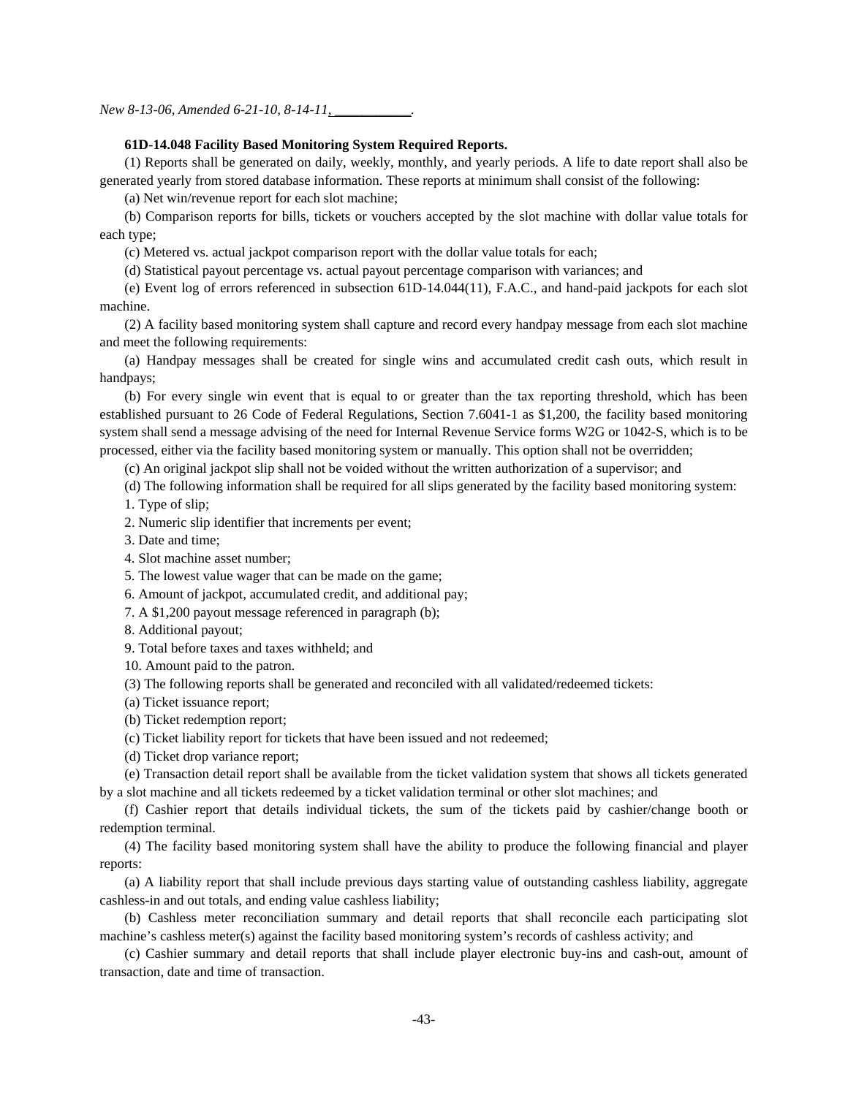*New 8-13-06, Amended 6-21-10, 8-14-11,* 

### **61D-14.048 Facility Based Monitoring System Required Reports.**

(1) Reports shall be generated on daily, weekly, monthly, and yearly periods. A life to date report shall also be generated yearly from stored database information. These reports at minimum shall consist of the following:

(a) Net win/revenue report for each slot machine;

(b) Comparison reports for bills, tickets or vouchers accepted by the slot machine with dollar value totals for each type;

(c) Metered vs. actual jackpot comparison report with the dollar value totals for each;

(d) Statistical payout percentage vs. actual payout percentage comparison with variances; and

(e) Event log of errors referenced in subsection 61D-14.044(11), F.A.C., and hand-paid jackpots for each slot machine.

(2) A facility based monitoring system shall capture and record every handpay message from each slot machine and meet the following requirements:

(a) Handpay messages shall be created for single wins and accumulated credit cash outs, which result in handpays;

(b) For every single win event that is equal to or greater than the tax reporting threshold, which has been established pursuant to 26 Code of Federal Regulations, Section 7.6041-1 as \$1,200, the facility based monitoring system shall send a message advising of the need for Internal Revenue Service forms W2G or 1042-S, which is to be processed, either via the facility based monitoring system or manually. This option shall not be overridden;

(c) An original jackpot slip shall not be voided without the written authorization of a supervisor; and

(d) The following information shall be required for all slips generated by the facility based monitoring system:

1. Type of slip;

2. Numeric slip identifier that increments per event;

3. Date and time;

4. Slot machine asset number;

5. The lowest value wager that can be made on the game;

6. Amount of jackpot, accumulated credit, and additional pay;

7. A \$1,200 payout message referenced in paragraph (b);

8. Additional payout;

9. Total before taxes and taxes withheld; and

10. Amount paid to the patron.

(3) The following reports shall be generated and reconciled with all validated/redeemed tickets:

(a) Ticket issuance report;

(b) Ticket redemption report;

(c) Ticket liability report for tickets that have been issued and not redeemed;

(d) Ticket drop variance report;

(e) Transaction detail report shall be available from the ticket validation system that shows all tickets generated by a slot machine and all tickets redeemed by a ticket validation terminal or other slot machines; and

(f) Cashier report that details individual tickets, the sum of the tickets paid by cashier/change booth or redemption terminal.

(4) The facility based monitoring system shall have the ability to produce the following financial and player reports:

(a) A liability report that shall include previous days starting value of outstanding cashless liability, aggregate cashless-in and out totals, and ending value cashless liability;

(b) Cashless meter reconciliation summary and detail reports that shall reconcile each participating slot machine's cashless meter(s) against the facility based monitoring system's records of cashless activity; and

(c) Cashier summary and detail reports that shall include player electronic buy-ins and cash-out, amount of transaction, date and time of transaction.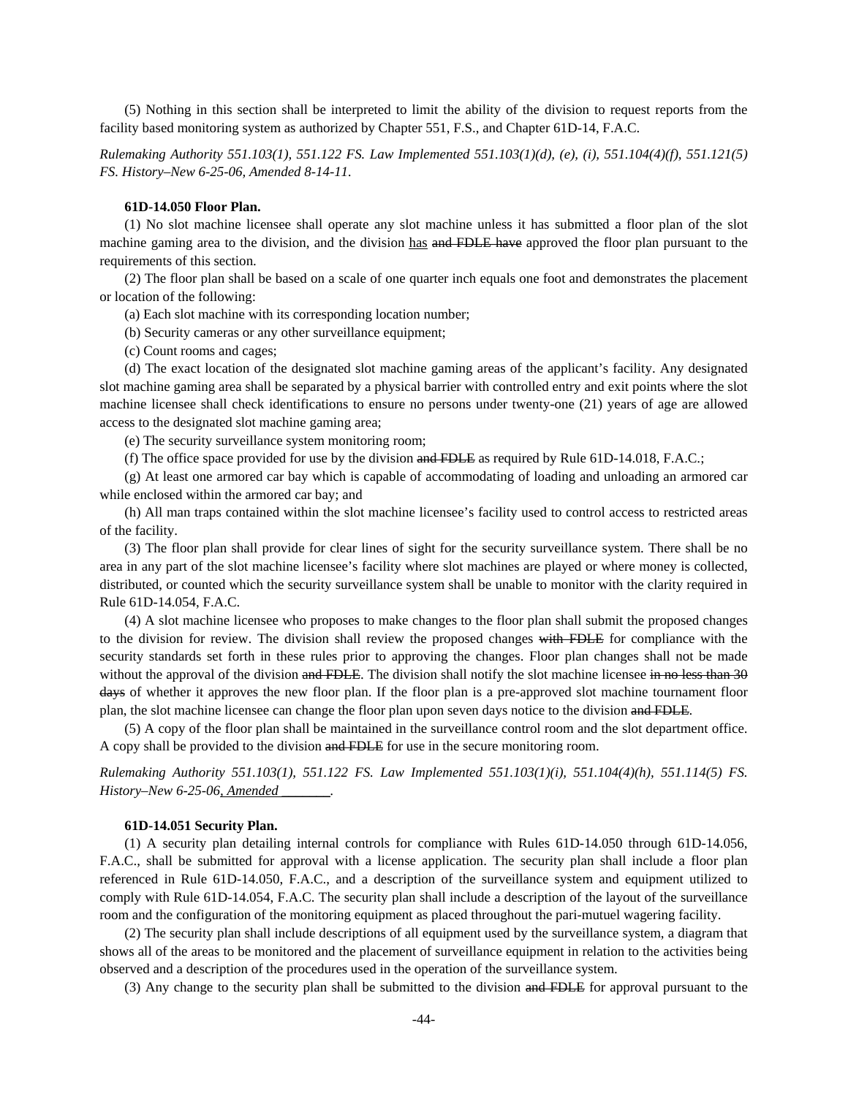(5) Nothing in this section shall be interpreted to limit the ability of the division to request reports from the facility based monitoring system as authorized by Chapter 551, F.S., and Chapter 61D-14, F.A.C.

*Rulemaking Authority 551.103(1), 551.122 FS. Law Implemented 551.103(1)(d), (e), (i), 551.104(4)(f), 551.121(5) FS. History–New 6-25-06, Amended 8-14-11.* 

#### **61D-14.050 Floor Plan.**

(1) No slot machine licensee shall operate any slot machine unless it has submitted a floor plan of the slot machine gaming area to the division, and the division has and FDLE have approved the floor plan pursuant to the requirements of this section.

(2) The floor plan shall be based on a scale of one quarter inch equals one foot and demonstrates the placement or location of the following:

(a) Each slot machine with its corresponding location number;

(b) Security cameras or any other surveillance equipment;

(c) Count rooms and cages;

(d) The exact location of the designated slot machine gaming areas of the applicant's facility. Any designated slot machine gaming area shall be separated by a physical barrier with controlled entry and exit points where the slot machine licensee shall check identifications to ensure no persons under twenty-one (21) years of age are allowed access to the designated slot machine gaming area;

(e) The security surveillance system monitoring room;

(f) The office space provided for use by the division and FDLE as required by Rule  $61D-14.018$ , F.A.C.;

(g) At least one armored car bay which is capable of accommodating of loading and unloading an armored car while enclosed within the armored car bay; and

(h) All man traps contained within the slot machine licensee's facility used to control access to restricted areas of the facility.

(3) The floor plan shall provide for clear lines of sight for the security surveillance system. There shall be no area in any part of the slot machine licensee's facility where slot machines are played or where money is collected, distributed, or counted which the security surveillance system shall be unable to monitor with the clarity required in Rule 61D-14.054, F.A.C.

(4) A slot machine licensee who proposes to make changes to the floor plan shall submit the proposed changes to the division for review. The division shall review the proposed changes with FDLE for compliance with the security standards set forth in these rules prior to approving the changes. Floor plan changes shall not be made without the approval of the division and FDLE. The division shall notify the slot machine licensee in no less than 30 days of whether it approves the new floor plan. If the floor plan is a pre-approved slot machine tournament floor plan, the slot machine licensee can change the floor plan upon seven days notice to the division and FDLE.

(5) A copy of the floor plan shall be maintained in the surveillance control room and the slot department office. A copy shall be provided to the division and FDLE for use in the secure monitoring room.

*Rulemaking Authority 551.103(1), 551.122 FS. Law Implemented 551.103(1)(i), 551.104(4)(h), 551.114(5) FS. History–New 6-25-06, Amended \_\_\_\_\_\_\_.* 

### **61D-14.051 Security Plan.**

(1) A security plan detailing internal controls for compliance with Rules 61D-14.050 through 61D-14.056, F.A.C., shall be submitted for approval with a license application. The security plan shall include a floor plan referenced in Rule 61D-14.050, F.A.C., and a description of the surveillance system and equipment utilized to comply with Rule 61D-14.054, F.A.C. The security plan shall include a description of the layout of the surveillance room and the configuration of the monitoring equipment as placed throughout the pari-mutuel wagering facility.

(2) The security plan shall include descriptions of all equipment used by the surveillance system, a diagram that shows all of the areas to be monitored and the placement of surveillance equipment in relation to the activities being observed and a description of the procedures used in the operation of the surveillance system.

(3) Any change to the security plan shall be submitted to the division and FDLE for approval pursuant to the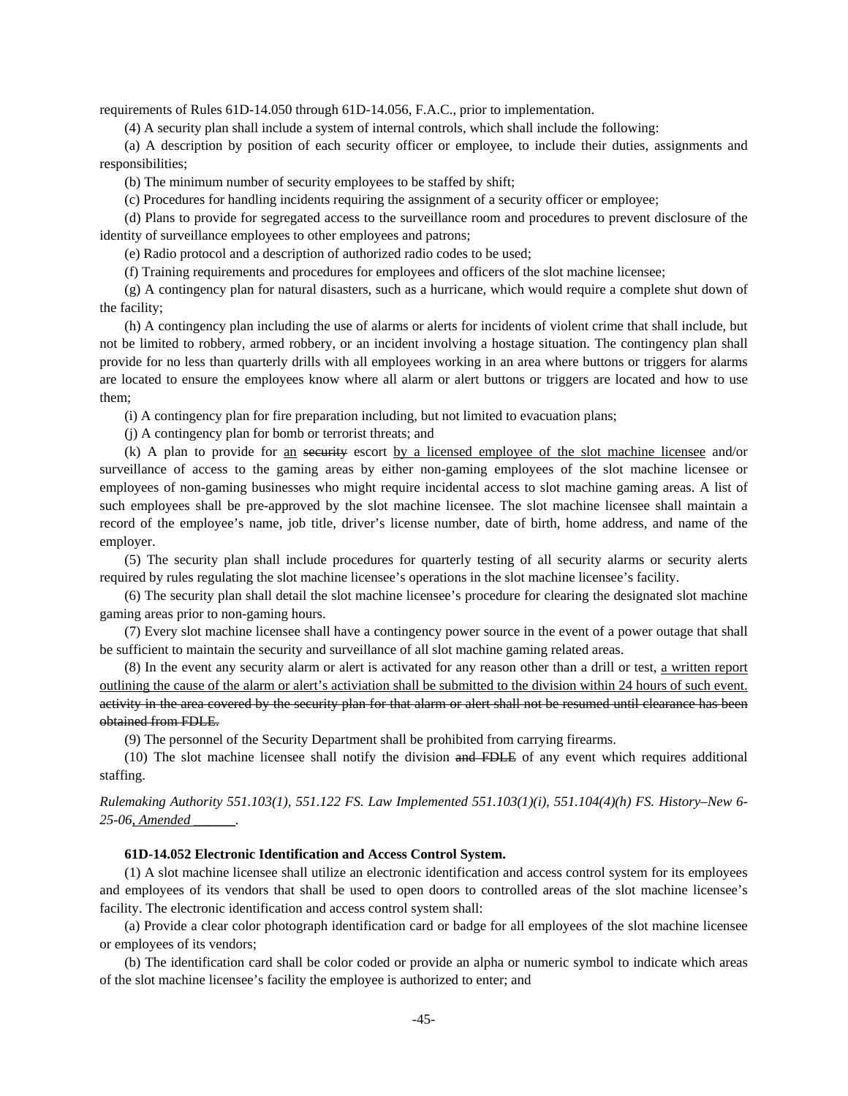requirements of Rules 61D-14.050 through 61D-14.056, F.A.C., prior to implementation.

(4) A security plan shall include a system of internal controls, which shall include the following:

(a) A description by position of each security officer or employee, to include their duties, assignments and responsibilities;

(b) The minimum number of security employees to be staffed by shift;

(c) Procedures for handling incidents requiring the assignment of a security officer or employee;

(d) Plans to provide for segregated access to the surveillance room and procedures to prevent disclosure of the identity of surveillance employees to other employees and patrons;

(e) Radio protocol and a description of authorized radio codes to be used;

(f) Training requirements and procedures for employees and officers of the slot machine licensee;

(g) A contingency plan for natural disasters, such as a hurricane, which would require a complete shut down of the facility;

(h) A contingency plan including the use of alarms or alerts for incidents of violent crime that shall include, but not be limited to robbery, armed robbery, or an incident involving a hostage situation. The contingency plan shall provide for no less than quarterly drills with all employees working in an area where buttons or triggers for alarms are located to ensure the employees know where all alarm or alert buttons or triggers are located and how to use them;

(i) A contingency plan for fire preparation including, but not limited to evacuation plans;

(j) A contingency plan for bomb or terrorist threats; and

(k) A plan to provide for an security escort by a licensed employee of the slot machine licensee and/or surveillance of access to the gaming areas by either non-gaming employees of the slot machine licensee or employees of non-gaming businesses who might require incidental access to slot machine gaming areas. A list of such employees shall be pre-approved by the slot machine licensee. The slot machine licensee shall maintain a record of the employee's name, job title, driver's license number, date of birth, home address, and name of the employer.

(5) The security plan shall include procedures for quarterly testing of all security alarms or security alerts required by rules regulating the slot machine licensee's operations in the slot machine licensee's facility.

(6) The security plan shall detail the slot machine licensee's procedure for clearing the designated slot machine gaming areas prior to non-gaming hours.

(7) Every slot machine licensee shall have a contingency power source in the event of a power outage that shall be sufficient to maintain the security and surveillance of all slot machine gaming related areas.

(8) In the event any security alarm or alert is activated for any reason other than a drill or test, a written report outlining the cause of the alarm or alert's activiation shall be submitted to the division within 24 hours of such event. activity in the area covered by the security plan for that alarm or alert shall not be resumed until clearance has been obtained from FDLE.

(9) The personnel of the Security Department shall be prohibited from carrying firearms.

(10) The slot machine licensee shall notify the division and FDLE of any event which requires additional staffing.

*Rulemaking Authority 551.103(1), 551.122 FS. Law Implemented 551.103(1)(i), 551.104(4)(h) FS. History–New 6- 25-06, Amended \_\_\_\_\_\_.* 

### **61D-14.052 Electronic Identification and Access Control System.**

(1) A slot machine licensee shall utilize an electronic identification and access control system for its employees and employees of its vendors that shall be used to open doors to controlled areas of the slot machine licensee's facility. The electronic identification and access control system shall:

(a) Provide a clear color photograph identification card or badge for all employees of the slot machine licensee or employees of its vendors;

(b) The identification card shall be color coded or provide an alpha or numeric symbol to indicate which areas of the slot machine licensee's facility the employee is authorized to enter; and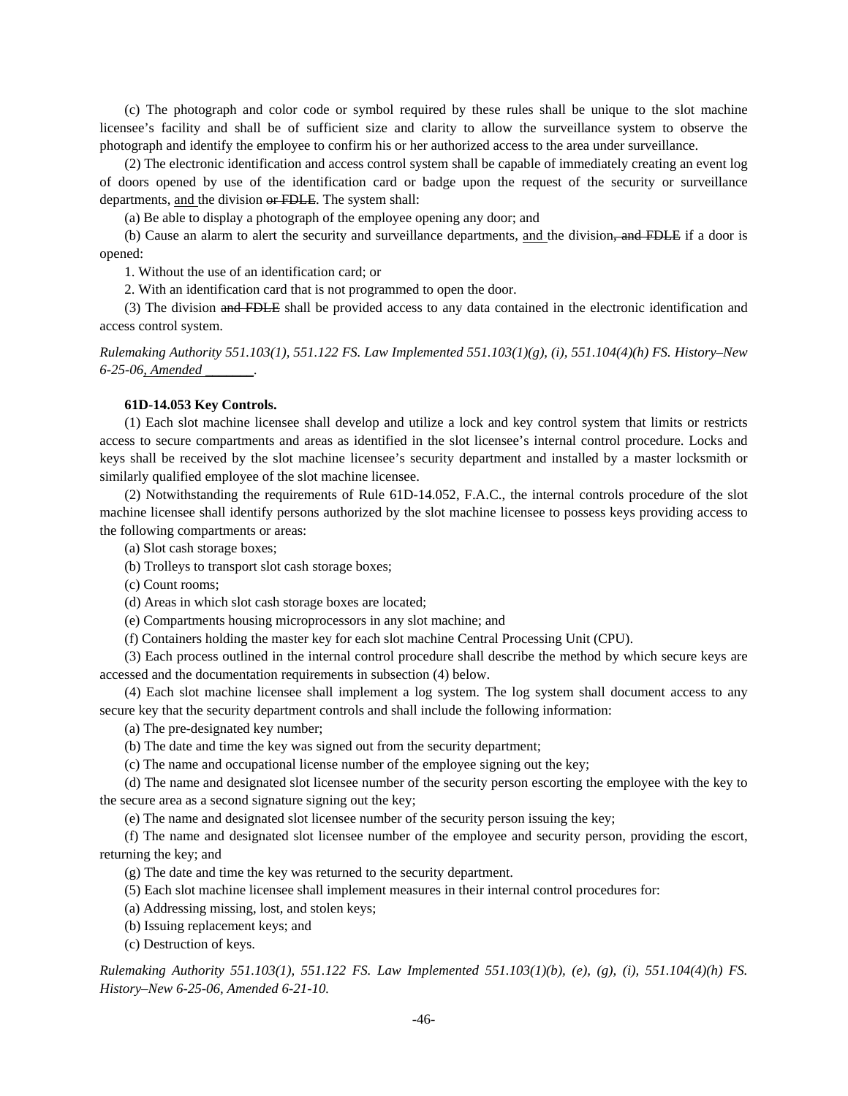(c) The photograph and color code or symbol required by these rules shall be unique to the slot machine licensee's facility and shall be of sufficient size and clarity to allow the surveillance system to observe the photograph and identify the employee to confirm his or her authorized access to the area under surveillance.

(2) The electronic identification and access control system shall be capable of immediately creating an event log of doors opened by use of the identification card or badge upon the request of the security or surveillance departments, and the division or FDLE. The system shall:

(a) Be able to display a photograph of the employee opening any door; and

(b) Cause an alarm to alert the security and surveillance departments, and the division, and FDLE if a door is opened:

1. Without the use of an identification card; or

2. With an identification card that is not programmed to open the door.

(3) The division and FDLE shall be provided access to any data contained in the electronic identification and access control system.

*Rulemaking Authority 551.103(1), 551.122 FS. Law Implemented 551.103(1)(g), (i), 551.104(4)(h) FS. History–New 6-25-06, Amended \_\_\_\_\_\_\_.* 

## **61D-14.053 Key Controls.**

(1) Each slot machine licensee shall develop and utilize a lock and key control system that limits or restricts access to secure compartments and areas as identified in the slot licensee's internal control procedure. Locks and keys shall be received by the slot machine licensee's security department and installed by a master locksmith or similarly qualified employee of the slot machine licensee.

(2) Notwithstanding the requirements of Rule 61D-14.052, F.A.C., the internal controls procedure of the slot machine licensee shall identify persons authorized by the slot machine licensee to possess keys providing access to the following compartments or areas:

(a) Slot cash storage boxes;

(b) Trolleys to transport slot cash storage boxes;

(c) Count rooms;

(d) Areas in which slot cash storage boxes are located;

(e) Compartments housing microprocessors in any slot machine; and

(f) Containers holding the master key for each slot machine Central Processing Unit (CPU).

(3) Each process outlined in the internal control procedure shall describe the method by which secure keys are accessed and the documentation requirements in subsection (4) below.

(4) Each slot machine licensee shall implement a log system. The log system shall document access to any secure key that the security department controls and shall include the following information:

(a) The pre-designated key number;

(b) The date and time the key was signed out from the security department;

(c) The name and occupational license number of the employee signing out the key;

(d) The name and designated slot licensee number of the security person escorting the employee with the key to the secure area as a second signature signing out the key;

(e) The name and designated slot licensee number of the security person issuing the key;

(f) The name and designated slot licensee number of the employee and security person, providing the escort, returning the key; and

(g) The date and time the key was returned to the security department.

(5) Each slot machine licensee shall implement measures in their internal control procedures for:

(a) Addressing missing, lost, and stolen keys;

(b) Issuing replacement keys; and

(c) Destruction of keys.

*Rulemaking Authority 551.103(1), 551.122 FS. Law Implemented 551.103(1)(b), (e), (g), (i), 551.104(4)(h) FS. History–New 6-25-06, Amended 6-21-10.*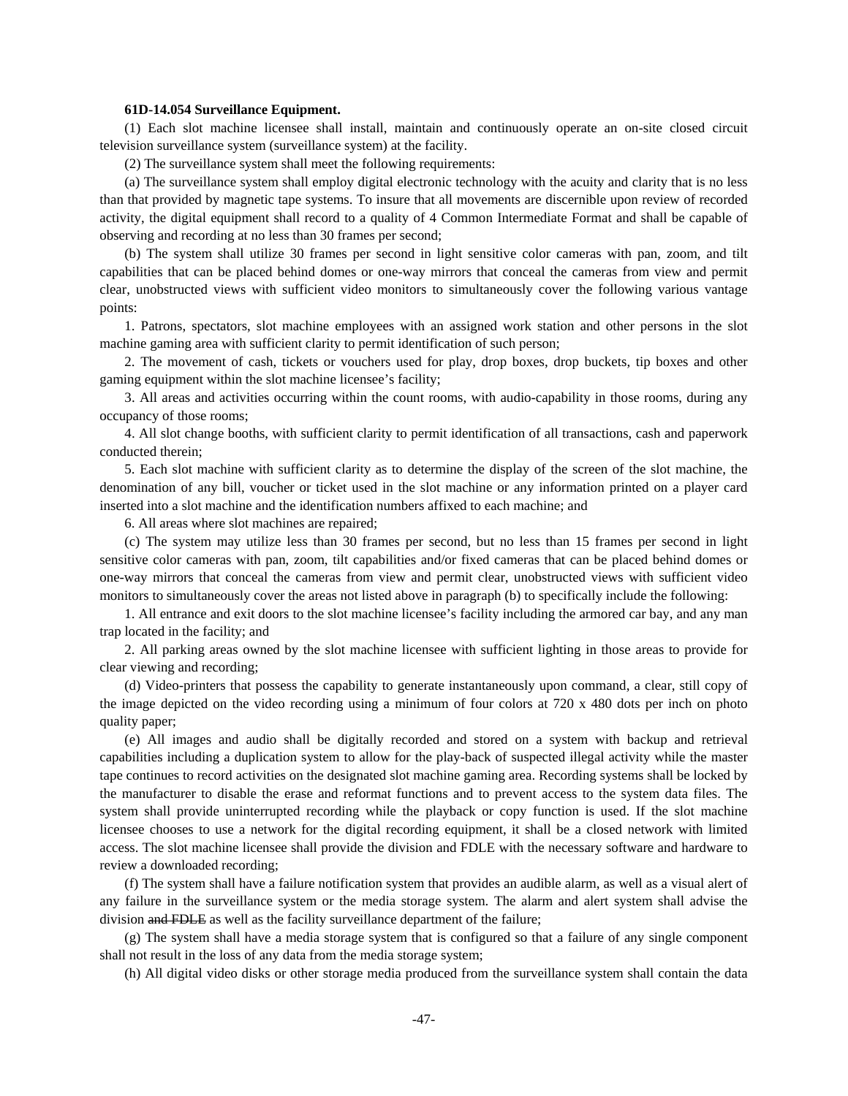### **61D-14.054 Surveillance Equipment.**

(1) Each slot machine licensee shall install, maintain and continuously operate an on-site closed circuit television surveillance system (surveillance system) at the facility.

(2) The surveillance system shall meet the following requirements:

(a) The surveillance system shall employ digital electronic technology with the acuity and clarity that is no less than that provided by magnetic tape systems. To insure that all movements are discernible upon review of recorded activity, the digital equipment shall record to a quality of 4 Common Intermediate Format and shall be capable of observing and recording at no less than 30 frames per second;

(b) The system shall utilize 30 frames per second in light sensitive color cameras with pan, zoom, and tilt capabilities that can be placed behind domes or one-way mirrors that conceal the cameras from view and permit clear, unobstructed views with sufficient video monitors to simultaneously cover the following various vantage points:

1. Patrons, spectators, slot machine employees with an assigned work station and other persons in the slot machine gaming area with sufficient clarity to permit identification of such person;

2. The movement of cash, tickets or vouchers used for play, drop boxes, drop buckets, tip boxes and other gaming equipment within the slot machine licensee's facility;

3. All areas and activities occurring within the count rooms, with audio-capability in those rooms, during any occupancy of those rooms;

4. All slot change booths, with sufficient clarity to permit identification of all transactions, cash and paperwork conducted therein;

5. Each slot machine with sufficient clarity as to determine the display of the screen of the slot machine, the denomination of any bill, voucher or ticket used in the slot machine or any information printed on a player card inserted into a slot machine and the identification numbers affixed to each machine; and

6. All areas where slot machines are repaired;

(c) The system may utilize less than 30 frames per second, but no less than 15 frames per second in light sensitive color cameras with pan, zoom, tilt capabilities and/or fixed cameras that can be placed behind domes or one-way mirrors that conceal the cameras from view and permit clear, unobstructed views with sufficient video monitors to simultaneously cover the areas not listed above in paragraph (b) to specifically include the following:

1. All entrance and exit doors to the slot machine licensee's facility including the armored car bay, and any man trap located in the facility; and

2. All parking areas owned by the slot machine licensee with sufficient lighting in those areas to provide for clear viewing and recording;

(d) Video-printers that possess the capability to generate instantaneously upon command, a clear, still copy of the image depicted on the video recording using a minimum of four colors at 720 x 480 dots per inch on photo quality paper;

(e) All images and audio shall be digitally recorded and stored on a system with backup and retrieval capabilities including a duplication system to allow for the play-back of suspected illegal activity while the master tape continues to record activities on the designated slot machine gaming area. Recording systems shall be locked by the manufacturer to disable the erase and reformat functions and to prevent access to the system data files. The system shall provide uninterrupted recording while the playback or copy function is used. If the slot machine licensee chooses to use a network for the digital recording equipment, it shall be a closed network with limited access. The slot machine licensee shall provide the division and FDLE with the necessary software and hardware to review a downloaded recording;

(f) The system shall have a failure notification system that provides an audible alarm, as well as a visual alert of any failure in the surveillance system or the media storage system. The alarm and alert system shall advise the division and FDLE as well as the facility surveillance department of the failure;

(g) The system shall have a media storage system that is configured so that a failure of any single component shall not result in the loss of any data from the media storage system;

(h) All digital video disks or other storage media produced from the surveillance system shall contain the data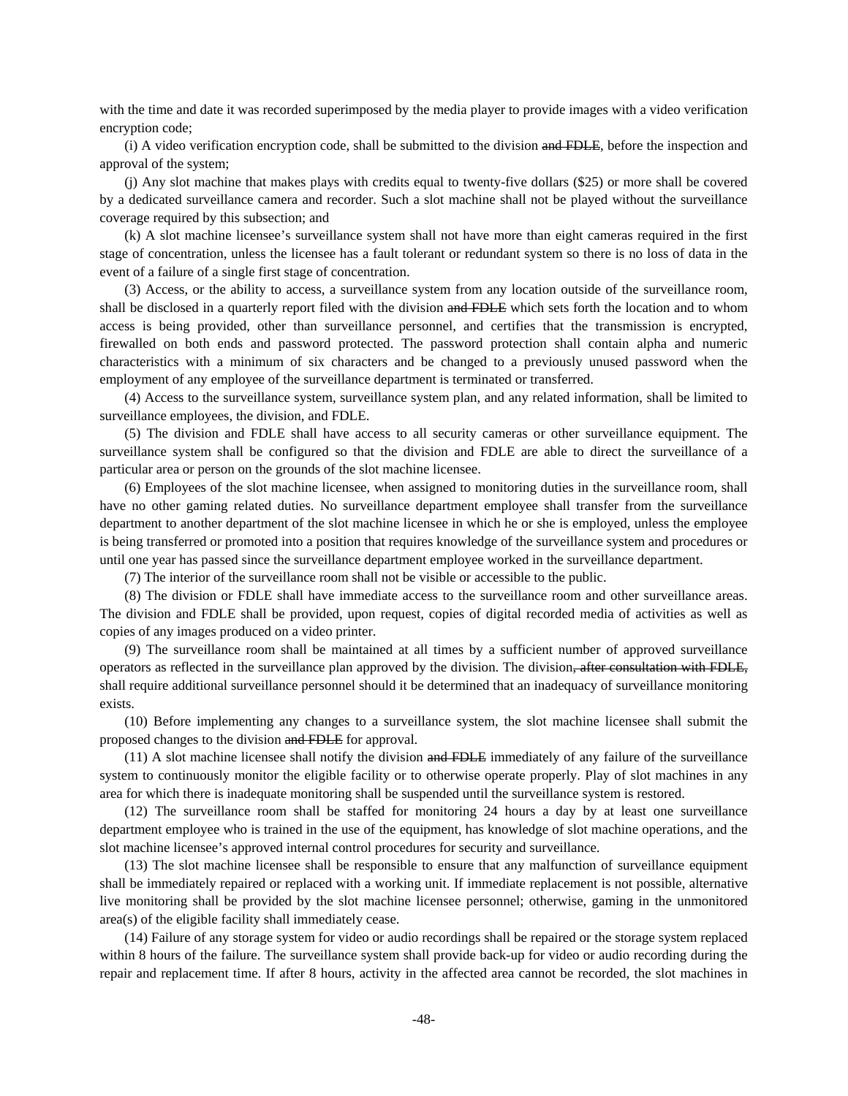with the time and date it was recorded superimposed by the media player to provide images with a video verification encryption code;

(i) A video verification encryption code, shall be submitted to the division and FDLE, before the inspection and approval of the system;

(j) Any slot machine that makes plays with credits equal to twenty-five dollars (\$25) or more shall be covered by a dedicated surveillance camera and recorder. Such a slot machine shall not be played without the surveillance coverage required by this subsection; and

(k) A slot machine licensee's surveillance system shall not have more than eight cameras required in the first stage of concentration, unless the licensee has a fault tolerant or redundant system so there is no loss of data in the event of a failure of a single first stage of concentration.

(3) Access, or the ability to access, a surveillance system from any location outside of the surveillance room, shall be disclosed in a quarterly report filed with the division and FDLE which sets forth the location and to whom access is being provided, other than surveillance personnel, and certifies that the transmission is encrypted, firewalled on both ends and password protected. The password protection shall contain alpha and numeric characteristics with a minimum of six characters and be changed to a previously unused password when the employment of any employee of the surveillance department is terminated or transferred.

(4) Access to the surveillance system, surveillance system plan, and any related information, shall be limited to surveillance employees, the division, and FDLE.

(5) The division and FDLE shall have access to all security cameras or other surveillance equipment. The surveillance system shall be configured so that the division and FDLE are able to direct the surveillance of a particular area or person on the grounds of the slot machine licensee.

(6) Employees of the slot machine licensee, when assigned to monitoring duties in the surveillance room, shall have no other gaming related duties. No surveillance department employee shall transfer from the surveillance department to another department of the slot machine licensee in which he or she is employed, unless the employee is being transferred or promoted into a position that requires knowledge of the surveillance system and procedures or until one year has passed since the surveillance department employee worked in the surveillance department.

(7) The interior of the surveillance room shall not be visible or accessible to the public.

(8) The division or FDLE shall have immediate access to the surveillance room and other surveillance areas. The division and FDLE shall be provided, upon request, copies of digital recorded media of activities as well as copies of any images produced on a video printer.

(9) The surveillance room shall be maintained at all times by a sufficient number of approved surveillance operators as reflected in the surveillance plan approved by the division. The division, after consultation with FDLE, shall require additional surveillance personnel should it be determined that an inadequacy of surveillance monitoring exists.

(10) Before implementing any changes to a surveillance system, the slot machine licensee shall submit the proposed changes to the division and FDLE for approval.

 $(11)$  A slot machine licensee shall notify the division and FDLE immediately of any failure of the surveillance system to continuously monitor the eligible facility or to otherwise operate properly. Play of slot machines in any area for which there is inadequate monitoring shall be suspended until the surveillance system is restored.

(12) The surveillance room shall be staffed for monitoring 24 hours a day by at least one surveillance department employee who is trained in the use of the equipment, has knowledge of slot machine operations, and the slot machine licensee's approved internal control procedures for security and surveillance.

(13) The slot machine licensee shall be responsible to ensure that any malfunction of surveillance equipment shall be immediately repaired or replaced with a working unit. If immediate replacement is not possible, alternative live monitoring shall be provided by the slot machine licensee personnel; otherwise, gaming in the unmonitored area(s) of the eligible facility shall immediately cease.

(14) Failure of any storage system for video or audio recordings shall be repaired or the storage system replaced within 8 hours of the failure. The surveillance system shall provide back-up for video or audio recording during the repair and replacement time. If after 8 hours, activity in the affected area cannot be recorded, the slot machines in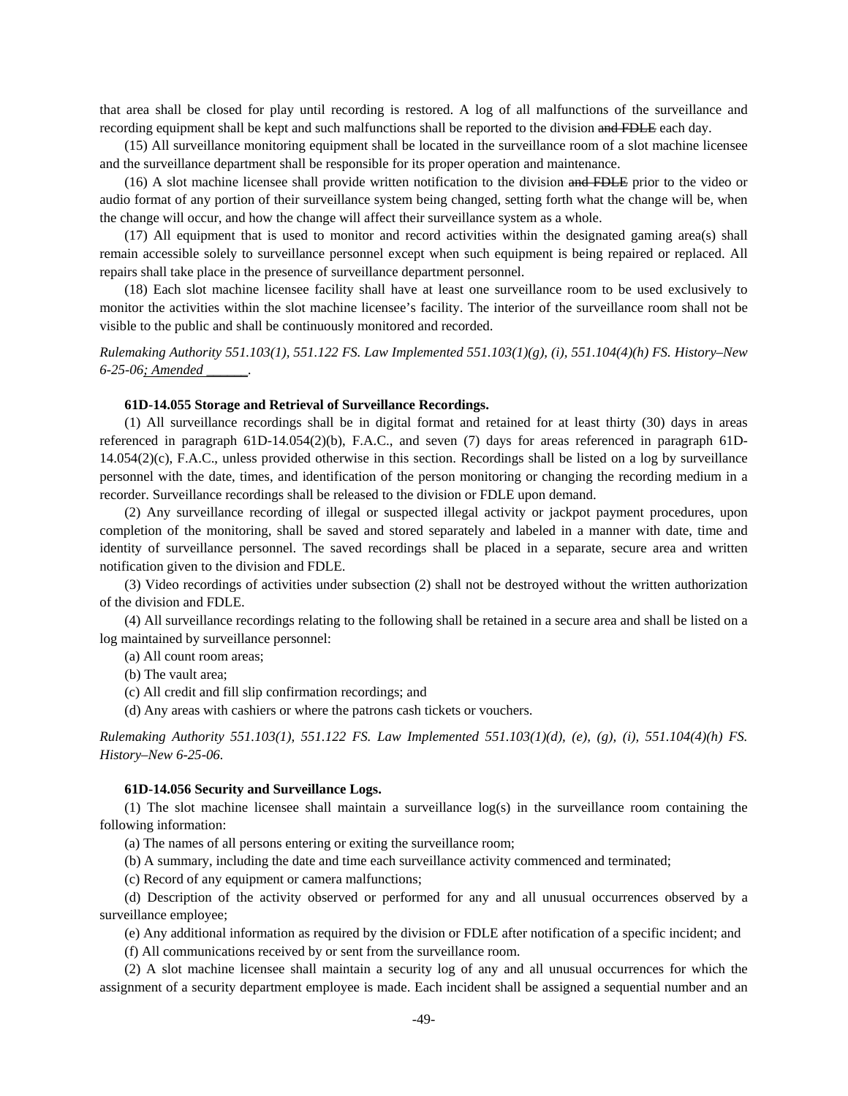that area shall be closed for play until recording is restored. A log of all malfunctions of the surveillance and recording equipment shall be kept and such malfunctions shall be reported to the division and FDLE each day.

(15) All surveillance monitoring equipment shall be located in the surveillance room of a slot machine licensee and the surveillance department shall be responsible for its proper operation and maintenance.

(16) A slot machine licensee shall provide written notification to the division and FDLE prior to the video or audio format of any portion of their surveillance system being changed, setting forth what the change will be, when the change will occur, and how the change will affect their surveillance system as a whole.

(17) All equipment that is used to monitor and record activities within the designated gaming area(s) shall remain accessible solely to surveillance personnel except when such equipment is being repaired or replaced. All repairs shall take place in the presence of surveillance department personnel.

(18) Each slot machine licensee facility shall have at least one surveillance room to be used exclusively to monitor the activities within the slot machine licensee's facility. The interior of the surveillance room shall not be visible to the public and shall be continuously monitored and recorded.

*Rulemaking Authority 551.103(1), 551.122 FS. Law Implemented 551.103(1)(g), (i), 551.104(4)(h) FS. History–New 6-25-06; Amended \_\_\_\_\_\_.* 

### **61D-14.055 Storage and Retrieval of Surveillance Recordings.**

(1) All surveillance recordings shall be in digital format and retained for at least thirty (30) days in areas referenced in paragraph 61D-14.054(2)(b), F.A.C., and seven (7) days for areas referenced in paragraph 61D-14.054(2)(c), F.A.C., unless provided otherwise in this section. Recordings shall be listed on a log by surveillance personnel with the date, times, and identification of the person monitoring or changing the recording medium in a recorder. Surveillance recordings shall be released to the division or FDLE upon demand.

(2) Any surveillance recording of illegal or suspected illegal activity or jackpot payment procedures, upon completion of the monitoring, shall be saved and stored separately and labeled in a manner with date, time and identity of surveillance personnel. The saved recordings shall be placed in a separate, secure area and written notification given to the division and FDLE.

(3) Video recordings of activities under subsection (2) shall not be destroyed without the written authorization of the division and FDLE.

(4) All surveillance recordings relating to the following shall be retained in a secure area and shall be listed on a log maintained by surveillance personnel:

(a) All count room areas;

(b) The vault area;

(c) All credit and fill slip confirmation recordings; and

(d) Any areas with cashiers or where the patrons cash tickets or vouchers.

*Rulemaking Authority 551.103(1), 551.122 FS. Law Implemented 551.103(1)(d), (e), (g), (i), 551.104(4)(h) FS. History–New 6-25-06.* 

#### **61D-14.056 Security and Surveillance Logs.**

(1) The slot machine licensee shall maintain a surveillance log(s) in the surveillance room containing the following information:

(a) The names of all persons entering or exiting the surveillance room;

(b) A summary, including the date and time each surveillance activity commenced and terminated;

(c) Record of any equipment or camera malfunctions;

(d) Description of the activity observed or performed for any and all unusual occurrences observed by a surveillance employee;

(e) Any additional information as required by the division or FDLE after notification of a specific incident; and

(f) All communications received by or sent from the surveillance room.

(2) A slot machine licensee shall maintain a security log of any and all unusual occurrences for which the assignment of a security department employee is made. Each incident shall be assigned a sequential number and an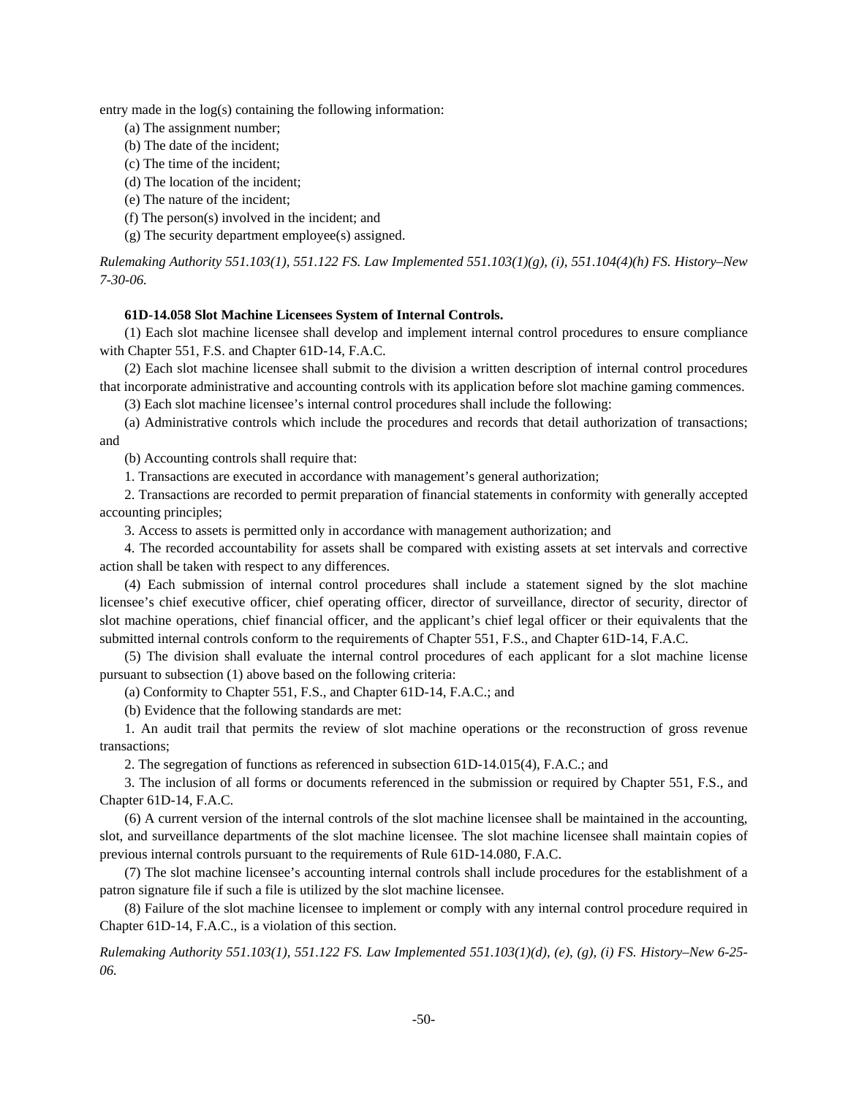entry made in the log(s) containing the following information:

- (a) The assignment number;
- (b) The date of the incident;
- (c) The time of the incident;
- (d) The location of the incident;
- (e) The nature of the incident;
- (f) The person(s) involved in the incident; and
- (g) The security department employee(s) assigned.

*Rulemaking Authority 551.103(1), 551.122 FS. Law Implemented 551.103(1)(g), (i), 551.104(4)(h) FS. History–New 7-30-06.* 

### **61D-14.058 Slot Machine Licensees System of Internal Controls.**

(1) Each slot machine licensee shall develop and implement internal control procedures to ensure compliance with Chapter 551, F.S. and Chapter 61D-14, F.A.C.

(2) Each slot machine licensee shall submit to the division a written description of internal control procedures that incorporate administrative and accounting controls with its application before slot machine gaming commences.

(3) Each slot machine licensee's internal control procedures shall include the following:

(a) Administrative controls which include the procedures and records that detail authorization of transactions; and

(b) Accounting controls shall require that:

1. Transactions are executed in accordance with management's general authorization;

2. Transactions are recorded to permit preparation of financial statements in conformity with generally accepted accounting principles;

3. Access to assets is permitted only in accordance with management authorization; and

4. The recorded accountability for assets shall be compared with existing assets at set intervals and corrective action shall be taken with respect to any differences.

(4) Each submission of internal control procedures shall include a statement signed by the slot machine licensee's chief executive officer, chief operating officer, director of surveillance, director of security, director of slot machine operations, chief financial officer, and the applicant's chief legal officer or their equivalents that the submitted internal controls conform to the requirements of Chapter 551, F.S., and Chapter 61D-14, F.A.C.

(5) The division shall evaluate the internal control procedures of each applicant for a slot machine license pursuant to subsection (1) above based on the following criteria:

(a) Conformity to Chapter 551, F.S., and Chapter 61D-14, F.A.C.; and

(b) Evidence that the following standards are met:

1. An audit trail that permits the review of slot machine operations or the reconstruction of gross revenue transactions;

2. The segregation of functions as referenced in subsection 61D-14.015(4), F.A.C.; and

3. The inclusion of all forms or documents referenced in the submission or required by Chapter 551, F.S., and Chapter 61D-14, F.A.C.

(6) A current version of the internal controls of the slot machine licensee shall be maintained in the accounting, slot, and surveillance departments of the slot machine licensee. The slot machine licensee shall maintain copies of previous internal controls pursuant to the requirements of Rule 61D-14.080, F.A.C.

(7) The slot machine licensee's accounting internal controls shall include procedures for the establishment of a patron signature file if such a file is utilized by the slot machine licensee.

(8) Failure of the slot machine licensee to implement or comply with any internal control procedure required in Chapter 61D-14, F.A.C., is a violation of this section.

*Rulemaking Authority 551.103(1), 551.122 FS. Law Implemented 551.103(1)(d), (e), (g), (i) FS. History–New 6-25- 06.*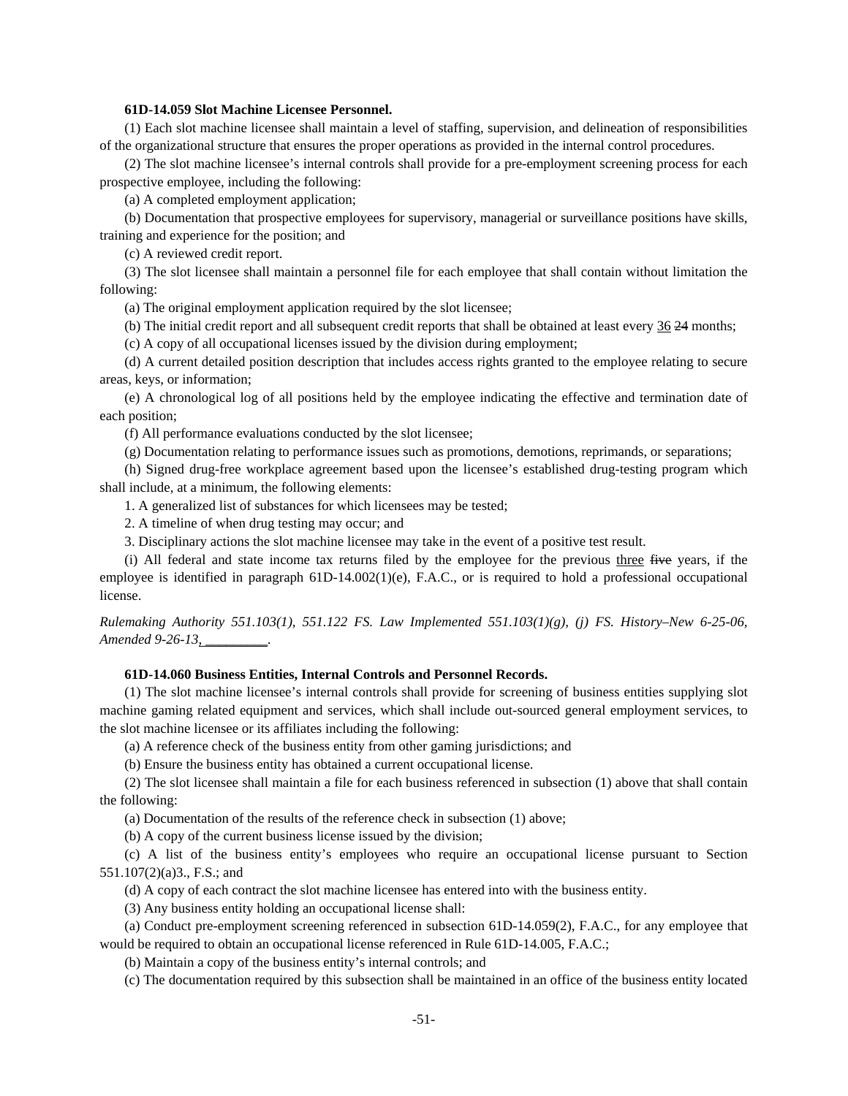### **61D-14.059 Slot Machine Licensee Personnel.**

(1) Each slot machine licensee shall maintain a level of staffing, supervision, and delineation of responsibilities of the organizational structure that ensures the proper operations as provided in the internal control procedures.

(2) The slot machine licensee's internal controls shall provide for a pre-employment screening process for each prospective employee, including the following:

(a) A completed employment application;

(b) Documentation that prospective employees for supervisory, managerial or surveillance positions have skills, training and experience for the position; and

(c) A reviewed credit report.

(3) The slot licensee shall maintain a personnel file for each employee that shall contain without limitation the following:

(a) The original employment application required by the slot licensee;

(b) The initial credit report and all subsequent credit reports that shall be obtained at least every 36 24 months;

(c) A copy of all occupational licenses issued by the division during employment;

(d) A current detailed position description that includes access rights granted to the employee relating to secure areas, keys, or information;

(e) A chronological log of all positions held by the employee indicating the effective and termination date of each position;

(f) All performance evaluations conducted by the slot licensee;

(g) Documentation relating to performance issues such as promotions, demotions, reprimands, or separations;

(h) Signed drug-free workplace agreement based upon the licensee's established drug-testing program which shall include, at a minimum, the following elements:

1. A generalized list of substances for which licensees may be tested;

2. A timeline of when drug testing may occur; and

3. Disciplinary actions the slot machine licensee may take in the event of a positive test result.

(i) All federal and state income tax returns filed by the employee for the previous three five years, if the employee is identified in paragraph  $61D-14.002(1)(e)$ , F.A.C., or is required to hold a professional occupational license.

*Rulemaking Authority 551.103(1), 551.122 FS. Law Implemented 551.103(1)(g), (j) FS. History–New 6-25-06, Amended 9-26-13, \_\_\_\_\_\_\_\_\_.* 

## **61D-14.060 Business Entities, Internal Controls and Personnel Records.**

(1) The slot machine licensee's internal controls shall provide for screening of business entities supplying slot machine gaming related equipment and services, which shall include out-sourced general employment services, to the slot machine licensee or its affiliates including the following:

(a) A reference check of the business entity from other gaming jurisdictions; and

(b) Ensure the business entity has obtained a current occupational license.

(2) The slot licensee shall maintain a file for each business referenced in subsection (1) above that shall contain the following:

(a) Documentation of the results of the reference check in subsection (1) above;

(b) A copy of the current business license issued by the division;

(c) A list of the business entity's employees who require an occupational license pursuant to Section 551.107(2)(a)3., F.S.; and

(d) A copy of each contract the slot machine licensee has entered into with the business entity.

(3) Any business entity holding an occupational license shall:

(a) Conduct pre-employment screening referenced in subsection 61D-14.059(2), F.A.C., for any employee that would be required to obtain an occupational license referenced in Rule 61D-14.005, F.A.C.;

(b) Maintain a copy of the business entity's internal controls; and

(c) The documentation required by this subsection shall be maintained in an office of the business entity located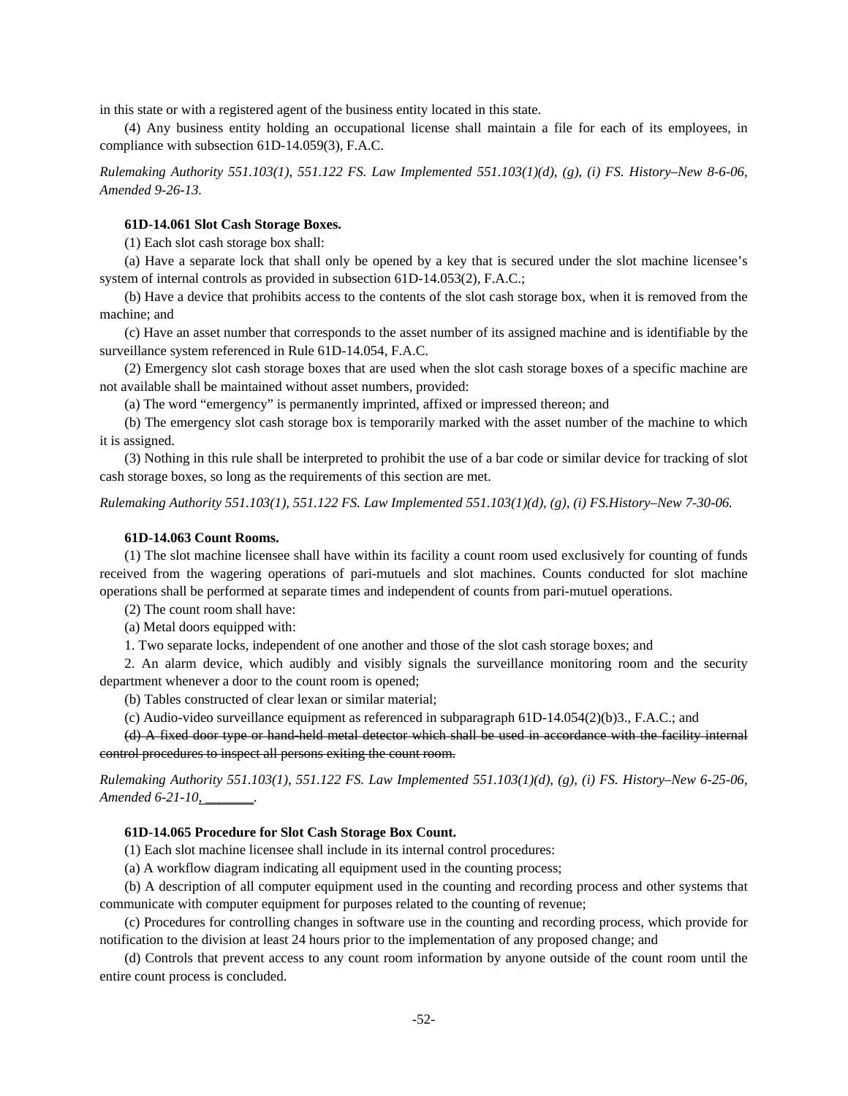in this state or with a registered agent of the business entity located in this state.

(4) Any business entity holding an occupational license shall maintain a file for each of its employees, in compliance with subsection 61D-14.059(3), F.A.C.

*Rulemaking Authority 551.103(1), 551.122 FS. Law Implemented 551.103(1)(d), (g), (i) FS. History–New 8-6-06, Amended 9-26-13.* 

# **61D-14.061 Slot Cash Storage Boxes.**

(1) Each slot cash storage box shall:

(a) Have a separate lock that shall only be opened by a key that is secured under the slot machine licensee's system of internal controls as provided in subsection 61D-14.053(2), F.A.C.;

(b) Have a device that prohibits access to the contents of the slot cash storage box, when it is removed from the machine; and

(c) Have an asset number that corresponds to the asset number of its assigned machine and is identifiable by the surveillance system referenced in Rule 61D-14.054, F.A.C.

(2) Emergency slot cash storage boxes that are used when the slot cash storage boxes of a specific machine are not available shall be maintained without asset numbers, provided:

(a) The word "emergency" is permanently imprinted, affixed or impressed thereon; and

(b) The emergency slot cash storage box is temporarily marked with the asset number of the machine to which it is assigned.

(3) Nothing in this rule shall be interpreted to prohibit the use of a bar code or similar device for tracking of slot cash storage boxes, so long as the requirements of this section are met.

*Rulemaking Authority 551.103(1), 551.122 FS. Law Implemented 551.103(1)(d), (g), (i) FS.History–New 7-30-06.* 

#### **61D-14.063 Count Rooms.**

(1) The slot machine licensee shall have within its facility a count room used exclusively for counting of funds received from the wagering operations of pari-mutuels and slot machines. Counts conducted for slot machine operations shall be performed at separate times and independent of counts from pari-mutuel operations.

(2) The count room shall have:

(a) Metal doors equipped with:

1. Two separate locks, independent of one another and those of the slot cash storage boxes; and

2. An alarm device, which audibly and visibly signals the surveillance monitoring room and the security department whenever a door to the count room is opened;

(b) Tables constructed of clear lexan or similar material;

(c) Audio-video surveillance equipment as referenced in subparagraph 61D-14.054(2)(b)3., F.A.C.; and

(d) A fixed door type or hand-held metal detector which shall be used in accordance with the facility internal control procedures to inspect all persons exiting the count room.

*Rulemaking Authority 551.103(1), 551.122 FS. Law Implemented 551.103(1)(d), (g), (i) FS. History–New 6-25-06, Amended 6-21-10, \_\_\_\_\_\_\_.*

### **61D-14.065 Procedure for Slot Cash Storage Box Count.**

(1) Each slot machine licensee shall include in its internal control procedures:

(a) A workflow diagram indicating all equipment used in the counting process;

(b) A description of all computer equipment used in the counting and recording process and other systems that communicate with computer equipment for purposes related to the counting of revenue;

(c) Procedures for controlling changes in software use in the counting and recording process, which provide for notification to the division at least 24 hours prior to the implementation of any proposed change; and

(d) Controls that prevent access to any count room information by anyone outside of the count room until the entire count process is concluded.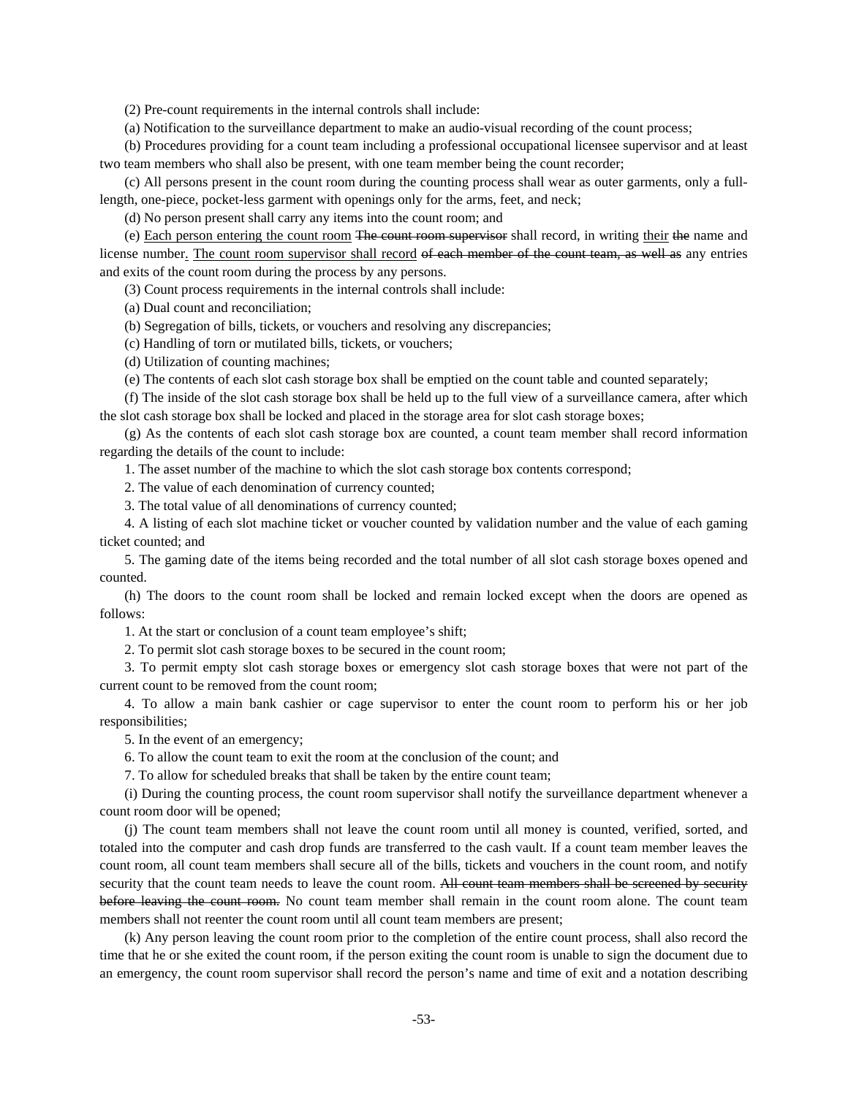(2) Pre-count requirements in the internal controls shall include:

(a) Notification to the surveillance department to make an audio-visual recording of the count process;

(b) Procedures providing for a count team including a professional occupational licensee supervisor and at least two team members who shall also be present, with one team member being the count recorder;

(c) All persons present in the count room during the counting process shall wear as outer garments, only a fulllength, one-piece, pocket-less garment with openings only for the arms, feet, and neck;

(d) No person present shall carry any items into the count room; and

(e) Each person entering the count room The count room supervisor shall record, in writing their the name and license number. The count room supervisor shall record of each member of the count team, as well as any entries and exits of the count room during the process by any persons.

(3) Count process requirements in the internal controls shall include:

(a) Dual count and reconciliation;

(b) Segregation of bills, tickets, or vouchers and resolving any discrepancies;

(c) Handling of torn or mutilated bills, tickets, or vouchers;

(d) Utilization of counting machines;

(e) The contents of each slot cash storage box shall be emptied on the count table and counted separately;

(f) The inside of the slot cash storage box shall be held up to the full view of a surveillance camera, after which the slot cash storage box shall be locked and placed in the storage area for slot cash storage boxes;

(g) As the contents of each slot cash storage box are counted, a count team member shall record information regarding the details of the count to include:

1. The asset number of the machine to which the slot cash storage box contents correspond;

2. The value of each denomination of currency counted;

3. The total value of all denominations of currency counted;

4. A listing of each slot machine ticket or voucher counted by validation number and the value of each gaming ticket counted; and

5. The gaming date of the items being recorded and the total number of all slot cash storage boxes opened and counted.

(h) The doors to the count room shall be locked and remain locked except when the doors are opened as follows:

1. At the start or conclusion of a count team employee's shift;

2. To permit slot cash storage boxes to be secured in the count room;

3. To permit empty slot cash storage boxes or emergency slot cash storage boxes that were not part of the current count to be removed from the count room;

4. To allow a main bank cashier or cage supervisor to enter the count room to perform his or her job responsibilities;

5. In the event of an emergency;

6. To allow the count team to exit the room at the conclusion of the count; and

7. To allow for scheduled breaks that shall be taken by the entire count team;

(i) During the counting process, the count room supervisor shall notify the surveillance department whenever a count room door will be opened;

(j) The count team members shall not leave the count room until all money is counted, verified, sorted, and totaled into the computer and cash drop funds are transferred to the cash vault. If a count team member leaves the count room, all count team members shall secure all of the bills, tickets and vouchers in the count room, and notify security that the count team needs to leave the count room. All count team members shall be screened by security before leaving the count room. No count team member shall remain in the count room alone. The count team members shall not reenter the count room until all count team members are present;

(k) Any person leaving the count room prior to the completion of the entire count process, shall also record the time that he or she exited the count room, if the person exiting the count room is unable to sign the document due to an emergency, the count room supervisor shall record the person's name and time of exit and a notation describing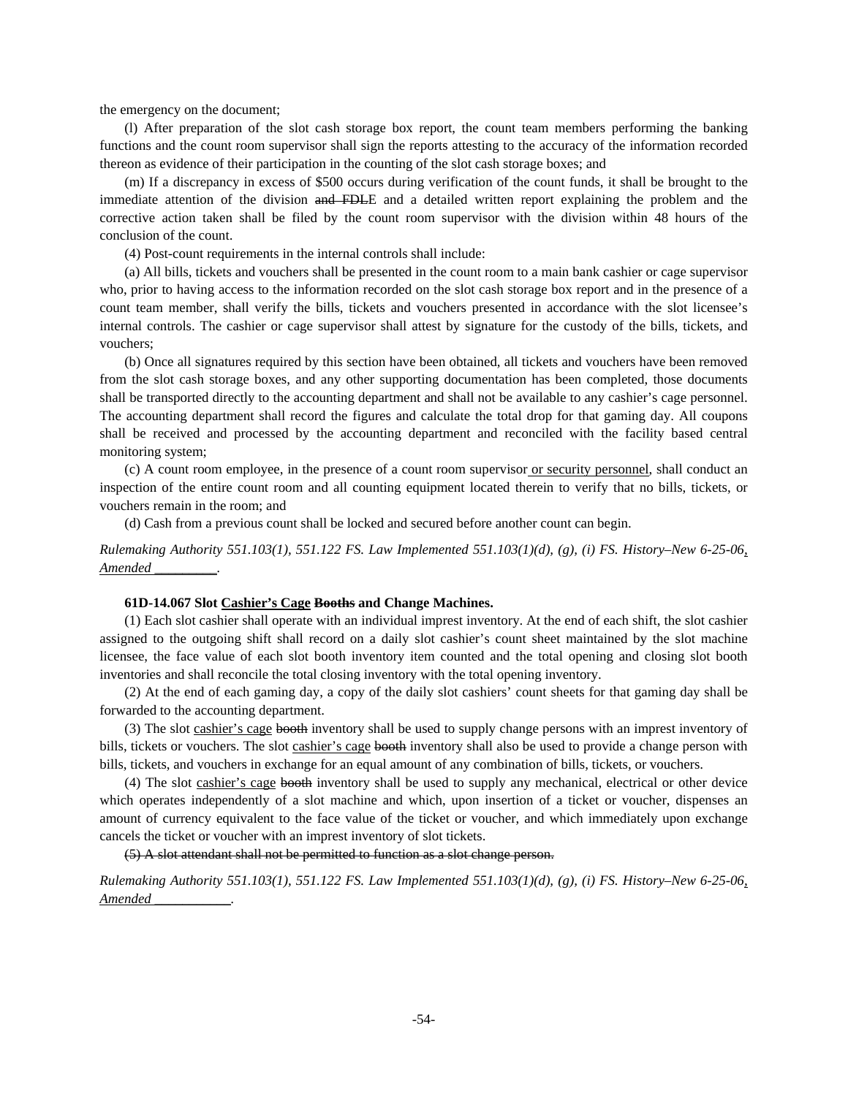the emergency on the document;

(l) After preparation of the slot cash storage box report, the count team members performing the banking functions and the count room supervisor shall sign the reports attesting to the accuracy of the information recorded thereon as evidence of their participation in the counting of the slot cash storage boxes; and

(m) If a discrepancy in excess of \$500 occurs during verification of the count funds, it shall be brought to the immediate attention of the division and FDLE and a detailed written report explaining the problem and the corrective action taken shall be filed by the count room supervisor with the division within 48 hours of the conclusion of the count.

(4) Post-count requirements in the internal controls shall include:

(a) All bills, tickets and vouchers shall be presented in the count room to a main bank cashier or cage supervisor who, prior to having access to the information recorded on the slot cash storage box report and in the presence of a count team member, shall verify the bills, tickets and vouchers presented in accordance with the slot licensee's internal controls. The cashier or cage supervisor shall attest by signature for the custody of the bills, tickets, and vouchers;

(b) Once all signatures required by this section have been obtained, all tickets and vouchers have been removed from the slot cash storage boxes, and any other supporting documentation has been completed, those documents shall be transported directly to the accounting department and shall not be available to any cashier's cage personnel. The accounting department shall record the figures and calculate the total drop for that gaming day. All coupons shall be received and processed by the accounting department and reconciled with the facility based central monitoring system;

(c) A count room employee, in the presence of a count room supervisor or security personnel, shall conduct an inspection of the entire count room and all counting equipment located therein to verify that no bills, tickets, or vouchers remain in the room; and

(d) Cash from a previous count shall be locked and secured before another count can begin.

*Rulemaking Authority 551.103(1), 551.122 FS. Law Implemented 551.103(1)(d), (g), (i) FS. History–New 6-25-06, Amended \_\_\_\_\_\_\_\_\_.* 

### **61D-14.067 Slot Cashier's Cage Booths and Change Machines.**

(1) Each slot cashier shall operate with an individual imprest inventory. At the end of each shift, the slot cashier assigned to the outgoing shift shall record on a daily slot cashier's count sheet maintained by the slot machine licensee, the face value of each slot booth inventory item counted and the total opening and closing slot booth inventories and shall reconcile the total closing inventory with the total opening inventory.

(2) At the end of each gaming day, a copy of the daily slot cashiers' count sheets for that gaming day shall be forwarded to the accounting department.

(3) The slot cashier's cage booth inventory shall be used to supply change persons with an imprest inventory of bills, tickets or vouchers. The slot cashier's cage booth inventory shall also be used to provide a change person with bills, tickets, and vouchers in exchange for an equal amount of any combination of bills, tickets, or vouchers.

(4) The slot cashier's cage booth inventory shall be used to supply any mechanical, electrical or other device which operates independently of a slot machine and which, upon insertion of a ticket or voucher, dispenses an amount of currency equivalent to the face value of the ticket or voucher, and which immediately upon exchange cancels the ticket or voucher with an imprest inventory of slot tickets.

(5) A slot attendant shall not be permitted to function as a slot change person.

*Rulemaking Authority 551.103(1), 551.122 FS. Law Implemented 551.103(1)(d), (g), (i) FS. History–New 6-25-06, Amended \_\_\_\_\_\_\_\_\_\_\_.*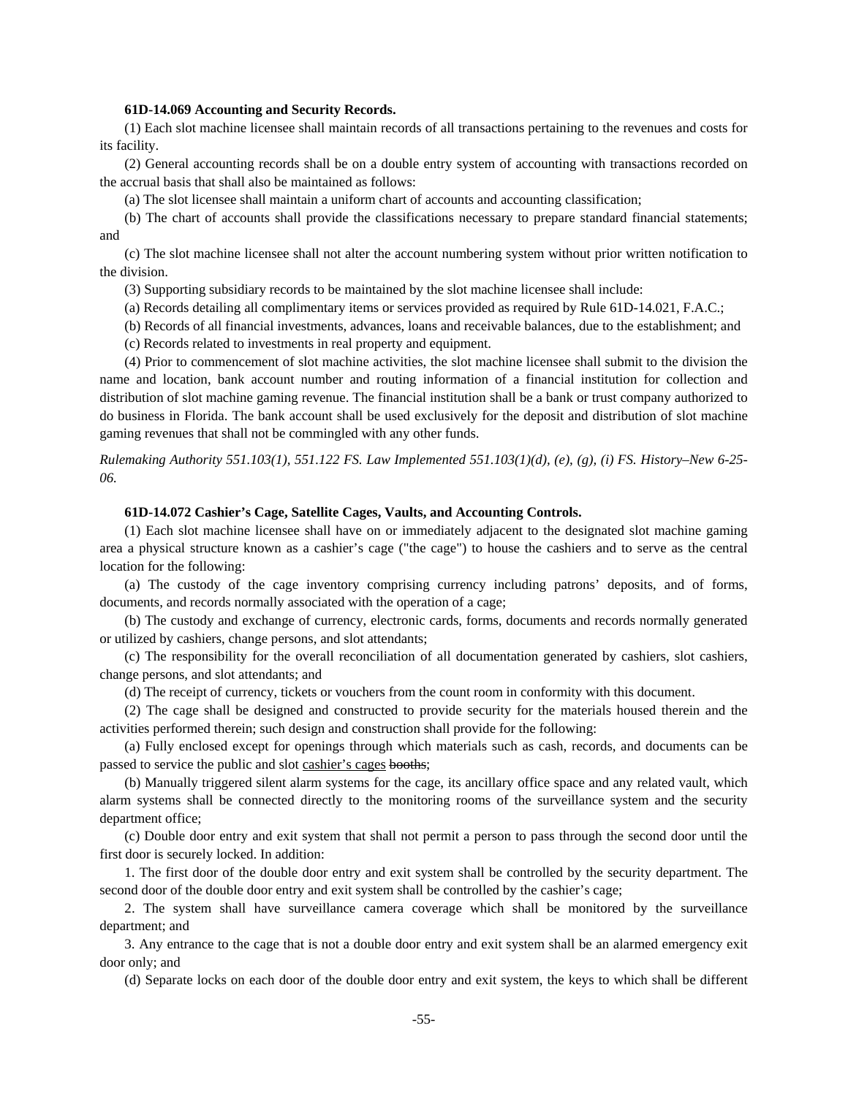### **61D-14.069 Accounting and Security Records.**

(1) Each slot machine licensee shall maintain records of all transactions pertaining to the revenues and costs for its facility.

(2) General accounting records shall be on a double entry system of accounting with transactions recorded on the accrual basis that shall also be maintained as follows:

(a) The slot licensee shall maintain a uniform chart of accounts and accounting classification;

(b) The chart of accounts shall provide the classifications necessary to prepare standard financial statements; and

(c) The slot machine licensee shall not alter the account numbering system without prior written notification to the division.

- (3) Supporting subsidiary records to be maintained by the slot machine licensee shall include:
- (a) Records detailing all complimentary items or services provided as required by Rule 61D-14.021, F.A.C.;
- (b) Records of all financial investments, advances, loans and receivable balances, due to the establishment; and
- (c) Records related to investments in real property and equipment.

(4) Prior to commencement of slot machine activities, the slot machine licensee shall submit to the division the name and location, bank account number and routing information of a financial institution for collection and distribution of slot machine gaming revenue. The financial institution shall be a bank or trust company authorized to do business in Florida. The bank account shall be used exclusively for the deposit and distribution of slot machine gaming revenues that shall not be commingled with any other funds.

*Rulemaking Authority 551.103(1), 551.122 FS. Law Implemented 551.103(1)(d), (e), (g), (i) FS. History–New 6-25- 06.* 

### **61D-14.072 Cashier's Cage, Satellite Cages, Vaults, and Accounting Controls.**

(1) Each slot machine licensee shall have on or immediately adjacent to the designated slot machine gaming area a physical structure known as a cashier's cage ("the cage") to house the cashiers and to serve as the central location for the following:

(a) The custody of the cage inventory comprising currency including patrons' deposits, and of forms, documents, and records normally associated with the operation of a cage;

(b) The custody and exchange of currency, electronic cards, forms, documents and records normally generated or utilized by cashiers, change persons, and slot attendants;

(c) The responsibility for the overall reconciliation of all documentation generated by cashiers, slot cashiers, change persons, and slot attendants; and

(d) The receipt of currency, tickets or vouchers from the count room in conformity with this document.

(2) The cage shall be designed and constructed to provide security for the materials housed therein and the activities performed therein; such design and construction shall provide for the following:

(a) Fully enclosed except for openings through which materials such as cash, records, and documents can be passed to service the public and slot cashier's cages booths;

(b) Manually triggered silent alarm systems for the cage, its ancillary office space and any related vault, which alarm systems shall be connected directly to the monitoring rooms of the surveillance system and the security department office;

(c) Double door entry and exit system that shall not permit a person to pass through the second door until the first door is securely locked. In addition:

1. The first door of the double door entry and exit system shall be controlled by the security department. The second door of the double door entry and exit system shall be controlled by the cashier's cage;

2. The system shall have surveillance camera coverage which shall be monitored by the surveillance department; and

3. Any entrance to the cage that is not a double door entry and exit system shall be an alarmed emergency exit door only; and

(d) Separate locks on each door of the double door entry and exit system, the keys to which shall be different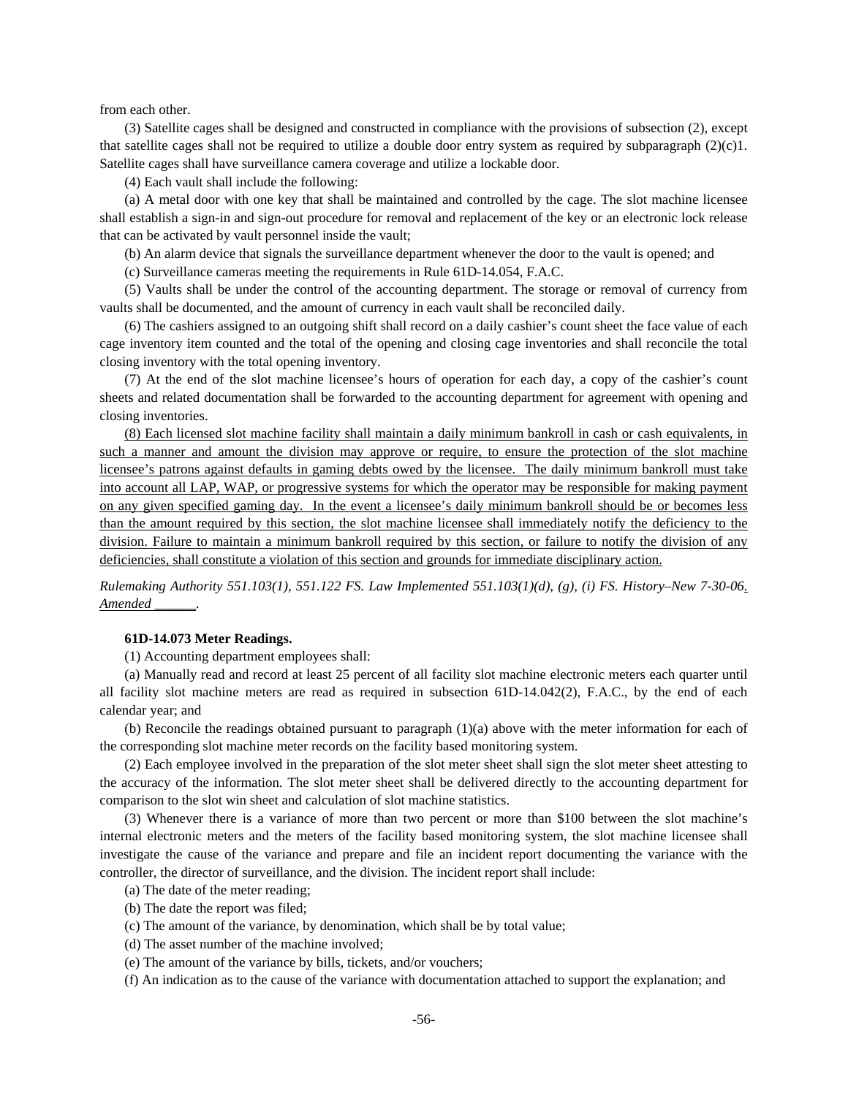from each other.

(3) Satellite cages shall be designed and constructed in compliance with the provisions of subsection (2), except that satellite cages shall not be required to utilize a double door entry system as required by subparagraph  $(2)(c)1$ . Satellite cages shall have surveillance camera coverage and utilize a lockable door.

(4) Each vault shall include the following:

(a) A metal door with one key that shall be maintained and controlled by the cage. The slot machine licensee shall establish a sign-in and sign-out procedure for removal and replacement of the key or an electronic lock release that can be activated by vault personnel inside the vault;

(b) An alarm device that signals the surveillance department whenever the door to the vault is opened; and

(c) Surveillance cameras meeting the requirements in Rule 61D-14.054, F.A.C.

(5) Vaults shall be under the control of the accounting department. The storage or removal of currency from vaults shall be documented, and the amount of currency in each vault shall be reconciled daily.

(6) The cashiers assigned to an outgoing shift shall record on a daily cashier's count sheet the face value of each cage inventory item counted and the total of the opening and closing cage inventories and shall reconcile the total closing inventory with the total opening inventory.

(7) At the end of the slot machine licensee's hours of operation for each day, a copy of the cashier's count sheets and related documentation shall be forwarded to the accounting department for agreement with opening and closing inventories.

(8) Each licensed slot machine facility shall maintain a daily minimum bankroll in cash or cash equivalents, in such a manner and amount the division may approve or require, to ensure the protection of the slot machine licensee's patrons against defaults in gaming debts owed by the licensee. The daily minimum bankroll must take into account all LAP, WAP, or progressive systems for which the operator may be responsible for making payment on any given specified gaming day. In the event a licensee's daily minimum bankroll should be or becomes less than the amount required by this section, the slot machine licensee shall immediately notify the deficiency to the division. Failure to maintain a minimum bankroll required by this section, or failure to notify the division of any deficiencies, shall constitute a violation of this section and grounds for immediate disciplinary action.

*Rulemaking Authority 551.103(1), 551.122 FS. Law Implemented 551.103(1)(d), (g), (i) FS. History–New 7-30-06. Amended \_\_\_\_\_\_.* 

### **61D-14.073 Meter Readings.**

(1) Accounting department employees shall:

(a) Manually read and record at least 25 percent of all facility slot machine electronic meters each quarter until all facility slot machine meters are read as required in subsection 61D-14.042(2), F.A.C., by the end of each calendar year; and

(b) Reconcile the readings obtained pursuant to paragraph (1)(a) above with the meter information for each of the corresponding slot machine meter records on the facility based monitoring system.

(2) Each employee involved in the preparation of the slot meter sheet shall sign the slot meter sheet attesting to the accuracy of the information. The slot meter sheet shall be delivered directly to the accounting department for comparison to the slot win sheet and calculation of slot machine statistics.

(3) Whenever there is a variance of more than two percent or more than \$100 between the slot machine's internal electronic meters and the meters of the facility based monitoring system, the slot machine licensee shall investigate the cause of the variance and prepare and file an incident report documenting the variance with the controller, the director of surveillance, and the division. The incident report shall include:

- (a) The date of the meter reading;
- (b) The date the report was filed;
- (c) The amount of the variance, by denomination, which shall be by total value;
- (d) The asset number of the machine involved;
- (e) The amount of the variance by bills, tickets, and/or vouchers;
- (f) An indication as to the cause of the variance with documentation attached to support the explanation; and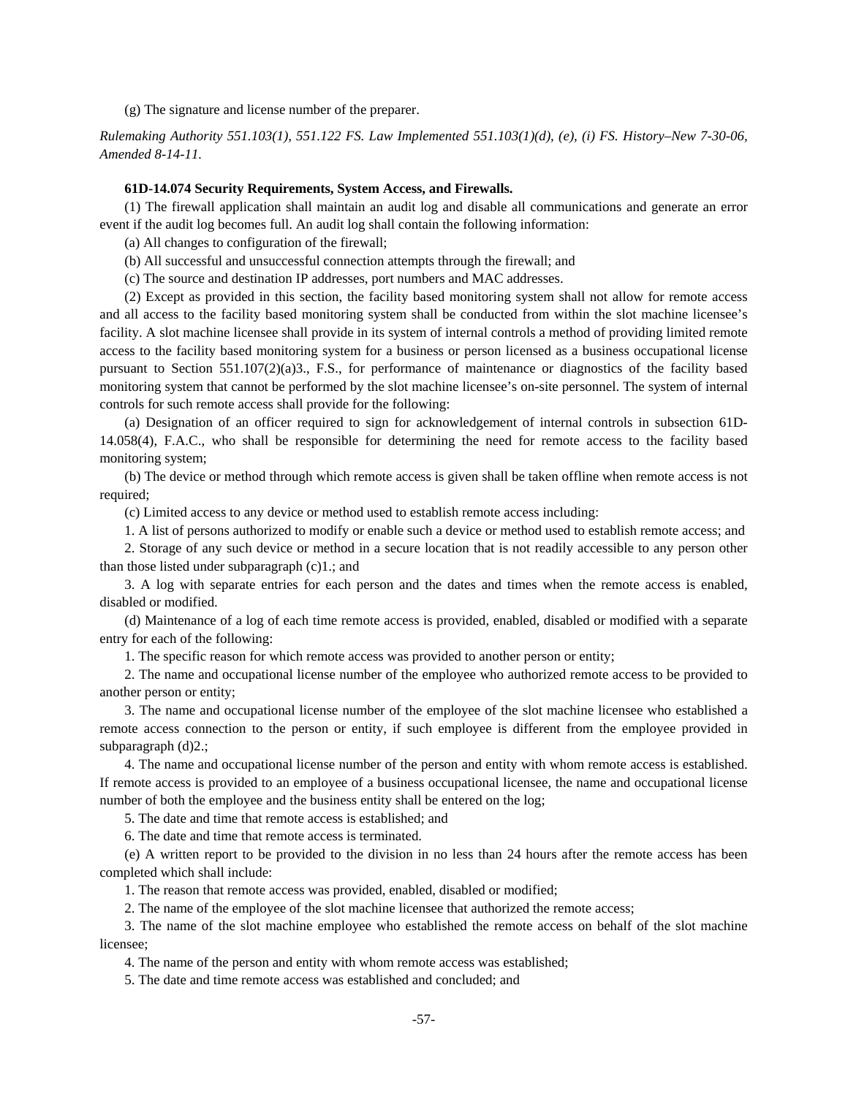(g) The signature and license number of the preparer.

*Rulemaking Authority 551.103(1), 551.122 FS. Law Implemented 551.103(1)(d), (e), (i) FS. History–New 7-30-06, Amended 8-14-11.* 

### **61D-14.074 Security Requirements, System Access, and Firewalls.**

(1) The firewall application shall maintain an audit log and disable all communications and generate an error event if the audit log becomes full. An audit log shall contain the following information:

(a) All changes to configuration of the firewall;

(b) All successful and unsuccessful connection attempts through the firewall; and

(c) The source and destination IP addresses, port numbers and MAC addresses.

(2) Except as provided in this section, the facility based monitoring system shall not allow for remote access and all access to the facility based monitoring system shall be conducted from within the slot machine licensee's facility. A slot machine licensee shall provide in its system of internal controls a method of providing limited remote access to the facility based monitoring system for a business or person licensed as a business occupational license pursuant to Section 551.107(2)(a)3., F.S., for performance of maintenance or diagnostics of the facility based monitoring system that cannot be performed by the slot machine licensee's on-site personnel. The system of internal controls for such remote access shall provide for the following:

(a) Designation of an officer required to sign for acknowledgement of internal controls in subsection 61D-14.058(4), F.A.C., who shall be responsible for determining the need for remote access to the facility based monitoring system;

(b) The device or method through which remote access is given shall be taken offline when remote access is not required;

(c) Limited access to any device or method used to establish remote access including:

1. A list of persons authorized to modify or enable such a device or method used to establish remote access; and

2. Storage of any such device or method in a secure location that is not readily accessible to any person other than those listed under subparagraph (c)1.; and

3. A log with separate entries for each person and the dates and times when the remote access is enabled, disabled or modified.

(d) Maintenance of a log of each time remote access is provided, enabled, disabled or modified with a separate entry for each of the following:

1. The specific reason for which remote access was provided to another person or entity;

2. The name and occupational license number of the employee who authorized remote access to be provided to another person or entity;

3. The name and occupational license number of the employee of the slot machine licensee who established a remote access connection to the person or entity, if such employee is different from the employee provided in subparagraph (d)2.;

4. The name and occupational license number of the person and entity with whom remote access is established. If remote access is provided to an employee of a business occupational licensee, the name and occupational license number of both the employee and the business entity shall be entered on the log;

5. The date and time that remote access is established; and

6. The date and time that remote access is terminated.

(e) A written report to be provided to the division in no less than 24 hours after the remote access has been completed which shall include:

1. The reason that remote access was provided, enabled, disabled or modified;

2. The name of the employee of the slot machine licensee that authorized the remote access;

3. The name of the slot machine employee who established the remote access on behalf of the slot machine licensee;

4. The name of the person and entity with whom remote access was established;

5. The date and time remote access was established and concluded; and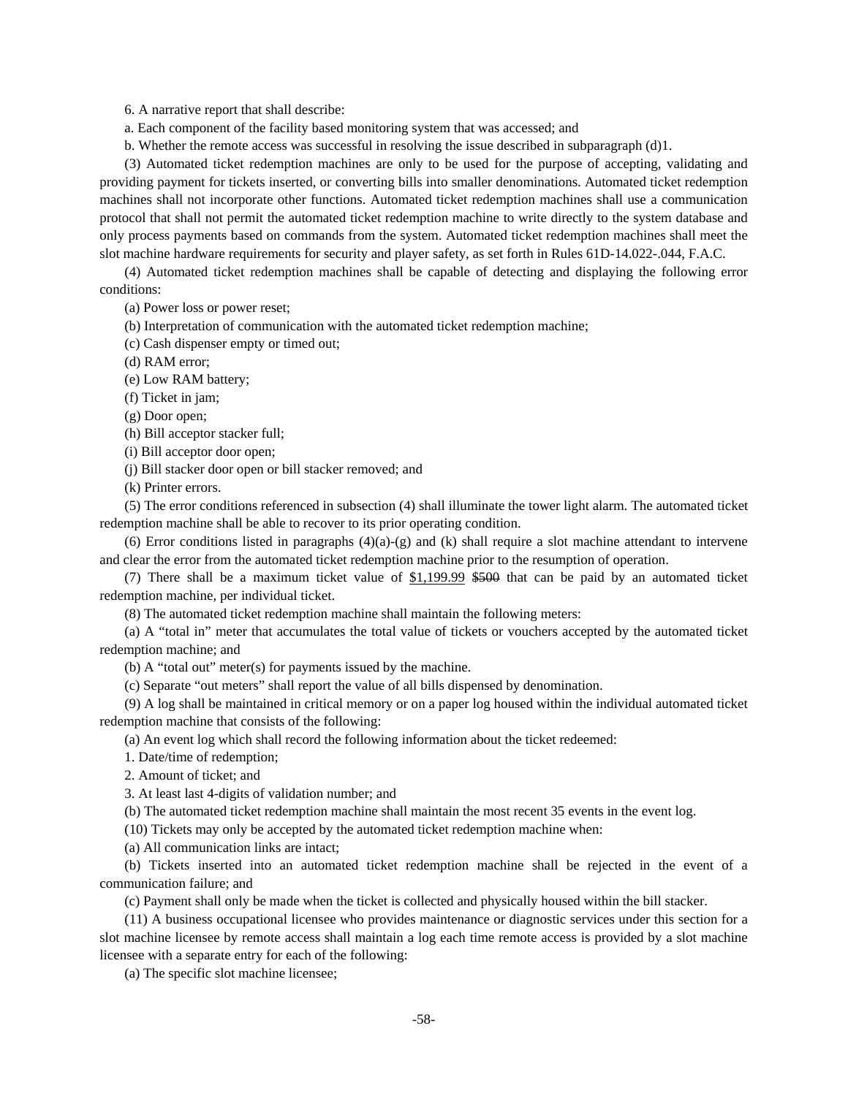6. A narrative report that shall describe:

- a. Each component of the facility based monitoring system that was accessed; and
- b. Whether the remote access was successful in resolving the issue described in subparagraph (d)1.

(3) Automated ticket redemption machines are only to be used for the purpose of accepting, validating and providing payment for tickets inserted, or converting bills into smaller denominations. Automated ticket redemption machines shall not incorporate other functions. Automated ticket redemption machines shall use a communication protocol that shall not permit the automated ticket redemption machine to write directly to the system database and only process payments based on commands from the system. Automated ticket redemption machines shall meet the slot machine hardware requirements for security and player safety, as set forth in Rules 61D-14.022-.044, F.A.C.

(4) Automated ticket redemption machines shall be capable of detecting and displaying the following error conditions:

(a) Power loss or power reset;

- (b) Interpretation of communication with the automated ticket redemption machine;
- (c) Cash dispenser empty or timed out;
- (d) RAM error;

(e) Low RAM battery;

(f) Ticket in jam;

(g) Door open;

(h) Bill acceptor stacker full;

(i) Bill acceptor door open;

(j) Bill stacker door open or bill stacker removed; and

(k) Printer errors.

(5) The error conditions referenced in subsection (4) shall illuminate the tower light alarm. The automated ticket redemption machine shall be able to recover to its prior operating condition.

(6) Error conditions listed in paragraphs  $(4)(a)-(g)$  and (k) shall require a slot machine attendant to intervene and clear the error from the automated ticket redemption machine prior to the resumption of operation.

(7) There shall be a maximum ticket value of  $$1,199.99$  \$500 that can be paid by an automated ticket redemption machine, per individual ticket.

(8) The automated ticket redemption machine shall maintain the following meters:

(a) A "total in" meter that accumulates the total value of tickets or vouchers accepted by the automated ticket redemption machine; and

(b) A "total out" meter(s) for payments issued by the machine.

(c) Separate "out meters" shall report the value of all bills dispensed by denomination.

(9) A log shall be maintained in critical memory or on a paper log housed within the individual automated ticket redemption machine that consists of the following:

(a) An event log which shall record the following information about the ticket redeemed:

1. Date/time of redemption;

2. Amount of ticket; and

3. At least last 4-digits of validation number; and

(b) The automated ticket redemption machine shall maintain the most recent 35 events in the event log.

(10) Tickets may only be accepted by the automated ticket redemption machine when:

(a) All communication links are intact;

(b) Tickets inserted into an automated ticket redemption machine shall be rejected in the event of a communication failure; and

(c) Payment shall only be made when the ticket is collected and physically housed within the bill stacker.

(11) A business occupational licensee who provides maintenance or diagnostic services under this section for a slot machine licensee by remote access shall maintain a log each time remote access is provided by a slot machine licensee with a separate entry for each of the following:

(a) The specific slot machine licensee;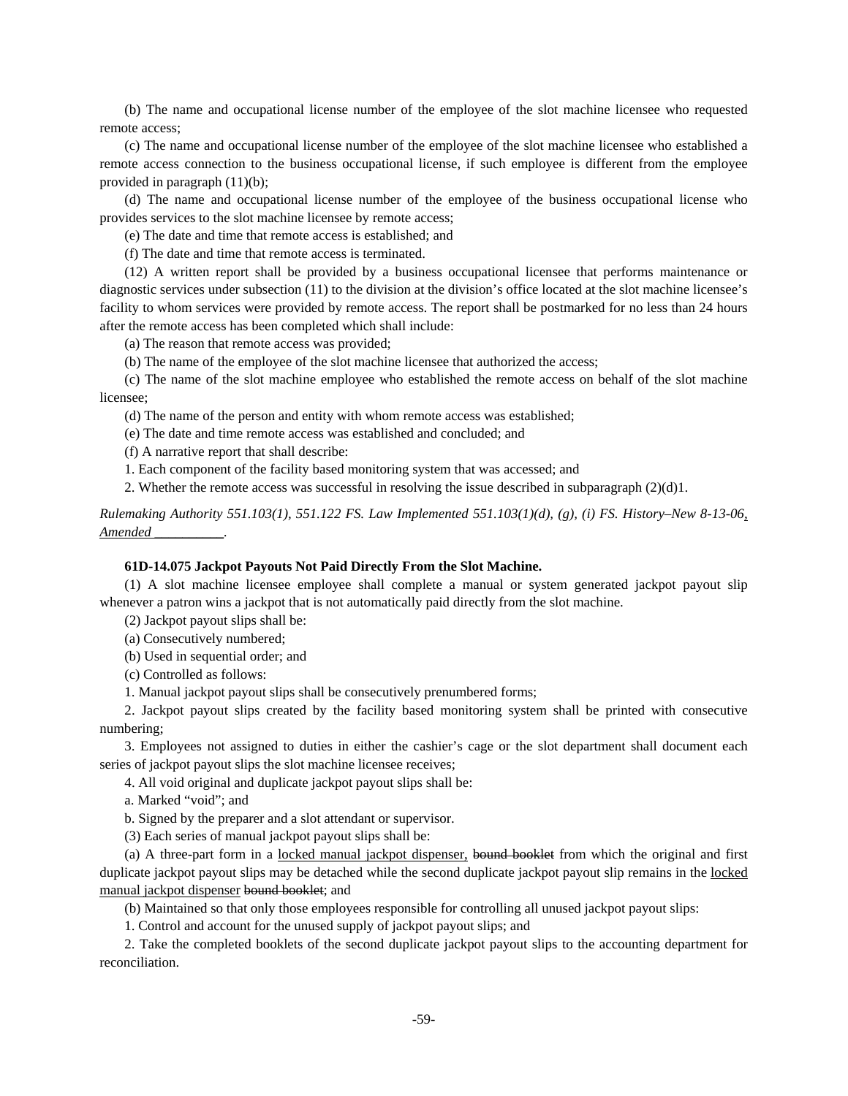(b) The name and occupational license number of the employee of the slot machine licensee who requested remote access;

(c) The name and occupational license number of the employee of the slot machine licensee who established a remote access connection to the business occupational license, if such employee is different from the employee provided in paragraph (11)(b);

(d) The name and occupational license number of the employee of the business occupational license who provides services to the slot machine licensee by remote access;

(e) The date and time that remote access is established; and

(f) The date and time that remote access is terminated.

(12) A written report shall be provided by a business occupational licensee that performs maintenance or diagnostic services under subsection (11) to the division at the division's office located at the slot machine licensee's facility to whom services were provided by remote access. The report shall be postmarked for no less than 24 hours after the remote access has been completed which shall include:

(a) The reason that remote access was provided;

(b) The name of the employee of the slot machine licensee that authorized the access;

(c) The name of the slot machine employee who established the remote access on behalf of the slot machine licensee;

(d) The name of the person and entity with whom remote access was established;

(e) The date and time remote access was established and concluded; and

(f) A narrative report that shall describe:

1. Each component of the facility based monitoring system that was accessed; and

2. Whether the remote access was successful in resolving the issue described in subparagraph (2)(d)1.

*Rulemaking Authority 551.103(1), 551.122 FS. Law Implemented 551.103(1)(d), (g), (i) FS. History–New 8-13-06, Amended \_\_\_\_\_\_\_\_\_\_.* 

#### **61D-14.075 Jackpot Payouts Not Paid Directly From the Slot Machine.**

(1) A slot machine licensee employee shall complete a manual or system generated jackpot payout slip whenever a patron wins a jackpot that is not automatically paid directly from the slot machine.

(2) Jackpot payout slips shall be:

(a) Consecutively numbered;

(b) Used in sequential order; and

(c) Controlled as follows:

1. Manual jackpot payout slips shall be consecutively prenumbered forms;

2. Jackpot payout slips created by the facility based monitoring system shall be printed with consecutive numbering;

3. Employees not assigned to duties in either the cashier's cage or the slot department shall document each series of jackpot payout slips the slot machine licensee receives;

4. All void original and duplicate jackpot payout slips shall be:

a. Marked "void"; and

b. Signed by the preparer and a slot attendant or supervisor.

(3) Each series of manual jackpot payout slips shall be:

(a) A three-part form in a locked manual jackpot dispenser, bound booklet from which the original and first duplicate jackpot payout slips may be detached while the second duplicate jackpot payout slip remains in the locked manual jackpot dispenser bound booklet; and

(b) Maintained so that only those employees responsible for controlling all unused jackpot payout slips:

1. Control and account for the unused supply of jackpot payout slips; and

2. Take the completed booklets of the second duplicate jackpot payout slips to the accounting department for reconciliation.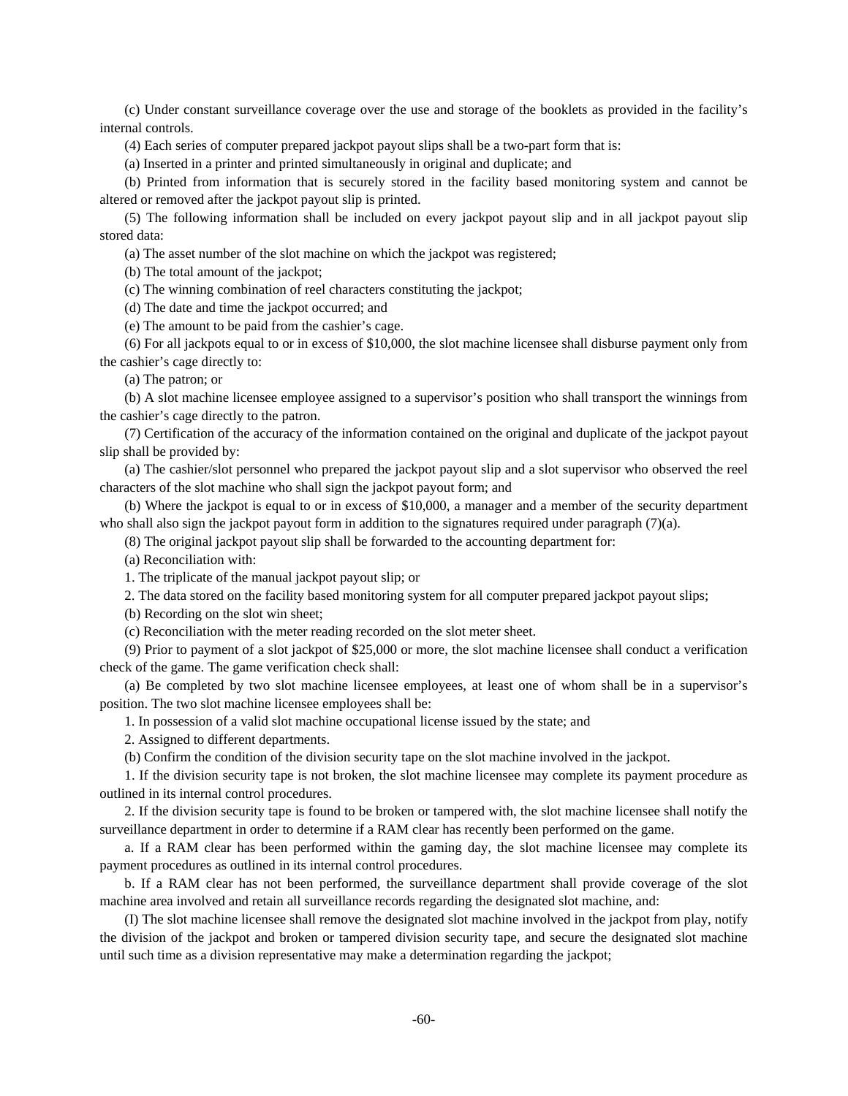(c) Under constant surveillance coverage over the use and storage of the booklets as provided in the facility's internal controls.

(4) Each series of computer prepared jackpot payout slips shall be a two-part form that is:

(a) Inserted in a printer and printed simultaneously in original and duplicate; and

(b) Printed from information that is securely stored in the facility based monitoring system and cannot be altered or removed after the jackpot payout slip is printed.

(5) The following information shall be included on every jackpot payout slip and in all jackpot payout slip stored data:

(a) The asset number of the slot machine on which the jackpot was registered;

(b) The total amount of the jackpot;

(c) The winning combination of reel characters constituting the jackpot;

(d) The date and time the jackpot occurred; and

(e) The amount to be paid from the cashier's cage.

(6) For all jackpots equal to or in excess of \$10,000, the slot machine licensee shall disburse payment only from the cashier's cage directly to:

(a) The patron; or

(b) A slot machine licensee employee assigned to a supervisor's position who shall transport the winnings from the cashier's cage directly to the patron.

(7) Certification of the accuracy of the information contained on the original and duplicate of the jackpot payout slip shall be provided by:

(a) The cashier/slot personnel who prepared the jackpot payout slip and a slot supervisor who observed the reel characters of the slot machine who shall sign the jackpot payout form; and

(b) Where the jackpot is equal to or in excess of \$10,000, a manager and a member of the security department who shall also sign the jackpot payout form in addition to the signatures required under paragraph (7)(a).

(8) The original jackpot payout slip shall be forwarded to the accounting department for:

(a) Reconciliation with:

1. The triplicate of the manual jackpot payout slip; or

2. The data stored on the facility based monitoring system for all computer prepared jackpot payout slips;

(b) Recording on the slot win sheet;

(c) Reconciliation with the meter reading recorded on the slot meter sheet.

(9) Prior to payment of a slot jackpot of \$25,000 or more, the slot machine licensee shall conduct a verification check of the game. The game verification check shall:

(a) Be completed by two slot machine licensee employees, at least one of whom shall be in a supervisor's position. The two slot machine licensee employees shall be:

1. In possession of a valid slot machine occupational license issued by the state; and

2. Assigned to different departments.

(b) Confirm the condition of the division security tape on the slot machine involved in the jackpot.

1. If the division security tape is not broken, the slot machine licensee may complete its payment procedure as outlined in its internal control procedures.

2. If the division security tape is found to be broken or tampered with, the slot machine licensee shall notify the surveillance department in order to determine if a RAM clear has recently been performed on the game.

a. If a RAM clear has been performed within the gaming day, the slot machine licensee may complete its payment procedures as outlined in its internal control procedures.

b. If a RAM clear has not been performed, the surveillance department shall provide coverage of the slot machine area involved and retain all surveillance records regarding the designated slot machine, and:

(I) The slot machine licensee shall remove the designated slot machine involved in the jackpot from play, notify the division of the jackpot and broken or tampered division security tape, and secure the designated slot machine until such time as a division representative may make a determination regarding the jackpot;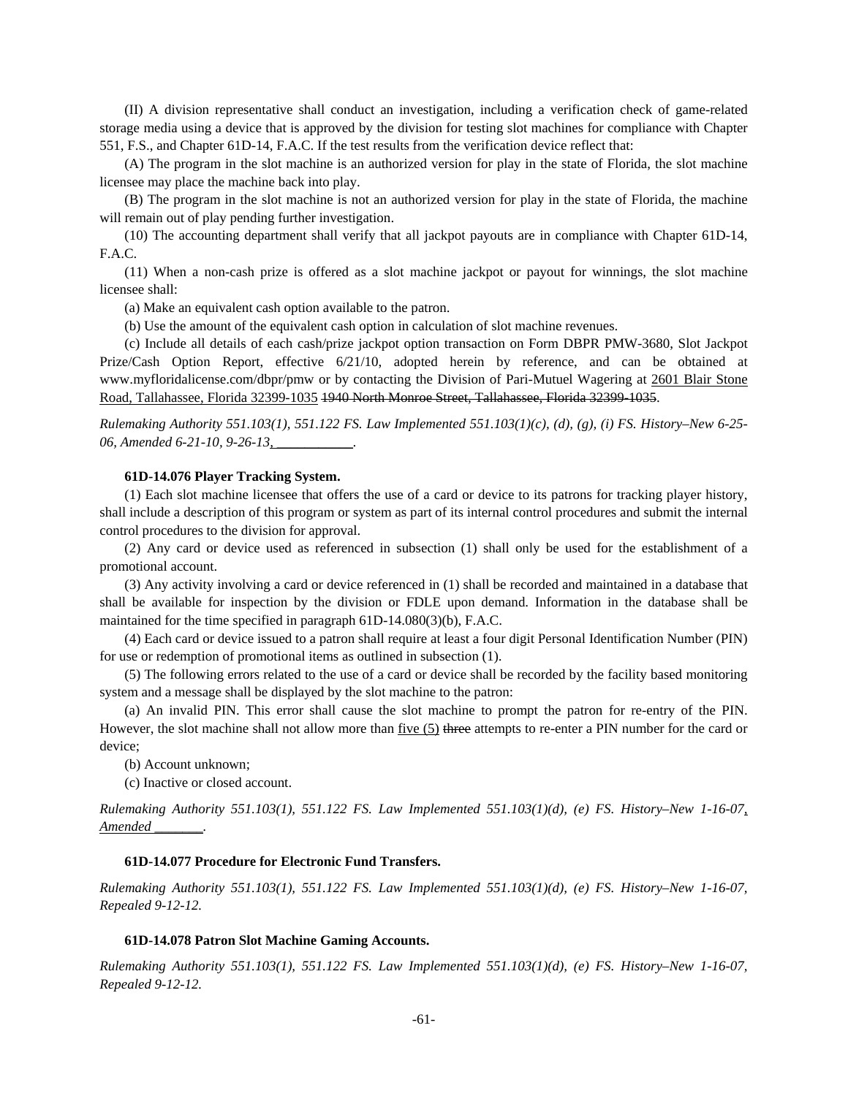(II) A division representative shall conduct an investigation, including a verification check of game-related storage media using a device that is approved by the division for testing slot machines for compliance with Chapter 551, F.S., and Chapter 61D-14, F.A.C. If the test results from the verification device reflect that:

(A) The program in the slot machine is an authorized version for play in the state of Florida, the slot machine licensee may place the machine back into play.

(B) The program in the slot machine is not an authorized version for play in the state of Florida, the machine will remain out of play pending further investigation.

(10) The accounting department shall verify that all jackpot payouts are in compliance with Chapter 61D-14, F.A.C.

(11) When a non-cash prize is offered as a slot machine jackpot or payout for winnings, the slot machine licensee shall:

(a) Make an equivalent cash option available to the patron.

(b) Use the amount of the equivalent cash option in calculation of slot machine revenues.

(c) Include all details of each cash/prize jackpot option transaction on Form DBPR PMW-3680, Slot Jackpot Prize/Cash Option Report, effective 6/21/10, adopted herein by reference, and can be obtained at www.myfloridalicense.com/dbpr/pmw or by contacting the Division of Pari-Mutuel Wagering at 2601 Blair Stone Road, Tallahassee, Florida 32399-1035 1940 North Monroe Street, Tallahassee, Florida 32399-1035.

*Rulemaking Authority 551.103(1), 551.122 FS. Law Implemented 551.103(1)(c), (d), (g), (i) FS. History–New 6-25- 06, Amended 6-21-10, 9-26-13, \_\_\_\_\_\_\_\_\_\_\_.*

### **61D-14.076 Player Tracking System.**

(1) Each slot machine licensee that offers the use of a card or device to its patrons for tracking player history, shall include a description of this program or system as part of its internal control procedures and submit the internal control procedures to the division for approval.

(2) Any card or device used as referenced in subsection (1) shall only be used for the establishment of a promotional account.

(3) Any activity involving a card or device referenced in (1) shall be recorded and maintained in a database that shall be available for inspection by the division or FDLE upon demand. Information in the database shall be maintained for the time specified in paragraph 61D-14.080(3)(b), F.A.C.

(4) Each card or device issued to a patron shall require at least a four digit Personal Identification Number (PIN) for use or redemption of promotional items as outlined in subsection (1).

(5) The following errors related to the use of a card or device shall be recorded by the facility based monitoring system and a message shall be displayed by the slot machine to the patron:

(a) An invalid PIN. This error shall cause the slot machine to prompt the patron for re-entry of the PIN. However, the slot machine shall not allow more than five (5) three attempts to re-enter a PIN number for the card or device;

(b) Account unknown;

(c) Inactive or closed account.

*Rulemaking Authority 551.103(1), 551.122 FS. Law Implemented 551.103(1)(d), (e) FS. History–New 1-16-07, Amended \_\_\_\_\_\_\_.* 

## **61D-14.077 Procedure for Electronic Fund Transfers.**

*Rulemaking Authority 551.103(1), 551.122 FS. Law Implemented 551.103(1)(d), (e) FS. History–New 1-16-07, Repealed 9-12-12.* 

### **61D-14.078 Patron Slot Machine Gaming Accounts.**

*Rulemaking Authority 551.103(1), 551.122 FS. Law Implemented 551.103(1)(d), (e) FS. History–New 1-16-07, Repealed 9-12-12.*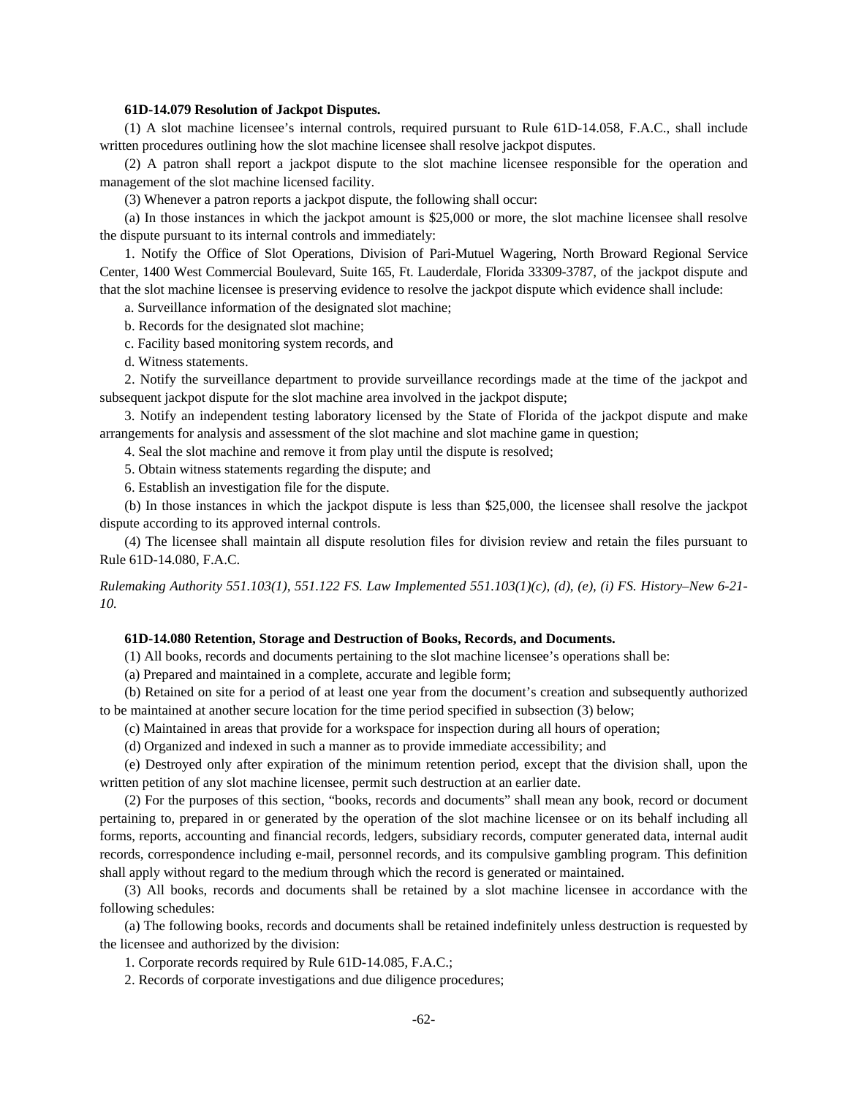### **61D-14.079 Resolution of Jackpot Disputes.**

(1) A slot machine licensee's internal controls, required pursuant to Rule 61D-14.058, F.A.C., shall include written procedures outlining how the slot machine licensee shall resolve jackpot disputes.

(2) A patron shall report a jackpot dispute to the slot machine licensee responsible for the operation and management of the slot machine licensed facility.

(3) Whenever a patron reports a jackpot dispute, the following shall occur:

(a) In those instances in which the jackpot amount is \$25,000 or more, the slot machine licensee shall resolve the dispute pursuant to its internal controls and immediately:

1. Notify the Office of Slot Operations, Division of Pari-Mutuel Wagering, North Broward Regional Service Center, 1400 West Commercial Boulevard, Suite 165, Ft. Lauderdale, Florida 33309-3787, of the jackpot dispute and that the slot machine licensee is preserving evidence to resolve the jackpot dispute which evidence shall include:

a. Surveillance information of the designated slot machine;

b. Records for the designated slot machine;

- c. Facility based monitoring system records, and
- d. Witness statements.

2. Notify the surveillance department to provide surveillance recordings made at the time of the jackpot and subsequent jackpot dispute for the slot machine area involved in the jackpot dispute;

3. Notify an independent testing laboratory licensed by the State of Florida of the jackpot dispute and make arrangements for analysis and assessment of the slot machine and slot machine game in question;

4. Seal the slot machine and remove it from play until the dispute is resolved;

5. Obtain witness statements regarding the dispute; and

6. Establish an investigation file for the dispute.

(b) In those instances in which the jackpot dispute is less than \$25,000, the licensee shall resolve the jackpot dispute according to its approved internal controls.

(4) The licensee shall maintain all dispute resolution files for division review and retain the files pursuant to Rule 61D-14.080, F.A.C.

*Rulemaking Authority 551.103(1), 551.122 FS. Law Implemented 551.103(1)(c), (d), (e), (i) FS. History–New 6-21- 10.* 

### **61D-14.080 Retention, Storage and Destruction of Books, Records, and Documents.**

(1) All books, records and documents pertaining to the slot machine licensee's operations shall be:

(a) Prepared and maintained in a complete, accurate and legible form;

(b) Retained on site for a period of at least one year from the document's creation and subsequently authorized to be maintained at another secure location for the time period specified in subsection (3) below;

(c) Maintained in areas that provide for a workspace for inspection during all hours of operation;

(d) Organized and indexed in such a manner as to provide immediate accessibility; and

(e) Destroyed only after expiration of the minimum retention period, except that the division shall, upon the written petition of any slot machine licensee, permit such destruction at an earlier date.

(2) For the purposes of this section, "books, records and documents" shall mean any book, record or document pertaining to, prepared in or generated by the operation of the slot machine licensee or on its behalf including all forms, reports, accounting and financial records, ledgers, subsidiary records, computer generated data, internal audit records, correspondence including e-mail, personnel records, and its compulsive gambling program. This definition shall apply without regard to the medium through which the record is generated or maintained.

(3) All books, records and documents shall be retained by a slot machine licensee in accordance with the following schedules:

(a) The following books, records and documents shall be retained indefinitely unless destruction is requested by the licensee and authorized by the division:

1. Corporate records required by Rule 61D-14.085, F.A.C.;

2. Records of corporate investigations and due diligence procedures;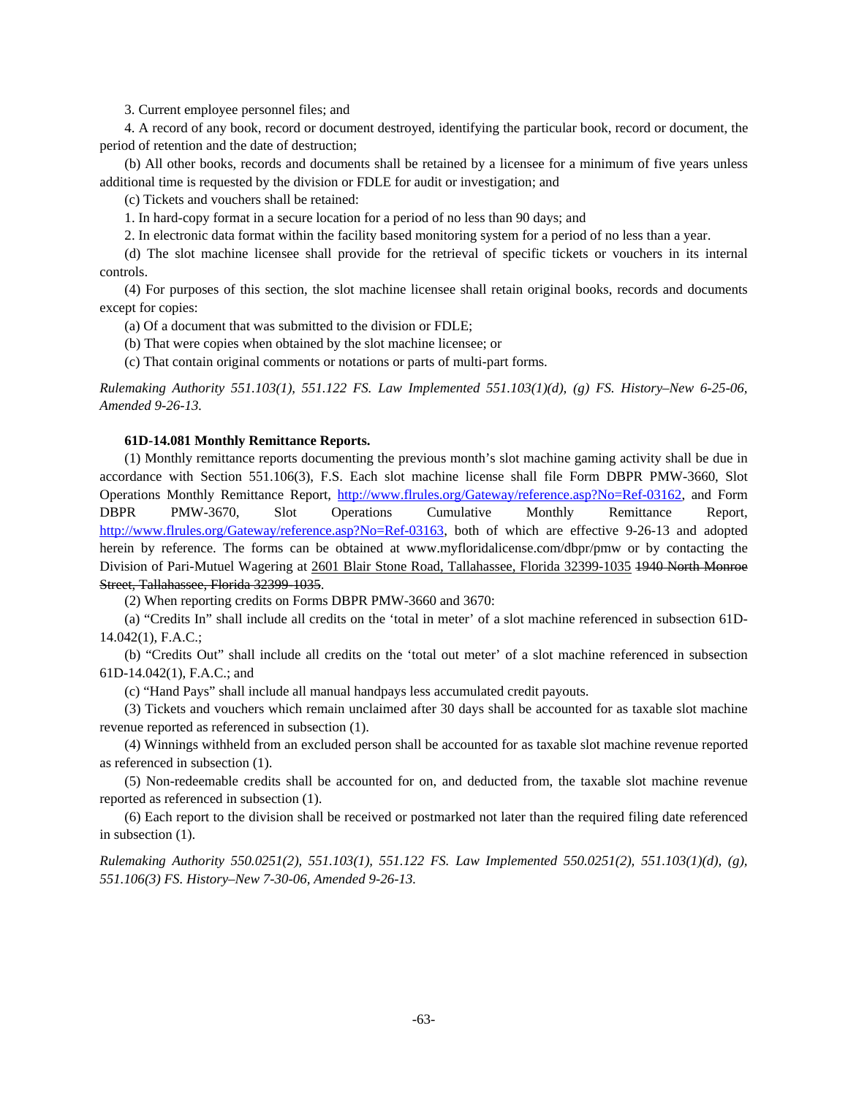3. Current employee personnel files; and

4. A record of any book, record or document destroyed, identifying the particular book, record or document, the period of retention and the date of destruction;

(b) All other books, records and documents shall be retained by a licensee for a minimum of five years unless additional time is requested by the division or FDLE for audit or investigation; and

(c) Tickets and vouchers shall be retained:

1. In hard-copy format in a secure location for a period of no less than 90 days; and

2. In electronic data format within the facility based monitoring system for a period of no less than a year.

(d) The slot machine licensee shall provide for the retrieval of specific tickets or vouchers in its internal controls.

(4) For purposes of this section, the slot machine licensee shall retain original books, records and documents except for copies:

(a) Of a document that was submitted to the division or FDLE;

(b) That were copies when obtained by the slot machine licensee; or

(c) That contain original comments or notations or parts of multi-part forms.

*Rulemaking Authority 551.103(1), 551.122 FS. Law Implemented 551.103(1)(d), (g) FS. History–New 6-25-06, Amended 9-26-13.* 

### **61D-14.081 Monthly Remittance Reports.**

(1) Monthly remittance reports documenting the previous month's slot machine gaming activity shall be due in accordance with Section 551.106(3), F.S. Each slot machine license shall file Form DBPR PMW-3660, Slot Operations Monthly Remittance Report, http://www.flrules.org/Gateway/reference.asp?No=Ref-03162, and Form DBPR PMW-3670, Slot Operations Cumulative Monthly Remittance Report, http://www.flrules.org/Gateway/reference.asp?No=Ref-03163, both of which are effective 9-26-13 and adopted herein by reference. The forms can be obtained at www.myfloridalicense.com/dbpr/pmw or by contacting the Division of Pari-Mutuel Wagering at 2601 Blair Stone Road, Tallahassee, Florida 32399-1035 1940 North Monroe Street, Tallahassee, Florida 32399 1035.

(2) When reporting credits on Forms DBPR PMW-3660 and 3670:

(a) "Credits In" shall include all credits on the 'total in meter' of a slot machine referenced in subsection 61D-14.042(1), F.A.C.;

(b) "Credits Out" shall include all credits on the 'total out meter' of a slot machine referenced in subsection 61D-14.042(1), F.A.C.; and

(c) "Hand Pays" shall include all manual handpays less accumulated credit payouts.

(3) Tickets and vouchers which remain unclaimed after 30 days shall be accounted for as taxable slot machine revenue reported as referenced in subsection (1).

(4) Winnings withheld from an excluded person shall be accounted for as taxable slot machine revenue reported as referenced in subsection (1).

(5) Non-redeemable credits shall be accounted for on, and deducted from, the taxable slot machine revenue reported as referenced in subsection (1).

(6) Each report to the division shall be received or postmarked not later than the required filing date referenced in subsection (1).

*Rulemaking Authority 550.0251(2), 551.103(1), 551.122 FS. Law Implemented 550.0251(2), 551.103(1)(d), (g), 551.106(3) FS. History–New 7-30-06, Amended 9-26-13.*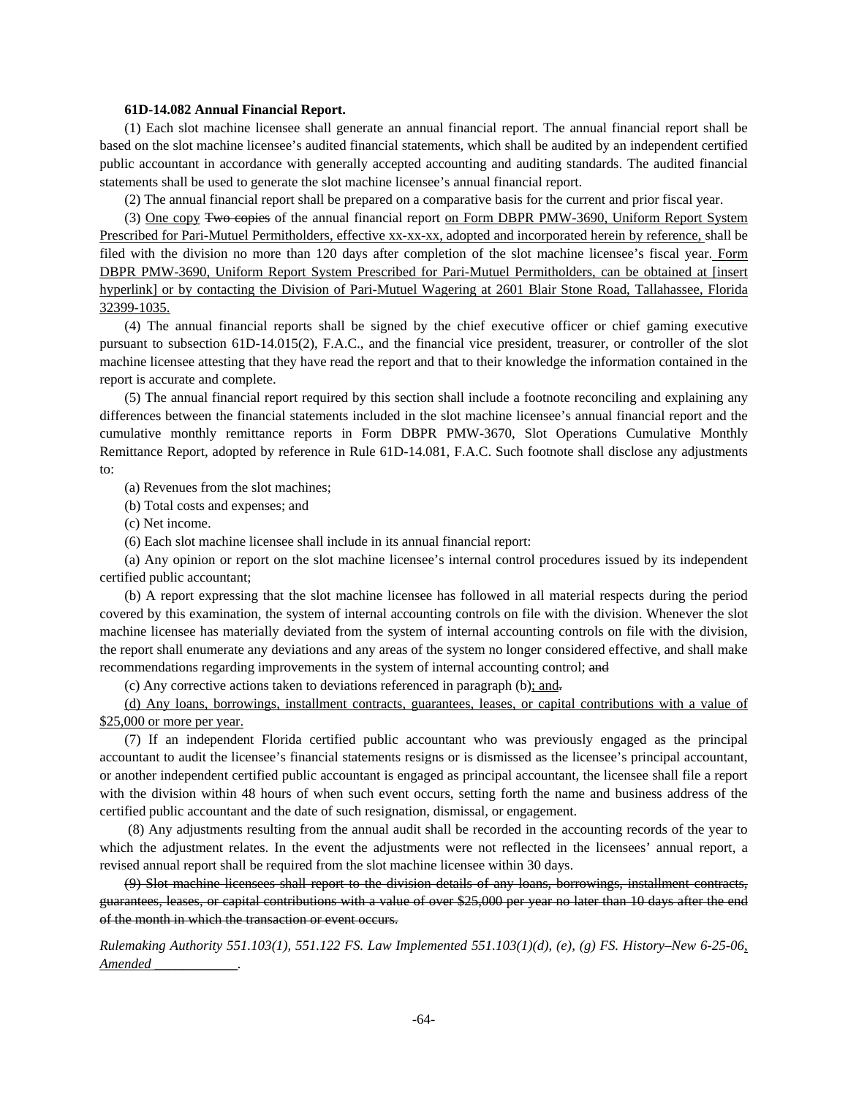### **61D-14.082 Annual Financial Report.**

(1) Each slot machine licensee shall generate an annual financial report. The annual financial report shall be based on the slot machine licensee's audited financial statements, which shall be audited by an independent certified public accountant in accordance with generally accepted accounting and auditing standards. The audited financial statements shall be used to generate the slot machine licensee's annual financial report.

(2) The annual financial report shall be prepared on a comparative basis for the current and prior fiscal year.

(3) One copy Two copies of the annual financial report on Form DBPR PMW-3690, Uniform Report System Prescribed for Pari-Mutuel Permitholders, effective xx-xx-xx, adopted and incorporated herein by reference, shall be filed with the division no more than 120 days after completion of the slot machine licensee's fiscal year. Form DBPR PMW-3690, Uniform Report System Prescribed for Pari-Mutuel Permitholders, can be obtained at [insert hyperlink] or by contacting the Division of Pari-Mutuel Wagering at 2601 Blair Stone Road, Tallahassee, Florida 32399-1035.

(4) The annual financial reports shall be signed by the chief executive officer or chief gaming executive pursuant to subsection 61D-14.015(2), F.A.C., and the financial vice president, treasurer, or controller of the slot machine licensee attesting that they have read the report and that to their knowledge the information contained in the report is accurate and complete.

(5) The annual financial report required by this section shall include a footnote reconciling and explaining any differences between the financial statements included in the slot machine licensee's annual financial report and the cumulative monthly remittance reports in Form DBPR PMW-3670, Slot Operations Cumulative Monthly Remittance Report, adopted by reference in Rule 61D-14.081, F.A.C. Such footnote shall disclose any adjustments to:

(a) Revenues from the slot machines;

(b) Total costs and expenses; and

(c) Net income.

(6) Each slot machine licensee shall include in its annual financial report:

(a) Any opinion or report on the slot machine licensee's internal control procedures issued by its independent certified public accountant;

(b) A report expressing that the slot machine licensee has followed in all material respects during the period covered by this examination, the system of internal accounting controls on file with the division. Whenever the slot machine licensee has materially deviated from the system of internal accounting controls on file with the division, the report shall enumerate any deviations and any areas of the system no longer considered effective, and shall make recommendations regarding improvements in the system of internal accounting control; and

(c) Any corrective actions taken to deviations referenced in paragraph (b); and.

(d) Any loans, borrowings, installment contracts, guarantees, leases, or capital contributions with a value of \$25,000 or more per year.

(7) If an independent Florida certified public accountant who was previously engaged as the principal accountant to audit the licensee's financial statements resigns or is dismissed as the licensee's principal accountant, or another independent certified public accountant is engaged as principal accountant, the licensee shall file a report with the division within 48 hours of when such event occurs, setting forth the name and business address of the certified public accountant and the date of such resignation, dismissal, or engagement.

 (8) Any adjustments resulting from the annual audit shall be recorded in the accounting records of the year to which the adjustment relates. In the event the adjustments were not reflected in the licensees' annual report, a revised annual report shall be required from the slot machine licensee within 30 days.

(9) Slot machine licensees shall report to the division details of any loans, borrowings, installment contracts, guarantees, leases, or capital contributions with a value of over \$25,000 per year no later than 10 days after the end of the month in which the transaction or event occurs.

*Rulemaking Authority 551.103(1), 551.122 FS. Law Implemented 551.103(1)(d), (e), (g) FS. History–New 6-25-06, Amended \_\_\_\_\_\_\_\_\_\_\_\_.*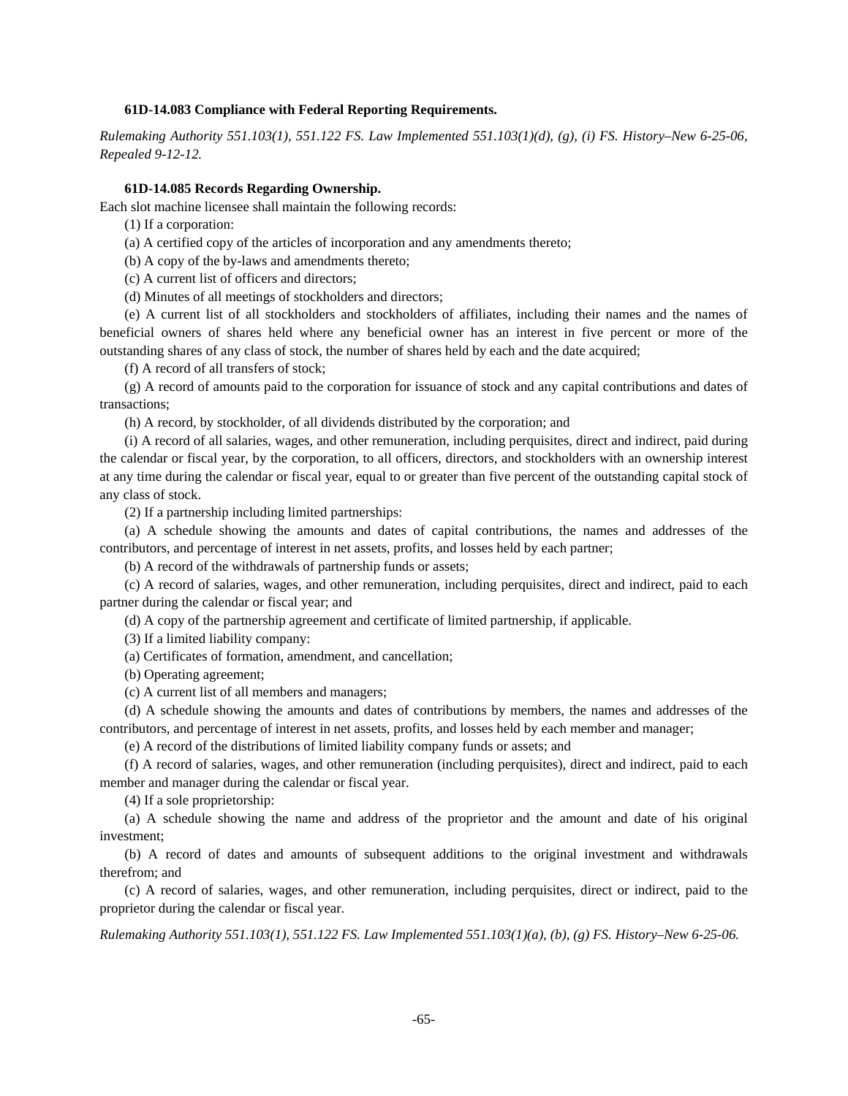### **61D-14.083 Compliance with Federal Reporting Requirements.**

*Rulemaking Authority 551.103(1), 551.122 FS. Law Implemented 551.103(1)(d), (g), (i) FS. History–New 6-25-06, Repealed 9-12-12.* 

### **61D-14.085 Records Regarding Ownership.**

Each slot machine licensee shall maintain the following records:

(1) If a corporation:

(a) A certified copy of the articles of incorporation and any amendments thereto;

(b) A copy of the by-laws and amendments thereto;

(c) A current list of officers and directors;

(d) Minutes of all meetings of stockholders and directors;

(e) A current list of all stockholders and stockholders of affiliates, including their names and the names of beneficial owners of shares held where any beneficial owner has an interest in five percent or more of the outstanding shares of any class of stock, the number of shares held by each and the date acquired;

(f) A record of all transfers of stock;

(g) A record of amounts paid to the corporation for issuance of stock and any capital contributions and dates of transactions;

(h) A record, by stockholder, of all dividends distributed by the corporation; and

(i) A record of all salaries, wages, and other remuneration, including perquisites, direct and indirect, paid during the calendar or fiscal year, by the corporation, to all officers, directors, and stockholders with an ownership interest at any time during the calendar or fiscal year, equal to or greater than five percent of the outstanding capital stock of any class of stock.

(2) If a partnership including limited partnerships:

(a) A schedule showing the amounts and dates of capital contributions, the names and addresses of the contributors, and percentage of interest in net assets, profits, and losses held by each partner;

(b) A record of the withdrawals of partnership funds or assets;

(c) A record of salaries, wages, and other remuneration, including perquisites, direct and indirect, paid to each partner during the calendar or fiscal year; and

(d) A copy of the partnership agreement and certificate of limited partnership, if applicable.

(3) If a limited liability company:

(a) Certificates of formation, amendment, and cancellation;

(b) Operating agreement;

(c) A current list of all members and managers;

(d) A schedule showing the amounts and dates of contributions by members, the names and addresses of the contributors, and percentage of interest in net assets, profits, and losses held by each member and manager;

(e) A record of the distributions of limited liability company funds or assets; and

(f) A record of salaries, wages, and other remuneration (including perquisites), direct and indirect, paid to each member and manager during the calendar or fiscal year.

(4) If a sole proprietorship:

(a) A schedule showing the name and address of the proprietor and the amount and date of his original investment;

(b) A record of dates and amounts of subsequent additions to the original investment and withdrawals therefrom; and

(c) A record of salaries, wages, and other remuneration, including perquisites, direct or indirect, paid to the proprietor during the calendar or fiscal year.

*Rulemaking Authority 551.103(1), 551.122 FS. Law Implemented 551.103(1)(a), (b), (g) FS. History–New 6-25-06.*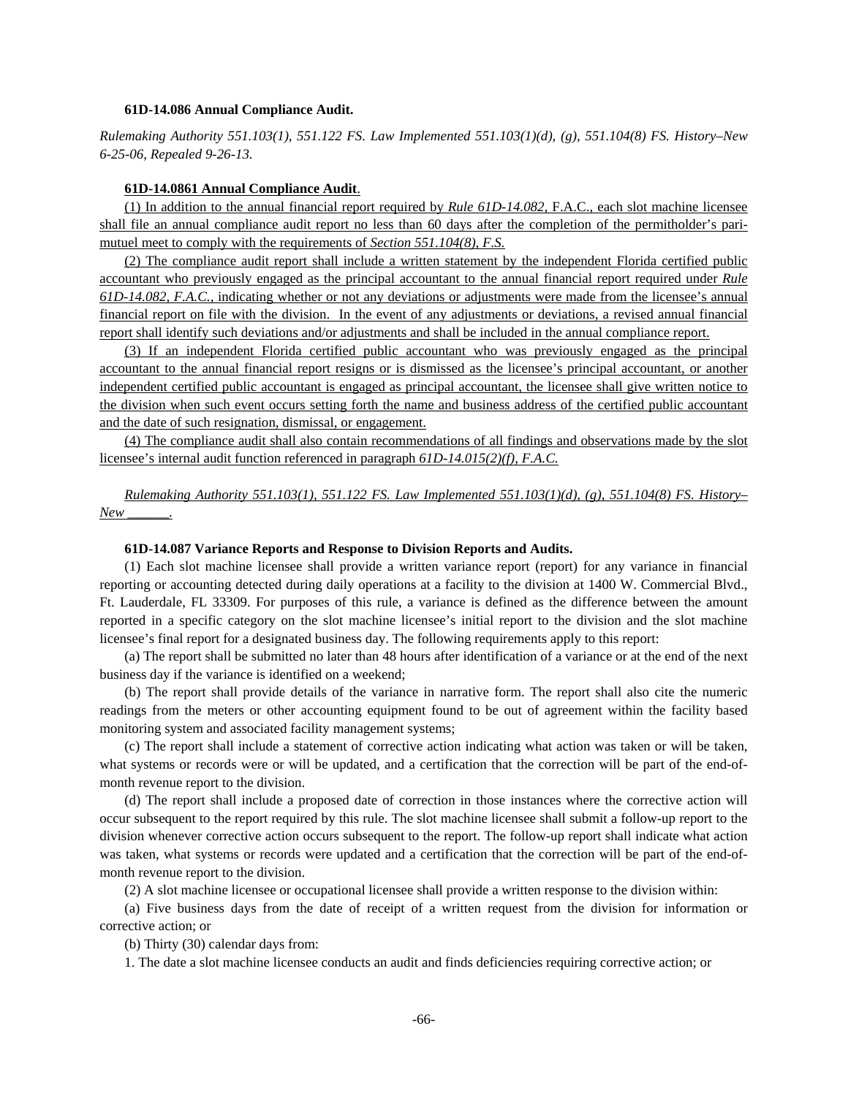### **61D-14.086 Annual Compliance Audit.**

*Rulemaking Authority 551.103(1), 551.122 FS. Law Implemented 551.103(1)(d), (g), 551.104(8) FS. History–New 6-25-06, Repealed 9-26-13.* 

## **61D-14.0861 Annual Compliance Audit**.

(1) In addition to the annual financial report required by *Rule 61D-14.082,* F.A.C., each slot machine licensee shall file an annual compliance audit report no less than 60 days after the completion of the permitholder's parimutuel meet to comply with the requirements of *Section 551.104(8), F.S.*

(2) The compliance audit report shall include a written statement by the independent Florida certified public accountant who previously engaged as the principal accountant to the annual financial report required under *Rule 61D-14.082, F.A.C.,* indicating whether or not any deviations or adjustments were made from the licensee's annual financial report on file with the division. In the event of any adjustments or deviations, a revised annual financial report shall identify such deviations and/or adjustments and shall be included in the annual compliance report.

(3) If an independent Florida certified public accountant who was previously engaged as the principal accountant to the annual financial report resigns or is dismissed as the licensee's principal accountant, or another independent certified public accountant is engaged as principal accountant, the licensee shall give written notice to the division when such event occurs setting forth the name and business address of the certified public accountant and the date of such resignation, dismissal, or engagement.

(4) The compliance audit shall also contain recommendations of all findings and observations made by the slot licensee's internal audit function referenced in paragraph *61D-14.015(2)(f), F.A.C.*

*Rulemaking Authority 551.103(1), 551.122 FS. Law Implemented 551.103(1)(d), (g), 551.104(8) FS. History– New \_\_\_\_\_\_.*

### **61D-14.087 Variance Reports and Response to Division Reports and Audits.**

(1) Each slot machine licensee shall provide a written variance report (report) for any variance in financial reporting or accounting detected during daily operations at a facility to the division at 1400 W. Commercial Blvd., Ft. Lauderdale, FL 33309. For purposes of this rule, a variance is defined as the difference between the amount reported in a specific category on the slot machine licensee's initial report to the division and the slot machine licensee's final report for a designated business day. The following requirements apply to this report:

(a) The report shall be submitted no later than 48 hours after identification of a variance or at the end of the next business day if the variance is identified on a weekend;

(b) The report shall provide details of the variance in narrative form. The report shall also cite the numeric readings from the meters or other accounting equipment found to be out of agreement within the facility based monitoring system and associated facility management systems;

(c) The report shall include a statement of corrective action indicating what action was taken or will be taken, what systems or records were or will be updated, and a certification that the correction will be part of the end-ofmonth revenue report to the division.

(d) The report shall include a proposed date of correction in those instances where the corrective action will occur subsequent to the report required by this rule. The slot machine licensee shall submit a follow-up report to the division whenever corrective action occurs subsequent to the report. The follow-up report shall indicate what action was taken, what systems or records were updated and a certification that the correction will be part of the end-ofmonth revenue report to the division.

(2) A slot machine licensee or occupational licensee shall provide a written response to the division within:

(a) Five business days from the date of receipt of a written request from the division for information or corrective action; or

(b) Thirty (30) calendar days from:

1. The date a slot machine licensee conducts an audit and finds deficiencies requiring corrective action; or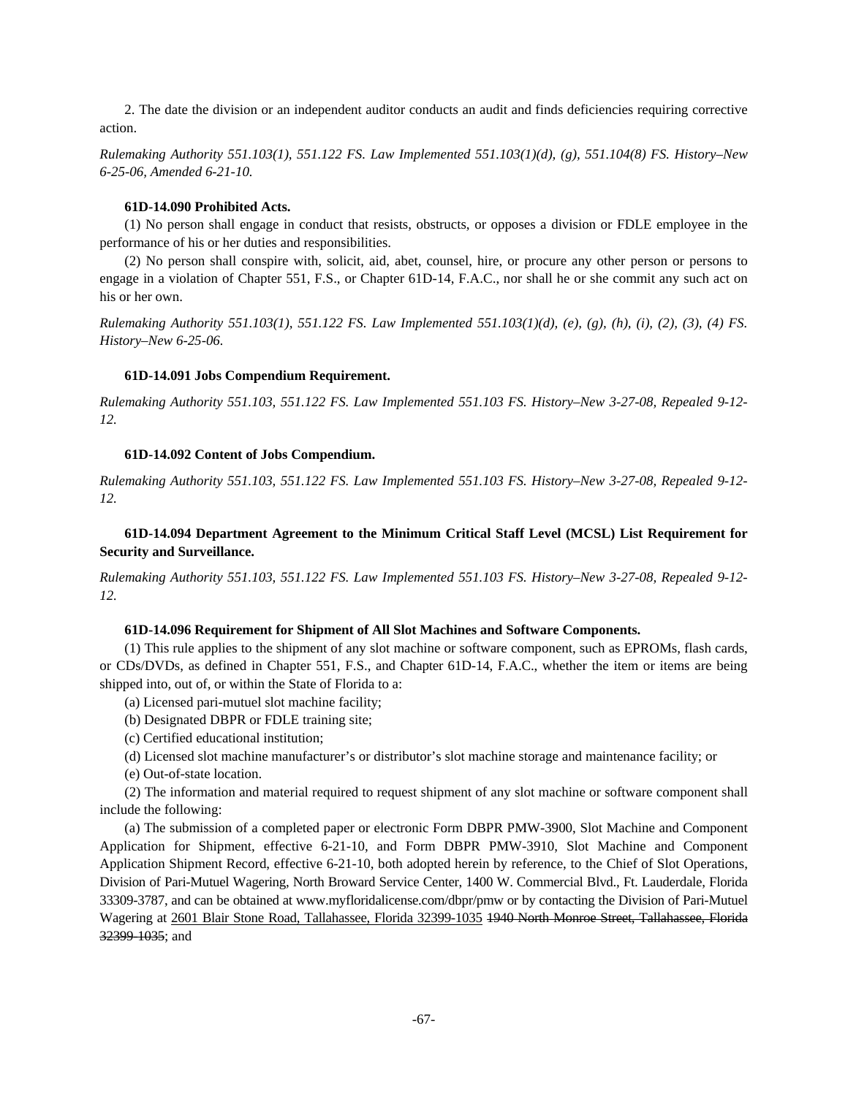2. The date the division or an independent auditor conducts an audit and finds deficiencies requiring corrective action.

*Rulemaking Authority 551.103(1), 551.122 FS. Law Implemented 551.103(1)(d), (g), 551.104(8) FS. History–New 6-25-06, Amended 6-21-10.*

### **61D-14.090 Prohibited Acts.**

(1) No person shall engage in conduct that resists, obstructs, or opposes a division or FDLE employee in the performance of his or her duties and responsibilities.

(2) No person shall conspire with, solicit, aid, abet, counsel, hire, or procure any other person or persons to engage in a violation of Chapter 551, F.S., or Chapter 61D-14, F.A.C., nor shall he or she commit any such act on his or her own.

*Rulemaking Authority 551.103(1), 551.122 FS. Law Implemented 551.103(1)(d), (e), (g), (h), (i), (2), (3), (4) FS. History–New 6-25-06.* 

### **61D-14.091 Jobs Compendium Requirement.**

*Rulemaking Authority 551.103, 551.122 FS. Law Implemented 551.103 FS. History–New 3-27-08, Repealed 9-12- 12.* 

## **61D-14.092 Content of Jobs Compendium.**

*Rulemaking Authority 551.103, 551.122 FS. Law Implemented 551.103 FS. History–New 3-27-08, Repealed 9-12- 12.* 

# **61D-14.094 Department Agreement to the Minimum Critical Staff Level (MCSL) List Requirement for Security and Surveillance.**

*Rulemaking Authority 551.103, 551.122 FS. Law Implemented 551.103 FS. History–New 3-27-08, Repealed 9-12- 12.* 

# **61D-14.096 Requirement for Shipment of All Slot Machines and Software Components.**

(1) This rule applies to the shipment of any slot machine or software component, such as EPROMs, flash cards, or CDs/DVDs, as defined in Chapter 551, F.S., and Chapter 61D-14, F.A.C., whether the item or items are being shipped into, out of, or within the State of Florida to a:

- (a) Licensed pari-mutuel slot machine facility;
- (b) Designated DBPR or FDLE training site;
- (c) Certified educational institution;
- (d) Licensed slot machine manufacturer's or distributor's slot machine storage and maintenance facility; or
- (e) Out-of-state location.

(2) The information and material required to request shipment of any slot machine or software component shall include the following:

(a) The submission of a completed paper or electronic Form DBPR PMW-3900, Slot Machine and Component Application for Shipment, effective 6-21-10, and Form DBPR PMW-3910, Slot Machine and Component Application Shipment Record, effective 6-21-10, both adopted herein by reference, to the Chief of Slot Operations, Division of Pari-Mutuel Wagering, North Broward Service Center, 1400 W. Commercial Blvd., Ft. Lauderdale, Florida 33309-3787, and can be obtained at www.myfloridalicense.com/dbpr/pmw or by contacting the Division of Pari-Mutuel Wagering at 2601 Blair Stone Road, Tallahassee, Florida 32399-1035 1940 North Monroe Street, Tallahassee, Florida 32399-1035; and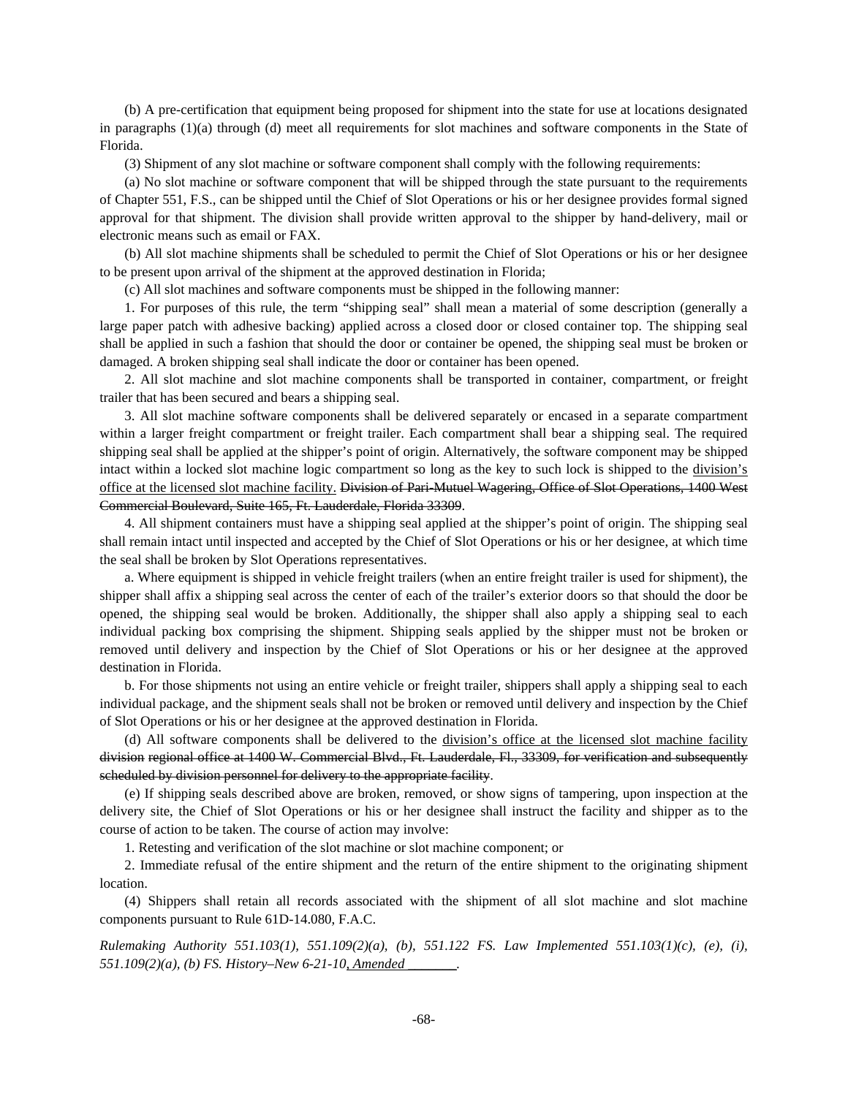(b) A pre-certification that equipment being proposed for shipment into the state for use at locations designated in paragraphs (1)(a) through (d) meet all requirements for slot machines and software components in the State of Florida.

(3) Shipment of any slot machine or software component shall comply with the following requirements:

(a) No slot machine or software component that will be shipped through the state pursuant to the requirements of Chapter 551, F.S., can be shipped until the Chief of Slot Operations or his or her designee provides formal signed approval for that shipment. The division shall provide written approval to the shipper by hand-delivery, mail or electronic means such as email or FAX.

(b) All slot machine shipments shall be scheduled to permit the Chief of Slot Operations or his or her designee to be present upon arrival of the shipment at the approved destination in Florida;

(c) All slot machines and software components must be shipped in the following manner:

1. For purposes of this rule, the term "shipping seal" shall mean a material of some description (generally a large paper patch with adhesive backing) applied across a closed door or closed container top. The shipping seal shall be applied in such a fashion that should the door or container be opened, the shipping seal must be broken or damaged. A broken shipping seal shall indicate the door or container has been opened.

2. All slot machine and slot machine components shall be transported in container, compartment, or freight trailer that has been secured and bears a shipping seal.

3. All slot machine software components shall be delivered separately or encased in a separate compartment within a larger freight compartment or freight trailer. Each compartment shall bear a shipping seal. The required shipping seal shall be applied at the shipper's point of origin. Alternatively, the software component may be shipped intact within a locked slot machine logic compartment so long as the key to such lock is shipped to the division's office at the licensed slot machine facility. Division of Pari-Mutuel Wagering, Office of Slot Operations, 1400 West Commercial Boulevard, Suite 165, Ft. Lauderdale, Florida 33309.

4. All shipment containers must have a shipping seal applied at the shipper's point of origin. The shipping seal shall remain intact until inspected and accepted by the Chief of Slot Operations or his or her designee, at which time the seal shall be broken by Slot Operations representatives.

a. Where equipment is shipped in vehicle freight trailers (when an entire freight trailer is used for shipment), the shipper shall affix a shipping seal across the center of each of the trailer's exterior doors so that should the door be opened, the shipping seal would be broken. Additionally, the shipper shall also apply a shipping seal to each individual packing box comprising the shipment. Shipping seals applied by the shipper must not be broken or removed until delivery and inspection by the Chief of Slot Operations or his or her designee at the approved destination in Florida.

b. For those shipments not using an entire vehicle or freight trailer, shippers shall apply a shipping seal to each individual package, and the shipment seals shall not be broken or removed until delivery and inspection by the Chief of Slot Operations or his or her designee at the approved destination in Florida.

(d) All software components shall be delivered to the division's office at the licensed slot machine facility division regional office at 1400 W. Commercial Blvd., Ft. Lauderdale, Fl., 33309, for verification and subsequently scheduled by division personnel for delivery to the appropriate facility.

(e) If shipping seals described above are broken, removed, or show signs of tampering, upon inspection at the delivery site, the Chief of Slot Operations or his or her designee shall instruct the facility and shipper as to the course of action to be taken. The course of action may involve:

1. Retesting and verification of the slot machine or slot machine component; or

2. Immediate refusal of the entire shipment and the return of the entire shipment to the originating shipment location.

(4) Shippers shall retain all records associated with the shipment of all slot machine and slot machine components pursuant to Rule 61D-14.080, F.A.C.

*Rulemaking Authority 551.103(1), 551.109(2)(a), (b), 551.122 FS. Law Implemented 551.103(1)(c), (e), (i), 551.109(2)(a), (b) FS. History–New 6-21-10, Amended \_\_\_\_\_\_\_.*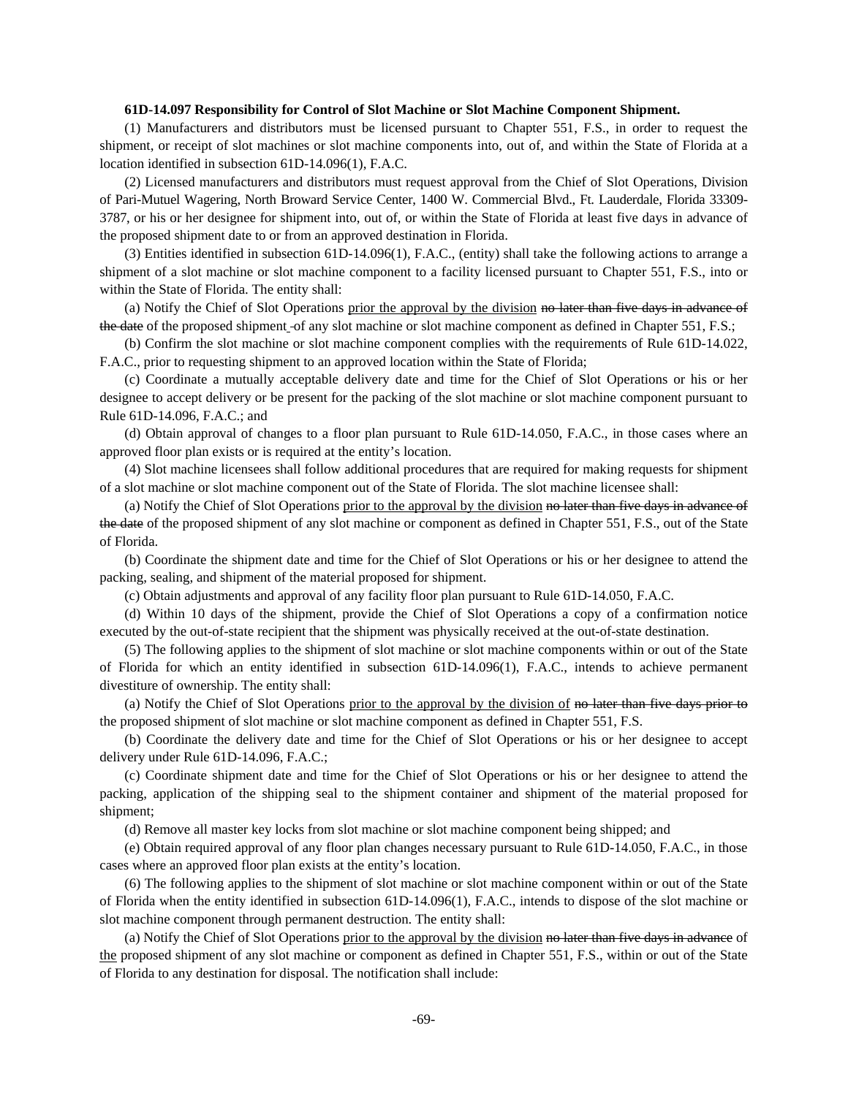### **61D-14.097 Responsibility for Control of Slot Machine or Slot Machine Component Shipment.**

(1) Manufacturers and distributors must be licensed pursuant to Chapter 551, F.S., in order to request the shipment, or receipt of slot machines or slot machine components into, out of, and within the State of Florida at a location identified in subsection 61D-14.096(1), F.A.C.

(2) Licensed manufacturers and distributors must request approval from the Chief of Slot Operations, Division of Pari-Mutuel Wagering, North Broward Service Center, 1400 W. Commercial Blvd., Ft. Lauderdale, Florida 33309- 3787, or his or her designee for shipment into, out of, or within the State of Florida at least five days in advance of the proposed shipment date to or from an approved destination in Florida.

(3) Entities identified in subsection 61D-14.096(1), F.A.C., (entity) shall take the following actions to arrange a shipment of a slot machine or slot machine component to a facility licensed pursuant to Chapter 551, F.S., into or within the State of Florida. The entity shall:

(a) Notify the Chief of Slot Operations prior the approval by the division no later than five days in advance of the date of the proposed shipment of any slot machine or slot machine component as defined in Chapter 551, F.S.;

(b) Confirm the slot machine or slot machine component complies with the requirements of Rule 61D-14.022, F.A.C., prior to requesting shipment to an approved location within the State of Florida;

(c) Coordinate a mutually acceptable delivery date and time for the Chief of Slot Operations or his or her designee to accept delivery or be present for the packing of the slot machine or slot machine component pursuant to Rule 61D-14.096, F.A.C.; and

(d) Obtain approval of changes to a floor plan pursuant to Rule 61D-14.050, F.A.C., in those cases where an approved floor plan exists or is required at the entity's location.

(4) Slot machine licensees shall follow additional procedures that are required for making requests for shipment of a slot machine or slot machine component out of the State of Florida. The slot machine licensee shall:

(a) Notify the Chief of Slot Operations prior to the approval by the division no later than five days in advance of the date of the proposed shipment of any slot machine or component as defined in Chapter 551, F.S., out of the State of Florida.

(b) Coordinate the shipment date and time for the Chief of Slot Operations or his or her designee to attend the packing, sealing, and shipment of the material proposed for shipment.

(c) Obtain adjustments and approval of any facility floor plan pursuant to Rule 61D-14.050, F.A.C.

(d) Within 10 days of the shipment, provide the Chief of Slot Operations a copy of a confirmation notice executed by the out-of-state recipient that the shipment was physically received at the out-of-state destination.

(5) The following applies to the shipment of slot machine or slot machine components within or out of the State of Florida for which an entity identified in subsection 61D-14.096(1), F.A.C., intends to achieve permanent divestiture of ownership. The entity shall:

(a) Notify the Chief of Slot Operations prior to the approval by the division of no later than five days prior to the proposed shipment of slot machine or slot machine component as defined in Chapter 551, F.S.

(b) Coordinate the delivery date and time for the Chief of Slot Operations or his or her designee to accept delivery under Rule 61D-14.096, F.A.C.;

(c) Coordinate shipment date and time for the Chief of Slot Operations or his or her designee to attend the packing, application of the shipping seal to the shipment container and shipment of the material proposed for shipment;

(d) Remove all master key locks from slot machine or slot machine component being shipped; and

(e) Obtain required approval of any floor plan changes necessary pursuant to Rule 61D-14.050, F.A.C., in those cases where an approved floor plan exists at the entity's location.

(6) The following applies to the shipment of slot machine or slot machine component within or out of the State of Florida when the entity identified in subsection 61D-14.096(1), F.A.C., intends to dispose of the slot machine or slot machine component through permanent destruction. The entity shall:

(a) Notify the Chief of Slot Operations prior to the approval by the division no later than five days in advance of the proposed shipment of any slot machine or component as defined in Chapter 551, F.S., within or out of the State of Florida to any destination for disposal. The notification shall include: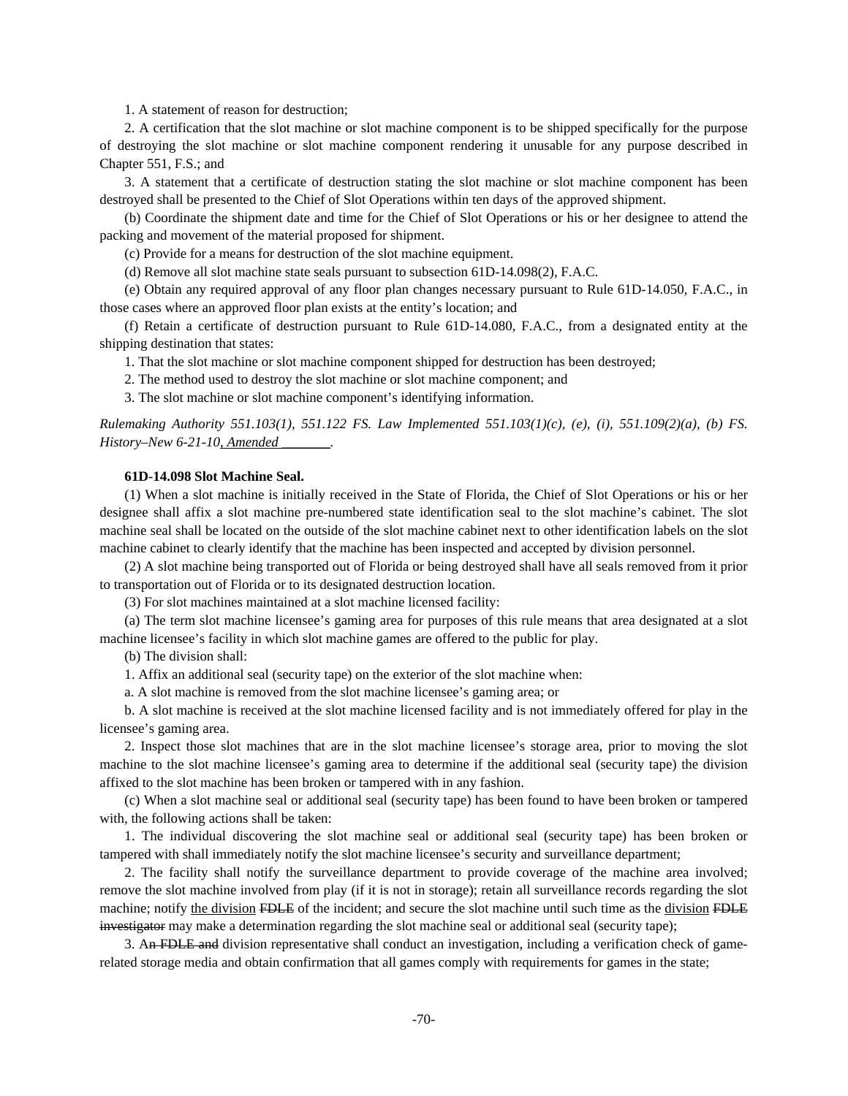1. A statement of reason for destruction;

2. A certification that the slot machine or slot machine component is to be shipped specifically for the purpose of destroying the slot machine or slot machine component rendering it unusable for any purpose described in Chapter 551, F.S.; and

3. A statement that a certificate of destruction stating the slot machine or slot machine component has been destroyed shall be presented to the Chief of Slot Operations within ten days of the approved shipment.

(b) Coordinate the shipment date and time for the Chief of Slot Operations or his or her designee to attend the packing and movement of the material proposed for shipment.

(c) Provide for a means for destruction of the slot machine equipment.

(d) Remove all slot machine state seals pursuant to subsection 61D-14.098(2), F.A.C.

(e) Obtain any required approval of any floor plan changes necessary pursuant to Rule 61D-14.050, F.A.C., in those cases where an approved floor plan exists at the entity's location; and

(f) Retain a certificate of destruction pursuant to Rule 61D-14.080, F.A.C., from a designated entity at the shipping destination that states:

1. That the slot machine or slot machine component shipped for destruction has been destroyed;

2. The method used to destroy the slot machine or slot machine component; and

3. The slot machine or slot machine component's identifying information.

*Rulemaking Authority 551.103(1), 551.122 FS. Law Implemented 551.103(1)(c), (e), (i), 551.109(2)(a), (b) FS. History–New 6-21-10, Amended \_\_\_\_\_\_\_.* 

## **61D-14.098 Slot Machine Seal.**

(1) When a slot machine is initially received in the State of Florida, the Chief of Slot Operations or his or her designee shall affix a slot machine pre-numbered state identification seal to the slot machine's cabinet. The slot machine seal shall be located on the outside of the slot machine cabinet next to other identification labels on the slot machine cabinet to clearly identify that the machine has been inspected and accepted by division personnel.

(2) A slot machine being transported out of Florida or being destroyed shall have all seals removed from it prior to transportation out of Florida or to its designated destruction location.

(3) For slot machines maintained at a slot machine licensed facility:

(a) The term slot machine licensee's gaming area for purposes of this rule means that area designated at a slot machine licensee's facility in which slot machine games are offered to the public for play.

(b) The division shall:

1. Affix an additional seal (security tape) on the exterior of the slot machine when:

a. A slot machine is removed from the slot machine licensee's gaming area; or

b. A slot machine is received at the slot machine licensed facility and is not immediately offered for play in the licensee's gaming area.

2. Inspect those slot machines that are in the slot machine licensee's storage area, prior to moving the slot machine to the slot machine licensee's gaming area to determine if the additional seal (security tape) the division affixed to the slot machine has been broken or tampered with in any fashion.

(c) When a slot machine seal or additional seal (security tape) has been found to have been broken or tampered with, the following actions shall be taken:

1. The individual discovering the slot machine seal or additional seal (security tape) has been broken or tampered with shall immediately notify the slot machine licensee's security and surveillance department;

2. The facility shall notify the surveillance department to provide coverage of the machine area involved; remove the slot machine involved from play (if it is not in storage); retain all surveillance records regarding the slot machine; notify the division FDLE of the incident; and secure the slot machine until such time as the division FDLE investigator may make a determination regarding the slot machine seal or additional seal (security tape);

3. An FDLE and division representative shall conduct an investigation, including a verification check of gamerelated storage media and obtain confirmation that all games comply with requirements for games in the state;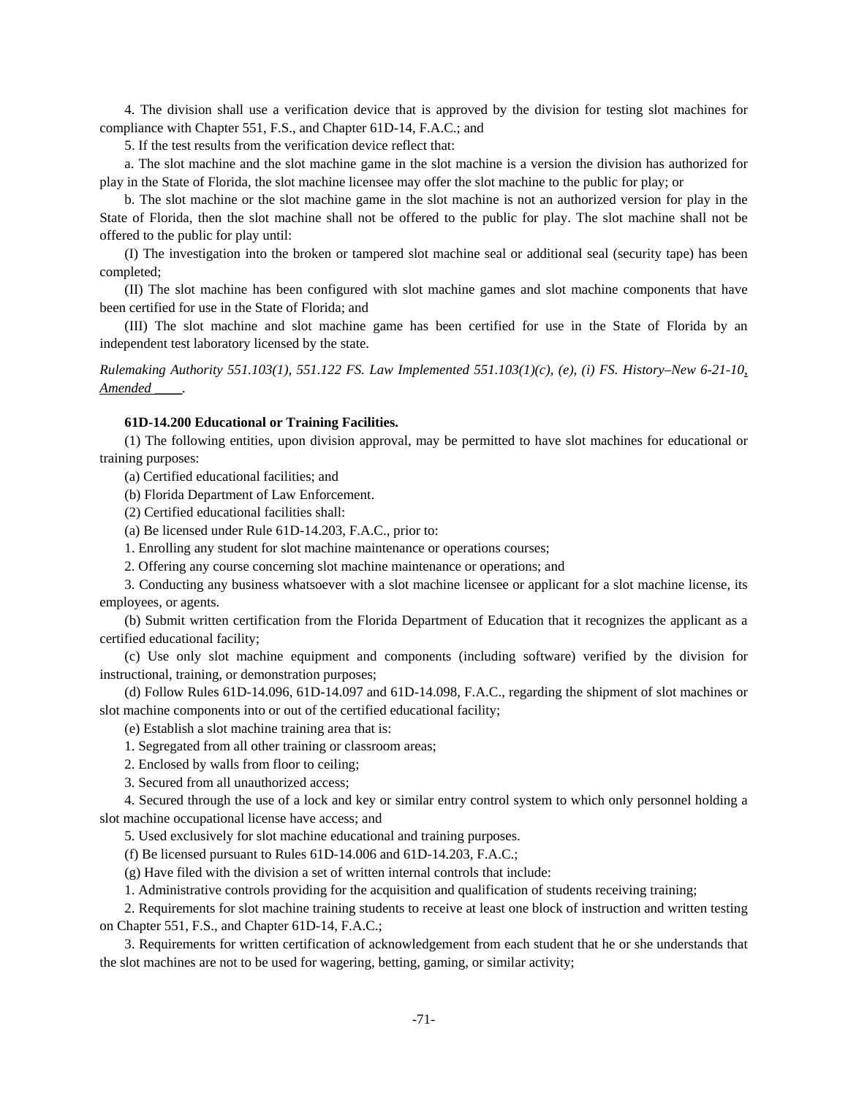4. The division shall use a verification device that is approved by the division for testing slot machines for compliance with Chapter 551, F.S., and Chapter 61D-14, F.A.C.; and

5. If the test results from the verification device reflect that:

a. The slot machine and the slot machine game in the slot machine is a version the division has authorized for play in the State of Florida, the slot machine licensee may offer the slot machine to the public for play; or

b. The slot machine or the slot machine game in the slot machine is not an authorized version for play in the State of Florida, then the slot machine shall not be offered to the public for play. The slot machine shall not be offered to the public for play until:

(I) The investigation into the broken or tampered slot machine seal or additional seal (security tape) has been completed;

(II) The slot machine has been configured with slot machine games and slot machine components that have been certified for use in the State of Florida; and

(III) The slot machine and slot machine game has been certified for use in the State of Florida by an independent test laboratory licensed by the state.

*Rulemaking Authority 551.103(1), 551.122 FS. Law Implemented 551.103(1)(c), (e), (i) FS. History–New 6-21-10, Amended \_\_\_\_.* 

### **61D-14.200 Educational or Training Facilities.**

(1) The following entities, upon division approval, may be permitted to have slot machines for educational or training purposes:

(a) Certified educational facilities; and

(b) Florida Department of Law Enforcement.

(2) Certified educational facilities shall:

(a) Be licensed under Rule 61D-14.203, F.A.C., prior to:

1. Enrolling any student for slot machine maintenance or operations courses;

2. Offering any course concerning slot machine maintenance or operations; and

3. Conducting any business whatsoever with a slot machine licensee or applicant for a slot machine license, its employees, or agents.

(b) Submit written certification from the Florida Department of Education that it recognizes the applicant as a certified educational facility;

(c) Use only slot machine equipment and components (including software) verified by the division for instructional, training, or demonstration purposes;

(d) Follow Rules 61D-14.096, 61D-14.097 and 61D-14.098, F.A.C., regarding the shipment of slot machines or slot machine components into or out of the certified educational facility;

(e) Establish a slot machine training area that is:

1. Segregated from all other training or classroom areas;

2. Enclosed by walls from floor to ceiling;

3. Secured from all unauthorized access;

4. Secured through the use of a lock and key or similar entry control system to which only personnel holding a slot machine occupational license have access; and

5. Used exclusively for slot machine educational and training purposes.

(f) Be licensed pursuant to Rules 61D-14.006 and 61D-14.203, F.A.C.;

(g) Have filed with the division a set of written internal controls that include:

1. Administrative controls providing for the acquisition and qualification of students receiving training;

2. Requirements for slot machine training students to receive at least one block of instruction and written testing on Chapter 551, F.S., and Chapter 61D-14, F.A.C.;

3. Requirements for written certification of acknowledgement from each student that he or she understands that the slot machines are not to be used for wagering, betting, gaming, or similar activity;